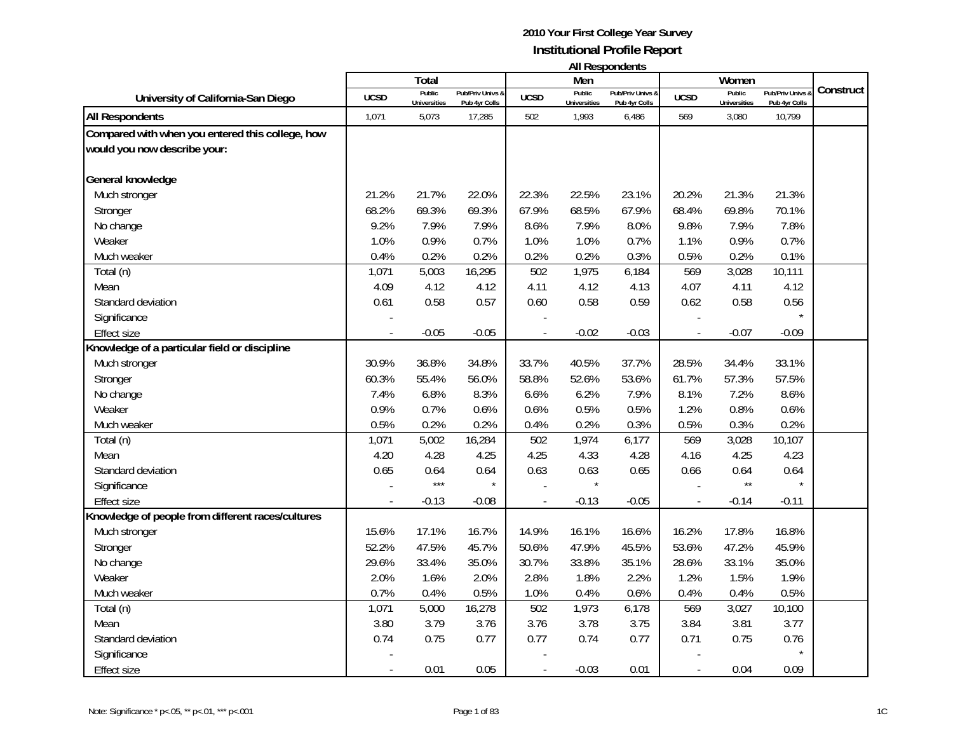|                                                   | All Respondents |                               |                                   |                             |                        |                                   |             |                                      |                                 |           |
|---------------------------------------------------|-----------------|-------------------------------|-----------------------------------|-----------------------------|------------------------|-----------------------------------|-------------|--------------------------------------|---------------------------------|-----------|
|                                                   |                 | Total                         |                                   |                             | Men                    |                                   |             | Women                                |                                 |           |
| University of California-San Diego                | <b>UCSD</b>     | Public<br><b>Universities</b> | Pub/Priv Univs &<br>Pub 4yr Colls | <b>UCSD</b>                 | Public<br>Universities | Pub/Priv Univs &<br>Pub 4yr Colls | <b>UCSD</b> | <b>Public</b><br><b>Universities</b> | Pub/Priv Univs<br>Pub 4yr Colls | Construct |
| <b>All Respondents</b>                            | 1,071           | 5,073                         | 17,285                            | 502                         | 1,993                  | 6,486                             | 569         | 3,080                                | 10,799                          |           |
| Compared with when you entered this college, how  |                 |                               |                                   |                             |                        |                                   |             |                                      |                                 |           |
| would you now describe your:                      |                 |                               |                                   |                             |                        |                                   |             |                                      |                                 |           |
|                                                   |                 |                               |                                   |                             |                        |                                   |             |                                      |                                 |           |
| General knowledge                                 |                 |                               |                                   |                             |                        |                                   |             |                                      |                                 |           |
| Much stronger                                     | 21.2%           | 21.7%                         | 22.0%                             | 22.3%                       | 22.5%                  | 23.1%                             | 20.2%       | 21.3%                                | 21.3%                           |           |
| Stronger                                          | 68.2%           | 69.3%                         | 69.3%                             | 67.9%                       | 68.5%                  | 67.9%                             | 68.4%       | 69.8%                                | 70.1%                           |           |
| No change                                         | 9.2%            | 7.9%                          | 7.9%                              | 8.6%                        | 7.9%                   | 8.0%                              | 9.8%        | 7.9%                                 | 7.8%                            |           |
| Weaker                                            | 1.0%            | 0.9%                          | 0.7%                              | 1.0%                        | 1.0%                   | 0.7%                              | 1.1%        | 0.9%                                 | 0.7%                            |           |
| Much weaker                                       | 0.4%            | 0.2%                          | 0.2%                              | 0.2%                        | 0.2%                   | 0.3%                              | 0.5%        | 0.2%                                 | 0.1%                            |           |
| Total (n)                                         | 1,071           | 5,003                         | 16,295                            | 502                         | 1,975                  | 6,184                             | 569         | 3,028                                | 10,111                          |           |
| Mean                                              | 4.09            | 4.12                          | 4.12                              | 4.11                        | 4.12                   | 4.13                              | 4.07        | 4.11                                 | 4.12                            |           |
| Standard deviation                                | 0.61            | 0.58                          | 0.57                              | 0.60                        | 0.58                   | 0.59                              | 0.62        | 0.58                                 | 0.56                            |           |
| Significance                                      |                 |                               |                                   |                             |                        |                                   |             |                                      |                                 |           |
| <b>Effect size</b>                                |                 | $-0.05$                       | $-0.05$                           |                             | $-0.02$                | $-0.03$                           |             | $-0.07$                              | $-0.09$                         |           |
| Knowledge of a particular field or discipline     |                 |                               |                                   |                             |                        |                                   |             |                                      |                                 |           |
| Much stronger                                     | 30.9%           | 36.8%                         | 34.8%                             | 33.7%                       | 40.5%                  | 37.7%                             | 28.5%       | 34.4%                                | 33.1%                           |           |
| Stronger                                          | 60.3%           | 55.4%                         | 56.0%                             | 58.8%                       | 52.6%                  | 53.6%                             | 61.7%       | 57.3%                                | 57.5%                           |           |
| No change                                         | 7.4%            | 6.8%                          | 8.3%                              | 6.6%                        | 6.2%                   | 7.9%                              | 8.1%        | 7.2%                                 | 8.6%                            |           |
| Weaker                                            | 0.9%            | 0.7%                          | 0.6%                              | 0.6%                        | 0.5%                   | 0.5%                              | 1.2%        | 0.8%                                 | 0.6%                            |           |
| Much weaker                                       | 0.5%            | 0.2%                          | 0.2%                              | 0.4%                        | 0.2%                   | 0.3%                              | 0.5%        | 0.3%                                 | 0.2%                            |           |
| Total (n)                                         | 1,071           | 5,002                         | 16,284                            | 502                         | 1,974                  | 6,177                             | 569         | 3,028                                | 10,107                          |           |
| Mean                                              | 4.20            | 4.28                          | 4.25                              | 4.25                        | 4.33                   | 4.28                              | 4.16        | 4.25                                 | 4.23                            |           |
| Standard deviation                                | 0.65            | 0.64                          | 0.64                              | 0.63                        | 0.63                   | 0.65                              | 0.66        | 0.64                                 | 0.64                            |           |
| Significance                                      |                 | $***$                         |                                   |                             |                        |                                   |             | $\star\star$                         |                                 |           |
| <b>Effect size</b>                                |                 | $-0.13$                       | $-0.08$                           | $\mathcal{L}_{\mathcal{A}}$ | $-0.13$                | $-0.05$                           |             | $-0.14$                              | $-0.11$                         |           |
| Knowledge of people from different races/cultures |                 |                               |                                   |                             |                        |                                   |             |                                      |                                 |           |
| Much stronger                                     | 15.6%           | 17.1%                         | 16.7%                             | 14.9%                       | 16.1%                  | 16.6%                             | 16.2%       | 17.8%                                | 16.8%                           |           |
| Stronger                                          | 52.2%           | 47.5%                         | 45.7%                             | 50.6%                       | 47.9%                  | 45.5%                             | 53.6%       | 47.2%                                | 45.9%                           |           |
| No change                                         | 29.6%           | 33.4%                         | 35.0%                             | 30.7%                       | 33.8%                  | 35.1%                             | 28.6%       | 33.1%                                | 35.0%                           |           |
| Weaker                                            | 2.0%            | 1.6%                          | 2.0%                              | 2.8%                        | 1.8%                   | 2.2%                              | 1.2%        | 1.5%                                 | 1.9%                            |           |
| Much weaker                                       | 0.7%            | 0.4%                          | 0.5%                              | 1.0%                        | 0.4%                   | 0.6%                              | 0.4%        | 0.4%                                 | 0.5%                            |           |
| Total (n)                                         | 1,071           | 5,000                         | 16,278                            | 502                         | 1,973                  | 6,178                             | 569         | 3,027                                | 10,100                          |           |
| Mean                                              | 3.80            | 3.79                          | 3.76                              | 3.76                        | 3.78                   | 3.75                              | 3.84        | 3.81                                 | 3.77                            |           |
| Standard deviation                                | 0.74            | 0.75                          | 0.77                              | 0.77                        | 0.74                   | 0.77                              | 0.71        | 0.75                                 | 0.76                            |           |
| Significance                                      |                 |                               |                                   |                             |                        |                                   |             |                                      |                                 |           |
| <b>Effect size</b>                                |                 | 0.01                          | 0.05                              |                             | $-0.03$                | 0.01                              |             | 0.04                                 | 0.09                            |           |
|                                                   |                 |                               |                                   |                             |                        |                                   |             |                                      |                                 |           |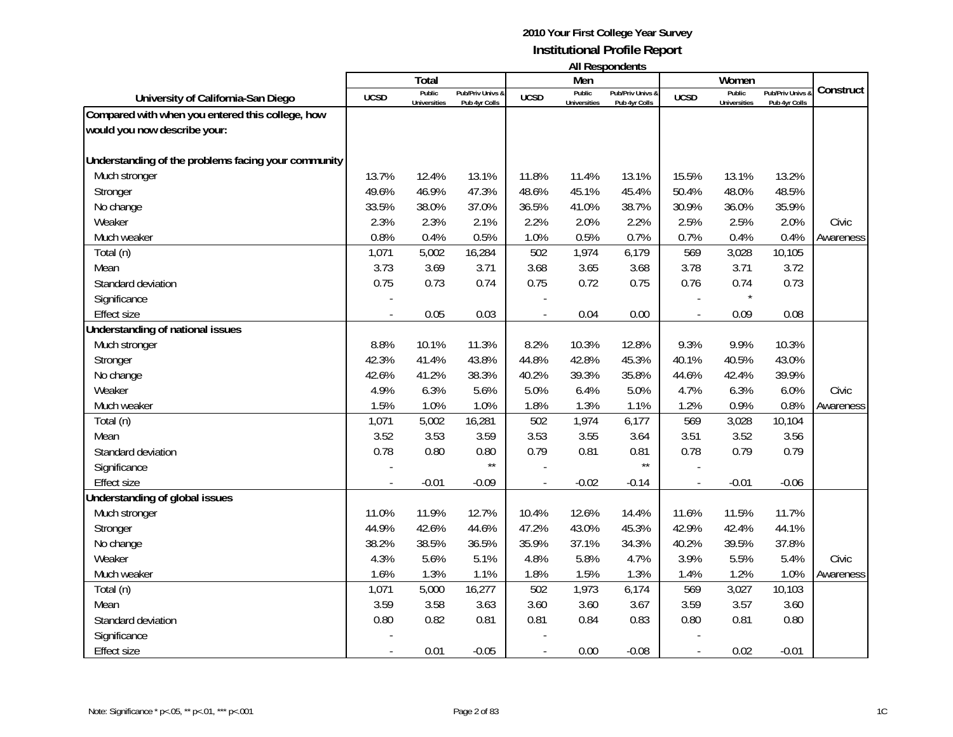|                                                     |                | Total                         |                                   |             | Men                           | בחוסטוושטואו וור                  |             | Women                         |                                   |           |
|-----------------------------------------------------|----------------|-------------------------------|-----------------------------------|-------------|-------------------------------|-----------------------------------|-------------|-------------------------------|-----------------------------------|-----------|
| University of California-San Diego                  | <b>UCSD</b>    | Public<br><b>Universities</b> | Pub/Priv Univs &<br>Pub 4yr Colls | <b>UCSD</b> | Public<br><b>Universities</b> | Pub/Priv Univs &<br>Pub 4yr Colls | <b>UCSD</b> | Public<br><b>Universities</b> | Pub/Priv Univs &<br>Pub 4yr Colls | Construct |
| Compared with when you entered this college, how    |                |                               |                                   |             |                               |                                   |             |                               |                                   |           |
| would you now describe your:                        |                |                               |                                   |             |                               |                                   |             |                               |                                   |           |
|                                                     |                |                               |                                   |             |                               |                                   |             |                               |                                   |           |
| Understanding of the problems facing your community |                |                               |                                   |             |                               |                                   |             |                               |                                   |           |
| Much stronger                                       | 13.7%          | 12.4%                         | 13.1%                             | 11.8%       | 11.4%                         | 13.1%                             | 15.5%       | 13.1%                         | 13.2%                             |           |
| Stronger                                            | 49.6%          | 46.9%                         | 47.3%                             | 48.6%       | 45.1%                         | 45.4%                             | 50.4%       | 48.0%                         | 48.5%                             |           |
| No change                                           | 33.5%          | 38.0%                         | 37.0%                             | 36.5%       | 41.0%                         | 38.7%                             | 30.9%       | 36.0%                         | 35.9%                             |           |
| Weaker                                              | 2.3%           | 2.3%                          | 2.1%                              | 2.2%        | 2.0%                          | 2.2%                              | 2.5%        | 2.5%                          | 2.0%                              | Civic     |
| Much weaker                                         | 0.8%           | 0.4%                          | 0.5%                              | 1.0%        | 0.5%                          | 0.7%                              | 0.7%        | 0.4%                          | 0.4%                              | Awareness |
| Total (n)                                           | 1,071          | 5,002                         | 16,284                            | 502         | 1,974                         | 6,179                             | 569         | 3,028                         | 10,105                            |           |
| Mean                                                | 3.73           | 3.69                          | 3.71                              | 3.68        | 3.65                          | 3.68                              | 3.78        | 3.71                          | 3.72                              |           |
| Standard deviation                                  | 0.75           | 0.73                          | 0.74                              | 0.75        | 0.72                          | 0.75                              | 0.76        | 0.74                          | 0.73                              |           |
| Significance                                        |                |                               |                                   |             |                               |                                   |             | $\star$                       |                                   |           |
| <b>Effect size</b>                                  |                | 0.05                          | 0.03                              |             | 0.04                          | 0.00                              |             | 0.09                          | 0.08                              |           |
| Understanding of national issues                    |                |                               |                                   |             |                               |                                   |             |                               |                                   |           |
| Much stronger                                       | 8.8%           | 10.1%                         | 11.3%                             | 8.2%        | 10.3%                         | 12.8%                             | 9.3%        | 9.9%                          | 10.3%                             |           |
| Stronger                                            | 42.3%          | 41.4%                         | 43.8%                             | 44.8%       | 42.8%                         | 45.3%                             | 40.1%       | 40.5%                         | 43.0%                             |           |
| No change                                           | 42.6%          | 41.2%                         | 38.3%                             | 40.2%       | 39.3%                         | 35.8%                             | 44.6%       | 42.4%                         | 39.9%                             |           |
| Weaker                                              | 4.9%           | 6.3%                          | 5.6%                              | 5.0%        | 6.4%                          | 5.0%                              | 4.7%        | 6.3%                          | 6.0%                              | Civic     |
| Much weaker                                         | 1.5%           | 1.0%                          | 1.0%                              | 1.8%        | 1.3%                          | 1.1%                              | 1.2%        | 0.9%                          | 0.8%                              | Awareness |
| Total (n)                                           | 1,071          | 5,002                         | 16,281                            | 502         | 1,974                         | 6,177                             | 569         | 3,028                         | 10,104                            |           |
| Mean                                                | 3.52           | 3.53                          | 3.59                              | 3.53        | 3.55                          | 3.64                              | 3.51        | 3.52                          | 3.56                              |           |
| Standard deviation                                  | 0.78           | 0.80                          | 0.80                              | 0.79        | 0.81                          | 0.81                              | 0.78        | 0.79                          | 0.79                              |           |
| Significance                                        |                |                               | $\star\star$                      |             |                               | $\star\star$                      |             |                               |                                   |           |
| <b>Effect size</b>                                  | $\overline{a}$ | $-0.01$                       | $-0.09$                           |             | $-0.02$                       | $-0.14$                           |             | $-0.01$                       | $-0.06$                           |           |
| Understanding of global issues                      |                |                               |                                   |             |                               |                                   |             |                               |                                   |           |
| Much stronger                                       | 11.0%          | 11.9%                         | 12.7%                             | 10.4%       | 12.6%                         | 14.4%                             | 11.6%       | 11.5%                         | 11.7%                             |           |
| Stronger                                            | 44.9%          | 42.6%                         | 44.6%                             | 47.2%       | 43.0%                         | 45.3%                             | 42.9%       | 42.4%                         | 44.1%                             |           |
| No change                                           | 38.2%          | 38.5%                         | 36.5%                             | 35.9%       | 37.1%                         | 34.3%                             | 40.2%       | 39.5%                         | 37.8%                             |           |
| Weaker                                              | 4.3%           | 5.6%                          | 5.1%                              | 4.8%        | 5.8%                          | 4.7%                              | 3.9%        | 5.5%                          | 5.4%                              | Civic     |
| Much weaker                                         | 1.6%           | 1.3%                          | 1.1%                              | 1.8%        | 1.5%                          | 1.3%                              | 1.4%        | 1.2%                          | 1.0%                              | Awareness |
| Total (n)                                           | 1,071          | 5,000                         | 16,277                            | 502         | 1,973                         | 6,174                             | 569         | 3,027                         | 10,103                            |           |
| Mean                                                | 3.59           | 3.58                          | 3.63                              | 3.60        | 3.60                          | 3.67                              | 3.59        | 3.57                          | 3.60                              |           |
| Standard deviation                                  | 0.80           | 0.82                          | 0.81                              | 0.81        | 0.84                          | 0.83                              | 0.80        | 0.81                          | 0.80                              |           |
| Significance                                        |                |                               |                                   |             |                               |                                   |             |                               |                                   |           |
| <b>Effect size</b>                                  |                | 0.01                          | $-0.05$                           |             | 0.00                          | $-0.08$                           |             | 0.02                          | $-0.01$                           |           |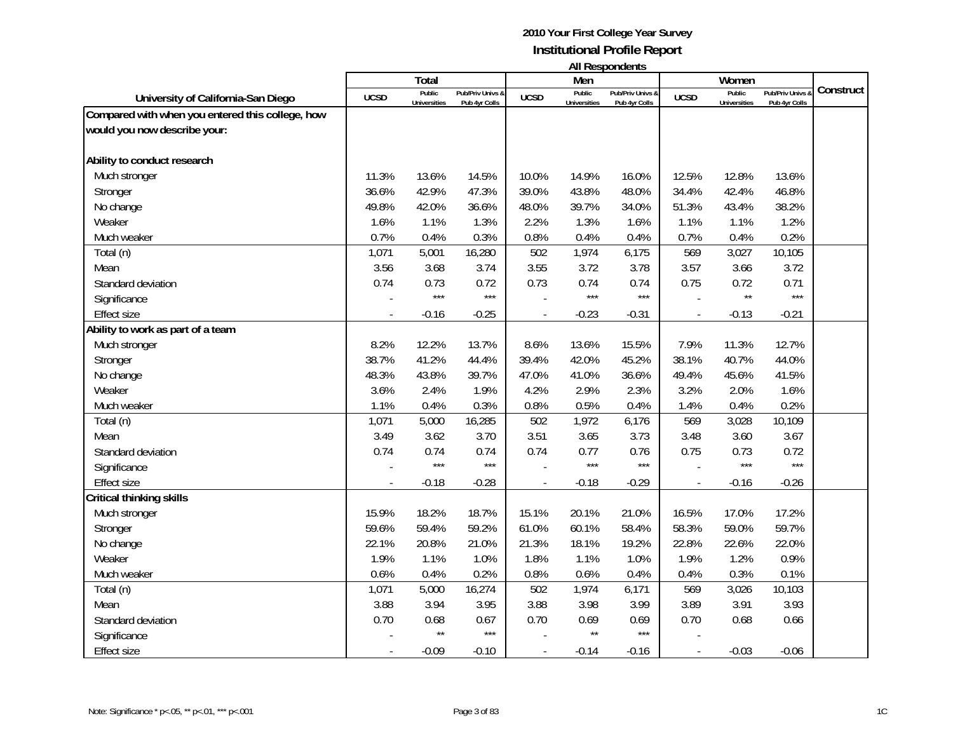|                                                  |             | Total               |                  |              | Men                 | בוו ולהוטעכטוו ווח |                | Women               |                |           |
|--------------------------------------------------|-------------|---------------------|------------------|--------------|---------------------|--------------------|----------------|---------------------|----------------|-----------|
| University of California-San Diego               | <b>UCSD</b> | Public              | Pub/Priv Univs & | <b>UCSD</b>  | Public              | Pub/Priv Univs &   | <b>UCSD</b>    | Public              | Pub/Priv Univs | Construct |
| Compared with when you entered this college, how |             | <b>Universities</b> | Pub 4yr Colls    |              | <b>Universities</b> | Pub 4yr Colls      |                | <b>Universities</b> | Pub 4yr Colls  |           |
| would you now describe your:                     |             |                     |                  |              |                     |                    |                |                     |                |           |
|                                                  |             |                     |                  |              |                     |                    |                |                     |                |           |
| Ability to conduct research                      |             |                     |                  |              |                     |                    |                |                     |                |           |
| Much stronger                                    | 11.3%       | 13.6%               | 14.5%            | 10.0%        | 14.9%               | 16.0%              | 12.5%          | 12.8%               | 13.6%          |           |
| Stronger                                         | 36.6%       | 42.9%               | 47.3%            | 39.0%        | 43.8%               | 48.0%              | 34.4%          | 42.4%               | 46.8%          |           |
| No change                                        | 49.8%       | 42.0%               | 36.6%            | 48.0%        | 39.7%               | 34.0%              | 51.3%          | 43.4%               | 38.2%          |           |
| Weaker                                           | 1.6%        | 1.1%                | 1.3%             | 2.2%         | 1.3%                | 1.6%               | 1.1%           | 1.1%                | 1.2%           |           |
| Much weaker                                      | 0.7%        | 0.4%                | 0.3%             | 0.8%         | 0.4%                | 0.4%               | 0.7%           | 0.4%                | 0.2%           |           |
| Total (n)                                        | 1,071       | 5,001               | 16,280           | 502          | 1,974               | 6,175              | 569            | 3,027               | 10,105         |           |
| Mean                                             | 3.56        | 3.68                | 3.74             | 3.55         | 3.72                | 3.78               | 3.57           | 3.66                | 3.72           |           |
| Standard deviation                               | 0.74        | 0.73                | 0.72             | 0.73         | 0.74                | 0.74               | 0.75           | 0.72                | 0.71           |           |
| Significance                                     |             | $***$               | $***$            |              | $***$               | $***$              |                | $\star\star$        | $***$          |           |
| <b>Effect size</b>                               |             | $-0.16$             | $-0.25$          |              | $-0.23$             | $-0.31$            |                | $-0.13$             | $-0.21$        |           |
| Ability to work as part of a team                |             |                     |                  |              |                     |                    |                |                     |                |           |
| Much stronger                                    | 8.2%        | 12.2%               | 13.7%            | 8.6%         | 13.6%               | 15.5%              | 7.9%           | 11.3%               | 12.7%          |           |
| Stronger                                         | 38.7%       | 41.2%               | 44.4%            | 39.4%        | 42.0%               | 45.2%              | 38.1%          | 40.7%               | 44.0%          |           |
| No change                                        | 48.3%       | 43.8%               | 39.7%            | 47.0%        | 41.0%               | 36.6%              | 49.4%          | 45.6%               | 41.5%          |           |
| Weaker                                           | 3.6%        | 2.4%                | 1.9%             | 4.2%         | 2.9%                | 2.3%               | 3.2%           | 2.0%                | 1.6%           |           |
| Much weaker                                      | 1.1%        | 0.4%                | 0.3%             | 0.8%         | 0.5%                | 0.4%               | 1.4%           | 0.4%                | 0.2%           |           |
| Total (n)                                        | 1,071       | 5,000               | 16,285           | 502          | 1,972               | 6,176              | 569            | 3,028               | 10,109         |           |
| Mean                                             | 3.49        | 3.62                | 3.70             | 3.51         | 3.65                | 3.73               | 3.48           | 3.60                | 3.67           |           |
| Standard deviation                               | 0.74        | 0.74                | 0.74             | 0.74         | 0.77                | 0.76               | 0.75           | 0.73                | 0.72           |           |
| Significance                                     |             | $***$               | $***$            |              | $***$               | ***                |                | $***$               | $***$          |           |
| <b>Effect size</b>                               |             | $-0.18$             | $-0.28$          | $\mathbf{r}$ | $-0.18$             | $-0.29$            | $\blacksquare$ | $-0.16$             | $-0.26$        |           |
| Critical thinking skills                         |             |                     |                  |              |                     |                    |                |                     |                |           |
| Much stronger                                    | 15.9%       | 18.2%               | 18.7%            | 15.1%        | 20.1%               | 21.0%              | 16.5%          | 17.0%               | 17.2%          |           |
| Stronger                                         | 59.6%       | 59.4%               | 59.2%            | 61.0%        | 60.1%               | 58.4%              | 58.3%          | 59.0%               | 59.7%          |           |
| No change                                        | 22.1%       | 20.8%               | 21.0%            | 21.3%        | 18.1%               | 19.2%              | 22.8%          | 22.6%               | 22.0%          |           |
| Weaker                                           | 1.9%        | 1.1%                | 1.0%             | 1.8%         | 1.1%                | 1.0%               | 1.9%           | 1.2%                | 0.9%           |           |
| Much weaker                                      | 0.6%        | 0.4%                | 0.2%             | 0.8%         | 0.6%                | 0.4%               | 0.4%           | 0.3%                | 0.1%           |           |
| Total (n)                                        | 1,071       | 5,000               | 16,274           | 502          | 1,974               | 6,171              | 569            | 3,026               | 10,103         |           |
| Mean                                             | 3.88        | 3.94                | 3.95             | 3.88         | 3.98                | 3.99               | 3.89           | 3.91                | 3.93           |           |
| Standard deviation                               | 0.70        | 0.68                | 0.67             | 0.70         | 0.69                | 0.69               | 0.70           | 0.68                | 0.66           |           |
| Significance                                     |             | $\star\star$        | $***$            |              | $\star\star$        | $***$              |                |                     |                |           |
| <b>Effect size</b>                               |             | $-0.09$             | $-0.10$          |              | $-0.14$             | $-0.16$            |                | $-0.03$             | $-0.06$        |           |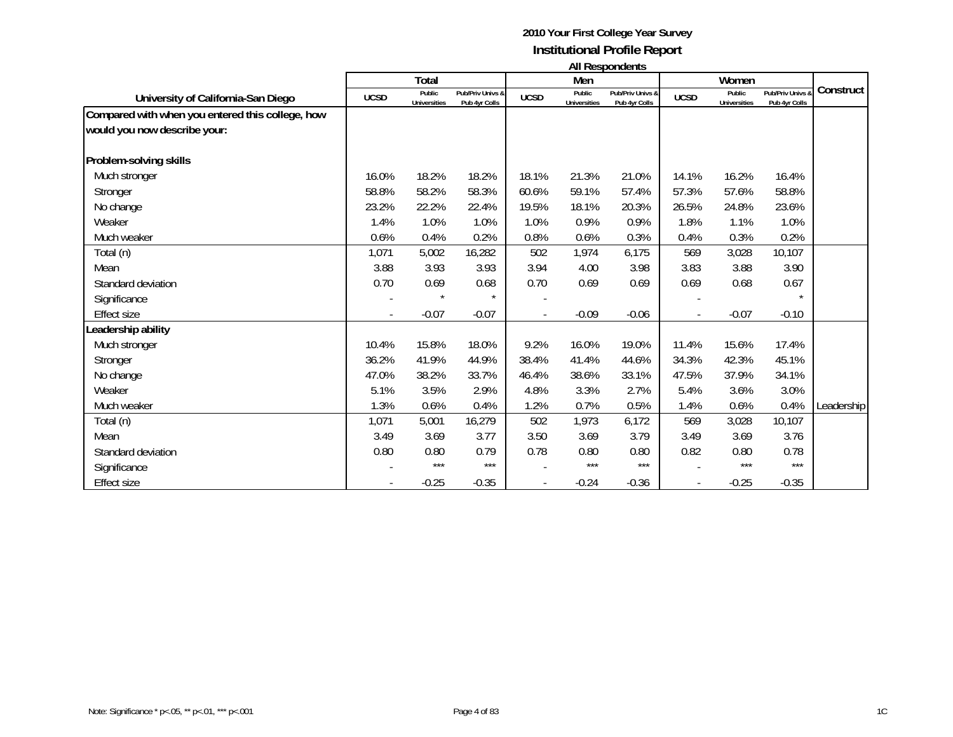| <b>All Respondents</b> |  |
|------------------------|--|
|------------------------|--|

|                                                  |             | Total                         |                                   |             | Men                           | , ,,, ,,,,,,,,,,,,,,,,,,          |                          | Women                  |                                   |            |
|--------------------------------------------------|-------------|-------------------------------|-----------------------------------|-------------|-------------------------------|-----------------------------------|--------------------------|------------------------|-----------------------------------|------------|
| University of California-San Diego               | <b>UCSD</b> | Public<br><b>Universities</b> | Pub/Priv Univs &<br>Pub 4yr Colls | <b>UCSD</b> | Public<br><b>Universities</b> | Pub/Priv Univs &<br>Pub 4yr Colls | <b>UCSD</b>              | Public<br>Universities | Pub/Priv Univs &<br>Pub 4yr Colls | Construct  |
| Compared with when you entered this college, how |             |                               |                                   |             |                               |                                   |                          |                        |                                   |            |
| would you now describe your:                     |             |                               |                                   |             |                               |                                   |                          |                        |                                   |            |
| Problem-solving skills                           |             |                               |                                   |             |                               |                                   |                          |                        |                                   |            |
| Much stronger                                    | 16.0%       | 18.2%                         | 18.2%                             | 18.1%       | 21.3%                         | 21.0%                             | 14.1%                    | 16.2%                  | 16.4%                             |            |
| Stronger                                         | 58.8%       | 58.2%                         | 58.3%                             | 60.6%       | 59.1%                         | 57.4%                             | 57.3%                    | 57.6%                  | 58.8%                             |            |
| No change                                        | 23.2%       | 22.2%                         | 22.4%                             | 19.5%       | 18.1%                         | 20.3%                             | 26.5%                    | 24.8%                  | 23.6%                             |            |
| Weaker                                           | 1.4%        | 1.0%                          | 1.0%                              | 1.0%        | 0.9%                          | 0.9%                              | 1.8%                     | 1.1%                   | 1.0%                              |            |
| Much weaker                                      | 0.6%        | 0.4%                          | 0.2%                              | 0.8%        | 0.6%                          | 0.3%                              | 0.4%                     | 0.3%                   | 0.2%                              |            |
| Total (n)                                        | 1,071       | 5,002                         | 16,282                            | 502         | 1,974                         | 6,175                             | 569                      | 3,028                  | 10,107                            |            |
| Mean                                             | 3.88        | 3.93                          | 3.93                              | 3.94        | 4.00                          | 3.98                              | 3.83                     | 3.88                   | 3.90                              |            |
| Standard deviation                               | 0.70        | 0.69                          | 0.68                              | 0.70        | 0.69                          | 0.69                              | 0.69                     | 0.68                   | 0.67                              |            |
| Significance                                     |             | $\star$                       | $\star$                           |             |                               |                                   |                          |                        | $\star$                           |            |
| <b>Effect size</b>                               |             | $-0.07$                       | $-0.07$                           |             | $-0.09$                       | $-0.06$                           | $\overline{\phantom{a}}$ | $-0.07$                | $-0.10$                           |            |
| Leadership ability                               |             |                               |                                   |             |                               |                                   |                          |                        |                                   |            |
| Much stronger                                    | 10.4%       | 15.8%                         | 18.0%                             | 9.2%        | 16.0%                         | 19.0%                             | 11.4%                    | 15.6%                  | 17.4%                             |            |
| Stronger                                         | 36.2%       | 41.9%                         | 44.9%                             | 38.4%       | 41.4%                         | 44.6%                             | 34.3%                    | 42.3%                  | 45.1%                             |            |
| No change                                        | 47.0%       | 38.2%                         | 33.7%                             | 46.4%       | 38.6%                         | 33.1%                             | 47.5%                    | 37.9%                  | 34.1%                             |            |
| Weaker                                           | 5.1%        | 3.5%                          | 2.9%                              | 4.8%        | 3.3%                          | 2.7%                              | 5.4%                     | 3.6%                   | 3.0%                              |            |
| Much weaker                                      | 1.3%        | 0.6%                          | 0.4%                              | 1.2%        | 0.7%                          | 0.5%                              | 1.4%                     | 0.6%                   | 0.4%                              | Leadership |
| Total (n)                                        | 1,071       | 5,001                         | 16,279                            | 502         | 1,973                         | 6,172                             | 569                      | 3,028                  | 10,107                            |            |
| Mean                                             | 3.49        | 3.69                          | 3.77                              | 3.50        | 3.69                          | 3.79                              | 3.49                     | 3.69                   | 3.76                              |            |
| Standard deviation                               | 0.80        | 0.80                          | 0.79                              | 0.78        | 0.80                          | 0.80                              | 0.82                     | 0.80                   | 0.78                              |            |
| Significance                                     |             | ***                           | $***$                             |             | $***$                         | $***$                             |                          | $***$                  | $***$                             |            |
| <b>Effect size</b>                               |             | $-0.25$                       | $-0.35$                           |             | $-0.24$                       | $-0.36$                           | $\overline{\phantom{a}}$ | $-0.25$                | $-0.35$                           |            |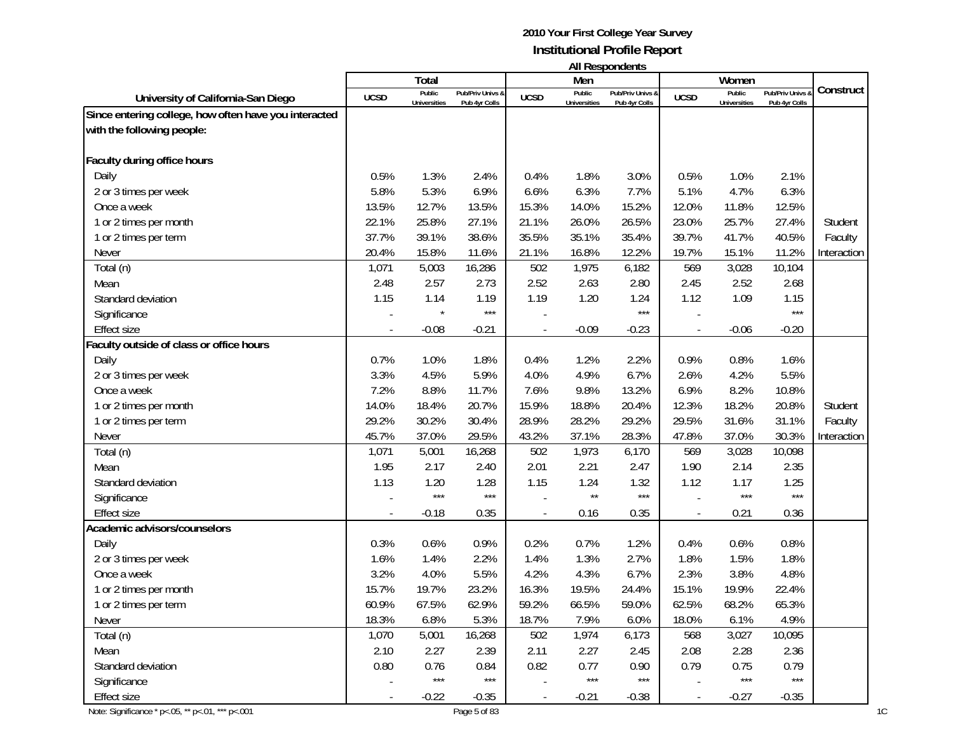|                                                       |             |                               |                                   |             |                               | AII RESPUNGENS                    |             |                               |                                 |             |
|-------------------------------------------------------|-------------|-------------------------------|-----------------------------------|-------------|-------------------------------|-----------------------------------|-------------|-------------------------------|---------------------------------|-------------|
|                                                       |             | Total                         |                                   |             | Men                           |                                   |             | Women                         |                                 |             |
| University of California-San Diego                    | <b>UCSD</b> | Public<br><b>Universities</b> | Pub/Priv Univs &<br>Pub 4yr Colls | <b>UCSD</b> | Public<br><b>Universities</b> | Pub/Priv Univs &<br>Pub 4yr Colls | <b>UCSD</b> | Public<br><b>Universities</b> | Pub/Priv Univs<br>Pub 4yr Colls | Construct   |
| Since entering college, how often have you interacted |             |                               |                                   |             |                               |                                   |             |                               |                                 |             |
| with the following people:                            |             |                               |                                   |             |                               |                                   |             |                               |                                 |             |
|                                                       |             |                               |                                   |             |                               |                                   |             |                               |                                 |             |
| Faculty during office hours                           |             |                               |                                   |             |                               |                                   |             |                               |                                 |             |
| Daily                                                 | 0.5%        | 1.3%                          | 2.4%                              | 0.4%        | 1.8%                          | 3.0%                              | 0.5%        | 1.0%                          | 2.1%                            |             |
| 2 or 3 times per week                                 | 5.8%        | 5.3%                          | 6.9%                              | 6.6%        | 6.3%                          | 7.7%                              | 5.1%        | 4.7%                          | 6.3%                            |             |
| Once a week                                           | 13.5%       | 12.7%                         | 13.5%                             | 15.3%       | 14.0%                         | 15.2%                             | 12.0%       | 11.8%                         | 12.5%                           |             |
| 1 or 2 times per month                                | 22.1%       | 25.8%                         | 27.1%                             | 21.1%       | 26.0%                         | 26.5%                             | 23.0%       | 25.7%                         | 27.4%                           | Student     |
| 1 or 2 times per term                                 | 37.7%       | 39.1%                         | 38.6%                             | 35.5%       | 35.1%                         | 35.4%                             | 39.7%       | 41.7%                         | 40.5%                           | Faculty     |
| Never                                                 | 20.4%       | 15.8%                         | 11.6%                             | 21.1%       | 16.8%                         | 12.2%                             | 19.7%       | 15.1%                         | 11.2%                           | Interaction |
| Total (n)                                             | 1,071       | 5,003                         | 16,286                            | 502         | 1,975                         | 6,182                             | 569         | 3,028                         | 10,104                          |             |
| Mean                                                  | 2.48        | 2.57                          | 2.73                              | 2.52        | 2.63                          | 2.80                              | 2.45        | 2.52                          | 2.68                            |             |
| Standard deviation                                    | 1.15        | 1.14                          | 1.19                              | 1.19        | 1.20                          | 1.24                              | 1.12        | 1.09                          | 1.15                            |             |
| Significance                                          |             |                               | $***$                             |             |                               | $***$                             |             |                               | $***$                           |             |
| <b>Effect size</b>                                    |             | $-0.08$                       | $-0.21$                           |             | $-0.09$                       | $-0.23$                           |             | $-0.06$                       | $-0.20$                         |             |
| Faculty outside of class or office hours              |             |                               |                                   |             |                               |                                   |             |                               |                                 |             |
| Daily                                                 | 0.7%        | 1.0%                          | 1.8%                              | 0.4%        | 1.2%                          | 2.2%                              | 0.9%        | 0.8%                          | 1.6%                            |             |
| 2 or 3 times per week                                 | 3.3%        | 4.5%                          | 5.9%                              | 4.0%        | 4.9%                          | 6.7%                              | 2.6%        | 4.2%                          | 5.5%                            |             |
| Once a week                                           | 7.2%        | 8.8%                          | 11.7%                             | 7.6%        | 9.8%                          | 13.2%                             | 6.9%        | 8.2%                          | 10.8%                           |             |
| 1 or 2 times per month                                | 14.0%       | 18.4%                         | 20.7%                             | 15.9%       | 18.8%                         | 20.4%                             | 12.3%       | 18.2%                         | 20.8%                           | Student     |
| 1 or 2 times per term                                 | 29.2%       | 30.2%                         | 30.4%                             | 28.9%       | 28.2%                         | 29.2%                             | 29.5%       | 31.6%                         | 31.1%                           | Faculty     |
| Never                                                 | 45.7%       | 37.0%                         | 29.5%                             | 43.2%       | 37.1%                         | 28.3%                             | 47.8%       | 37.0%                         | 30.3%                           | Interaction |
| Total (n)                                             | 1,071       | 5,001                         | 16,268                            | 502         | 1,973                         | 6,170                             | 569         | 3,028                         | 10,098                          |             |
| Mean                                                  | 1.95        | 2.17                          | 2.40                              | 2.01        | 2.21                          | 2.47                              | 1.90        | 2.14                          | 2.35                            |             |
| Standard deviation                                    | 1.13        | 1.20                          | 1.28                              | 1.15        | 1.24                          | 1.32                              | 1.12        | 1.17                          | 1.25                            |             |
| Significance                                          |             | $***$                         | $***$                             |             | $\star\star$                  | $***$                             |             | $***$                         | $***$                           |             |
| <b>Effect size</b>                                    |             | $-0.18$                       | 0.35                              |             | 0.16                          | 0.35                              |             | 0.21                          | 0.36                            |             |
| Academic advisors/counselors                          |             |                               |                                   |             |                               |                                   |             |                               |                                 |             |
| Daily                                                 | 0.3%        | 0.6%                          | 0.9%                              | 0.2%        | 0.7%                          | 1.2%                              | 0.4%        | 0.6%                          | 0.8%                            |             |
| 2 or 3 times per week                                 | 1.6%        | 1.4%                          | 2.2%                              | 1.4%        | 1.3%                          | 2.7%                              | 1.8%        | 1.5%                          | 1.8%                            |             |
| Once a week                                           | 3.2%        | 4.0%                          | 5.5%                              | 4.2%        | 4.3%                          | 6.7%                              | 2.3%        | 3.8%                          | 4.8%                            |             |
| 1 or 2 times per month                                | 15.7%       | 19.7%                         | 23.2%                             | 16.3%       | 19.5%                         | 24.4%                             | 15.1%       | 19.9%                         | 22.4%                           |             |
| 1 or 2 times per term                                 | 60.9%       | 67.5%                         | 62.9%                             | 59.2%       | 66.5%                         | 59.0%                             | 62.5%       | 68.2%                         | 65.3%                           |             |
| Never                                                 | 18.3%       | 6.8%                          | 5.3%                              | 18.7%       | 7.9%                          | 6.0%                              | 18.0%       | 6.1%                          | 4.9%                            |             |
| Total (n)                                             | 1,070       | 5,001                         | 16,268                            | 502         | 1,974                         | 6,173                             | 568         | 3,027                         | 10,095                          |             |
| Mean                                                  | 2.10        | 2.27                          | 2.39                              | 2.11        | 2.27                          | 2.45                              | 2.08        | 2.28                          | 2.36                            |             |
| Standard deviation                                    | 0.80        | 0.76                          | 0.84                              | 0.82        | 0.77                          | 0.90                              | 0.79        | 0.75                          | 0.79                            |             |
| Significance                                          |             | $\star\star\star$             | $***$                             |             | $\star\star\star$             | $***$                             |             | $***$                         | $\star\star\star$               |             |
| Effect size                                           |             | $-0.22$                       | $-0.35$                           |             | $-0.21$                       | $-0.38$                           |             | $-0.27$                       | $-0.35$                         |             |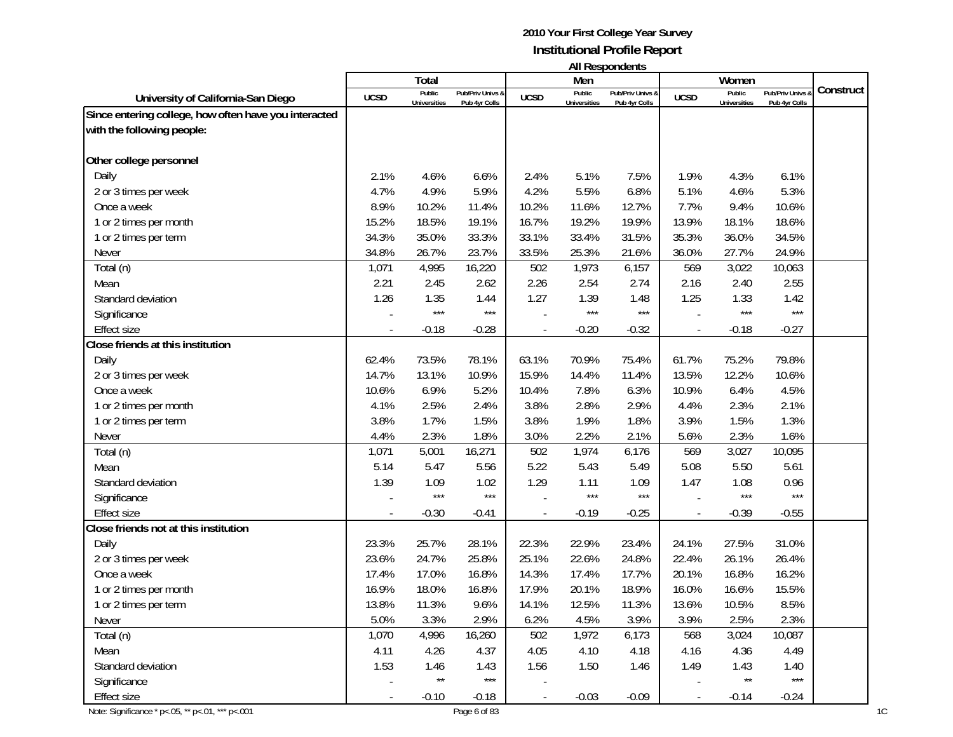|                                                       |             |                     |                   |             |                     | טוווטאווטעכטרו ווו |                          |                     |                |           |
|-------------------------------------------------------|-------------|---------------------|-------------------|-------------|---------------------|--------------------|--------------------------|---------------------|----------------|-----------|
|                                                       |             | Total<br>Public     | Pub/Priv Univs &  |             | Men<br>Public       | Pub/Priv Univs &   |                          | Women<br>Public     | Pub/Priv Univs | Construct |
| University of California-San Diego                    | <b>UCSD</b> | <b>Universities</b> | Pub 4yr Colls     | <b>UCSD</b> | <b>Universities</b> | Pub 4yr Colls      | <b>UCSD</b>              | <b>Universities</b> | Pub 4yr Colls  |           |
| Since entering college, how often have you interacted |             |                     |                   |             |                     |                    |                          |                     |                |           |
| with the following people:                            |             |                     |                   |             |                     |                    |                          |                     |                |           |
|                                                       |             |                     |                   |             |                     |                    |                          |                     |                |           |
| Other college personnel                               |             |                     |                   |             |                     |                    |                          |                     |                |           |
| Daily                                                 | 2.1%        | 4.6%                | 6.6%              | 2.4%        | 5.1%                | 7.5%               | 1.9%                     | 4.3%                | 6.1%           |           |
| 2 or 3 times per week                                 | 4.7%        | 4.9%                | 5.9%              | 4.2%        | 5.5%                | 6.8%               | 5.1%                     | 4.6%                | 5.3%           |           |
| Once a week                                           | 8.9%        | 10.2%               | 11.4%             | 10.2%       | 11.6%               | 12.7%              | 7.7%                     | 9.4%                | 10.6%          |           |
| 1 or 2 times per month                                | 15.2%       | 18.5%               | 19.1%             | 16.7%       | 19.2%               | 19.9%              | 13.9%                    | 18.1%               | 18.6%          |           |
| 1 or 2 times per term                                 | 34.3%       | 35.0%               | 33.3%             | 33.1%       | 33.4%               | 31.5%              | 35.3%                    | 36.0%               | 34.5%          |           |
| Never                                                 | 34.8%       | 26.7%               | 23.7%             | 33.5%       | 25.3%               | 21.6%              | 36.0%                    | 27.7%               | 24.9%          |           |
| Total (n)                                             | 1,071       | 4,995               | 16,220            | 502         | 1,973               | 6,157              | 569                      | 3,022               | 10,063         |           |
| Mean                                                  | 2.21        | 2.45                | 2.62              | 2.26        | 2.54                | 2.74               | 2.16                     | 2.40                | 2.55           |           |
| Standard deviation                                    | 1.26        | 1.35                | 1.44              | 1.27        | 1.39                | 1.48               | 1.25                     | 1.33                | 1.42           |           |
| Significance                                          |             | $***$               | $***$             |             | $***$               | $***$              |                          | $***$               | $***$          |           |
| <b>Effect size</b>                                    |             | $-0.18$             | $-0.28$           |             | $-0.20$             | $-0.32$            |                          | $-0.18$             | $-0.27$        |           |
| Close friends at this institution                     |             |                     |                   |             |                     |                    |                          |                     |                |           |
| Daily                                                 | 62.4%       | 73.5%               | 78.1%             | 63.1%       | 70.9%               | 75.4%              | 61.7%                    | 75.2%               | 79.8%          |           |
| 2 or 3 times per week                                 | 14.7%       | 13.1%               | 10.9%             | 15.9%       | 14.4%               | 11.4%              | 13.5%                    | 12.2%               | 10.6%          |           |
| Once a week                                           | 10.6%       | 6.9%                | 5.2%              | 10.4%       | 7.8%                | 6.3%               | 10.9%                    | 6.4%                | 4.5%           |           |
| 1 or 2 times per month                                | 4.1%        | 2.5%                | 2.4%              | 3.8%        | 2.8%                | 2.9%               | 4.4%                     | 2.3%                | 2.1%           |           |
| 1 or 2 times per term                                 | 3.8%        | 1.7%                | 1.5%              | 3.8%        | 1.9%                | 1.8%               | 3.9%                     | 1.5%                | 1.3%           |           |
| Never                                                 | 4.4%        | 2.3%                | 1.8%              | 3.0%        | 2.2%                | 2.1%               | 5.6%                     | 2.3%                | 1.6%           |           |
| Total (n)                                             | 1,071       | 5,001               | 16,271            | 502         | 1,974               | 6,176              | 569                      | 3,027               | 10,095         |           |
| Mean                                                  | 5.14        | 5.47                | 5.56              | 5.22        | 5.43                | 5.49               | 5.08                     | 5.50                | 5.61           |           |
| Standard deviation                                    | 1.39        | 1.09                | 1.02              | 1.29        | 1.11                | 1.09               | 1.47                     | 1.08                | 0.96           |           |
| Significance                                          |             | $***$               | $***$             |             | $***$               | $***$              |                          | $***$               | $***$          |           |
| <b>Effect size</b>                                    |             | $-0.30$             | $-0.41$           |             | $-0.19$             | $-0.25$            |                          | $-0.39$             | $-0.55$        |           |
| Close friends not at this institution                 |             |                     |                   |             |                     |                    |                          |                     |                |           |
| Daily                                                 | 23.3%       | 25.7%               | 28.1%             | 22.3%       | 22.9%               | 23.4%              | 24.1%                    | 27.5%               | 31.0%          |           |
| 2 or 3 times per week                                 | 23.6%       | 24.7%               | 25.8%             | 25.1%       | 22.6%               | 24.8%              | 22.4%                    | 26.1%               | 26.4%          |           |
| Once a week                                           | 17.4%       | 17.0%               | 16.8%             | 14.3%       | 17.4%               | 17.7%              | 20.1%                    | 16.8%               | 16.2%          |           |
| 1 or 2 times per month                                | 16.9%       | 18.0%               | 16.8%             | 17.9%       | 20.1%               | 18.9%              | 16.0%                    | 16.6%               | 15.5%          |           |
| 1 or 2 times per term                                 | 13.8%       | 11.3%               | 9.6%              | 14.1%       | 12.5%               | 11.3%              | 13.6%                    | 10.5%               | 8.5%           |           |
| Never                                                 | 5.0%        | 3.3%                | 2.9%              | 6.2%        | 4.5%                | 3.9%               | 3.9%                     | 2.5%                | 2.3%           |           |
| Total (n)                                             | 1,070       | 4,996               | 16,260            | 502         | 1,972               | 6,173              | 568                      | 3,024               | 10,087         |           |
| Mean                                                  | 4.11        | 4.26                | 4.37              | 4.05        | 4.10                | 4.18               | 4.16                     | 4.36                | 4.49           |           |
| Standard deviation                                    | 1.53        | 1.46                | 1.43              | 1.56        | 1.50                | 1.46               | 1.49                     | 1.43                | 1.40           |           |
| Significance                                          |             | $\star\star$        | $\star\star\star$ |             |                     |                    |                          | $\star\star$        | $***$          |           |
| Effect size                                           |             | $-0.10$             | $-0.18$           |             | $-0.03$             | $-0.09$            | $\overline{\phantom{a}}$ | $-0.14$             | $-0.24$        |           |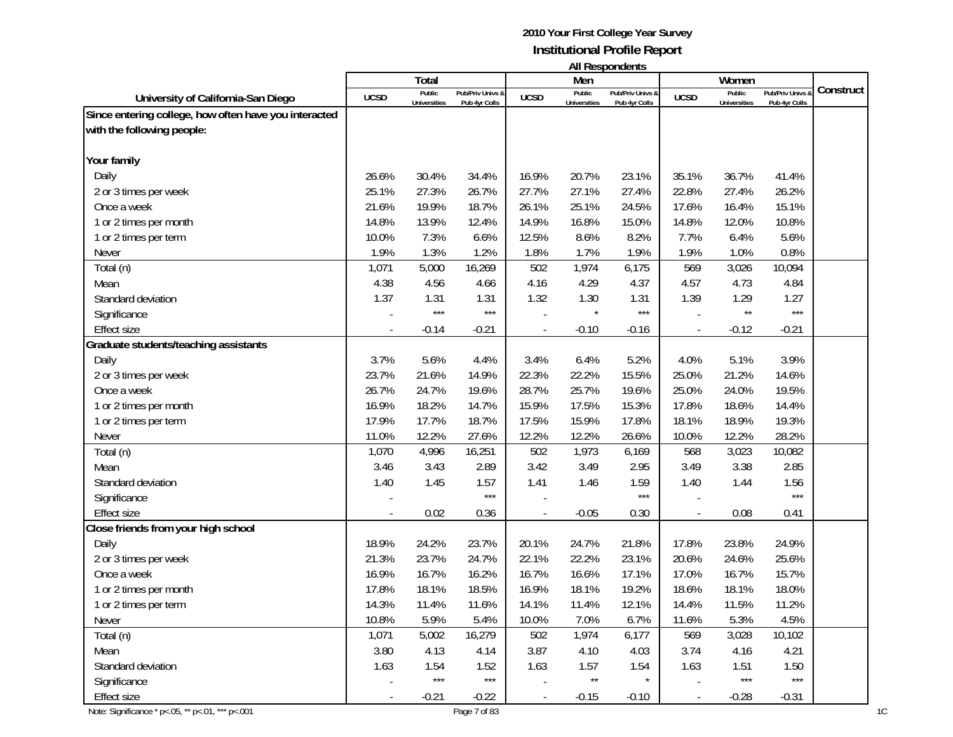|                                                       |             |                               |                                   |             |                               | AII Respondents                   |             |                               |                                 |           |
|-------------------------------------------------------|-------------|-------------------------------|-----------------------------------|-------------|-------------------------------|-----------------------------------|-------------|-------------------------------|---------------------------------|-----------|
|                                                       |             | Total                         |                                   |             | Men                           |                                   |             | Women                         |                                 | Construct |
| University of California-San Diego                    | <b>UCSD</b> | Public<br><b>Universities</b> | Pub/Priv Univs &<br>Pub 4yr Colls | <b>UCSD</b> | Public<br><b>Universities</b> | Pub/Priv Univs &<br>Pub 4yr Colls | <b>UCSD</b> | Public<br><b>Universities</b> | Pub/Priv Univs<br>Pub 4yr Colls |           |
| Since entering college, how often have you interacted |             |                               |                                   |             |                               |                                   |             |                               |                                 |           |
| with the following people:                            |             |                               |                                   |             |                               |                                   |             |                               |                                 |           |
|                                                       |             |                               |                                   |             |                               |                                   |             |                               |                                 |           |
| Your family                                           |             |                               |                                   |             |                               |                                   |             |                               |                                 |           |
| Daily                                                 | 26.6%       | 30.4%                         | 34.4%                             | 16.9%       | 20.7%                         | 23.1%                             | 35.1%       | 36.7%                         | 41.4%                           |           |
| 2 or 3 times per week                                 | 25.1%       | 27.3%                         | 26.7%                             | 27.7%       | 27.1%                         | 27.4%                             | 22.8%       | 27.4%                         | 26.2%                           |           |
| Once a week                                           | 21.6%       | 19.9%                         | 18.7%                             | 26.1%       | 25.1%                         | 24.5%                             | 17.6%       | 16.4%                         | 15.1%                           |           |
| 1 or 2 times per month                                | 14.8%       | 13.9%                         | 12.4%                             | 14.9%       | 16.8%                         | 15.0%                             | 14.8%       | 12.0%                         | 10.8%                           |           |
| 1 or 2 times per term                                 | 10.0%       | 7.3%                          | 6.6%                              | 12.5%       | 8.6%                          | 8.2%                              | 7.7%        | 6.4%                          | 5.6%                            |           |
| Never                                                 | 1.9%        | 1.3%                          | 1.2%                              | 1.8%        | 1.7%                          | 1.9%                              | 1.9%        | 1.0%                          | 0.8%                            |           |
| Total (n)                                             | 1,071       | 5,000                         | 16,269                            | 502         | 1,974                         | 6,175                             | 569         | 3,026                         | 10,094                          |           |
| Mean                                                  | 4.38        | 4.56                          | 4.66                              | 4.16        | 4.29                          | 4.37                              | 4.57        | 4.73                          | 4.84                            |           |
| Standard deviation                                    | 1.37        | 1.31                          | 1.31                              | 1.32        | 1.30                          | 1.31                              | 1.39        | 1.29                          | 1.27                            |           |
| Significance                                          |             | $***$                         | $***$                             |             |                               | $***$                             |             | $\star\star$                  | $***$                           |           |
| <b>Effect size</b>                                    |             | $-0.14$                       | $-0.21$                           |             | $-0.10$                       | $-0.16$                           |             | $-0.12$                       | $-0.21$                         |           |
| Graduate students/teaching assistants                 |             |                               |                                   |             |                               |                                   |             |                               |                                 |           |
| Daily                                                 | 3.7%        | 5.6%                          | 4.4%                              | 3.4%        | 6.4%                          | 5.2%                              | 4.0%        | 5.1%                          | 3.9%                            |           |
| 2 or 3 times per week                                 | 23.7%       | 21.6%                         | 14.9%                             | 22.3%       | 22.2%                         | 15.5%                             | 25.0%       | 21.2%                         | 14.6%                           |           |
| Once a week                                           | 26.7%       | 24.7%                         | 19.6%                             | 28.7%       | 25.7%                         | 19.6%                             | 25.0%       | 24.0%                         | 19.5%                           |           |
| 1 or 2 times per month                                | 16.9%       | 18.2%                         | 14.7%                             | 15.9%       | 17.5%                         | 15.3%                             | 17.8%       | 18.6%                         | 14.4%                           |           |
| 1 or 2 times per term                                 | 17.9%       | 17.7%                         | 18.7%                             | 17.5%       | 15.9%                         | 17.8%                             | 18.1%       | 18.9%                         | 19.3%                           |           |
| Never                                                 | 11.0%       | 12.2%                         | 27.6%                             | 12.2%       | 12.2%                         | 26.6%                             | 10.0%       | 12.2%                         | 28.2%                           |           |
| Total (n)                                             | 1,070       | 4,996                         | 16,251                            | 502         | 1,973                         | 6,169                             | 568         | 3,023                         | 10,082                          |           |
| Mean                                                  | 3.46        | 3.43                          | 2.89                              | 3.42        | 3.49                          | 2.95                              | 3.49        | 3.38                          | 2.85                            |           |
| Standard deviation                                    | 1.40        | 1.45                          | 1.57                              | 1.41        | 1.46                          | 1.59                              | 1.40        | 1.44                          | 1.56                            |           |
| Significance                                          |             |                               | $***$                             |             |                               | $***$                             |             |                               | $***$                           |           |
| <b>Effect size</b>                                    |             | 0.02                          | 0.36                              |             | $-0.05$                       | 0.30                              |             | 0.08                          | 0.41                            |           |
| Close friends from your high school                   |             |                               |                                   |             |                               |                                   |             |                               |                                 |           |
| Daily                                                 | 18.9%       | 24.2%                         | 23.7%                             | 20.1%       | 24.7%                         | 21.8%                             | 17.8%       | 23.8%                         | 24.9%                           |           |
| 2 or 3 times per week                                 | 21.3%       | 23.7%                         | 24.7%                             | 22.1%       | 22.2%                         | 23.1%                             | 20.6%       | 24.6%                         | 25.6%                           |           |
| Once a week                                           | 16.9%       | 16.7%                         | 16.2%                             | 16.7%       | 16.6%                         | 17.1%                             | 17.0%       | 16.7%                         | 15.7%                           |           |
| 1 or 2 times per month                                | 17.8%       | 18.1%                         | 18.5%                             | 16.9%       | 18.1%                         | 19.2%                             | 18.6%       | 18.1%                         | 18.0%                           |           |
| 1 or 2 times per term                                 | 14.3%       | 11.4%                         | 11.6%                             | 14.1%       | 11.4%                         | 12.1%                             | 14.4%       | 11.5%                         | 11.2%                           |           |
| Never                                                 | 10.8%       | 5.9%                          | 5.4%                              | 10.0%       | 7.0%                          | 6.7%                              | 11.6%       | 5.3%                          | 4.5%                            |           |
| Total (n)                                             | 1,071       | 5,002                         | 16,279                            | 502         | 1,974                         | 6,177                             | 569         | 3,028                         | 10,102                          |           |
| Mean                                                  | 3.80        | 4.13                          | 4.14                              | 3.87        | 4.10                          | 4.03                              | 3.74        | 4.16                          | 4.21                            |           |
| Standard deviation                                    | 1.63        | 1.54                          | 1.52                              | 1.63        | 1.57                          | 1.54                              | 1.63        | 1.51                          | 1.50                            |           |
| Significance                                          |             | $\star\star\star$             | $***$                             |             | $\star\star$                  |                                   |             | $***$                         | $\star\star\star$               |           |
| Effect size                                           |             | $-0.21$                       | $-0.22$                           |             | $-0.15$                       | $-0.10$                           |             | $-0.28$                       | $-0.31$                         |           |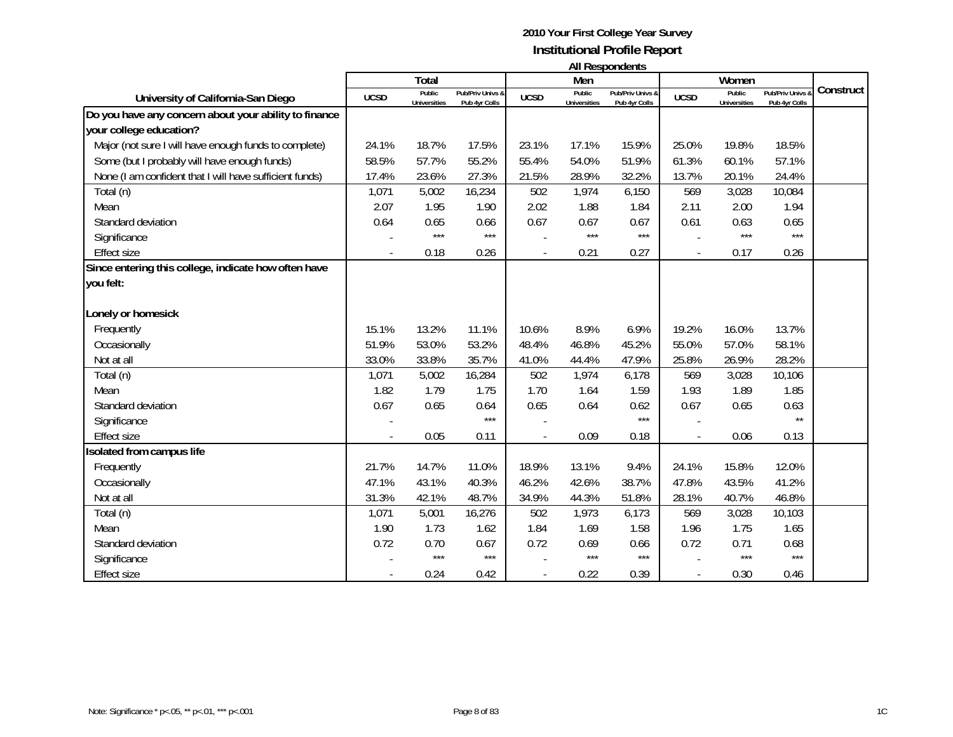|                                                         |             |                               |                                   |                          |                               | All Respondents                   |             |                               |                                 |           |
|---------------------------------------------------------|-------------|-------------------------------|-----------------------------------|--------------------------|-------------------------------|-----------------------------------|-------------|-------------------------------|---------------------------------|-----------|
|                                                         |             | Total                         |                                   |                          | Men                           |                                   |             | Women                         |                                 |           |
| University of California-San Diego                      | <b>UCSD</b> | Public<br><b>Universities</b> | Pub/Priv Univs &<br>Pub 4yr Colls | <b>UCSD</b>              | Public<br><b>Universities</b> | Pub/Priv Univs &<br>Pub 4yr Colls | <b>UCSD</b> | Public<br><b>Universities</b> | Pub/Priv Univs<br>Pub 4yr Colls | Construct |
| Do you have any concern about your ability to finance   |             |                               |                                   |                          |                               |                                   |             |                               |                                 |           |
| your college education?                                 |             |                               |                                   |                          |                               |                                   |             |                               |                                 |           |
| Major (not sure I will have enough funds to complete)   | 24.1%       | 18.7%                         | 17.5%                             | 23.1%                    | 17.1%                         | 15.9%                             | 25.0%       | 19.8%                         | 18.5%                           |           |
| Some (but I probably will have enough funds)            | 58.5%       | 57.7%                         | 55.2%                             | 55.4%                    | 54.0%                         | 51.9%                             | 61.3%       | 60.1%                         | 57.1%                           |           |
| None (I am confident that I will have sufficient funds) | 17.4%       | 23.6%                         | 27.3%                             | 21.5%                    | 28.9%                         | 32.2%                             | 13.7%       | 20.1%                         | 24.4%                           |           |
| Total (n)                                               | 1,071       | 5,002                         | 16,234                            | 502                      | 1,974                         | 6,150                             | 569         | 3,028                         | 10,084                          |           |
| Mean                                                    | 2.07        | 1.95                          | 1.90                              | 2.02                     | 1.88                          | 1.84                              | 2.11        | 2.00                          | 1.94                            |           |
| Standard deviation                                      | 0.64        | 0.65                          | 0.66                              | 0.67                     | 0.67                          | 0.67                              | 0.61        | 0.63                          | 0.65                            |           |
| Significance                                            |             | $***$                         | $***$                             |                          | $***$                         | $***$                             |             | ***                           | $***$                           |           |
| <b>Effect size</b>                                      |             | 0.18                          | 0.26                              | $\overline{\phantom{a}}$ | 0.21                          | 0.27                              |             | 0.17                          | 0.26                            |           |
| Since entering this college, indicate how often have    |             |                               |                                   |                          |                               |                                   |             |                               |                                 |           |
| you felt:                                               |             |                               |                                   |                          |                               |                                   |             |                               |                                 |           |
|                                                         |             |                               |                                   |                          |                               |                                   |             |                               |                                 |           |
| Lonely or homesick                                      |             |                               |                                   |                          |                               |                                   |             |                               |                                 |           |
| Frequently                                              | 15.1%       | 13.2%                         | 11.1%                             | 10.6%                    | 8.9%                          | 6.9%                              | 19.2%       | 16.0%                         | 13.7%                           |           |
| Occasionally                                            | 51.9%       | 53.0%                         | 53.2%                             | 48.4%                    | 46.8%                         | 45.2%                             | 55.0%       | 57.0%                         | 58.1%                           |           |
| Not at all                                              | 33.0%       | 33.8%                         | 35.7%                             | 41.0%                    | 44.4%                         | 47.9%                             | 25.8%       | 26.9%                         | 28.2%                           |           |
| Total (n)                                               | 1,071       | 5,002                         | 16,284                            | 502                      | 1,974                         | 6,178                             | 569         | 3,028                         | 10,106                          |           |
| Mean                                                    | 1.82        | 1.79                          | 1.75                              | 1.70                     | 1.64                          | 1.59                              | 1.93        | 1.89                          | 1.85                            |           |
| Standard deviation                                      | 0.67        | 0.65                          | 0.64                              | 0.65                     | 0.64                          | 0.62                              | 0.67        | 0.65                          | 0.63                            |           |
| Significance                                            |             |                               | $***$                             |                          |                               | $***$                             |             |                               | $\star\star$                    |           |
| <b>Effect size</b>                                      |             | 0.05                          | 0.11                              |                          | 0.09                          | 0.18                              |             | 0.06                          | 0.13                            |           |
| Isolated from campus life                               |             |                               |                                   |                          |                               |                                   |             |                               |                                 |           |
| Frequently                                              | 21.7%       | 14.7%                         | 11.0%                             | 18.9%                    | 13.1%                         | 9.4%                              | 24.1%       | 15.8%                         | 12.0%                           |           |
| Occasionally                                            | 47.1%       | 43.1%                         | 40.3%                             | 46.2%                    | 42.6%                         | 38.7%                             | 47.8%       | 43.5%                         | 41.2%                           |           |
| Not at all                                              | 31.3%       | 42.1%                         | 48.7%                             | 34.9%                    | 44.3%                         | 51.8%                             | 28.1%       | 40.7%                         | 46.8%                           |           |
| Total (n)                                               | 1,071       | 5,001                         | 16,276                            | 502                      | 1,973                         | 6,173                             | 569         | 3,028                         | 10,103                          |           |
| Mean                                                    | 1.90        | 1.73                          | 1.62                              | 1.84                     | 1.69                          | 1.58                              | 1.96        | 1.75                          | 1.65                            |           |
| Standard deviation                                      | 0.72        | 0.70                          | 0.67                              | 0.72                     | 0.69                          | 0.66                              | 0.72        | 0.71                          | 0.68                            |           |
| Significance                                            |             | $***$                         | $***$                             |                          | $***$                         | $***$                             |             | ***                           | $***$                           |           |
| <b>Effect size</b>                                      |             | 0.24                          | 0.42                              |                          | 0.22                          | 0.39                              |             | 0.30                          | 0.46                            |           |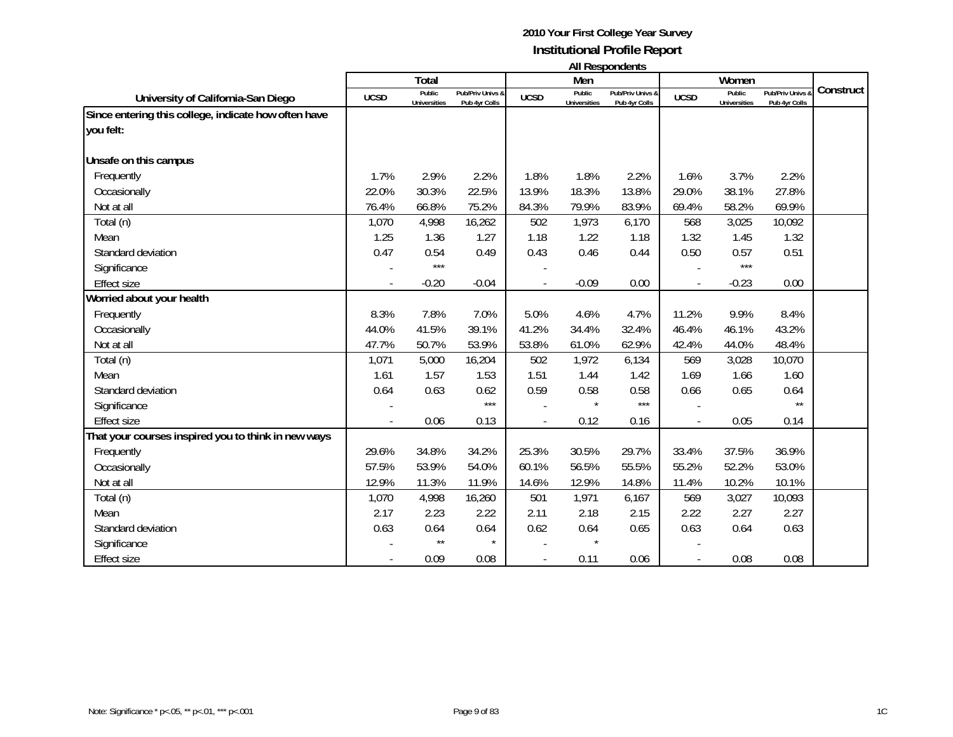| <b>All Respondents</b> |  |
|------------------------|--|
|------------------------|--|

|                                                                   |             | Total                         |                                   |             | Men                           | .                                 |             | Women                         |                                 |           |
|-------------------------------------------------------------------|-------------|-------------------------------|-----------------------------------|-------------|-------------------------------|-----------------------------------|-------------|-------------------------------|---------------------------------|-----------|
| University of California-San Diego                                | <b>UCSD</b> | Public<br><b>Universities</b> | Pub/Priv Univs &<br>Pub 4yr Colls | <b>UCSD</b> | Public<br><b>Universities</b> | Pub/Priv Univs &<br>Pub 4yr Colls | <b>UCSD</b> | Public<br><b>Universities</b> | Pub/Priv Univs<br>Pub 4yr Colls | Construct |
| Since entering this college, indicate how often have<br>you felt: |             |                               |                                   |             |                               |                                   |             |                               |                                 |           |
| Unsafe on this campus                                             |             |                               |                                   |             |                               |                                   |             |                               |                                 |           |
| Frequently                                                        | 1.7%        | 2.9%                          | 2.2%                              | 1.8%        | 1.8%                          | 2.2%                              | 1.6%        | 3.7%                          | 2.2%                            |           |
| Occasionally                                                      | 22.0%       | 30.3%                         | 22.5%                             | 13.9%       | 18.3%                         | 13.8%                             | 29.0%       | 38.1%                         | 27.8%                           |           |
| Not at all                                                        | 76.4%       | 66.8%                         | 75.2%                             | 84.3%       | 79.9%                         | 83.9%                             | 69.4%       | 58.2%                         | 69.9%                           |           |
| Total (n)                                                         | 1,070       | 4,998                         | 16,262                            | 502         | 1,973                         | 6,170                             | 568         | 3,025                         | 10,092                          |           |
| Mean                                                              | 1.25        | 1.36                          | 1.27                              | 1.18        | 1.22                          | 1.18                              | 1.32        | 1.45                          | 1.32                            |           |
| Standard deviation                                                | 0.47        | 0.54                          | 0.49                              | 0.43        | 0.46                          | 0.44                              | 0.50        | 0.57                          | 0.51                            |           |
| Significance                                                      |             | $***$                         |                                   |             |                               |                                   |             | $***$                         |                                 |           |
| <b>Effect size</b>                                                |             | $-0.20$                       | $-0.04$                           |             | $-0.09$                       | 0.00                              |             | $-0.23$                       | 0.00                            |           |
| Worried about your health                                         |             |                               |                                   |             |                               |                                   |             |                               |                                 |           |
| Frequently                                                        | 8.3%        | 7.8%                          | 7.0%                              | 5.0%        | 4.6%                          | 4.7%                              | 11.2%       | 9.9%                          | 8.4%                            |           |
| Occasionally                                                      | 44.0%       | 41.5%                         | 39.1%                             | 41.2%       | 34.4%                         | 32.4%                             | 46.4%       | 46.1%                         | 43.2%                           |           |
| Not at all                                                        | 47.7%       | 50.7%                         | 53.9%                             | 53.8%       | 61.0%                         | 62.9%                             | 42.4%       | 44.0%                         | 48.4%                           |           |
| Total (n)                                                         | 1,071       | 5,000                         | 16,204                            | 502         | 1,972                         | 6,134                             | 569         | 3,028                         | 10,070                          |           |
| Mean                                                              | 1.61        | 1.57                          | 1.53                              | 1.51        | 1.44                          | 1.42                              | 1.69        | 1.66                          | 1.60                            |           |
| Standard deviation                                                | 0.64        | 0.63                          | 0.62                              | 0.59        | 0.58                          | 0.58                              | 0.66        | 0.65                          | 0.64                            |           |
| Significance                                                      |             |                               | ***                               |             |                               | $***$                             |             |                               | $\star\star$                    |           |
| <b>Effect size</b>                                                |             | 0.06                          | 0.13                              |             | 0.12                          | 0.16                              |             | 0.05                          | 0.14                            |           |
| That your courses inspired you to think in new ways               |             |                               |                                   |             |                               |                                   |             |                               |                                 |           |
| Frequently                                                        | 29.6%       | 34.8%                         | 34.2%                             | 25.3%       | 30.5%                         | 29.7%                             | 33.4%       | 37.5%                         | 36.9%                           |           |
| Occasionally                                                      | 57.5%       | 53.9%                         | 54.0%                             | 60.1%       | 56.5%                         | 55.5%                             | 55.2%       | 52.2%                         | 53.0%                           |           |
| Not at all                                                        | 12.9%       | 11.3%                         | 11.9%                             | 14.6%       | 12.9%                         | 14.8%                             | 11.4%       | 10.2%                         | 10.1%                           |           |
| Total (n)                                                         | 1,070       | 4,998                         | 16,260                            | 501         | 1,971                         | 6,167                             | 569         | 3,027                         | 10,093                          |           |
| Mean                                                              | 2.17        | 2.23                          | 2.22                              | 2.11        | 2.18                          | 2.15                              | 2.22        | 2.27                          | 2.27                            |           |
| Standard deviation                                                | 0.63        | 0.64                          | 0.64                              | 0.62        | 0.64                          | 0.65                              | 0.63        | 0.64                          | 0.63                            |           |
| Significance                                                      |             | $\star\star$                  | $\star$                           |             |                               |                                   |             |                               |                                 |           |
| <b>Effect size</b>                                                |             | 0.09                          | 0.08                              |             | 0.11                          | 0.06                              |             | 0.08                          | 0.08                            |           |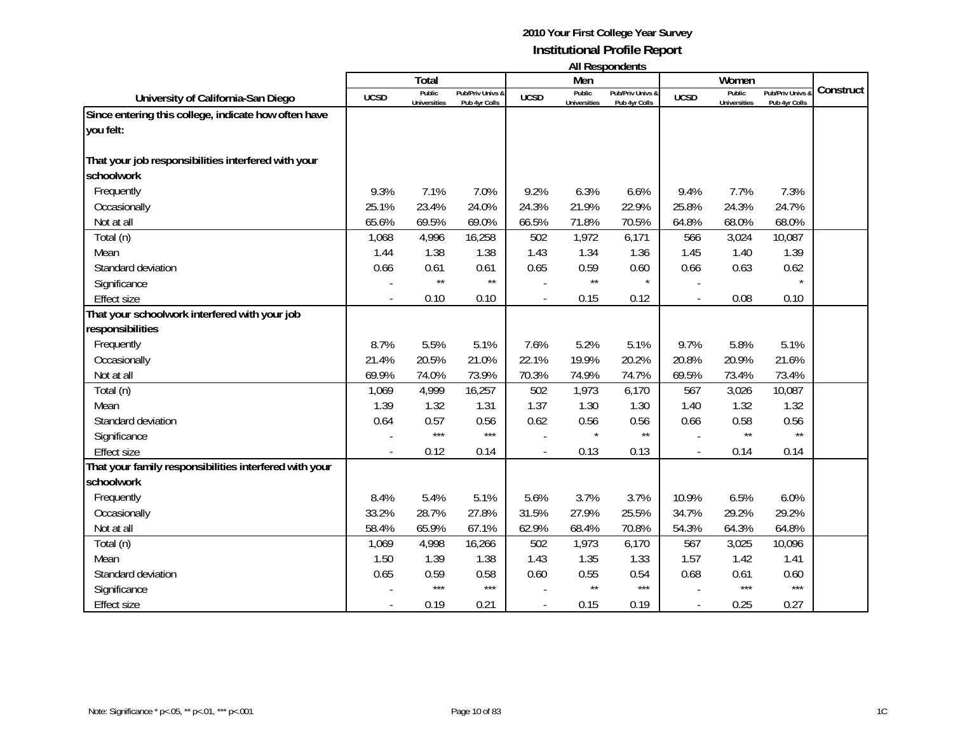|                                                        |             | Total                         |                                   |             | .<br>Men                      | ponuonno                          |             | Women                         |                                 |           |
|--------------------------------------------------------|-------------|-------------------------------|-----------------------------------|-------------|-------------------------------|-----------------------------------|-------------|-------------------------------|---------------------------------|-----------|
| University of California-San Diego                     | <b>UCSD</b> | Public<br><b>Universities</b> | Pub/Priv Univs 8<br>Pub 4yr Colls | <b>UCSD</b> | Public<br><b>Universities</b> | Pub/Priv Univs &<br>Pub 4yr Colls | <b>UCSD</b> | Public<br><b>Universities</b> | Pub/Priv Univs<br>Pub 4yr Colls | Construct |
| Since entering this college, indicate how often have   |             |                               |                                   |             |                               |                                   |             |                               |                                 |           |
| you felt:                                              |             |                               |                                   |             |                               |                                   |             |                               |                                 |           |
| That your job responsibilities interfered with your    |             |                               |                                   |             |                               |                                   |             |                               |                                 |           |
| schoolwork                                             |             |                               |                                   |             |                               |                                   |             |                               |                                 |           |
| Frequently                                             | 9.3%        | 7.1%                          | 7.0%                              | 9.2%        | 6.3%                          | 6.6%                              | 9.4%        | 7.7%                          | 7.3%                            |           |
| Occasionally                                           | 25.1%       | 23.4%                         | 24.0%                             | 24.3%       | 21.9%                         | 22.9%                             | 25.8%       | 24.3%                         | 24.7%                           |           |
| Not at all                                             | 65.6%       | 69.5%                         | 69.0%                             | 66.5%       | 71.8%                         | 70.5%                             | 64.8%       | 68.0%                         | 68.0%                           |           |
| Total (n)                                              | 1,068       | 4,996                         | 16,258                            | 502         | 1,972                         | 6,171                             | 566         | 3,024                         | 10,087                          |           |
| Mean                                                   | 1.44        | 1.38                          | 1.38                              | 1.43        | 1.34                          | 1.36                              | 1.45        | 1.40                          | 1.39                            |           |
| Standard deviation                                     | 0.66        | 0.61                          | 0.61                              | 0.65        | 0.59                          | 0.60                              | 0.66        | 0.63                          | 0.62                            |           |
| Significance                                           |             | $\star\star$                  | $\star\star$                      |             | $\star\star$                  | $\star$                           |             |                               |                                 |           |
| <b>Effect size</b>                                     |             | 0.10                          | 0.10                              |             | 0.15                          | 0.12                              |             | 0.08                          | 0.10                            |           |
| That your schoolwork interfered with your job          |             |                               |                                   |             |                               |                                   |             |                               |                                 |           |
| responsibilities                                       |             |                               |                                   |             |                               |                                   |             |                               |                                 |           |
| Frequently                                             | 8.7%        | 5.5%                          | 5.1%                              | 7.6%        | 5.2%                          | 5.1%                              | 9.7%        | 5.8%                          | 5.1%                            |           |
| Occasionally                                           | 21.4%       | 20.5%                         | 21.0%                             | 22.1%       | 19.9%                         | 20.2%                             | 20.8%       | 20.9%                         | 21.6%                           |           |
| Not at all                                             | 69.9%       | 74.0%                         | 73.9%                             | 70.3%       | 74.9%                         | 74.7%                             | 69.5%       | 73.4%                         | 73.4%                           |           |
| Total (n)                                              | 1,069       | 4,999                         | 16,257                            | 502         | 1,973                         | 6,170                             | 567         | 3,026                         | 10,087                          |           |
| Mean                                                   | 1.39        | 1.32                          | 1.31                              | 1.37        | 1.30                          | 1.30                              | 1.40        | 1.32                          | 1.32                            |           |
| Standard deviation                                     | 0.64        | 0.57                          | 0.56                              | 0.62        | 0.56                          | 0.56                              | 0.66        | 0.58                          | 0.56                            |           |
| Significance                                           |             | $***$                         | $***$                             |             |                               | $\star\star$                      |             | $\star\star$                  | $\star\star$                    |           |
| <b>Effect size</b>                                     |             | 0.12                          | 0.14                              |             | 0.13                          | 0.13                              |             | 0.14                          | 0.14                            |           |
| That your family responsibilities interfered with your |             |                               |                                   |             |                               |                                   |             |                               |                                 |           |
| schoolwork                                             |             |                               |                                   |             |                               |                                   |             |                               |                                 |           |
| Frequently                                             | 8.4%        | 5.4%                          | 5.1%                              | 5.6%        | 3.7%                          | 3.7%                              | 10.9%       | 6.5%                          | 6.0%                            |           |
| Occasionally                                           | 33.2%       | 28.7%                         | 27.8%                             | 31.5%       | 27.9%                         | 25.5%                             | 34.7%       | 29.2%                         | 29.2%                           |           |
| Not at all                                             | 58.4%       | 65.9%                         | 67.1%                             | 62.9%       | 68.4%                         | 70.8%                             | 54.3%       | 64.3%                         | 64.8%                           |           |
| Total (n)                                              | 1,069       | 4,998                         | 16,266                            | 502         | 1,973                         | 6,170                             | 567         | 3,025                         | 10,096                          |           |
| Mean                                                   | 1.50        | 1.39                          | 1.38                              | 1.43        | 1.35                          | 1.33                              | 1.57        | 1.42                          | 1.41                            |           |
| Standard deviation                                     | 0.65        | 0.59                          | 0.58                              | 0.60        | 0.55                          | 0.54                              | 0.68        | 0.61                          | 0.60                            |           |
| Significance                                           |             | $***$                         | $***$                             |             | $\star\star$                  | $***$                             |             | $***$                         | $***$                           |           |
| <b>Effect size</b>                                     |             | 0.19                          | 0.21                              |             | 0.15                          | 0.19                              |             | 0.25                          | 0.27                            |           |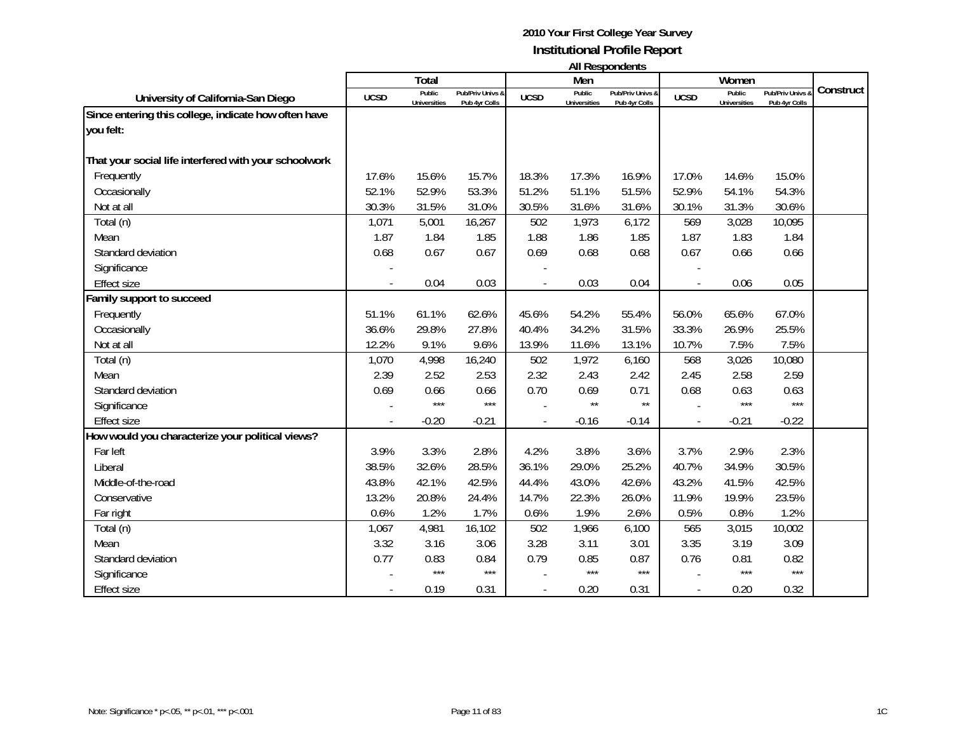|                                                       |             | Total                         |                                   |             | Men                           |                                   |             | Women                         |                                 |           |
|-------------------------------------------------------|-------------|-------------------------------|-----------------------------------|-------------|-------------------------------|-----------------------------------|-------------|-------------------------------|---------------------------------|-----------|
| University of California-San Diego                    | <b>UCSD</b> | Public<br><b>Universities</b> | Pub/Priv Univs 8<br>Pub 4yr Colls | <b>UCSD</b> | Public<br><b>Universities</b> | Pub/Priv Univs &<br>Pub 4yr Colls | <b>UCSD</b> | Public<br><b>Universities</b> | Pub/Priv Univs<br>Pub 4yr Colls | Construct |
| Since entering this college, indicate how often have  |             |                               |                                   |             |                               |                                   |             |                               |                                 |           |
| you felt:                                             |             |                               |                                   |             |                               |                                   |             |                               |                                 |           |
|                                                       |             |                               |                                   |             |                               |                                   |             |                               |                                 |           |
| That your social life interfered with your schoolwork |             |                               |                                   |             |                               |                                   |             |                               |                                 |           |
| Frequently                                            | 17.6%       | 15.6%                         | 15.7%                             | 18.3%       | 17.3%                         | 16.9%                             | 17.0%       | 14.6%                         | 15.0%                           |           |
| Occasionally                                          | 52.1%       | 52.9%                         | 53.3%                             | 51.2%       | 51.1%                         | 51.5%                             | 52.9%       | 54.1%                         | 54.3%                           |           |
| Not at all                                            | 30.3%       | 31.5%                         | 31.0%                             | 30.5%       | 31.6%                         | 31.6%                             | 30.1%       | 31.3%                         | 30.6%                           |           |
| Total (n)                                             | 1,071       | 5,001                         | 16,267                            | 502         | 1,973                         | 6,172                             | 569         | 3,028                         | 10,095                          |           |
| Mean                                                  | 1.87        | 1.84                          | 1.85                              | 1.88        | 1.86                          | 1.85                              | 1.87        | 1.83                          | 1.84                            |           |
| Standard deviation                                    | 0.68        | 0.67                          | 0.67                              | 0.69        | 0.68                          | 0.68                              | 0.67        | 0.66                          | 0.66                            |           |
| Significance                                          |             |                               |                                   |             |                               |                                   |             |                               |                                 |           |
| <b>Effect size</b>                                    |             | 0.04                          | 0.03                              |             | 0.03                          | 0.04                              |             | 0.06                          | 0.05                            |           |
| Family support to succeed                             |             |                               |                                   |             |                               |                                   |             |                               |                                 |           |
| Frequently                                            | 51.1%       | 61.1%                         | 62.6%                             | 45.6%       | 54.2%                         | 55.4%                             | 56.0%       | 65.6%                         | 67.0%                           |           |
| Occasionally                                          | 36.6%       | 29.8%                         | 27.8%                             | 40.4%       | 34.2%                         | 31.5%                             | 33.3%       | 26.9%                         | 25.5%                           |           |
| Not at all                                            | 12.2%       | 9.1%                          | 9.6%                              | 13.9%       | 11.6%                         | 13.1%                             | 10.7%       | 7.5%                          | 7.5%                            |           |
| Total (n)                                             | 1,070       | 4,998                         | 16,240                            | 502         | 1,972                         | 6,160                             | 568         | 3,026                         | 10,080                          |           |
| Mean                                                  | 2.39        | 2.52                          | 2.53                              | 2.32        | 2.43                          | 2.42                              | 2.45        | 2.58                          | 2.59                            |           |
| Standard deviation                                    | 0.69        | 0.66                          | 0.66                              | 0.70        | 0.69                          | 0.71                              | 0.68        | 0.63                          | 0.63                            |           |
| Significance                                          |             | $***$                         | $***$                             |             | $\star\star$                  | $\star\star$                      |             | $***$                         | $***$                           |           |
| <b>Effect size</b>                                    |             | $-0.20$                       | $-0.21$                           |             | $-0.16$                       | $-0.14$                           |             | $-0.21$                       | $-0.22$                         |           |
| How would you characterize your political views?      |             |                               |                                   |             |                               |                                   |             |                               |                                 |           |
| Far left                                              | 3.9%        | 3.3%                          | 2.8%                              | 4.2%        | 3.8%                          | 3.6%                              | 3.7%        | 2.9%                          | 2.3%                            |           |
| Liberal                                               | 38.5%       | 32.6%                         | 28.5%                             | 36.1%       | 29.0%                         | 25.2%                             | 40.7%       | 34.9%                         | 30.5%                           |           |
| Middle-of-the-road                                    | 43.8%       | 42.1%                         | 42.5%                             | 44.4%       | 43.0%                         | 42.6%                             | 43.2%       | 41.5%                         | 42.5%                           |           |
| Conservative                                          | 13.2%       | 20.8%                         | 24.4%                             | 14.7%       | 22.3%                         | 26.0%                             | 11.9%       | 19.9%                         | 23.5%                           |           |
| Far right                                             | 0.6%        | 1.2%                          | 1.7%                              | 0.6%        | 1.9%                          | 2.6%                              | 0.5%        | 0.8%                          | 1.2%                            |           |
| Total (n)                                             | 1,067       | 4,981                         | 16,102                            | 502         | 1,966                         | 6,100                             | 565         | 3,015                         | 10,002                          |           |
| Mean                                                  | 3.32        | 3.16                          | 3.06                              | 3.28        | 3.11                          | 3.01                              | 3.35        | 3.19                          | 3.09                            |           |
| Standard deviation                                    | 0.77        | 0.83                          | 0.84                              | 0.79        | 0.85                          | 0.87                              | 0.76        | 0.81                          | 0.82                            |           |
| Significance                                          |             | $***$                         | $***$                             |             | $***$                         | ***                               |             | ***                           | $***$                           |           |
| <b>Effect size</b>                                    |             | 0.19                          | 0.31                              |             | 0.20                          | 0.31                              |             | 0.20                          | 0.32                            |           |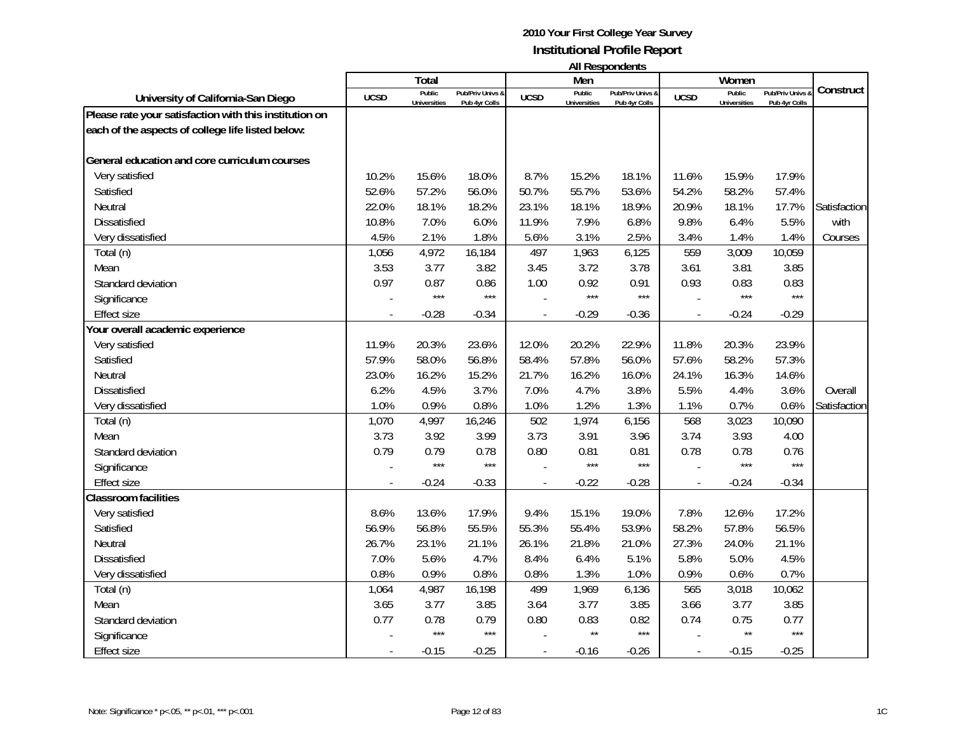|                                                        |             |                     |                  |                |                     | בוו ולהוטעכטוו ווח |             |                     |                |              |
|--------------------------------------------------------|-------------|---------------------|------------------|----------------|---------------------|--------------------|-------------|---------------------|----------------|--------------|
|                                                        |             | Total<br>Public     | Pub/Priv Univs & |                | Men<br>Public       | Pub/Priv Univs &   |             | Women<br>Public     | Pub/Priv Univs | Construct    |
| University of California-San Diego                     | <b>UCSD</b> | <b>Universities</b> | Pub 4yr Colls    | <b>UCSD</b>    | <b>Universities</b> | Pub 4yr Colls      | <b>UCSD</b> | <b>Universities</b> | Pub 4yr Colls  |              |
| Please rate your satisfaction with this institution on |             |                     |                  |                |                     |                    |             |                     |                |              |
| each of the aspects of college life listed below:      |             |                     |                  |                |                     |                    |             |                     |                |              |
| General education and core curriculum courses          |             |                     |                  |                |                     |                    |             |                     |                |              |
| Very satisfied                                         | 10.2%       | 15.6%               | 18.0%            | 8.7%           | 15.2%               | 18.1%              | 11.6%       | 15.9%               | 17.9%          |              |
| Satisfied                                              | 52.6%       | 57.2%               | 56.0%            | 50.7%          | 55.7%               | 53.6%              | 54.2%       | 58.2%               | 57.4%          |              |
| Neutral                                                | 22.0%       | 18.1%               | 18.2%            | 23.1%          | 18.1%               | 18.9%              | 20.9%       | 18.1%               | 17.7%          | Satisfaction |
| <b>Dissatisfied</b>                                    | 10.8%       | 7.0%                | 6.0%             | 11.9%          | 7.9%                | 6.8%               | 9.8%        | 6.4%                | 5.5%           | with         |
| Very dissatisfied                                      | 4.5%        | 2.1%                | 1.8%             | 5.6%           | 3.1%                | 2.5%               | 3.4%        | 1.4%                | 1.4%           | Courses      |
| Total (n)                                              | 1,056       | 4,972               | 16,184           | 497            | 1,963               | 6,125              | 559         | 3,009               | 10,059         |              |
| Mean                                                   | 3.53        | 3.77                | 3.82             | 3.45           | 3.72                | 3.78               | 3.61        | 3.81                | 3.85           |              |
| Standard deviation                                     | 0.97        | 0.87                | 0.86             | 1.00           | 0.92                | 0.91               | 0.93        | 0.83                | 0.83           |              |
| Significance                                           |             | $***$               | $***$            |                | $***$               | $***$              |             | $***$               | $***$          |              |
| <b>Effect size</b>                                     |             | $-0.28$             | $-0.34$          |                | $-0.29$             | $-0.36$            |             | $-0.24$             | $-0.29$        |              |
| Your overall academic experience                       |             |                     |                  |                |                     |                    |             |                     |                |              |
| Very satisfied                                         | 11.9%       | 20.3%               | 23.6%            | 12.0%          | 20.2%               | 22.9%              | 11.8%       | 20.3%               | 23.9%          |              |
| Satisfied                                              | 57.9%       | 58.0%               | 56.8%            | 58.4%          | 57.8%               | 56.0%              | 57.6%       | 58.2%               | 57.3%          |              |
| Neutral                                                | 23.0%       | 16.2%               | 15.2%            | 21.7%          | 16.2%               | 16.0%              | 24.1%       | 16.3%               | 14.6%          |              |
| <b>Dissatisfied</b>                                    | 6.2%        | 4.5%                | 3.7%             | 7.0%           | 4.7%                | 3.8%               | 5.5%        | 4.4%                | 3.6%           | Overall      |
| Very dissatisfied                                      | 1.0%        | 0.9%                | 0.8%             | 1.0%           | 1.2%                | 1.3%               | 1.1%        | 0.7%                | 0.6%           | Satisfaction |
| Total (n)                                              | 1,070       | 4,997               | 16,246           | 502            | 1,974               | 6,156              | 568         | 3,023               | 10,090         |              |
| Mean                                                   | 3.73        | 3.92                | 3.99             | 3.73           | 3.91                | 3.96               | 3.74        | 3.93                | 4.00           |              |
| Standard deviation                                     | 0.79        | 0.79                | 0.78             | 0.80           | 0.81                | 0.81               | 0.78        | 0.78                | 0.76           |              |
| Significance                                           |             | $***$               | $***$            |                | $***$               | ***                |             | ***                 | $***$          |              |
| <b>Effect size</b>                                     |             | $-0.24$             | $-0.33$          | $\overline{a}$ | $-0.22$             | $-0.28$            |             | $-0.24$             | $-0.34$        |              |
| <b>Classroom facilities</b>                            |             |                     |                  |                |                     |                    |             |                     |                |              |
| Very satisfied                                         | 8.6%        | 13.6%               | 17.9%            | 9.4%           | 15.1%               | 19.0%              | 7.8%        | 12.6%               | 17.2%          |              |
| Satisfied                                              | 56.9%       | 56.8%               | 55.5%            | 55.3%          | 55.4%               | 53.9%              | 58.2%       | 57.8%               | 56.5%          |              |
| Neutral                                                | 26.7%       | 23.1%               | 21.1%            | 26.1%          | 21.8%               | 21.0%              | 27.3%       | 24.0%               | 21.1%          |              |
| Dissatisfied                                           | 7.0%        | 5.6%                | 4.7%             | 8.4%           | 6.4%                | 5.1%               | 5.8%        | 5.0%                | 4.5%           |              |
| Very dissatisfied                                      | 0.8%        | 0.9%                | 0.8%             | 0.8%           | 1.3%                | 1.0%               | 0.9%        | 0.6%                | 0.7%           |              |
| Total (n)                                              | 1,064       | 4,987               | 16,198           | 499            | 1,969               | 6,136              | 565         | 3,018               | 10,062         |              |
| Mean                                                   | 3.65        | 3.77                | 3.85             | 3.64           | 3.77                | 3.85               | 3.66        | 3.77                | 3.85           |              |
| Standard deviation                                     | 0.77        | 0.78                | 0.79             | 0.80           | 0.83                | 0.82               | 0.74        | 0.75                | 0.77           |              |
| Significance                                           |             | $***$               | $***$            |                | $\star\star$        | $***$              |             | $\star\star$        | $***$          |              |
| <b>Effect size</b>                                     |             | $-0.15$             | $-0.25$          |                | $-0.16$             | $-0.26$            |             | $-0.15$             | $-0.25$        |              |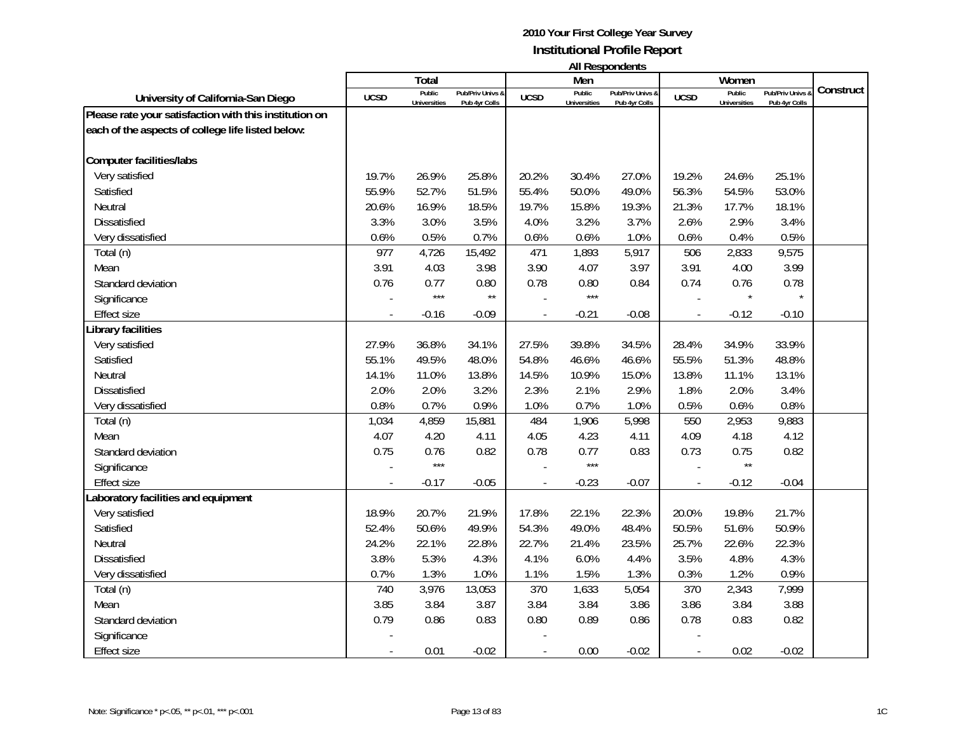|                                                        |                | Total               |                  |             | Men          | בוו ולהוטעכטוו ווח |             | Women               |                |           |
|--------------------------------------------------------|----------------|---------------------|------------------|-------------|--------------|--------------------|-------------|---------------------|----------------|-----------|
|                                                        |                | Public              | Pub/Priv Univs & |             | Public       | Pub/Priv Univs &   |             | Public              | Pub/Priv Univs | Construct |
| University of California-San Diego                     | <b>UCSD</b>    | <b>Universities</b> | Pub 4yr Colls    | <b>UCSD</b> | Universities | Pub 4yr Colls      | <b>UCSD</b> | <b>Universities</b> | Pub 4yr Colls  |           |
| Please rate your satisfaction with this institution on |                |                     |                  |             |              |                    |             |                     |                |           |
| each of the aspects of college life listed below:      |                |                     |                  |             |              |                    |             |                     |                |           |
| <b>Computer facilities/labs</b>                        |                |                     |                  |             |              |                    |             |                     |                |           |
| Very satisfied                                         | 19.7%          | 26.9%               | 25.8%            | 20.2%       | 30.4%        | 27.0%              | 19.2%       | 24.6%               | 25.1%          |           |
| Satisfied                                              | 55.9%          | 52.7%               | 51.5%            | 55.4%       | 50.0%        | 49.0%              | 56.3%       | 54.5%               | 53.0%          |           |
| Neutral                                                | 20.6%          | 16.9%               | 18.5%            | 19.7%       | 15.8%        | 19.3%              | 21.3%       | 17.7%               | 18.1%          |           |
| <b>Dissatisfied</b>                                    | 3.3%           | 3.0%                | 3.5%             | 4.0%        | 3.2%         | 3.7%               | 2.6%        | 2.9%                | 3.4%           |           |
| Very dissatisfied                                      | 0.6%           | 0.5%                | 0.7%             | 0.6%        | 0.6%         | 1.0%               | 0.6%        | 0.4%                | 0.5%           |           |
| Total (n)                                              | 977            | 4,726               | 15,492           | 471         | 1,893        | 5,917              | 506         | 2,833               | 9,575          |           |
| Mean                                                   | 3.91           | 4.03                | 3.98             | 3.90        | 4.07         | 3.97               | 3.91        | 4.00                | 3.99           |           |
| Standard deviation                                     | 0.76           | 0.77                | 0.80             | 0.78        | 0.80         | 0.84               | 0.74        | 0.76                | 0.78           |           |
| Significance                                           |                | $***$               | $\star\star$     |             | $***$        |                    |             | $\star$             | $\star$        |           |
| <b>Effect size</b>                                     |                | $-0.16$             | $-0.09$          |             | $-0.21$      | $-0.08$            |             | $-0.12$             | $-0.10$        |           |
| ibrary facilities                                      |                |                     |                  |             |              |                    |             |                     |                |           |
| Very satisfied                                         | 27.9%          | 36.8%               | 34.1%            | 27.5%       | 39.8%        | 34.5%              | 28.4%       | 34.9%               | 33.9%          |           |
| Satisfied                                              | 55.1%          | 49.5%               | 48.0%            | 54.8%       | 46.6%        | 46.6%              | 55.5%       | 51.3%               | 48.8%          |           |
| Neutral                                                | 14.1%          | 11.0%               | 13.8%            | 14.5%       | 10.9%        | 15.0%              | 13.8%       | 11.1%               | 13.1%          |           |
| Dissatisfied                                           | 2.0%           | 2.0%                | 3.2%             | 2.3%        | 2.1%         | 2.9%               | 1.8%        | 2.0%                | 3.4%           |           |
| Very dissatisfied                                      | 0.8%           | 0.7%                | 0.9%             | 1.0%        | 0.7%         | 1.0%               | 0.5%        | 0.6%                | 0.8%           |           |
| Total (n)                                              | 1,034          | 4,859               | 15,881           | 484         | 1,906        | 5,998              | 550         | 2,953               | 9,883          |           |
| Mean                                                   | 4.07           | 4.20                | 4.11             | 4.05        | 4.23         | 4.11               | 4.09        | 4.18                | 4.12           |           |
| Standard deviation                                     | 0.75           | 0.76                | 0.82             | 0.78        | 0.77         | 0.83               | 0.73        | 0.75                | 0.82           |           |
| Significance                                           |                | $***$               |                  |             | $***$        |                    |             | $\star\star$        |                |           |
| <b>Effect size</b>                                     | $\overline{a}$ | $-0.17$             | $-0.05$          |             | $-0.23$      | $-0.07$            |             | $-0.12$             | $-0.04$        |           |
| aboratory facilities and equipment                     |                |                     |                  |             |              |                    |             |                     |                |           |
| Very satisfied                                         | 18.9%          | 20.7%               | 21.9%            | 17.8%       | 22.1%        | 22.3%              | 20.0%       | 19.8%               | 21.7%          |           |
| Satisfied                                              | 52.4%          | 50.6%               | 49.9%            | 54.3%       | 49.0%        | 48.4%              | 50.5%       | 51.6%               | 50.9%          |           |
| Neutral                                                | 24.2%          | 22.1%               | 22.8%            | 22.7%       | 21.4%        | 23.5%              | 25.7%       | 22.6%               | 22.3%          |           |
| Dissatisfied                                           | 3.8%           | 5.3%                | 4.3%             | 4.1%        | 6.0%         | 4.4%               | 3.5%        | 4.8%                | 4.3%           |           |
| Very dissatisfied                                      | 0.7%           | 1.3%                | 1.0%             | 1.1%        | 1.5%         | 1.3%               | 0.3%        | 1.2%                | 0.9%           |           |
| Total (n)                                              | 740            | 3,976               | 13,053           | 370         | 1,633        | 5,054              | 370         | 2,343               | 7,999          |           |
| Mean                                                   | 3.85           | 3.84                | 3.87             | 3.84        | 3.84         | 3.86               | 3.86        | 3.84                | 3.88           |           |
| Standard deviation                                     | 0.79           | 0.86                | 0.83             | 0.80        | 0.89         | 0.86               | 0.78        | 0.83                | 0.82           |           |
| Significance                                           |                |                     |                  |             |              |                    |             |                     |                |           |
| <b>Effect size</b>                                     |                | 0.01                | $-0.02$          |             | 0.00         | $-0.02$            |             | 0.02                | $-0.02$        |           |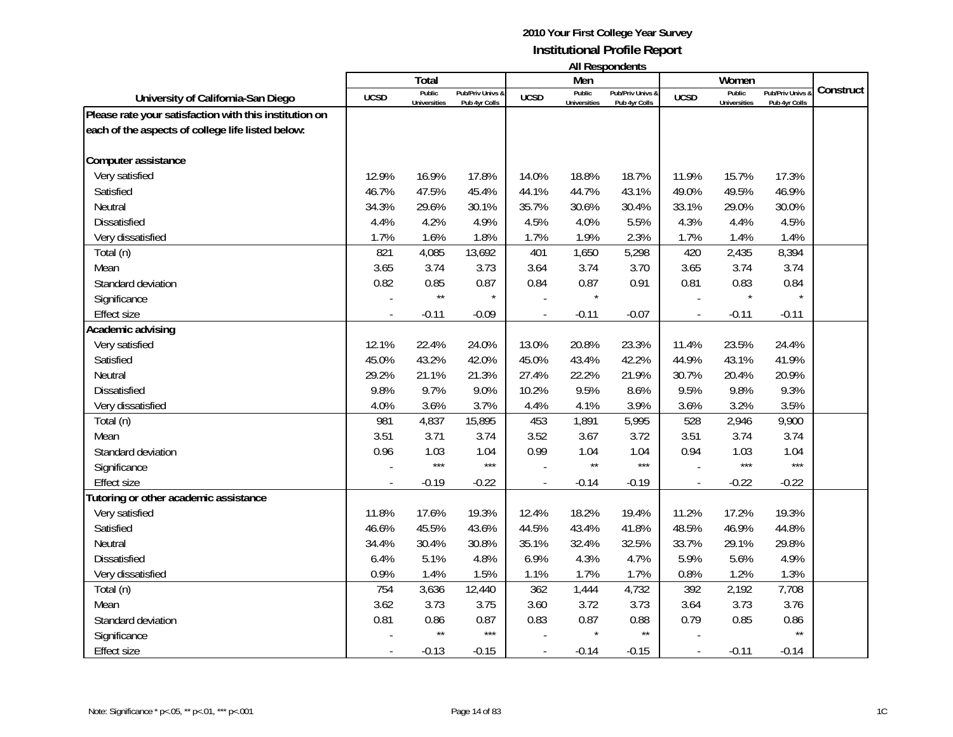|                                                        |                          |                     |                  |                |                     | בוו ולהוטעכטוו ווח |                |                     |                |           |
|--------------------------------------------------------|--------------------------|---------------------|------------------|----------------|---------------------|--------------------|----------------|---------------------|----------------|-----------|
|                                                        |                          | Total<br>Public     | Pub/Priv Univs & |                | Men<br>Public       | Pub/Priv Univs &   |                | Women<br>Public     | Pub/Priv Univs | Construct |
| University of California-San Diego                     | <b>UCSD</b>              | <b>Universities</b> | Pub 4yr Colls    | <b>UCSD</b>    | <b>Universities</b> | Pub 4yr Colls      | <b>UCSD</b>    | <b>Universities</b> | Pub 4yr Colls  |           |
| Please rate your satisfaction with this institution on |                          |                     |                  |                |                     |                    |                |                     |                |           |
| each of the aspects of college life listed below:      |                          |                     |                  |                |                     |                    |                |                     |                |           |
|                                                        |                          |                     |                  |                |                     |                    |                |                     |                |           |
| Computer assistance                                    |                          |                     |                  |                |                     |                    |                |                     |                |           |
| Very satisfied                                         | 12.9%                    | 16.9%               | 17.8%            | 14.0%          | 18.8%               | 18.7%              | 11.9%          | 15.7%               | 17.3%          |           |
| Satisfied                                              | 46.7%                    | 47.5%               | 45.4%            | 44.1%          | 44.7%               | 43.1%              | 49.0%          | 49.5%               | 46.9%          |           |
| Neutral                                                | 34.3%                    | 29.6%               | 30.1%            | 35.7%          | 30.6%               | 30.4%              | 33.1%          | 29.0%               | 30.0%          |           |
| <b>Dissatisfied</b>                                    | 4.4%                     | 4.2%                | 4.9%             | 4.5%           | 4.0%                | 5.5%               | 4.3%           | 4.4%                | 4.5%           |           |
| Very dissatisfied                                      | 1.7%                     | 1.6%                | 1.8%             | 1.7%           | 1.9%                | 2.3%               | 1.7%           | 1.4%                | 1.4%           |           |
| Total (n)                                              | 821                      | 4,085               | 13,692           | 401            | 1,650               | 5,298              | 420            | 2,435               | 8,394          |           |
| Mean                                                   | 3.65                     | 3.74                | 3.73             | 3.64           | 3.74                | 3.70               | 3.65           | 3.74                | 3.74           |           |
| Standard deviation                                     | 0.82                     | 0.85                | 0.87             | 0.84           | 0.87                | 0.91               | 0.81           | 0.83                | 0.84           |           |
| Significance                                           |                          | $\star\star$        | $\star$          |                |                     |                    |                | $\star$             | $\star$        |           |
| <b>Effect size</b>                                     |                          | $-0.11$             | $-0.09$          |                | $-0.11$             | $-0.07$            |                | $-0.11$             | $-0.11$        |           |
| Academic advising                                      |                          |                     |                  |                |                     |                    |                |                     |                |           |
| Very satisfied                                         | 12.1%                    | 22.4%               | 24.0%            | 13.0%          | 20.8%               | 23.3%              | 11.4%          | 23.5%               | 24.4%          |           |
| Satisfied                                              | 45.0%                    | 43.2%               | 42.0%            | 45.0%          | 43.4%               | 42.2%              | 44.9%          | 43.1%               | 41.9%          |           |
| Neutral                                                | 29.2%                    | 21.1%               | 21.3%            | 27.4%          | 22.2%               | 21.9%              | 30.7%          | 20.4%               | 20.9%          |           |
| Dissatisfied                                           | 9.8%                     | 9.7%                | 9.0%             | 10.2%          | 9.5%                | 8.6%               | 9.5%           | 9.8%                | 9.3%           |           |
| Very dissatisfied                                      | 4.0%                     | 3.6%                | 3.7%             | 4.4%           | 4.1%                | 3.9%               | 3.6%           | 3.2%                | 3.5%           |           |
| Total (n)                                              | 981                      | 4,837               | 15,895           | 453            | 1,891               | 5,995              | 528            | 2,946               | 9,900          |           |
| Mean                                                   | 3.51                     | 3.71                | 3.74             | 3.52           | 3.67                | 3.72               | 3.51           | 3.74                | 3.74           |           |
| Standard deviation                                     | 0.96                     | 1.03                | 1.04             | 0.99           | 1.04                | 1.04               | 0.94           | 1.03                | 1.04           |           |
| Significance                                           |                          | $***$               | $***$            |                | $\star\star$        | ***                |                | ***                 | $***$          |           |
| <b>Effect size</b>                                     | $\overline{a}$           | $-0.19$             | $-0.22$          | $\overline{a}$ | $-0.14$             | $-0.19$            | $\overline{a}$ | $-0.22$             | $-0.22$        |           |
| Tutoring or other academic assistance                  |                          |                     |                  |                |                     |                    |                |                     |                |           |
| Very satisfied                                         | 11.8%                    | 17.6%               | 19.3%            | 12.4%          | 18.2%               | 19.4%              | 11.2%          | 17.2%               | 19.3%          |           |
| Satisfied                                              | 46.6%                    | 45.5%               | 43.6%            | 44.5%          | 43.4%               | 41.8%              | 48.5%          | 46.9%               | 44.8%          |           |
| Neutral                                                | 34.4%                    | 30.4%               | 30.8%            | 35.1%          | 32.4%               | 32.5%              | 33.7%          | 29.1%               | 29.8%          |           |
| <b>Dissatisfied</b>                                    | 6.4%                     | 5.1%                | 4.8%             | 6.9%           | 4.3%                | 4.7%               | 5.9%           | 5.6%                | 4.9%           |           |
| Very dissatisfied                                      | 0.9%                     | 1.4%                | 1.5%             | 1.1%           | 1.7%                | 1.7%               | 0.8%           | 1.2%                | 1.3%           |           |
| Total (n)                                              | 754                      | 3,636               | 12,440           | 362            | 1,444               | 4,732              | 392            | 2,192               | 7,708          |           |
| Mean                                                   | 3.62                     | 3.73                | 3.75             | 3.60           | 3.72                | 3.73               | 3.64           | 3.73                | 3.76           |           |
| Standard deviation                                     | 0.81                     | 0.86                | 0.87             | 0.83           | 0.87                | 0.88               | 0.79           | 0.85                | 0.86           |           |
| Significance                                           |                          | $\star\star$        | $***$            |                |                     | $\star\star$       |                |                     | $\star\star$   |           |
| <b>Effect size</b>                                     | $\overline{\phantom{a}}$ | $-0.13$             | $-0.15$          |                | $-0.14$             | $-0.15$            | $\blacksquare$ | $-0.11$             | $-0.14$        |           |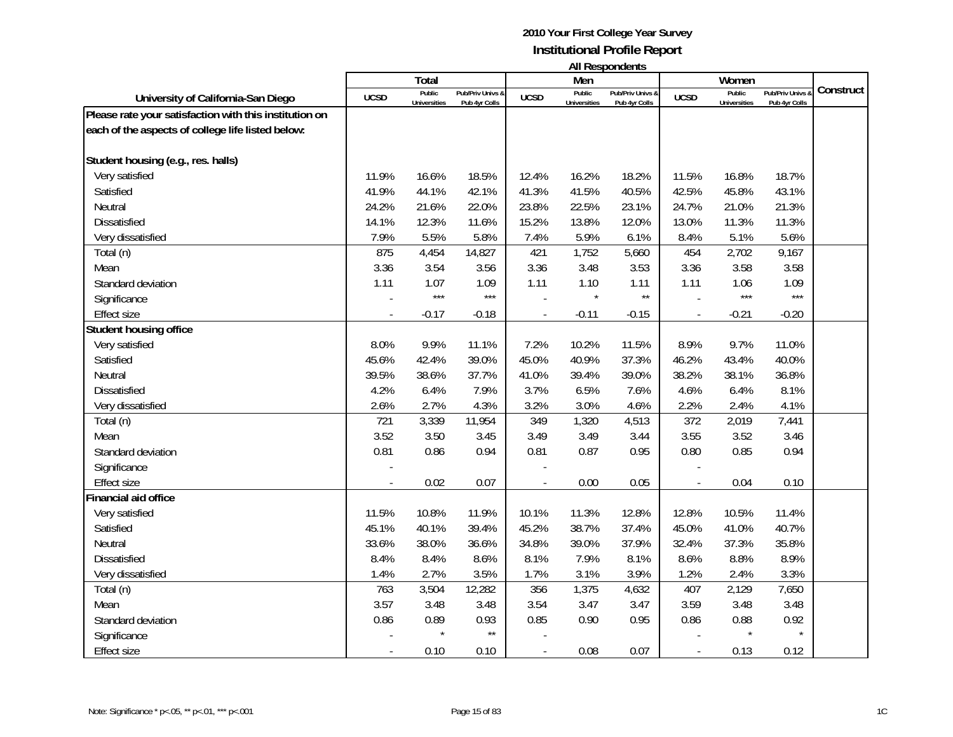|                                                        |                          |                     |                  |                |                     | בוו ולהוטעכטוו ווח |                          |                     |                |           |
|--------------------------------------------------------|--------------------------|---------------------|------------------|----------------|---------------------|--------------------|--------------------------|---------------------|----------------|-----------|
|                                                        |                          | Total<br>Public     | Pub/Priv Univs & |                | Men<br>Public       | Pub/Priv Univs &   |                          | Women<br>Public     | Pub/Priv Univs | Construct |
| University of California-San Diego                     | <b>UCSD</b>              | <b>Universities</b> | Pub 4yr Colls    | <b>UCSD</b>    | <b>Universities</b> | Pub 4yr Colls      | <b>UCSD</b>              | <b>Universities</b> | Pub 4yr Colls  |           |
| Please rate your satisfaction with this institution on |                          |                     |                  |                |                     |                    |                          |                     |                |           |
| each of the aspects of college life listed below:      |                          |                     |                  |                |                     |                    |                          |                     |                |           |
|                                                        |                          |                     |                  |                |                     |                    |                          |                     |                |           |
| Student housing (e.g., res. halls)                     |                          |                     |                  |                |                     |                    |                          |                     |                |           |
| Very satisfied                                         | 11.9%                    | 16.6%               | 18.5%            | 12.4%          | 16.2%               | 18.2%              | 11.5%                    | 16.8%               | 18.7%          |           |
| Satisfied                                              | 41.9%                    | 44.1%               | 42.1%            | 41.3%          | 41.5%               | 40.5%              | 42.5%                    | 45.8%               | 43.1%          |           |
| Neutral                                                | 24.2%                    | 21.6%               | 22.0%            | 23.8%          | 22.5%               | 23.1%              | 24.7%                    | 21.0%               | 21.3%          |           |
| <b>Dissatisfied</b>                                    | 14.1%                    | 12.3%               | 11.6%            | 15.2%          | 13.8%               | 12.0%              | 13.0%                    | 11.3%               | 11.3%          |           |
| Very dissatisfied                                      | 7.9%                     | 5.5%                | 5.8%             | 7.4%           | 5.9%                | 6.1%               | 8.4%                     | 5.1%                | 5.6%           |           |
| Total (n)                                              | 875                      | 4,454               | 14,827           | 421            | 1,752               | 5,660              | 454                      | 2,702               | 9,167          |           |
| Mean                                                   | 3.36                     | 3.54                | 3.56             | 3.36           | 3.48                | 3.53               | 3.36                     | 3.58                | 3.58           |           |
| Standard deviation                                     | 1.11                     | 1.07                | 1.09             | 1.11           | 1.10                | 1.11               | 1.11                     | 1.06                | 1.09           |           |
| Significance                                           |                          | $***$               | $***$            |                |                     | $\star\star$       |                          | $***$               | $***$          |           |
| <b>Effect size</b>                                     |                          | $-0.17$             | $-0.18$          |                | $-0.11$             | $-0.15$            |                          | $-0.21$             | $-0.20$        |           |
| Student housing office                                 |                          |                     |                  |                |                     |                    |                          |                     |                |           |
| Very satisfied                                         | 8.0%                     | 9.9%                | 11.1%            | 7.2%           | 10.2%               | 11.5%              | 8.9%                     | 9.7%                | 11.0%          |           |
| Satisfied                                              | 45.6%                    | 42.4%               | 39.0%            | 45.0%          | 40.9%               | 37.3%              | 46.2%                    | 43.4%               | 40.0%          |           |
| Neutral                                                | 39.5%                    | 38.6%               | 37.7%            | 41.0%          | 39.4%               | 39.0%              | 38.2%                    | 38.1%               | 36.8%          |           |
| Dissatisfied                                           | 4.2%                     | 6.4%                | 7.9%             | 3.7%           | 6.5%                | 7.6%               | 4.6%                     | 6.4%                | 8.1%           |           |
| Very dissatisfied                                      | 2.6%                     | 2.7%                | 4.3%             | 3.2%           | 3.0%                | 4.6%               | 2.2%                     | 2.4%                | 4.1%           |           |
| Total (n)                                              | 721                      | 3,339               | 11,954           | 349            | 1,320               | 4,513              | 372                      | 2,019               | 7,441          |           |
| Mean                                                   | 3.52                     | 3.50                | 3.45             | 3.49           | 3.49                | 3.44               | 3.55                     | 3.52                | 3.46           |           |
| Standard deviation                                     | 0.81                     | 0.86                | 0.94             | 0.81           | 0.87                | 0.95               | 0.80                     | 0.85                | 0.94           |           |
| Significance                                           |                          |                     |                  |                |                     |                    |                          |                     |                |           |
| <b>Effect size</b>                                     | $\overline{a}$           | 0.02                | 0.07             | $\overline{a}$ | 0.00                | 0.05               | $\overline{\phantom{a}}$ | 0.04                | 0.10           |           |
| <b>Financial aid office</b>                            |                          |                     |                  |                |                     |                    |                          |                     |                |           |
| Very satisfied                                         | 11.5%                    | 10.8%               | 11.9%            | 10.1%          | 11.3%               | 12.8%              | 12.8%                    | 10.5%               | 11.4%          |           |
| Satisfied                                              | 45.1%                    | 40.1%               | 39.4%            | 45.2%          | 38.7%               | 37.4%              | 45.0%                    | 41.0%               | 40.7%          |           |
| Neutral                                                | 33.6%                    | 38.0%               | 36.6%            | 34.8%          | 39.0%               | 37.9%              | 32.4%                    | 37.3%               | 35.8%          |           |
| <b>Dissatisfied</b>                                    | 8.4%                     | 8.4%                | 8.6%             | 8.1%           | 7.9%                | 8.1%               | 8.6%                     | 8.8%                | 8.9%           |           |
| Very dissatisfied                                      | 1.4%                     | 2.7%                | 3.5%             | 1.7%           | 3.1%                | 3.9%               | 1.2%                     | 2.4%                | 3.3%           |           |
| Total (n)                                              | 763                      | 3,504               | 12,282           | 356            | 1,375               | 4,632              | 407                      | 2,129               | 7,650          |           |
| Mean                                                   | 3.57                     | 3.48                | 3.48             | 3.54           | 3.47                | 3.47               | 3.59                     | 3.48                | 3.48           |           |
| Standard deviation                                     | 0.86                     | 0.89                | 0.93             | 0.85           | 0.90                | 0.95               | 0.86                     | 0.88                | 0.92           |           |
| Significance                                           |                          |                     | $\star\star$     |                |                     |                    |                          | $\star$             | $\star$        |           |
| <b>Effect size</b>                                     | $\overline{\phantom{a}}$ | 0.10                | 0.10             |                | 0.08                | 0.07               | $\blacksquare$           | 0.13                | 0.12           |           |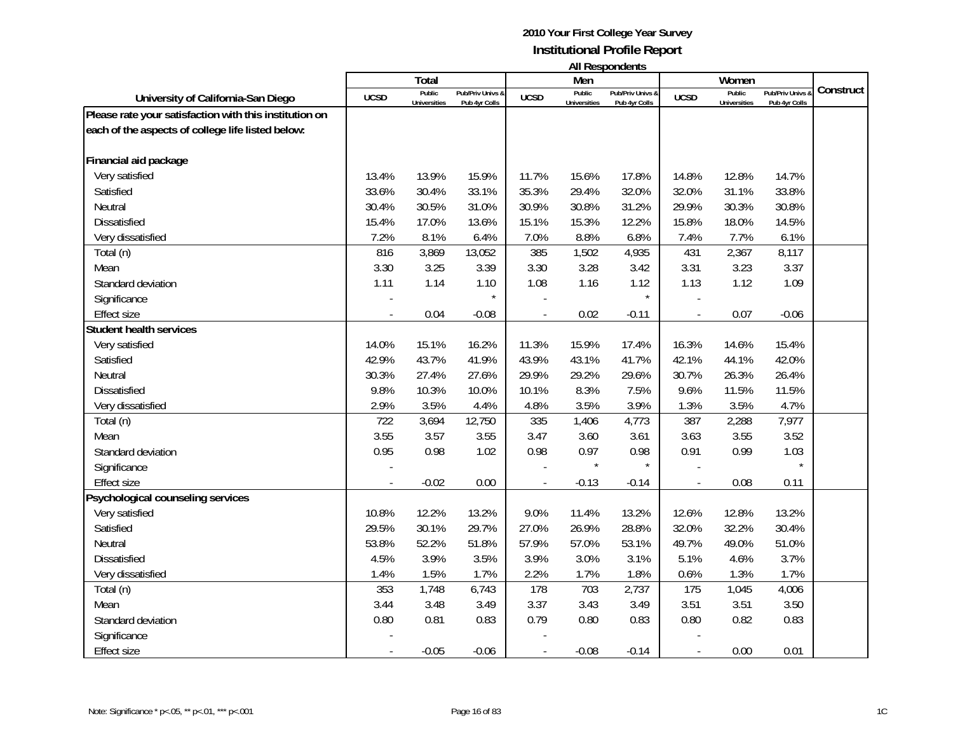|                                                        |             |                     |                  |             | Men                 | בוו ושטעכאו ווח  |             | Women               |                  |           |
|--------------------------------------------------------|-------------|---------------------|------------------|-------------|---------------------|------------------|-------------|---------------------|------------------|-----------|
|                                                        |             | Total<br>Public     | Pub/Priv Univs & |             | Public              | Pub/Priv Univs & |             | Public              | Pub/Priv Univs & | Construct |
| University of California-San Diego                     | <b>UCSD</b> | <b>Universities</b> | Pub 4yr Colls    | <b>UCSD</b> | <b>Universities</b> | Pub 4yr Colls    | <b>UCSD</b> | <b>Universities</b> | Pub 4yr Colls    |           |
| Please rate your satisfaction with this institution on |             |                     |                  |             |                     |                  |             |                     |                  |           |
| each of the aspects of college life listed below:      |             |                     |                  |             |                     |                  |             |                     |                  |           |
| Financial aid package                                  |             |                     |                  |             |                     |                  |             |                     |                  |           |
| Very satisfied                                         | 13.4%       | 13.9%               | 15.9%            | 11.7%       | 15.6%               | 17.8%            | 14.8%       | 12.8%               | 14.7%            |           |
| Satisfied                                              | 33.6%       | 30.4%               | 33.1%            | 35.3%       | 29.4%               | 32.0%            | 32.0%       | 31.1%               | 33.8%            |           |
| Neutral                                                | 30.4%       | 30.5%               | 31.0%            | 30.9%       | 30.8%               | 31.2%            | 29.9%       | 30.3%               | 30.8%            |           |
| <b>Dissatisfied</b>                                    | 15.4%       | 17.0%               | 13.6%            | 15.1%       | 15.3%               | 12.2%            | 15.8%       | 18.0%               | 14.5%            |           |
| Very dissatisfied                                      | 7.2%        | 8.1%                | 6.4%             | 7.0%        | 8.8%                | 6.8%             | 7.4%        | 7.7%                | 6.1%             |           |
| Total (n)                                              | 816         | 3,869               | 13,052           | 385         | 1,502               | 4,935            | 431         | 2,367               | 8,117            |           |
| Mean                                                   | 3.30        | 3.25                | 3.39             | 3.30        | 3.28                | 3.42             | 3.31        | 3.23                | 3.37             |           |
| Standard deviation                                     | 1.11        | 1.14                | 1.10             | 1.08        | 1.16                | 1.12             | 1.13        | 1.12                | 1.09             |           |
| Significance                                           |             |                     | $\star$          |             |                     | $\star$          |             |                     |                  |           |
| <b>Effect size</b>                                     |             | 0.04                | $-0.08$          |             | 0.02                | $-0.11$          |             | 0.07                | $-0.06$          |           |
| <b>Student health services</b>                         |             |                     |                  |             |                     |                  |             |                     |                  |           |
| Very satisfied                                         | 14.0%       | 15.1%               | 16.2%            | 11.3%       | 15.9%               | 17.4%            | 16.3%       | 14.6%               | 15.4%            |           |
| Satisfied                                              | 42.9%       | 43.7%               | 41.9%            | 43.9%       | 43.1%               | 41.7%            | 42.1%       | 44.1%               | 42.0%            |           |
| Neutral                                                | 30.3%       | 27.4%               | 27.6%            | 29.9%       | 29.2%               | 29.6%            | 30.7%       | 26.3%               | 26.4%            |           |
| <b>Dissatisfied</b>                                    | 9.8%        | 10.3%               | 10.0%            | 10.1%       | 8.3%                | 7.5%             | 9.6%        | 11.5%               | 11.5%            |           |
| Very dissatisfied                                      | 2.9%        | 3.5%                | 4.4%             | 4.8%        | 3.5%                | 3.9%             | 1.3%        | 3.5%                | 4.7%             |           |
| Total (n)                                              | 722         | 3,694               | 12,750           | 335         | 1,406               | 4,773            | 387         | 2,288               | 7,977            |           |
| Mean                                                   | 3.55        | 3.57                | 3.55             | 3.47        | 3.60                | 3.61             | 3.63        | 3.55                | 3.52             |           |
| Standard deviation                                     | 0.95        | 0.98                | 1.02             | 0.98        | 0.97                | 0.98             | 0.91        | 0.99                | 1.03             |           |
| Significance                                           |             |                     |                  |             |                     |                  |             |                     |                  |           |
| <b>Effect size</b>                                     |             | $-0.02$             | 0.00             |             | $-0.13$             | $-0.14$          |             | 0.08                | 0.11             |           |
| Psychological counseling services                      |             |                     |                  |             |                     |                  |             |                     |                  |           |
| Very satisfied                                         | 10.8%       | 12.2%               | 13.2%            | 9.0%        | 11.4%               | 13.2%            | 12.6%       | 12.8%               | 13.2%            |           |
| Satisfied                                              | 29.5%       | 30.1%               | 29.7%            | 27.0%       | 26.9%               | 28.8%            | 32.0%       | 32.2%               | 30.4%            |           |
| Neutral                                                | 53.8%       | 52.2%               | 51.8%            | 57.9%       | 57.0%               | 53.1%            | 49.7%       | 49.0%               | 51.0%            |           |
| Dissatisfied                                           | 4.5%        | 3.9%                | 3.5%             | 3.9%        | 3.0%                | 3.1%             | 5.1%        | 4.6%                | 3.7%             |           |
| Very dissatisfied                                      | 1.4%        | 1.5%                | 1.7%             | 2.2%        | 1.7%                | 1.8%             | 0.6%        | 1.3%                | 1.7%             |           |
| Total (n)                                              | 353         | 1,748               | 6,743            | 178         | 703                 | 2,737            | 175         | 1,045               | 4,006            |           |
| Mean                                                   | 3.44        | 3.48                | 3.49             | 3.37        | 3.43                | 3.49             | 3.51        | 3.51                | 3.50             |           |
| Standard deviation                                     | 0.80        | 0.81                | 0.83             | 0.79        | 0.80                | 0.83             | 0.80        | 0.82                | 0.83             |           |
| Significance                                           |             |                     |                  |             |                     |                  |             |                     |                  |           |
| <b>Effect size</b>                                     |             | $-0.05$             | $-0.06$          |             | $-0.08$             | $-0.14$          |             | 0.00                | 0.01             |           |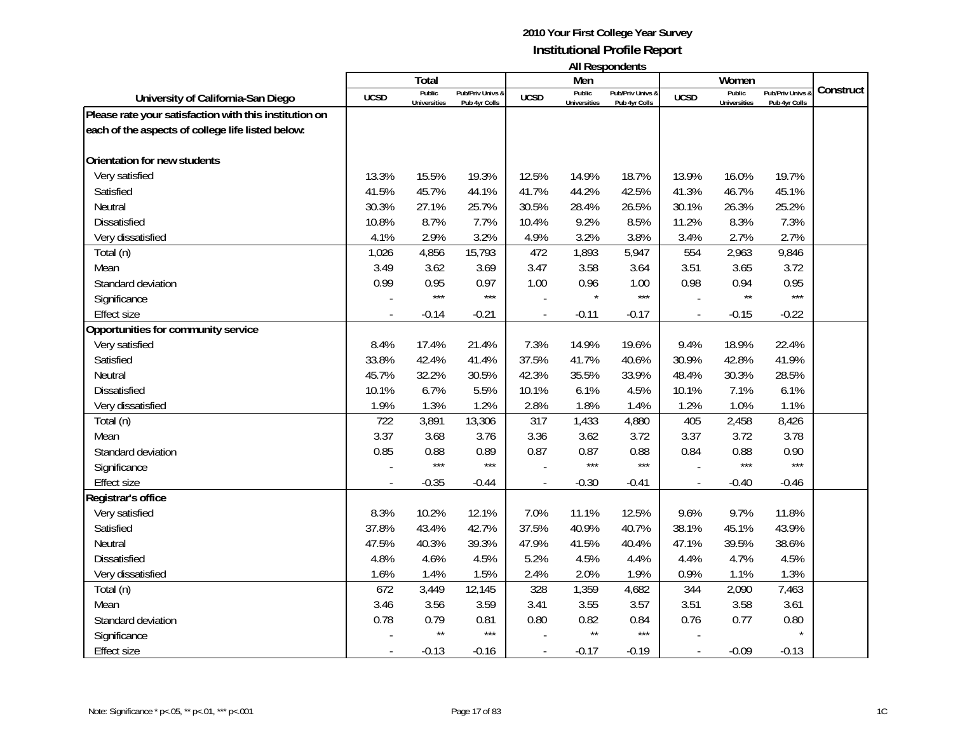|                                                        |                          |                               |                                   |                |                               | בוו ושטעכאו ווח                   |                          |                               |                                   |           |
|--------------------------------------------------------|--------------------------|-------------------------------|-----------------------------------|----------------|-------------------------------|-----------------------------------|--------------------------|-------------------------------|-----------------------------------|-----------|
|                                                        |                          | Total                         |                                   |                | Men                           |                                   |                          | Women                         |                                   | Construct |
| University of California-San Diego                     | <b>UCSD</b>              | Public<br><b>Universities</b> | Pub/Priv Univs &<br>Pub 4yr Colls | <b>UCSD</b>    | Public<br><b>Universities</b> | Pub/Priv Univs &<br>Pub 4yr Colls | <b>UCSD</b>              | Public<br><b>Universities</b> | Pub/Priv Univs &<br>Pub 4yr Colls |           |
| Please rate your satisfaction with this institution on |                          |                               |                                   |                |                               |                                   |                          |                               |                                   |           |
| each of the aspects of college life listed below:      |                          |                               |                                   |                |                               |                                   |                          |                               |                                   |           |
|                                                        |                          |                               |                                   |                |                               |                                   |                          |                               |                                   |           |
| Orientation for new students                           |                          |                               |                                   |                |                               |                                   |                          |                               |                                   |           |
| Very satisfied                                         | 13.3%                    | 15.5%                         | 19.3%                             | 12.5%          | 14.9%                         | 18.7%                             | 13.9%                    | 16.0%                         | 19.7%                             |           |
| Satisfied                                              | 41.5%                    | 45.7%                         | 44.1%                             | 41.7%          | 44.2%                         | 42.5%                             | 41.3%                    | 46.7%                         | 45.1%                             |           |
| Neutral                                                | 30.3%                    | 27.1%                         | 25.7%                             | 30.5%          | 28.4%                         | 26.5%                             | 30.1%                    | 26.3%                         | 25.2%                             |           |
| <b>Dissatisfied</b>                                    | 10.8%                    | 8.7%                          | 7.7%                              | 10.4%          | 9.2%                          | 8.5%                              | 11.2%                    | 8.3%                          | 7.3%                              |           |
| Very dissatisfied                                      | 4.1%                     | 2.9%                          | 3.2%                              | 4.9%           | 3.2%                          | 3.8%                              | 3.4%                     | 2.7%                          | 2.7%                              |           |
| Total (n)                                              | 1,026                    | 4,856                         | 15,793                            | 472            | 1,893                         | 5,947                             | 554                      | 2,963                         | 9,846                             |           |
| Mean                                                   | 3.49                     | 3.62                          | 3.69                              | 3.47           | 3.58                          | 3.64                              | 3.51                     | 3.65                          | 3.72                              |           |
| Standard deviation                                     | 0.99                     | 0.95                          | 0.97                              | 1.00           | 0.96                          | 1.00                              | 0.98                     | 0.94                          | 0.95                              |           |
| Significance                                           |                          | $***$                         | $***$                             |                |                               | ***                               |                          | $\star\star$                  | $***$                             |           |
| Effect size                                            |                          | $-0.14$                       | $-0.21$                           |                | $-0.11$                       | $-0.17$                           |                          | $-0.15$                       | $-0.22$                           |           |
| Opportunities for community service                    |                          |                               |                                   |                |                               |                                   |                          |                               |                                   |           |
| Very satisfied                                         | 8.4%                     | 17.4%                         | 21.4%                             | 7.3%           | 14.9%                         | 19.6%                             | 9.4%                     | 18.9%                         | 22.4%                             |           |
| Satisfied                                              | 33.8%                    | 42.4%                         | 41.4%                             | 37.5%          | 41.7%                         | 40.6%                             | 30.9%                    | 42.8%                         | 41.9%                             |           |
| Neutral                                                | 45.7%                    | 32.2%                         | 30.5%                             | 42.3%          | 35.5%                         | 33.9%                             | 48.4%                    | 30.3%                         | 28.5%                             |           |
| Dissatisfied                                           | 10.1%                    | 6.7%                          | 5.5%                              | 10.1%          | 6.1%                          | 4.5%                              | 10.1%                    | 7.1%                          | 6.1%                              |           |
| Very dissatisfied                                      | 1.9%                     | 1.3%                          | 1.2%                              | 2.8%           | 1.8%                          | 1.4%                              | 1.2%                     | 1.0%                          | 1.1%                              |           |
| Total (n)                                              | 722                      | 3,891                         | 13,306                            | 317            | 1,433                         | 4,880                             | 405                      | 2,458                         | 8,426                             |           |
| Mean                                                   | 3.37                     | 3.68                          | 3.76                              | 3.36           | 3.62                          | 3.72                              | 3.37                     | 3.72                          | 3.78                              |           |
| Standard deviation                                     | 0.85                     | 0.88                          | 0.89                              | 0.87           | 0.87                          | 0.88                              | 0.84                     | 0.88                          | 0.90                              |           |
| Significance                                           |                          | $***$                         | $***$                             |                | $***$                         | $***$                             |                          | ***                           | $***$                             |           |
| <b>Effect size</b>                                     |                          | $-0.35$                       | $-0.44$                           | $\overline{a}$ | $-0.30$                       | $-0.41$                           | $\overline{\phantom{a}}$ | $-0.40$                       | $-0.46$                           |           |
| Registrar's office                                     |                          |                               |                                   |                |                               |                                   |                          |                               |                                   |           |
| Very satisfied                                         | 8.3%                     | 10.2%                         | 12.1%                             | 7.0%           | 11.1%                         | 12.5%                             | 9.6%                     | 9.7%                          | 11.8%                             |           |
| Satisfied                                              | 37.8%                    | 43.4%                         | 42.7%                             | 37.5%          | 40.9%                         | 40.7%                             | 38.1%                    | 45.1%                         | 43.9%                             |           |
| Neutral                                                | 47.5%                    | 40.3%                         | 39.3%                             | 47.9%          | 41.5%                         | 40.4%                             | 47.1%                    | 39.5%                         | 38.6%                             |           |
| Dissatisfied                                           | 4.8%                     | 4.6%                          | 4.5%                              | 5.2%           | 4.5%                          | 4.4%                              | 4.4%                     | 4.7%                          | 4.5%                              |           |
| Very dissatisfied                                      | 1.6%                     | 1.4%                          | 1.5%                              | 2.4%           | 2.0%                          | 1.9%                              | 0.9%                     | 1.1%                          | 1.3%                              |           |
| Total (n)                                              | 672                      | 3,449                         | 12,145                            | 328            | 1,359                         | 4,682                             | 344                      | 2,090                         | 7,463                             |           |
| Mean                                                   | 3.46                     | 3.56                          | 3.59                              | 3.41           | 3.55                          | 3.57                              | 3.51                     | 3.58                          | 3.61                              |           |
| Standard deviation                                     | 0.78                     | 0.79                          | 0.81                              | 0.80           | 0.82                          | 0.84                              | 0.76                     | 0.77                          | 0.80                              |           |
| Significance                                           |                          | $\star\star$                  | $***$                             |                | $\star\star$                  | $***$                             |                          |                               | $\star$                           |           |
| <b>Effect size</b>                                     | $\overline{\phantom{a}}$ | $-0.13$                       | $-0.16$                           |                | $-0.17$                       | $-0.19$                           |                          | $-0.09$                       | $-0.13$                           |           |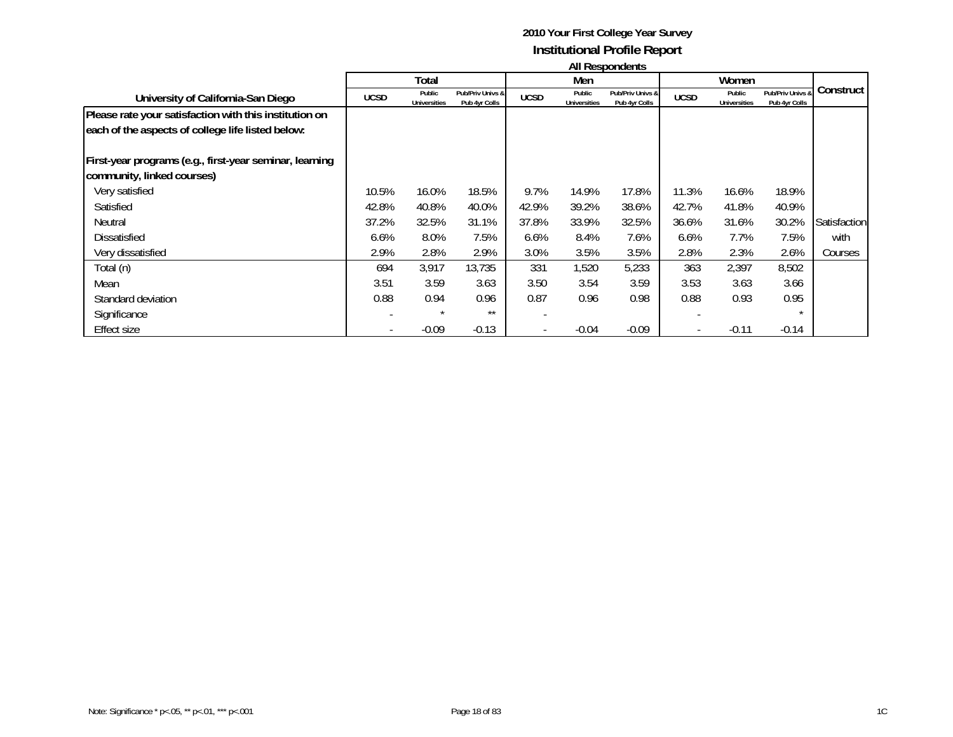|                                                         |             | Total                         |                                   |             | Men                           |                                   |             | Women                         |                                   |              |
|---------------------------------------------------------|-------------|-------------------------------|-----------------------------------|-------------|-------------------------------|-----------------------------------|-------------|-------------------------------|-----------------------------------|--------------|
| University of California-San Diego                      | <b>UCSD</b> | Public<br><b>Universities</b> | Pub/Priv Univs &<br>Pub 4yr Colls | <b>UCSD</b> | Public<br><b>Universities</b> | Pub/Priv Univs &<br>Pub 4yr Colls | <b>UCSD</b> | Public<br><b>Universities</b> | Pub/Priv Univs &<br>Pub 4yr Colls | Construct    |
| Please rate your satisfaction with this institution on  |             |                               |                                   |             |                               |                                   |             |                               |                                   |              |
| each of the aspects of college life listed below:       |             |                               |                                   |             |                               |                                   |             |                               |                                   |              |
| First-year programs (e.g., first-year seminar, learning |             |                               |                                   |             |                               |                                   |             |                               |                                   |              |
| community, linked courses)                              |             |                               |                                   |             |                               |                                   |             |                               |                                   |              |
| Very satisfied                                          | 10.5%       | 16.0%                         | 18.5%                             | 9.7%        | 14.9%                         | 17.8%                             | 11.3%       | 16.6%                         | 18.9%                             |              |
| Satisfied                                               | 42.8%       | 40.8%                         | 40.0%                             | 42.9%       | 39.2%                         | 38.6%                             | 42.7%       | 41.8%                         | 40.9%                             |              |
| Neutral                                                 | 37.2%       | 32.5%                         | 31.1%                             | 37.8%       | 33.9%                         | 32.5%                             | 36.6%       | 31.6%                         | 30.2%                             | Satisfaction |
| <b>Dissatisfied</b>                                     | 6.6%        | 8.0%                          | 7.5%                              | 6.6%        | 8.4%                          | 7.6%                              | 6.6%        | 7.7%                          | 7.5%                              | with         |
| Very dissatisfied                                       | 2.9%        | 2.8%                          | 2.9%                              | 3.0%        | 3.5%                          | 3.5%                              | 2.8%        | 2.3%                          | 2.6%                              | Courses      |
| Total (n)                                               | 694         | 3,917                         | 13,735                            | 331         | 1,520                         | 5,233                             | 363         | 2,397                         | 8,502                             |              |
| Mean                                                    | 3.51        | 3.59                          | 3.63                              | 3.50        | 3.54                          | 3.59                              | 3.53        | 3.63                          | 3.66                              |              |
| Standard deviation                                      | 0.88        | 0.94                          | 0.96                              | 0.87        | 0.96                          | 0.98                              | 0.88        | 0.93                          | 0.95                              |              |
| Significance                                            |             |                               | $***$                             |             |                               |                                   |             |                               | $\star$                           |              |
| Effect size                                             |             | $-0.09$                       | $-0.13$                           |             | $-0.04$                       | $-0.09$                           |             | $-0.11$                       | $-0.14$                           |              |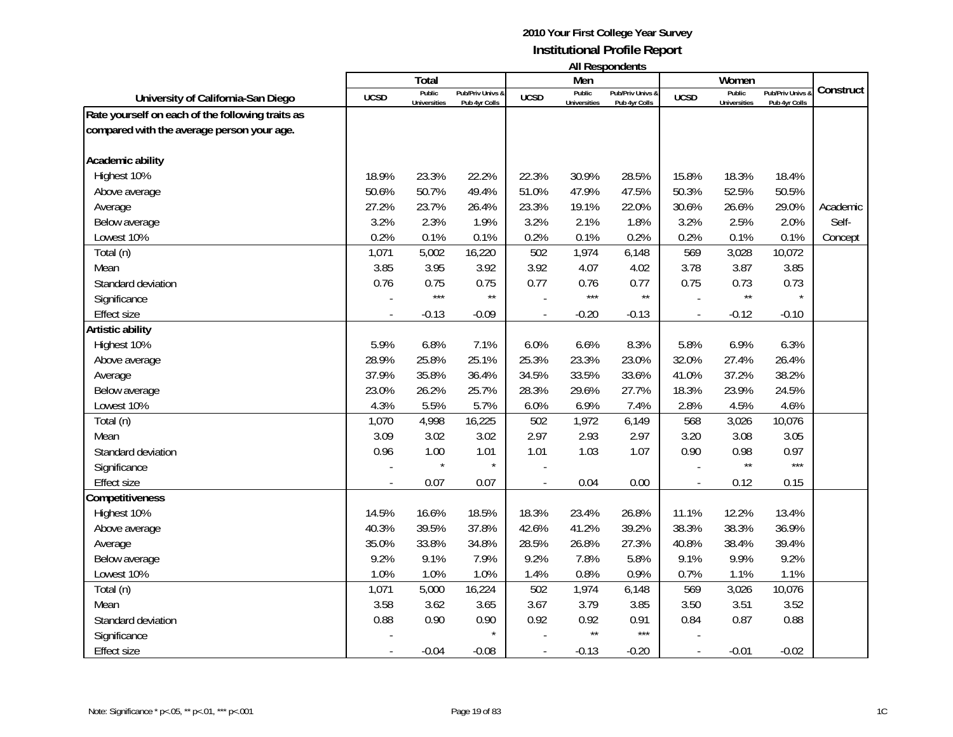|                                                  |                | Total               |                  |                | Men                 | בוו ולהוטעכטוו ווח |                | Women               |                |           |
|--------------------------------------------------|----------------|---------------------|------------------|----------------|---------------------|--------------------|----------------|---------------------|----------------|-----------|
|                                                  |                | Public              | Pub/Priv Univs & |                | Public              | Pub/Priv Univs &   |                | Public              | Pub/Priv Univs | Construct |
| University of California-San Diego               | <b>UCSD</b>    | <b>Universities</b> | Pub 4yr Colls    | <b>UCSD</b>    | <b>Universities</b> | Pub 4yr Colls      | <b>UCSD</b>    | <b>Universities</b> | Pub 4yr Colls  |           |
| Rate yourself on each of the following traits as |                |                     |                  |                |                     |                    |                |                     |                |           |
| compared with the average person your age.       |                |                     |                  |                |                     |                    |                |                     |                |           |
| Academic ability                                 |                |                     |                  |                |                     |                    |                |                     |                |           |
| Highest 10%                                      | 18.9%          | 23.3%               | 22.2%            | 22.3%          | 30.9%               | 28.5%              | 15.8%          | 18.3%               | 18.4%          |           |
| Above average                                    | 50.6%          | 50.7%               | 49.4%            | 51.0%          | 47.9%               | 47.5%              | 50.3%          | 52.5%               | 50.5%          |           |
| Average                                          | 27.2%          | 23.7%               | 26.4%            | 23.3%          | 19.1%               | 22.0%              | 30.6%          | 26.6%               | 29.0%          | Academic  |
| Below average                                    | 3.2%           | 2.3%                | 1.9%             | 3.2%           | 2.1%                | 1.8%               | 3.2%           | 2.5%                | 2.0%           | Self-     |
| Lowest 10%                                       | 0.2%           | 0.1%                | 0.1%             | 0.2%           | 0.1%                | 0.2%               | 0.2%           | 0.1%                | 0.1%           | Concept   |
| Total (n)                                        | 1,071          | 5,002               | 16,220           | 502            | 1,974               | 6,148              | 569            | 3,028               | 10,072         |           |
| Mean                                             | 3.85           | 3.95                | 3.92             | 3.92           | 4.07                | 4.02               | 3.78           | 3.87                | 3.85           |           |
| Standard deviation                               | 0.76           | 0.75                | 0.75             | 0.77           | 0.76                | 0.77               | 0.75           | 0.73                | 0.73           |           |
| Significance                                     |                | $***$               | $\star\star$     |                | $***$               | $\star\star$       |                | $\star\star$        |                |           |
| <b>Effect size</b>                               |                | $-0.13$             | $-0.09$          |                | $-0.20$             | $-0.13$            |                | $-0.12$             | $-0.10$        |           |
| Artistic ability                                 |                |                     |                  |                |                     |                    |                |                     |                |           |
| Highest 10%                                      | 5.9%           | 6.8%                | 7.1%             | 6.0%           | 6.6%                | 8.3%               | 5.8%           | 6.9%                | 6.3%           |           |
| Above average                                    | 28.9%          | 25.8%               | 25.1%            | 25.3%          | 23.3%               | 23.0%              | 32.0%          | 27.4%               | 26.4%          |           |
| Average                                          | 37.9%          | 35.8%               | 36.4%            | 34.5%          | 33.5%               | 33.6%              | 41.0%          | 37.2%               | 38.2%          |           |
| Below average                                    | 23.0%          | 26.2%               | 25.7%            | 28.3%          | 29.6%               | 27.7%              | 18.3%          | 23.9%               | 24.5%          |           |
| Lowest 10%                                       | 4.3%           | 5.5%                | 5.7%             | 6.0%           | 6.9%                | 7.4%               | 2.8%           | 4.5%                | 4.6%           |           |
| Total (n)                                        | 1,070          | 4,998               | 16,225           | 502            | 1,972               | 6,149              | 568            | 3,026               | 10,076         |           |
| Mean                                             | 3.09           | 3.02                | 3.02             | 2.97           | 2.93                | 2.97               | 3.20           | 3.08                | 3.05           |           |
| Standard deviation                               | 0.96           | 1.00                | 1.01             | 1.01           | 1.03                | 1.07               | 0.90           | 0.98                | 0.97           |           |
| Significance                                     |                |                     | $\star$          |                |                     |                    |                | $\star\star$        | $***$          |           |
| <b>Effect size</b>                               | $\overline{a}$ | 0.07                | 0.07             | $\blacksquare$ | 0.04                | 0.00               | $\blacksquare$ | 0.12                | 0.15           |           |
| Competitiveness                                  |                |                     |                  |                |                     |                    |                |                     |                |           |
| Highest 10%                                      | 14.5%          | 16.6%               | 18.5%            | 18.3%          | 23.4%               | 26.8%              | 11.1%          | 12.2%               | 13.4%          |           |
| Above average                                    | 40.3%          | 39.5%               | 37.8%            | 42.6%          | 41.2%               | 39.2%              | 38.3%          | 38.3%               | 36.9%          |           |
| Average                                          | 35.0%          | 33.8%               | 34.8%            | 28.5%          | 26.8%               | 27.3%              | 40.8%          | 38.4%               | 39.4%          |           |
| Below average                                    | 9.2%           | 9.1%                | 7.9%             | 9.2%           | 7.8%                | 5.8%               | 9.1%           | 9.9%                | 9.2%           |           |
| Lowest 10%                                       | 1.0%           | 1.0%                | 1.0%             | 1.4%           | 0.8%                | 0.9%               | 0.7%           | 1.1%                | 1.1%           |           |
| Total (n)                                        | 1,071          | 5,000               | 16,224           | 502            | 1,974               | 6,148              | 569            | 3,026               | 10,076         |           |
| Mean                                             | 3.58           | 3.62                | 3.65             | 3.67           | 3.79                | 3.85               | 3.50           | 3.51                | 3.52           |           |
| Standard deviation                               | 0.88           | 0.90                | 0.90             | 0.92           | 0.92                | 0.91               | 0.84           | 0.87                | 0.88           |           |
| Significance                                     |                |                     | $\star$          |                | $\star\star$        | $***$              |                |                     |                |           |
| <b>Effect size</b>                               |                | $-0.04$             | $-0.08$          |                | $-0.13$             | $-0.20$            |                | $-0.01$             | $-0.02$        |           |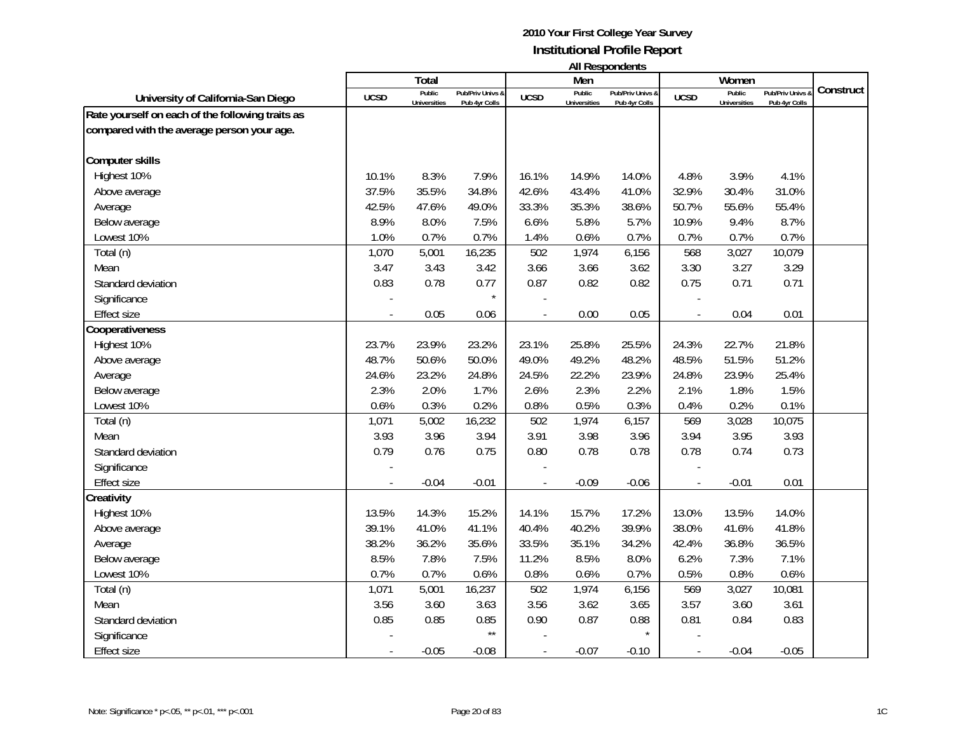| <b>All Respondents</b> |  |
|------------------------|--|
|------------------------|--|

|                                                  |             | <b>Total</b>                  |                                   |             | Men                           | טווישטוועטאייזייי                 |             | Women                         |                                   |           |
|--------------------------------------------------|-------------|-------------------------------|-----------------------------------|-------------|-------------------------------|-----------------------------------|-------------|-------------------------------|-----------------------------------|-----------|
| University of California-San Diego               | <b>UCSD</b> | Public<br><b>Universities</b> | Pub/Priv Univs &<br>Pub 4yr Colls | <b>UCSD</b> | Public<br><b>Universities</b> | Pub/Priv Univs &<br>Pub 4yr Colls | <b>UCSD</b> | Public<br><b>Universities</b> | Pub/Priv Univs &<br>Pub 4yr Colls | Construct |
| Rate yourself on each of the following traits as |             |                               |                                   |             |                               |                                   |             |                               |                                   |           |
| compared with the average person your age.       |             |                               |                                   |             |                               |                                   |             |                               |                                   |           |
|                                                  |             |                               |                                   |             |                               |                                   |             |                               |                                   |           |
| <b>Computer skills</b>                           |             |                               |                                   |             |                               |                                   |             |                               |                                   |           |
| Highest 10%                                      | 10.1%       | 8.3%                          | 7.9%                              | 16.1%       | 14.9%                         | 14.0%                             | 4.8%        | 3.9%                          | 4.1%                              |           |
| Above average                                    | 37.5%       | 35.5%                         | 34.8%                             | 42.6%       | 43.4%                         | 41.0%                             | 32.9%       | 30.4%                         | 31.0%                             |           |
| Average                                          | 42.5%       | 47.6%                         | 49.0%                             | 33.3%       | 35.3%                         | 38.6%                             | 50.7%       | 55.6%                         | 55.4%                             |           |
| Below average                                    | 8.9%        | 8.0%                          | 7.5%                              | 6.6%        | 5.8%                          | 5.7%                              | 10.9%       | 9.4%                          | 8.7%                              |           |
| Lowest 10%                                       | 1.0%        | 0.7%                          | 0.7%                              | 1.4%        | 0.6%                          | 0.7%                              | 0.7%        | 0.7%                          | 0.7%                              |           |
| Total (n)                                        | 1,070       | 5,001                         | 16,235                            | 502         | 1,974                         | 6,156                             | 568         | 3,027                         | 10,079                            |           |
| Mean                                             | 3.47        | 3.43                          | 3.42                              | 3.66        | 3.66                          | 3.62                              | 3.30        | 3.27                          | 3.29                              |           |
| Standard deviation                               | 0.83        | 0.78                          | 0.77                              | 0.87        | 0.82                          | 0.82                              | 0.75        | 0.71                          | 0.71                              |           |
| Significance                                     |             |                               | $\star$                           |             |                               |                                   |             |                               |                                   |           |
| <b>Effect size</b>                               |             | 0.05                          | 0.06                              |             | 0.00                          | 0.05                              |             | 0.04                          | 0.01                              |           |
| Cooperativeness                                  |             |                               |                                   |             |                               |                                   |             |                               |                                   |           |
| Highest 10%                                      | 23.7%       | 23.9%                         | 23.2%                             | 23.1%       | 25.8%                         | 25.5%                             | 24.3%       | 22.7%                         | 21.8%                             |           |
| Above average                                    | 48.7%       | 50.6%                         | 50.0%                             | 49.0%       | 49.2%                         | 48.2%                             | 48.5%       | 51.5%                         | 51.2%                             |           |
| Average                                          | 24.6%       | 23.2%                         | 24.8%                             | 24.5%       | 22.2%                         | 23.9%                             | 24.8%       | 23.9%                         | 25.4%                             |           |
| Below average                                    | 2.3%        | 2.0%                          | 1.7%                              | 2.6%        | 2.3%                          | 2.2%                              | 2.1%        | 1.8%                          | 1.5%                              |           |
| Lowest 10%                                       | 0.6%        | 0.3%                          | 0.2%                              | 0.8%        | 0.5%                          | 0.3%                              | 0.4%        | 0.2%                          | 0.1%                              |           |
| Total (n)                                        | 1,071       | 5,002                         | 16,232                            | 502         | 1,974                         | 6,157                             | 569         | 3,028                         | 10,075                            |           |
| Mean                                             | 3.93        | 3.96                          | 3.94                              | 3.91        | 3.98                          | 3.96                              | 3.94        | 3.95                          | 3.93                              |           |
| Standard deviation                               | 0.79        | 0.76                          | 0.75                              | 0.80        | 0.78                          | 0.78                              | 0.78        | 0.74                          | 0.73                              |           |
| Significance                                     |             |                               |                                   |             |                               |                                   |             |                               |                                   |           |
| Effect size                                      |             | $-0.04$                       | $-0.01$                           |             | $-0.09$                       | $-0.06$                           |             | $-0.01$                       | 0.01                              |           |
| Creativity                                       |             |                               |                                   |             |                               |                                   |             |                               |                                   |           |
| Highest 10%                                      | 13.5%       | 14.3%                         | 15.2%                             | 14.1%       | 15.7%                         | 17.2%                             | 13.0%       | 13.5%                         | 14.0%                             |           |
| Above average                                    | 39.1%       | 41.0%                         | 41.1%                             | 40.4%       | 40.2%                         | 39.9%                             | 38.0%       | 41.6%                         | 41.8%                             |           |
| Average                                          | 38.2%       | 36.2%                         | 35.6%                             | 33.5%       | 35.1%                         | 34.2%                             | 42.4%       | 36.8%                         | 36.5%                             |           |
| Below average                                    | 8.5%        | 7.8%                          | 7.5%                              | 11.2%       | 8.5%                          | 8.0%                              | 6.2%        | 7.3%                          | 7.1%                              |           |
| Lowest 10%                                       | 0.7%        | 0.7%                          | 0.6%                              | 0.8%        | 0.6%                          | 0.7%                              | 0.5%        | 0.8%                          | 0.6%                              |           |
| Total (n)                                        | 1,071       | 5,001                         | 16,237                            | 502         | 1,974                         | 6,156                             | 569         | 3,027                         | 10,081                            |           |
| Mean                                             | 3.56        | 3.60                          | 3.63                              | 3.56        | 3.62                          | 3.65                              | 3.57        | 3.60                          | 3.61                              |           |
| Standard deviation                               | 0.85        | 0.85                          | 0.85                              | 0.90        | 0.87                          | 0.88                              | 0.81        | 0.84                          | 0.83                              |           |
| Significance                                     |             |                               | $\star\star$                      |             |                               |                                   |             |                               |                                   |           |
| <b>Effect size</b>                               |             | $-0.05$                       | $-0.08$                           |             | $-0.07$                       | $-0.10$                           |             | $-0.04$                       | $-0.05$                           |           |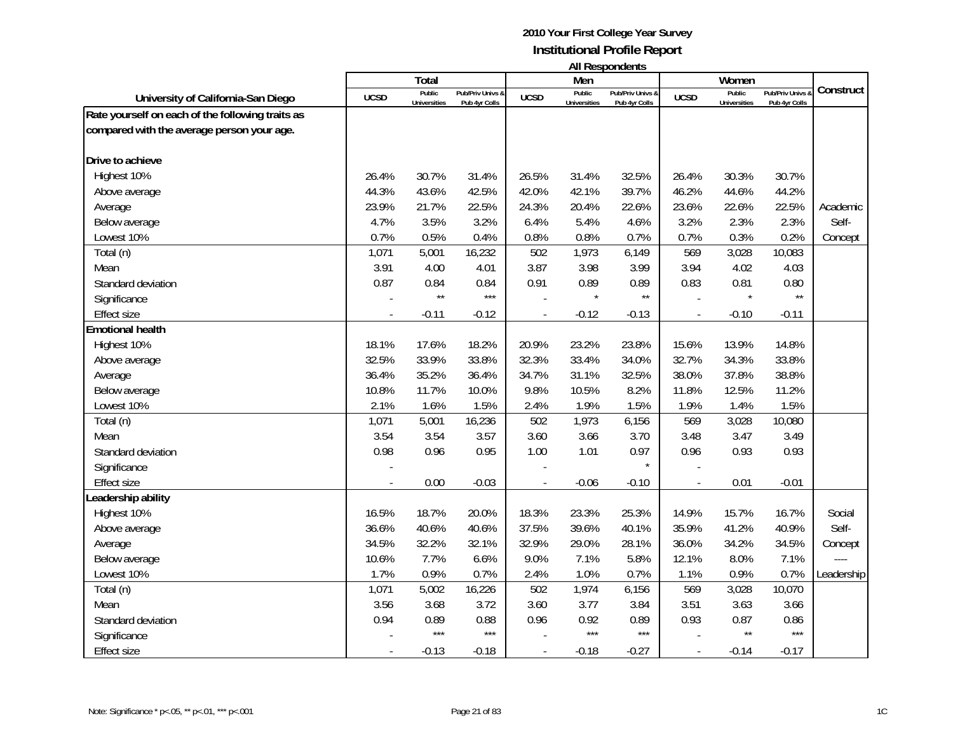| <b>All Respondents</b> |  |
|------------------------|--|
|------------------------|--|

|                                                  |             | Total                         |                                   |             | Men                           |                                   |                | Women                         |                                   |            |
|--------------------------------------------------|-------------|-------------------------------|-----------------------------------|-------------|-------------------------------|-----------------------------------|----------------|-------------------------------|-----------------------------------|------------|
| University of California-San Diego               | <b>UCSD</b> | Public<br><b>Universities</b> | Pub/Priv Univs &<br>Pub 4yr Colls | <b>UCSD</b> | Public<br><b>Universities</b> | Pub/Priv Univs &<br>Pub 4yr Colls | <b>UCSD</b>    | Public<br><b>Universities</b> | Pub/Priv Univs &<br>Pub 4yr Colls | Construct  |
| Rate yourself on each of the following traits as |             |                               |                                   |             |                               |                                   |                |                               |                                   |            |
| compared with the average person your age.       |             |                               |                                   |             |                               |                                   |                |                               |                                   |            |
|                                                  |             |                               |                                   |             |                               |                                   |                |                               |                                   |            |
| Drive to achieve                                 |             |                               |                                   |             |                               |                                   |                |                               |                                   |            |
| Highest 10%                                      | 26.4%       | 30.7%                         | 31.4%                             | 26.5%       | 31.4%                         | 32.5%                             | 26.4%          | 30.3%                         | 30.7%                             |            |
| Above average                                    | 44.3%       | 43.6%                         | 42.5%                             | 42.0%       | 42.1%                         | 39.7%                             | 46.2%          | 44.6%                         | 44.2%                             |            |
| Average                                          | 23.9%       | 21.7%                         | 22.5%                             | 24.3%       | 20.4%                         | 22.6%                             | 23.6%          | 22.6%                         | 22.5%                             | Academic   |
| Below average                                    | 4.7%        | 3.5%                          | 3.2%                              | 6.4%        | 5.4%                          | 4.6%                              | 3.2%           | 2.3%                          | 2.3%                              | Self-      |
| Lowest 10%                                       | 0.7%        | 0.5%                          | 0.4%                              | 0.8%        | 0.8%                          | 0.7%                              | 0.7%           | 0.3%                          | 0.2%                              | Concept    |
| Total (n)                                        | 1,071       | 5,001                         | 16,232                            | 502         | 1,973                         | 6,149                             | 569            | 3,028                         | 10,083                            |            |
| Mean                                             | 3.91        | 4.00                          | 4.01                              | 3.87        | 3.98                          | 3.99                              | 3.94           | 4.02                          | 4.03                              |            |
| Standard deviation                               | 0.87        | 0.84                          | 0.84                              | 0.91        | 0.89                          | 0.89                              | 0.83           | 0.81                          | 0.80                              |            |
| Significance                                     |             | $\star\star$                  | $***$                             |             |                               | $\star\star$                      |                | $\star$                       | $\star\star$                      |            |
| <b>Effect size</b>                               |             | $-0.11$                       | $-0.12$                           |             | $-0.12$                       | $-0.13$                           | $\blacksquare$ | $-0.10$                       | $-0.11$                           |            |
| <b>Emotional health</b>                          |             |                               |                                   |             |                               |                                   |                |                               |                                   |            |
| Highest 10%                                      | 18.1%       | 17.6%                         | 18.2%                             | 20.9%       | 23.2%                         | 23.8%                             | 15.6%          | 13.9%                         | 14.8%                             |            |
| Above average                                    | 32.5%       | 33.9%                         | 33.8%                             | 32.3%       | 33.4%                         | 34.0%                             | 32.7%          | 34.3%                         | 33.8%                             |            |
| Average                                          | 36.4%       | 35.2%                         | 36.4%                             | 34.7%       | 31.1%                         | 32.5%                             | 38.0%          | 37.8%                         | 38.8%                             |            |
| Below average                                    | 10.8%       | 11.7%                         | 10.0%                             | 9.8%        | 10.5%                         | 8.2%                              | 11.8%          | 12.5%                         | 11.2%                             |            |
| Lowest 10%                                       | 2.1%        | 1.6%                          | 1.5%                              | 2.4%        | 1.9%                          | 1.5%                              | 1.9%           | 1.4%                          | 1.5%                              |            |
| Total (n)                                        | 1,071       | 5,001                         | 16,236                            | 502         | 1,973                         | 6,156                             | 569            | 3,028                         | 10,080                            |            |
| Mean                                             | 3.54        | 3.54                          | 3.57                              | 3.60        | 3.66                          | 3.70                              | 3.48           | 3.47                          | 3.49                              |            |
| Standard deviation                               | 0.98        | 0.96                          | 0.95                              | 1.00        | 1.01                          | 0.97                              | 0.96           | 0.93                          | 0.93                              |            |
| Significance                                     |             |                               |                                   |             |                               | $\star$                           |                |                               |                                   |            |
| <b>Effect size</b>                               |             | 0.00                          | $-0.03$                           |             | $-0.06$                       | $-0.10$                           |                | 0.01                          | $-0.01$                           |            |
| eadership ability                                |             |                               |                                   |             |                               |                                   |                |                               |                                   |            |
| Highest 10%                                      | 16.5%       | 18.7%                         | 20.0%                             | 18.3%       | 23.3%                         | 25.3%                             | 14.9%          | 15.7%                         | 16.7%                             | Social     |
| Above average                                    | 36.6%       | 40.6%                         | 40.6%                             | 37.5%       | 39.6%                         | 40.1%                             | 35.9%          | 41.2%                         | 40.9%                             | Self-      |
| Average                                          | 34.5%       | 32.2%                         | 32.1%                             | 32.9%       | 29.0%                         | 28.1%                             | 36.0%          | 34.2%                         | 34.5%                             | Concept    |
| Below average                                    | 10.6%       | 7.7%                          | 6.6%                              | 9.0%        | 7.1%                          | 5.8%                              | 12.1%          | 8.0%                          | 7.1%                              |            |
| Lowest 10%                                       | 1.7%        | 0.9%                          | 0.7%                              | 2.4%        | 1.0%                          | 0.7%                              | 1.1%           | 0.9%                          | 0.7%                              | Leadership |
| Total (n)                                        | 1,071       | 5,002                         | 16,226                            | 502         | 1,974                         | 6,156                             | 569            | 3,028                         | 10,070                            |            |
| Mean                                             | 3.56        | 3.68                          | 3.72                              | 3.60        | 3.77                          | 3.84                              | 3.51           | 3.63                          | 3.66                              |            |
| Standard deviation                               | 0.94        | 0.89                          | 0.88                              | 0.96        | 0.92                          | 0.89                              | 0.93           | 0.87                          | 0.86                              |            |
| Significance                                     |             | $***$                         | $***$                             |             | $***$                         | $***$                             |                | $\star\star$                  | $***$                             |            |
| <b>Effect size</b>                               |             | $-0.13$                       | $-0.18$                           |             | $-0.18$                       | $-0.27$                           |                | $-0.14$                       | $-0.17$                           |            |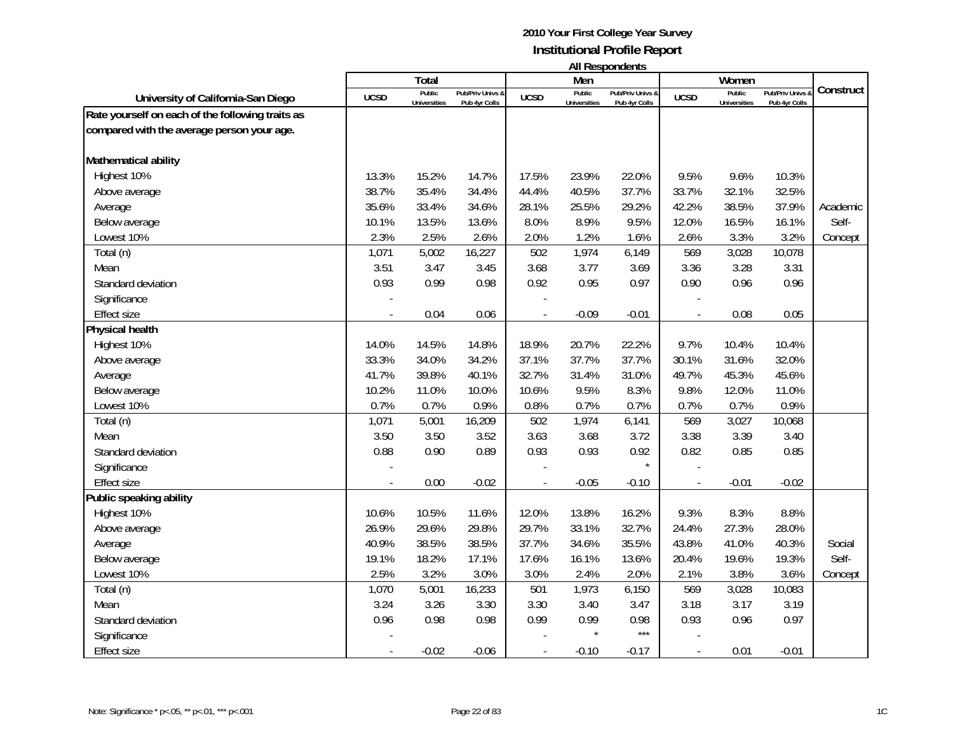| <b>All Respondents</b> |  |
|------------------------|--|
|------------------------|--|

|                                                  |             | Total                         |                                   |             | Men                           |                                   |                          | Women                         |                                 |           |
|--------------------------------------------------|-------------|-------------------------------|-----------------------------------|-------------|-------------------------------|-----------------------------------|--------------------------|-------------------------------|---------------------------------|-----------|
| University of California-San Diego               | <b>UCSD</b> | Public<br><b>Universities</b> | Pub/Priv Univs &<br>Pub 4yr Colls | <b>UCSD</b> | Public<br><b>Universities</b> | Pub/Priv Univs &<br>Pub 4yr Colls | <b>UCSD</b>              | Public<br><b>Universities</b> | Pub/Priv Univs<br>Pub 4yr Colls | Construct |
| Rate yourself on each of the following traits as |             |                               |                                   |             |                               |                                   |                          |                               |                                 |           |
| compared with the average person your age.       |             |                               |                                   |             |                               |                                   |                          |                               |                                 |           |
|                                                  |             |                               |                                   |             |                               |                                   |                          |                               |                                 |           |
| Mathematical ability                             |             |                               |                                   |             |                               |                                   |                          |                               |                                 |           |
| Highest 10%                                      | 13.3%       | 15.2%                         | 14.7%                             | 17.5%       | 23.9%                         | 22.0%                             | 9.5%                     | 9.6%                          | 10.3%                           |           |
| Above average                                    | 38.7%       | 35.4%                         | 34.4%                             | 44.4%       | 40.5%                         | 37.7%                             | 33.7%                    | 32.1%                         | 32.5%                           |           |
| Average                                          | 35.6%       | 33.4%                         | 34.6%                             | 28.1%       | 25.5%                         | 29.2%                             | 42.2%                    | 38.5%                         | 37.9%                           | Academic  |
| Below average                                    | 10.1%       | 13.5%                         | 13.6%                             | 8.0%        | 8.9%                          | 9.5%                              | 12.0%                    | 16.5%                         | 16.1%                           | Self-     |
| Lowest 10%                                       | 2.3%        | 2.5%                          | 2.6%                              | 2.0%        | 1.2%                          | 1.6%                              | 2.6%                     | 3.3%                          | 3.2%                            | Concept   |
| Total (n)                                        | 1,071       | 5,002                         | 16,227                            | 502         | 1,974                         | 6,149                             | 569                      | 3,028                         | 10,078                          |           |
| Mean                                             | 3.51        | 3.47                          | 3.45                              | 3.68        | 3.77                          | 3.69                              | 3.36                     | 3.28                          | 3.31                            |           |
| Standard deviation                               | 0.93        | 0.99                          | 0.98                              | 0.92        | 0.95                          | 0.97                              | 0.90                     | 0.96                          | 0.96                            |           |
| Significance                                     |             |                               |                                   |             |                               |                                   |                          |                               |                                 |           |
| <b>Effect size</b>                               |             | 0.04                          | 0.06                              |             | $-0.09$                       | $-0.01$                           | $\overline{\phantom{a}}$ | 0.08                          | 0.05                            |           |
| Physical health                                  |             |                               |                                   |             |                               |                                   |                          |                               |                                 |           |
| Highest 10%                                      | 14.0%       | 14.5%                         | 14.8%                             | 18.9%       | 20.7%                         | 22.2%                             | 9.7%                     | 10.4%                         | 10.4%                           |           |
| Above average                                    | 33.3%       | 34.0%                         | 34.2%                             | 37.1%       | 37.7%                         | 37.7%                             | 30.1%                    | 31.6%                         | 32.0%                           |           |
| Average                                          | 41.7%       | 39.8%                         | 40.1%                             | 32.7%       | 31.4%                         | 31.0%                             | 49.7%                    | 45.3%                         | 45.6%                           |           |
| Below average                                    | 10.2%       | 11.0%                         | 10.0%                             | 10.6%       | 9.5%                          | 8.3%                              | 9.8%                     | 12.0%                         | 11.0%                           |           |
| Lowest 10%                                       | 0.7%        | 0.7%                          | 0.9%                              | 0.8%        | 0.7%                          | 0.7%                              | 0.7%                     | 0.7%                          | 0.9%                            |           |
| Total (n)                                        | 1,071       | 5,001                         | 16,209                            | 502         | 1,974                         | 6,141                             | 569                      | 3,027                         | 10,068                          |           |
| Mean                                             | 3.50        | 3.50                          | 3.52                              | 3.63        | 3.68                          | 3.72                              | 3.38                     | 3.39                          | 3.40                            |           |
| Standard deviation                               | 0.88        | 0.90                          | 0.89                              | 0.93        | 0.93                          | 0.92                              | 0.82                     | 0.85                          | 0.85                            |           |
| Significance                                     |             |                               |                                   |             |                               | $\star$                           |                          |                               |                                 |           |
| <b>Effect size</b>                               |             | 0.00                          | $-0.02$                           |             | $-0.05$                       | $-0.10$                           |                          | $-0.01$                       | $-0.02$                         |           |
| Public speaking ability                          |             |                               |                                   |             |                               |                                   |                          |                               |                                 |           |
| Highest 10%                                      | 10.6%       | 10.5%                         | 11.6%                             | 12.0%       | 13.8%                         | 16.2%                             | 9.3%                     | 8.3%                          | 8.8%                            |           |
| Above average                                    | 26.9%       | 29.6%                         | 29.8%                             | 29.7%       | 33.1%                         | 32.7%                             | 24.4%                    | 27.3%                         | 28.0%                           |           |
| Average                                          | 40.9%       | 38.5%                         | 38.5%                             | 37.7%       | 34.6%                         | 35.5%                             | 43.8%                    | 41.0%                         | 40.3%                           | Social    |
| Below average                                    | 19.1%       | 18.2%                         | 17.1%                             | 17.6%       | 16.1%                         | 13.6%                             | 20.4%                    | 19.6%                         | 19.3%                           | Self-     |
| Lowest 10%                                       | 2.5%        | 3.2%                          | 3.0%                              | 3.0%        | 2.4%                          | 2.0%                              | 2.1%                     | 3.8%                          | 3.6%                            | Concept   |
| Total (n)                                        | 1,070       | 5,001                         | 16,233                            | 501         | 1,973                         | 6,150                             | 569                      | 3,028                         | 10,083                          |           |
| Mean                                             | 3.24        | 3.26                          | 3.30                              | 3.30        | 3.40                          | 3.47                              | 3.18                     | 3.17                          | 3.19                            |           |
| Standard deviation                               | 0.96        | 0.98                          | 0.98                              | 0.99        | 0.99                          | 0.98                              | 0.93                     | 0.96                          | 0.97                            |           |
| Significance                                     |             |                               |                                   |             |                               | $***$                             |                          |                               |                                 |           |
| <b>Effect size</b>                               |             | $-0.02$                       | $-0.06$                           |             | $-0.10$                       | $-0.17$                           |                          | 0.01                          | $-0.01$                         |           |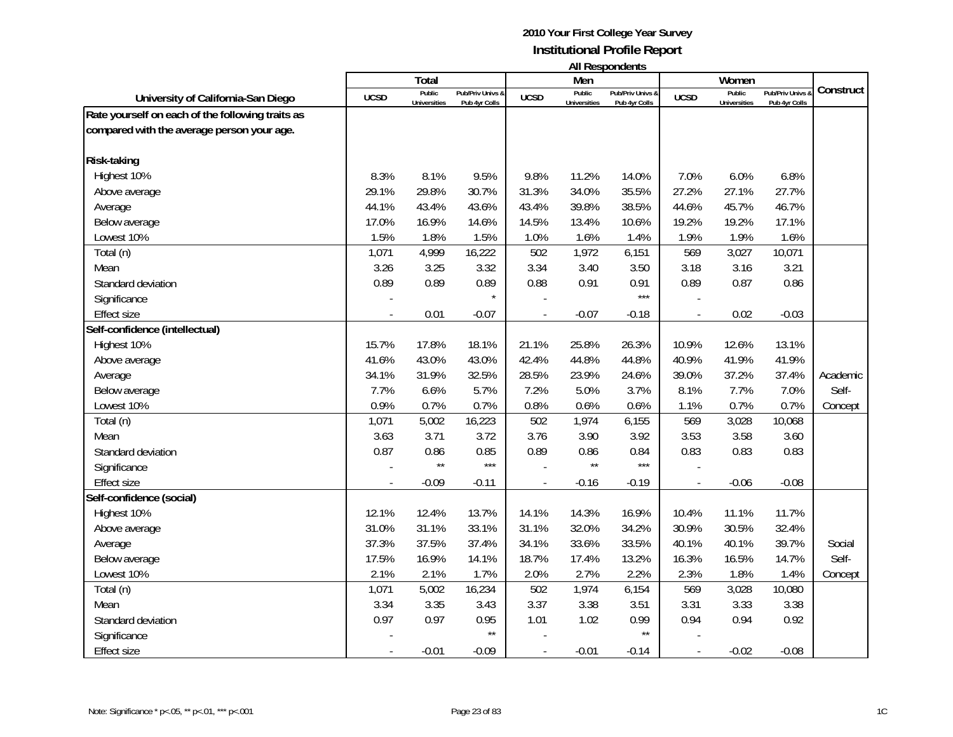| <b>All Respondents</b> |  |
|------------------------|--|
|------------------------|--|

|                                                  |             | Total                         |                                   |             | Men                           |                                   |                          | Women                         |                                 |           |
|--------------------------------------------------|-------------|-------------------------------|-----------------------------------|-------------|-------------------------------|-----------------------------------|--------------------------|-------------------------------|---------------------------------|-----------|
| University of California-San Diego               | <b>UCSD</b> | Public<br><b>Universities</b> | Pub/Priv Univs &<br>Pub 4yr Colls | <b>UCSD</b> | Public<br><b>Universities</b> | Pub/Priv Univs &<br>Pub 4yr Colls | <b>UCSD</b>              | Public<br><b>Universities</b> | Pub/Priv Univs<br>Pub 4yr Colls | Construct |
| Rate yourself on each of the following traits as |             |                               |                                   |             |                               |                                   |                          |                               |                                 |           |
| compared with the average person your age.       |             |                               |                                   |             |                               |                                   |                          |                               |                                 |           |
|                                                  |             |                               |                                   |             |                               |                                   |                          |                               |                                 |           |
| <b>Risk-taking</b>                               |             |                               |                                   |             |                               |                                   |                          |                               |                                 |           |
| Highest 10%                                      | 8.3%        | 8.1%                          | 9.5%                              | 9.8%        | 11.2%                         | 14.0%                             | 7.0%                     | 6.0%                          | 6.8%                            |           |
| Above average                                    | 29.1%       | 29.8%                         | 30.7%                             | 31.3%       | 34.0%                         | 35.5%                             | 27.2%                    | 27.1%                         | 27.7%                           |           |
| Average                                          | 44.1%       | 43.4%                         | 43.6%                             | 43.4%       | 39.8%                         | 38.5%                             | 44.6%                    | 45.7%                         | 46.7%                           |           |
| Below average                                    | 17.0%       | 16.9%                         | 14.6%                             | 14.5%       | 13.4%                         | 10.6%                             | 19.2%                    | 19.2%                         | 17.1%                           |           |
| Lowest 10%                                       | 1.5%        | 1.8%                          | 1.5%                              | 1.0%        | 1.6%                          | 1.4%                              | 1.9%                     | 1.9%                          | 1.6%                            |           |
| Total (n)                                        | 1,071       | 4,999                         | 16,222                            | 502         | 1,972                         | 6,151                             | 569                      | 3,027                         | 10,071                          |           |
| Mean                                             | 3.26        | 3.25                          | 3.32                              | 3.34        | 3.40                          | 3.50                              | 3.18                     | 3.16                          | 3.21                            |           |
| Standard deviation                               | 0.89        | 0.89                          | 0.89                              | 0.88        | 0.91                          | 0.91                              | 0.89                     | 0.87                          | 0.86                            |           |
| Significance                                     |             |                               | $\star$                           |             |                               | $***$                             |                          |                               |                                 |           |
| <b>Effect size</b>                               |             | 0.01                          | $-0.07$                           |             | $-0.07$                       | $-0.18$                           | $\overline{\phantom{a}}$ | 0.02                          | $-0.03$                         |           |
| Self-confidence (intellectual)                   |             |                               |                                   |             |                               |                                   |                          |                               |                                 |           |
| Highest 10%                                      | 15.7%       | 17.8%                         | 18.1%                             | 21.1%       | 25.8%                         | 26.3%                             | 10.9%                    | 12.6%                         | 13.1%                           |           |
| Above average                                    | 41.6%       | 43.0%                         | 43.0%                             | 42.4%       | 44.8%                         | 44.8%                             | 40.9%                    | 41.9%                         | 41.9%                           |           |
| Average                                          | 34.1%       | 31.9%                         | 32.5%                             | 28.5%       | 23.9%                         | 24.6%                             | 39.0%                    | 37.2%                         | 37.4%                           | Academic  |
| Below average                                    | 7.7%        | 6.6%                          | 5.7%                              | 7.2%        | 5.0%                          | 3.7%                              | 8.1%                     | 7.7%                          | 7.0%                            | Self-     |
| Lowest 10%                                       | 0.9%        | 0.7%                          | 0.7%                              | 0.8%        | 0.6%                          | 0.6%                              | 1.1%                     | 0.7%                          | 0.7%                            | Concept   |
| Total (n)                                        | 1,071       | 5,002                         | 16,223                            | 502         | 1,974                         | 6,155                             | 569                      | 3,028                         | 10,068                          |           |
| Mean                                             | 3.63        | 3.71                          | 3.72                              | 3.76        | 3.90                          | 3.92                              | 3.53                     | 3.58                          | 3.60                            |           |
| Standard deviation                               | 0.87        | 0.86                          | 0.85                              | 0.89        | 0.86                          | 0.84                              | 0.83                     | 0.83                          | 0.83                            |           |
| Significance                                     |             | $\star\star$                  | $***$                             |             | $\star\star$                  | $***$                             |                          |                               |                                 |           |
| <b>Effect size</b>                               |             | $-0.09$                       | $-0.11$                           |             | $-0.16$                       | $-0.19$                           |                          | $-0.06$                       | $-0.08$                         |           |
| Self-confidence (social)                         |             |                               |                                   |             |                               |                                   |                          |                               |                                 |           |
| Highest 10%                                      | 12.1%       | 12.4%                         | 13.7%                             | 14.1%       | 14.3%                         | 16.9%                             | 10.4%                    | 11.1%                         | 11.7%                           |           |
| Above average                                    | 31.0%       | 31.1%                         | 33.1%                             | 31.1%       | 32.0%                         | 34.2%                             | 30.9%                    | 30.5%                         | 32.4%                           |           |
| Average                                          | 37.3%       | 37.5%                         | 37.4%                             | 34.1%       | 33.6%                         | 33.5%                             | 40.1%                    | 40.1%                         | 39.7%                           | Social    |
| Below average                                    | 17.5%       | 16.9%                         | 14.1%                             | 18.7%       | 17.4%                         | 13.2%                             | 16.3%                    | 16.5%                         | 14.7%                           | Self-     |
| Lowest 10%                                       | 2.1%        | 2.1%                          | 1.7%                              | 2.0%        | 2.7%                          | 2.2%                              | 2.3%                     | 1.8%                          | 1.4%                            | Concept   |
| Total (n)                                        | 1,071       | 5,002                         | 16,234                            | 502         | 1,974                         | 6,154                             | 569                      | 3,028                         | 10,080                          |           |
| Mean                                             | 3.34        | 3.35                          | 3.43                              | 3.37        | 3.38                          | 3.51                              | 3.31                     | 3.33                          | 3.38                            |           |
| Standard deviation                               | 0.97        | 0.97                          | 0.95                              | 1.01        | 1.02                          | 0.99                              | 0.94                     | 0.94                          | 0.92                            |           |
| Significance                                     |             |                               | $\star\star$                      |             |                               | $\star\star$                      |                          |                               |                                 |           |
| Effect size                                      |             | $-0.01$                       | $-0.09$                           |             | $-0.01$                       | $-0.14$                           |                          | $-0.02$                       | $-0.08$                         |           |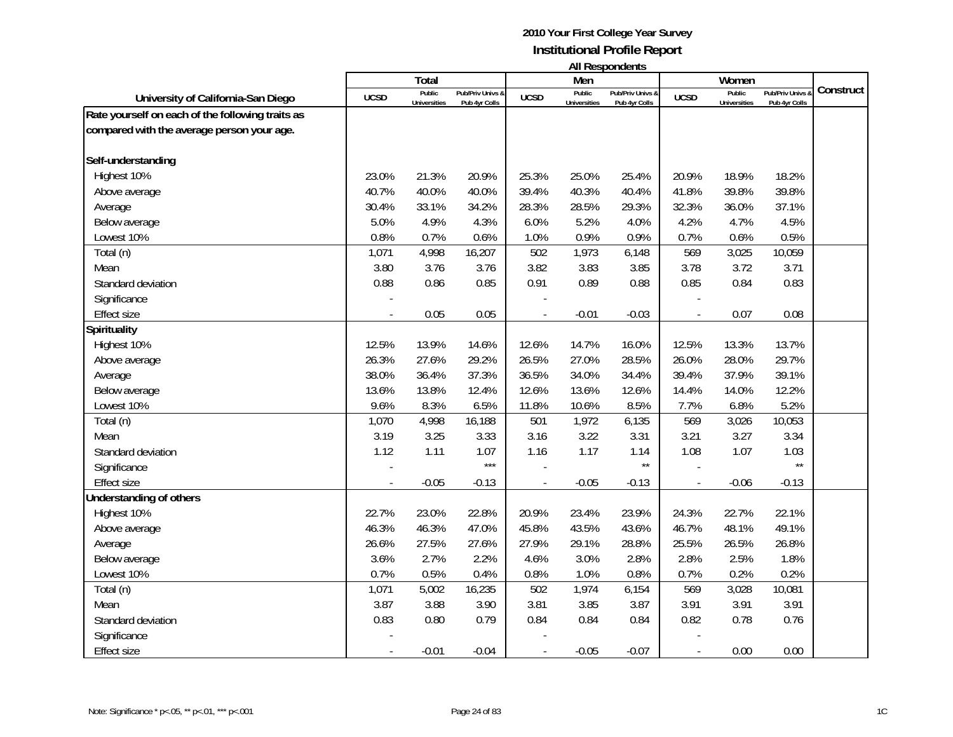|                                                  |             | Total                         |                                   |             | Men                           | ניוויוועטאניומייוויי              |             | Women                         |                                   |           |
|--------------------------------------------------|-------------|-------------------------------|-----------------------------------|-------------|-------------------------------|-----------------------------------|-------------|-------------------------------|-----------------------------------|-----------|
| University of California-San Diego               | <b>UCSD</b> | Public<br><b>Universities</b> | Pub/Priv Univs &<br>Pub 4yr Colls | <b>UCSD</b> | Public<br><b>Universities</b> | Pub/Priv Univs &<br>Pub 4yr Colls | <b>UCSD</b> | Public<br><b>Universities</b> | Pub/Priv Univs &<br>Pub 4yr Colls | Construct |
| Rate yourself on each of the following traits as |             |                               |                                   |             |                               |                                   |             |                               |                                   |           |
| compared with the average person your age.       |             |                               |                                   |             |                               |                                   |             |                               |                                   |           |
| Self-understanding                               |             |                               |                                   |             |                               |                                   |             |                               |                                   |           |
| Highest 10%                                      | 23.0%       | 21.3%                         | 20.9%                             | 25.3%       | 25.0%                         | 25.4%                             | 20.9%       | 18.9%                         | 18.2%                             |           |
| Above average                                    | 40.7%       | 40.0%                         | 40.0%                             | 39.4%       | 40.3%                         | 40.4%                             | 41.8%       | 39.8%                         | 39.8%                             |           |
| Average                                          | 30.4%       | 33.1%                         | 34.2%                             | 28.3%       | 28.5%                         | 29.3%                             | 32.3%       | 36.0%                         | 37.1%                             |           |
| Below average                                    | 5.0%        | 4.9%                          | 4.3%                              | 6.0%        | 5.2%                          | 4.0%                              | 4.2%        | 4.7%                          | 4.5%                              |           |
| Lowest 10%                                       | 0.8%        | 0.7%                          | 0.6%                              | 1.0%        | 0.9%                          | 0.9%                              | 0.7%        | 0.6%                          | 0.5%                              |           |
| Total (n)                                        | 1,071       | 4,998                         | 16,207                            | 502         | 1,973                         | 6,148                             | 569         | 3,025                         | 10,059                            |           |
| Mean                                             | 3.80        | 3.76                          | 3.76                              | 3.82        | 3.83                          | 3.85                              | 3.78        | 3.72                          | 3.71                              |           |
| Standard deviation                               | 0.88        | 0.86                          | 0.85                              | 0.91        | 0.89                          | 0.88                              | 0.85        | 0.84                          | 0.83                              |           |
| Significance                                     |             |                               |                                   |             |                               |                                   |             |                               |                                   |           |
| Effect size                                      |             | 0.05                          | 0.05                              |             | $-0.01$                       | $-0.03$                           |             | 0.07                          | 0.08                              |           |
| Spirituality                                     |             |                               |                                   |             |                               |                                   |             |                               |                                   |           |
| Highest 10%                                      | 12.5%       | 13.9%                         | 14.6%                             | 12.6%       | 14.7%                         | 16.0%                             | 12.5%       | 13.3%                         | 13.7%                             |           |
| Above average                                    | 26.3%       | 27.6%                         | 29.2%                             | 26.5%       | 27.0%                         | 28.5%                             | 26.0%       | 28.0%                         | 29.7%                             |           |
| Average                                          | 38.0%       | 36.4%                         | 37.3%                             | 36.5%       | 34.0%                         | 34.4%                             | 39.4%       | 37.9%                         | 39.1%                             |           |
| Below average                                    | 13.6%       | 13.8%                         | 12.4%                             | 12.6%       | 13.6%                         | 12.6%                             | 14.4%       | 14.0%                         | 12.2%                             |           |
| Lowest 10%                                       | 9.6%        | 8.3%                          | 6.5%                              | 11.8%       | 10.6%                         | 8.5%                              | 7.7%        | 6.8%                          | 5.2%                              |           |
| Total (n)                                        | 1,070       | 4,998                         | 16,188                            | 501         | 1,972                         | 6,135                             | 569         | 3,026                         | 10,053                            |           |
| Mean                                             | 3.19        | 3.25                          | 3.33                              | 3.16        | 3.22                          | 3.31                              | 3.21        | 3.27                          | 3.34                              |           |
| Standard deviation                               | 1.12        | 1.11                          | 1.07                              | 1.16        | 1.17                          | 1.14                              | 1.08        | 1.07                          | 1.03                              |           |
| Significance                                     |             |                               | $***$                             |             |                               | $\star\star$                      |             |                               | $\star\star$                      |           |
| <b>Effect size</b>                               |             | $-0.05$                       | $-0.13$                           |             | $-0.05$                       | $-0.13$                           |             | $-0.06$                       | $-0.13$                           |           |
| Understanding of others                          |             |                               |                                   |             |                               |                                   |             |                               |                                   |           |
| Highest 10%                                      | 22.7%       | 23.0%                         | 22.8%                             | 20.9%       | 23.4%                         | 23.9%                             | 24.3%       | 22.7%                         | 22.1%                             |           |
| Above average                                    | 46.3%       | 46.3%                         | 47.0%                             | 45.8%       | 43.5%                         | 43.6%                             | 46.7%       | 48.1%                         | 49.1%                             |           |
| Average                                          | 26.6%       | 27.5%                         | 27.6%                             | 27.9%       | 29.1%                         | 28.8%                             | 25.5%       | 26.5%                         | 26.8%                             |           |
| Below average                                    | 3.6%        | 2.7%                          | 2.2%                              | 4.6%        | 3.0%                          | 2.8%                              | 2.8%        | 2.5%                          | 1.8%                              |           |
| Lowest 10%                                       | 0.7%        | 0.5%                          | 0.4%                              | 0.8%        | 1.0%                          | 0.8%                              | 0.7%        | 0.2%                          | 0.2%                              |           |
| Total (n)                                        | 1,071       | 5,002                         | 16,235                            | 502         | 1,974                         | 6,154                             | 569         | 3,028                         | 10,081                            |           |
| Mean                                             | 3.87        | 3.88                          | 3.90                              | 3.81        | 3.85                          | 3.87                              | 3.91        | 3.91                          | 3.91                              |           |
| Standard deviation                               | 0.83        | 0.80                          | 0.79                              | 0.84        | 0.84                          | 0.84                              | 0.82        | 0.78                          | 0.76                              |           |
| Significance                                     |             |                               |                                   |             |                               |                                   |             |                               |                                   |           |
| <b>Effect size</b>                               |             | $-0.01$                       | $-0.04$                           |             | $-0.05$                       | $-0.07$                           |             | 0.00                          | 0.00                              |           |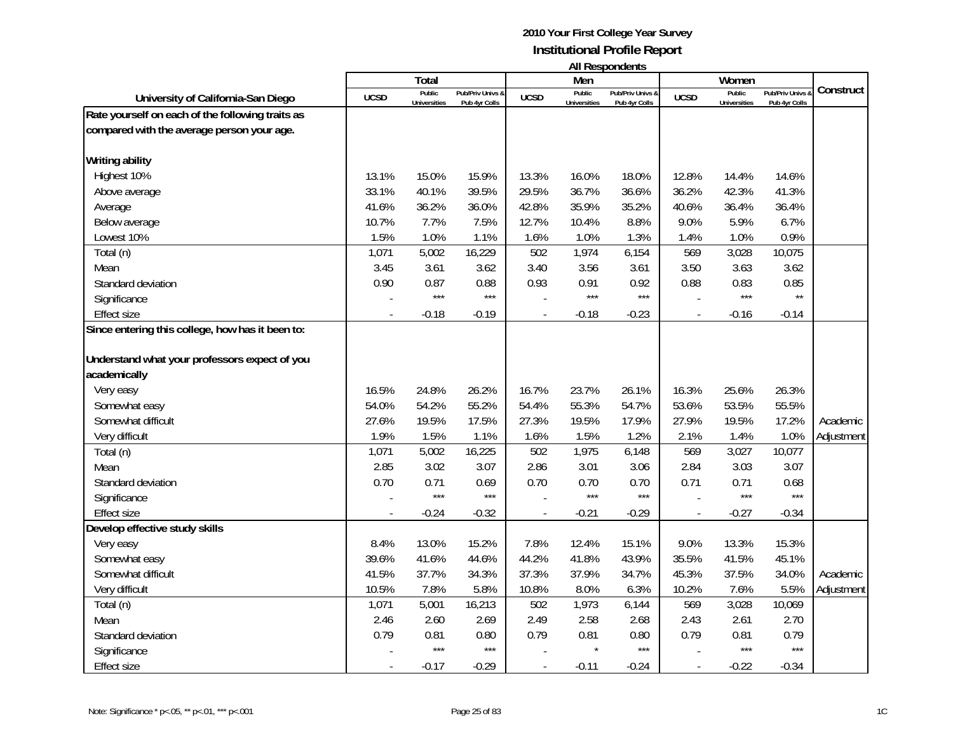| <b>All Respondents</b> |  |
|------------------------|--|
|------------------------|--|

|                                                  |                | Total                         |                                   |                | Men                           |                                   |                          | Women                         |                                 |            |
|--------------------------------------------------|----------------|-------------------------------|-----------------------------------|----------------|-------------------------------|-----------------------------------|--------------------------|-------------------------------|---------------------------------|------------|
| University of California-San Diego               | <b>UCSD</b>    | Public<br><b>Universities</b> | Pub/Priv Univs &<br>Pub 4yr Colls | <b>UCSD</b>    | Public<br><b>Universities</b> | Pub/Priv Univs &<br>Pub 4yr Colls | <b>UCSD</b>              | Public<br><b>Universities</b> | Pub/Priv Univs<br>Pub 4yr Colls | Construct  |
| Rate yourself on each of the following traits as |                |                               |                                   |                |                               |                                   |                          |                               |                                 |            |
| compared with the average person your age.       |                |                               |                                   |                |                               |                                   |                          |                               |                                 |            |
|                                                  |                |                               |                                   |                |                               |                                   |                          |                               |                                 |            |
| <b>Writing ability</b>                           |                |                               |                                   |                |                               |                                   |                          |                               |                                 |            |
| Highest 10%                                      | 13.1%          | 15.0%                         | 15.9%                             | 13.3%          | 16.0%                         | 18.0%                             | 12.8%                    | 14.4%                         | 14.6%                           |            |
| Above average                                    | 33.1%          | 40.1%                         | 39.5%                             | 29.5%          | 36.7%                         | 36.6%                             | 36.2%                    | 42.3%                         | 41.3%                           |            |
| Average                                          | 41.6%          | 36.2%                         | 36.0%                             | 42.8%          | 35.9%                         | 35.2%                             | 40.6%                    | 36.4%                         | 36.4%                           |            |
| Below average                                    | 10.7%          | 7.7%                          | 7.5%                              | 12.7%          | 10.4%                         | 8.8%                              | 9.0%                     | 5.9%                          | 6.7%                            |            |
| Lowest 10%                                       | 1.5%           | 1.0%                          | 1.1%                              | 1.6%           | 1.0%                          | 1.3%                              | 1.4%                     | 1.0%                          | 0.9%                            |            |
| Total (n)                                        | 1,071          | 5,002                         | 16,229                            | 502            | 1,974                         | 6,154                             | 569                      | 3,028                         | 10,075                          |            |
| Mean                                             | 3.45           | 3.61                          | 3.62                              | 3.40           | 3.56                          | 3.61                              | 3.50                     | 3.63                          | 3.62                            |            |
| Standard deviation                               | 0.90           | 0.87                          | 0.88                              | 0.93           | 0.91                          | 0.92                              | 0.88                     | 0.83                          | 0.85                            |            |
| Significance                                     |                | $***$                         | $***$                             |                | $***$                         | $***$                             |                          | $***$                         | $\star\star$                    |            |
| <b>Effect size</b>                               |                | $-0.18$                       | $-0.19$                           | $\overline{a}$ | $-0.18$                       | $-0.23$                           | $\overline{\phantom{a}}$ | $-0.16$                       | $-0.14$                         |            |
| Since entering this college, how has it been to: |                |                               |                                   |                |                               |                                   |                          |                               |                                 |            |
|                                                  |                |                               |                                   |                |                               |                                   |                          |                               |                                 |            |
| Understand what your professors expect of you    |                |                               |                                   |                |                               |                                   |                          |                               |                                 |            |
| academically                                     |                |                               |                                   |                |                               |                                   |                          |                               |                                 |            |
| Very easy                                        | 16.5%          | 24.8%                         | 26.2%                             | 16.7%          | 23.7%                         | 26.1%                             | 16.3%                    | 25.6%                         | 26.3%                           |            |
| Somewhat easy                                    | 54.0%          | 54.2%                         | 55.2%                             | 54.4%          | 55.3%                         | 54.7%                             | 53.6%                    | 53.5%                         | 55.5%                           |            |
| Somewhat difficult                               | 27.6%          | 19.5%                         | 17.5%                             | 27.3%          | 19.5%                         | 17.9%                             | 27.9%                    | 19.5%                         | 17.2%                           | Academic   |
| Very difficult                                   | 1.9%           | 1.5%                          | 1.1%                              | 1.6%           | 1.5%                          | 1.2%                              | 2.1%                     | 1.4%                          | 1.0%                            | Adjustment |
| Total (n)                                        | 1,071          | 5,002                         | 16,225                            | 502            | 1,975                         | 6,148                             | 569                      | 3,027                         | 10,077                          |            |
| Mean                                             | 2.85           | 3.02                          | 3.07                              | 2.86           | 3.01                          | 3.06                              | 2.84                     | 3.03                          | 3.07                            |            |
| Standard deviation                               | 0.70           | 0.71                          | 0.69                              | 0.70           | 0.70                          | 0.70                              | 0.71                     | 0.71                          | 0.68                            |            |
| Significance                                     |                | $***$                         | $***$                             |                | $***$                         | $***$                             |                          | $***$                         | $***$                           |            |
| <b>Effect size</b>                               |                | $-0.24$                       | $-0.32$                           |                | $-0.21$                       | $-0.29$                           |                          | $-0.27$                       | $-0.34$                         |            |
| Develop effective study skills                   |                |                               |                                   |                |                               |                                   |                          |                               |                                 |            |
| Very easy                                        | 8.4%           | 13.0%                         | 15.2%                             | 7.8%           | 12.4%                         | 15.1%                             | 9.0%                     | 13.3%                         | 15.3%                           |            |
| Somewhat easy                                    | 39.6%          | 41.6%                         | 44.6%                             | 44.2%          | 41.8%                         | 43.9%                             | 35.5%                    | 41.5%                         | 45.1%                           |            |
| Somewhat difficult                               | 41.5%          | 37.7%                         | 34.3%                             | 37.3%          | 37.9%                         | 34.7%                             | 45.3%                    | 37.5%                         | 34.0%                           | Academic   |
| Very difficult                                   | 10.5%          | 7.8%                          | 5.8%                              | 10.8%          | 8.0%                          | 6.3%                              | 10.2%                    | 7.6%                          | 5.5%                            | Adjustment |
| Total (n)                                        | 1,071          | 5,001                         | 16,213                            | 502            | 1,973                         | 6,144                             | 569                      | 3,028                         | 10,069                          |            |
| Mean                                             | 2.46           | 2.60                          | 2.69                              | 2.49           | 2.58                          | 2.68                              | 2.43                     | 2.61                          | 2.70                            |            |
| Standard deviation                               | 0.79           | 0.81                          | 0.80                              | 0.79           | 0.81                          | 0.80                              | 0.79                     | 0.81                          | 0.79                            |            |
| Significance                                     |                | $***$                         | $***$                             |                |                               | $***$                             |                          | $***$                         | $***$                           |            |
| <b>Effect size</b>                               | $\overline{a}$ | $-0.17$                       | $-0.29$                           | $\overline{a}$ | $-0.11$                       | $-0.24$                           | $\overline{\phantom{a}}$ | $-0.22$                       | $-0.34$                         |            |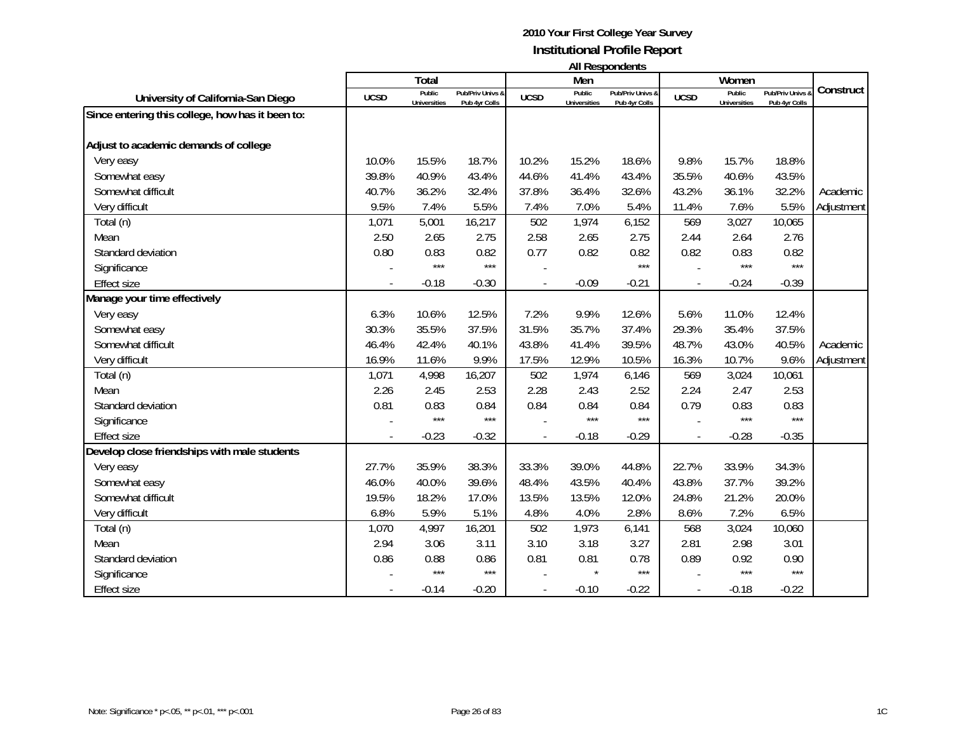| <b>All Respondents</b> |  |
|------------------------|--|
|------------------------|--|

|                                                  |                | Total                         |                                   |                | Men                           | טוויטאווטאפטרו וור                |                          | Women                         |                                 |            |
|--------------------------------------------------|----------------|-------------------------------|-----------------------------------|----------------|-------------------------------|-----------------------------------|--------------------------|-------------------------------|---------------------------------|------------|
| University of California-San Diego               | <b>UCSD</b>    | Public<br><b>Universities</b> | Pub/Priv Univs &<br>Pub 4yr Colls | <b>UCSD</b>    | Public<br><b>Universities</b> | Pub/Priv Univs &<br>Pub 4yr Colls | <b>UCSD</b>              | Public<br><b>Universities</b> | Pub/Priv Univs<br>Pub 4yr Colls | Construct  |
| Since entering this college, how has it been to: |                |                               |                                   |                |                               |                                   |                          |                               |                                 |            |
| Adjust to academic demands of college            |                |                               |                                   |                |                               |                                   |                          |                               |                                 |            |
| Very easy                                        | 10.0%          | 15.5%                         | 18.7%                             | 10.2%          | 15.2%                         | 18.6%                             | 9.8%                     | 15.7%                         | 18.8%                           |            |
| Somewhat easy                                    | 39.8%          | 40.9%                         | 43.4%                             | 44.6%          | 41.4%                         | 43.4%                             | 35.5%                    | 40.6%                         | 43.5%                           |            |
| Somewhat difficult                               | 40.7%          | 36.2%                         | 32.4%                             | 37.8%          | 36.4%                         | 32.6%                             | 43.2%                    | 36.1%                         | 32.2%                           | Academic   |
| Very difficult                                   | 9.5%           | 7.4%                          | 5.5%                              | 7.4%           | 7.0%                          | 5.4%                              | 11.4%                    | 7.6%                          | 5.5%                            | Adjustment |
| Total (n)                                        | 1,071          | 5,001                         | 16,217                            | 502            | 1,974                         | 6,152                             | 569                      | 3,027                         | 10,065                          |            |
| Mean                                             | 2.50           | 2.65                          | 2.75                              | 2.58           | 2.65                          | 2.75                              | 2.44                     | 2.64                          | 2.76                            |            |
| Standard deviation                               | 0.80           | 0.83                          | 0.82                              | 0.77           | 0.82                          | 0.82                              | 0.82                     | 0.83                          | 0.82                            |            |
| Significance                                     |                | $***$                         | $***$                             |                |                               | $***$                             |                          | ***                           | $***$                           |            |
| <b>Effect size</b>                               | $\overline{a}$ | $-0.18$                       | $-0.30$                           | $\blacksquare$ | $-0.09$                       | $-0.21$                           | $\blacksquare$           | $-0.24$                       | $-0.39$                         |            |
| Manage your time effectively                     |                |                               |                                   |                |                               |                                   |                          |                               |                                 |            |
| Very easy                                        | 6.3%           | 10.6%                         | 12.5%                             | 7.2%           | 9.9%                          | 12.6%                             | 5.6%                     | 11.0%                         | 12.4%                           |            |
| Somewhat easy                                    | 30.3%          | 35.5%                         | 37.5%                             | 31.5%          | 35.7%                         | 37.4%                             | 29.3%                    | 35.4%                         | 37.5%                           |            |
| Somewhat difficult                               | 46.4%          | 42.4%                         | 40.1%                             | 43.8%          | 41.4%                         | 39.5%                             | 48.7%                    | 43.0%                         | 40.5%                           | Academic   |
| Very difficult                                   | 16.9%          | 11.6%                         | 9.9%                              | 17.5%          | 12.9%                         | 10.5%                             | 16.3%                    | 10.7%                         | 9.6%                            | Adjustment |
| Total (n)                                        | 1,071          | 4,998                         | 16,207                            | 502            | 1,974                         | 6,146                             | 569                      | 3,024                         | 10,061                          |            |
| Mean                                             | 2.26           | 2.45                          | 2.53                              | 2.28           | 2.43                          | 2.52                              | 2.24                     | 2.47                          | 2.53                            |            |
| Standard deviation                               | 0.81           | 0.83                          | 0.84                              | 0.84           | 0.84                          | 0.84                              | 0.79                     | 0.83                          | 0.83                            |            |
| Significance                                     |                | $***$                         | $***$                             |                | $***$                         | $***$                             |                          | $***$                         | $***$                           |            |
| <b>Effect size</b>                               |                | $-0.23$                       | $-0.32$                           | $\overline{a}$ | $-0.18$                       | $-0.29$                           | $\overline{\phantom{a}}$ | $-0.28$                       | $-0.35$                         |            |
| Develop close friendships with male students     |                |                               |                                   |                |                               |                                   |                          |                               |                                 |            |
| Very easy                                        | 27.7%          | 35.9%                         | 38.3%                             | 33.3%          | 39.0%                         | 44.8%                             | 22.7%                    | 33.9%                         | 34.3%                           |            |
| Somewhat easy                                    | 46.0%          | 40.0%                         | 39.6%                             | 48.4%          | 43.5%                         | 40.4%                             | 43.8%                    | 37.7%                         | 39.2%                           |            |
| Somewhat difficult                               | 19.5%          | 18.2%                         | 17.0%                             | 13.5%          | 13.5%                         | 12.0%                             | 24.8%                    | 21.2%                         | 20.0%                           |            |
| Very difficult                                   | 6.8%           | 5.9%                          | 5.1%                              | 4.8%           | 4.0%                          | 2.8%                              | 8.6%                     | 7.2%                          | 6.5%                            |            |
| Total (n)                                        | 1,070          | 4,997                         | 16,201                            | 502            | 1,973                         | 6,141                             | 568                      | 3,024                         | 10,060                          |            |
| Mean                                             | 2.94           | 3.06                          | 3.11                              | 3.10           | 3.18                          | 3.27                              | 2.81                     | 2.98                          | 3.01                            |            |
| Standard deviation                               | 0.86           | 0.88                          | 0.86                              | 0.81           | 0.81                          | 0.78                              | 0.89                     | 0.92                          | 0.90                            |            |
| Significance                                     |                | $***$                         | $***$                             |                |                               | $***$                             |                          | $***$                         | $***$                           |            |
| <b>Effect size</b>                               |                | $-0.14$                       | $-0.20$                           |                | $-0.10$                       | $-0.22$                           |                          | $-0.18$                       | $-0.22$                         |            |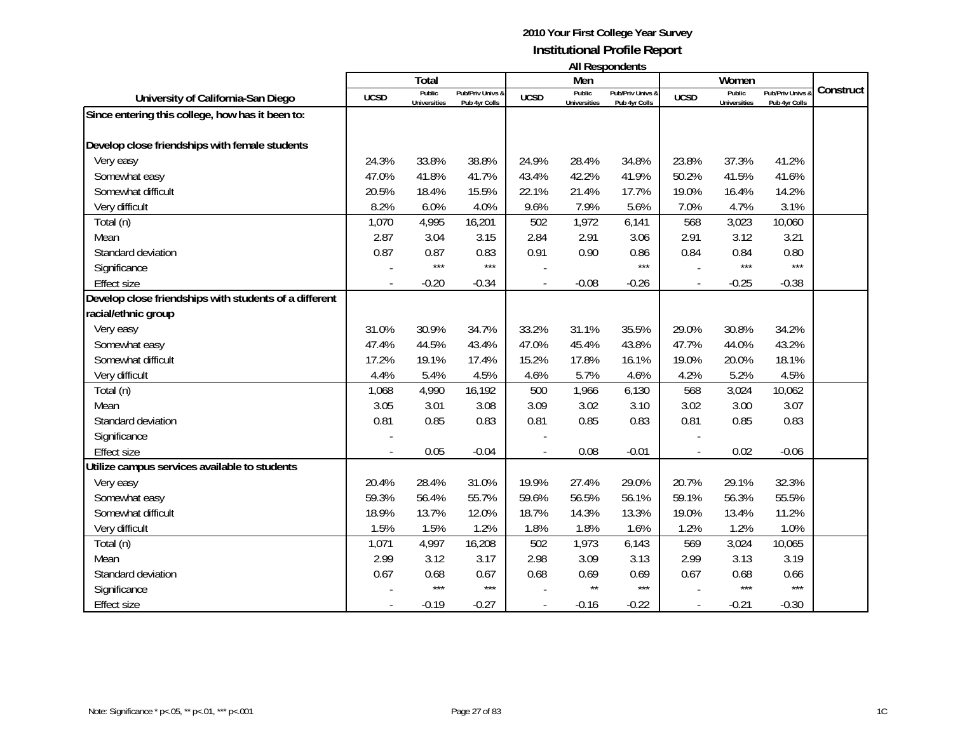|  |  | <b>All Respondents</b> |  |
|--|--|------------------------|--|
|--|--|------------------------|--|

|                                                        |             |                               |                                   |             |                               | AII Respondents                   |             |                               |                                 |           |
|--------------------------------------------------------|-------------|-------------------------------|-----------------------------------|-------------|-------------------------------|-----------------------------------|-------------|-------------------------------|---------------------------------|-----------|
|                                                        |             | Total                         |                                   |             | Men                           |                                   |             | Women                         |                                 | Construct |
| University of California-San Diego                     | <b>UCSD</b> | Public<br><b>Universities</b> | Pub/Priv Univs &<br>Pub 4yr Colls | <b>UCSD</b> | Public<br><b>Universities</b> | Pub/Priv Univs &<br>Pub 4yr Colls | <b>UCSD</b> | Public<br><b>Universities</b> | Pub/Priv Univs<br>Pub 4yr Colls |           |
| Since entering this college, how has it been to:       |             |                               |                                   |             |                               |                                   |             |                               |                                 |           |
| Develop close friendships with female students         |             |                               |                                   |             |                               |                                   |             |                               |                                 |           |
| Very easy                                              | 24.3%       | 33.8%                         | 38.8%                             | 24.9%       | 28.4%                         | 34.8%                             | 23.8%       | 37.3%                         | 41.2%                           |           |
| Somewhat easy                                          | 47.0%       | 41.8%                         | 41.7%                             | 43.4%       | 42.2%                         | 41.9%                             | 50.2%       | 41.5%                         | 41.6%                           |           |
| Somewhat difficult                                     | 20.5%       | 18.4%                         | 15.5%                             | 22.1%       | 21.4%                         | 17.7%                             | 19.0%       | 16.4%                         | 14.2%                           |           |
| Very difficult                                         | 8.2%        | 6.0%                          | 4.0%                              | 9.6%        | 7.9%                          | 5.6%                              | 7.0%        | 4.7%                          | 3.1%                            |           |
|                                                        | 1,070       | 4,995                         |                                   | 502         | 1,972                         |                                   | 568         |                               |                                 |           |
| Total (n)                                              |             |                               | 16,201                            |             |                               | 6,141                             |             | 3,023                         | 10,060                          |           |
| Mean                                                   | 2.87        | 3.04                          | 3.15                              | 2.84        | 2.91                          | 3.06                              | 2.91        | 3.12                          | 3.21                            |           |
| Standard deviation                                     | 0.87        | 0.87<br>$***$                 | 0.83<br>$***$                     | 0.91        | 0.90                          | 0.86<br>***                       | 0.84        | 0.84<br>$***$                 | 0.80<br>$***$                   |           |
| Significance                                           |             |                               |                                   |             |                               |                                   |             |                               |                                 |           |
| <b>Effect size</b>                                     |             | $-0.20$                       | $-0.34$                           |             | $-0.08$                       | $-0.26$                           |             | $-0.25$                       | $-0.38$                         |           |
| Develop close friendships with students of a different |             |                               |                                   |             |                               |                                   |             |                               |                                 |           |
| racial/ethnic group                                    |             |                               |                                   |             |                               |                                   |             |                               |                                 |           |
| Very easy                                              | 31.0%       | 30.9%                         | 34.7%                             | 33.2%       | 31.1%                         | 35.5%                             | 29.0%       | 30.8%                         | 34.2%                           |           |
| Somewhat easy                                          | 47.4%       | 44.5%                         | 43.4%                             | 47.0%       | 45.4%                         | 43.8%                             | 47.7%       | 44.0%                         | 43.2%                           |           |
| Somewhat difficult                                     | 17.2%       | 19.1%                         | 17.4%                             | 15.2%       | 17.8%                         | 16.1%                             | 19.0%       | 20.0%                         | 18.1%                           |           |
| Very difficult                                         | 4.4%        | 5.4%                          | 4.5%                              | 4.6%        | 5.7%                          | 4.6%                              | 4.2%        | 5.2%                          | 4.5%                            |           |
| Total (n)                                              | 1,068       | 4,990                         | 16,192                            | 500         | 1,966                         | 6,130                             | 568         | 3,024                         | 10,062                          |           |
| Mean                                                   | 3.05        | 3.01                          | 3.08                              | 3.09        | 3.02                          | 3.10                              | 3.02        | 3.00                          | 3.07                            |           |
| Standard deviation                                     | 0.81        | 0.85                          | 0.83                              | 0.81        | 0.85                          | 0.83                              | 0.81        | 0.85                          | 0.83                            |           |
| Significance                                           |             |                               |                                   |             |                               |                                   |             |                               |                                 |           |
| Effect size                                            |             | 0.05                          | $-0.04$                           |             | 0.08                          | $-0.01$                           |             | 0.02                          | $-0.06$                         |           |
| Utilize campus services available to students          |             |                               |                                   |             |                               |                                   |             |                               |                                 |           |
| Very easy                                              | 20.4%       | 28.4%                         | 31.0%                             | 19.9%       | 27.4%                         | 29.0%                             | 20.7%       | 29.1%                         | 32.3%                           |           |
| Somewhat easy                                          | 59.3%       | 56.4%                         | 55.7%                             | 59.6%       | 56.5%                         | 56.1%                             | 59.1%       | 56.3%                         | 55.5%                           |           |
| Somewhat difficult                                     | 18.9%       | 13.7%                         | 12.0%                             | 18.7%       | 14.3%                         | 13.3%                             | 19.0%       | 13.4%                         | 11.2%                           |           |
| Very difficult                                         | 1.5%        | 1.5%                          | 1.2%                              | 1.8%        | 1.8%                          | 1.6%                              | 1.2%        | 1.2%                          | 1.0%                            |           |
| Total (n)                                              | 1,071       | 4,997                         | 16,208                            | 502         | 1,973                         | 6,143                             | 569         | 3,024                         | 10,065                          |           |
| Mean                                                   | 2.99        | 3.12                          | 3.17                              | 2.98        | 3.09                          | 3.13                              | 2.99        | 3.13                          | 3.19                            |           |
| Standard deviation                                     | 0.67        | 0.68                          | 0.67                              | 0.68        | 0.69                          | 0.69                              | 0.67        | 0.68                          | 0.66                            |           |
| Significance                                           |             | $***$                         | $***$                             |             | $\star\star$                  | $***$                             |             | $***$                         | $***$                           |           |
| <b>Effect size</b>                                     |             | $-0.19$                       | $-0.27$                           |             | $-0.16$                       | $-0.22$                           |             | $-0.21$                       | $-0.30$                         |           |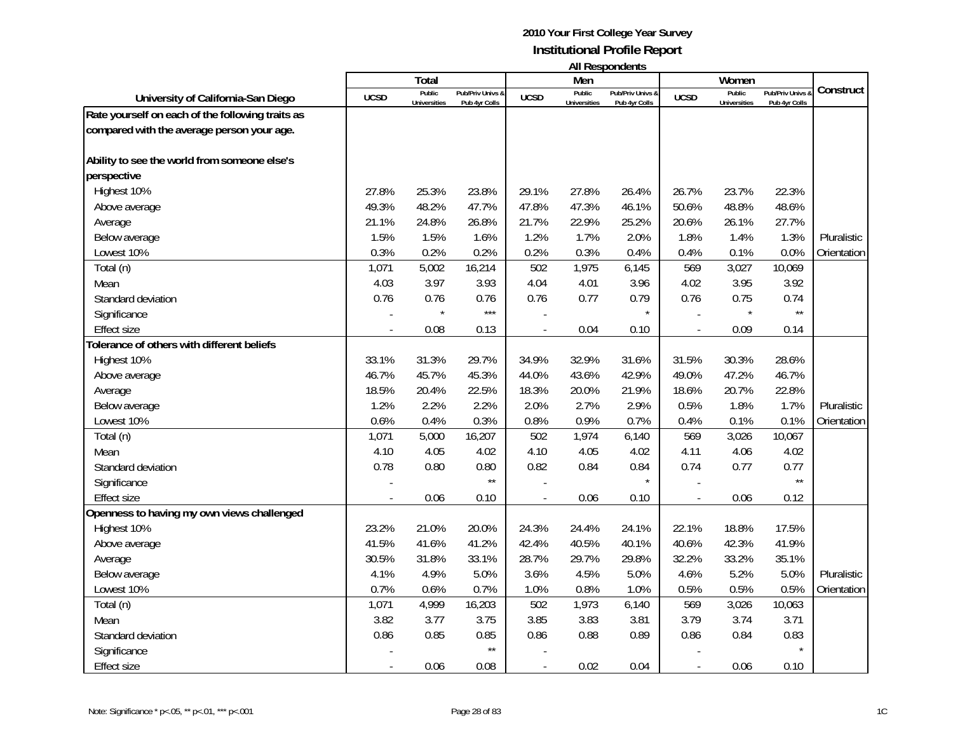|                                                  |             | Total                         |                                   |             | Men                           | טווישטווטעכטוו ווו                |             | Women                         |                                   |             |
|--------------------------------------------------|-------------|-------------------------------|-----------------------------------|-------------|-------------------------------|-----------------------------------|-------------|-------------------------------|-----------------------------------|-------------|
| University of California-San Diego               | <b>UCSD</b> | Public<br><b>Universities</b> | Pub/Priv Univs &<br>Pub 4yr Colls | <b>UCSD</b> | Public<br><b>Universities</b> | Pub/Priv Univs &<br>Pub 4yr Colls | <b>UCSD</b> | Public<br><b>Universities</b> | Pub/Priv Univs &<br>Pub 4yr Colls | Construct   |
| Rate yourself on each of the following traits as |             |                               |                                   |             |                               |                                   |             |                               |                                   |             |
| compared with the average person your age.       |             |                               |                                   |             |                               |                                   |             |                               |                                   |             |
|                                                  |             |                               |                                   |             |                               |                                   |             |                               |                                   |             |
| Ability to see the world from someone else's     |             |                               |                                   |             |                               |                                   |             |                               |                                   |             |
| perspective                                      |             |                               |                                   |             |                               |                                   |             |                               |                                   |             |
| Highest 10%                                      | 27.8%       | 25.3%                         | 23.8%                             | 29.1%       | 27.8%                         | 26.4%                             | 26.7%       | 23.7%                         | 22.3%                             |             |
| Above average                                    | 49.3%       | 48.2%                         | 47.7%                             | 47.8%       | 47.3%                         | 46.1%                             | 50.6%       | 48.8%                         | 48.6%                             |             |
| Average                                          | 21.1%       | 24.8%                         | 26.8%                             | 21.7%       | 22.9%                         | 25.2%                             | 20.6%       | 26.1%                         | 27.7%                             |             |
| Below average                                    | 1.5%        | 1.5%                          | 1.6%                              | 1.2%        | 1.7%                          | 2.0%                              | 1.8%        | 1.4%                          | 1.3%                              | Pluralistic |
| Lowest 10%                                       | 0.3%        | 0.2%                          | 0.2%                              | 0.2%        | 0.3%                          | 0.4%                              | 0.4%        | 0.1%                          | 0.0%                              | Orientation |
| Total (n)                                        | 1,071       | 5,002                         | 16,214                            | 502         | 1,975                         | 6,145                             | 569         | 3,027                         | 10,069                            |             |
| Mean                                             | 4.03        | 3.97                          | 3.93                              | 4.04        | 4.01                          | 3.96                              | 4.02        | 3.95                          | 3.92                              |             |
| Standard deviation                               | 0.76        | 0.76                          | 0.76                              | 0.76        | 0.77                          | 0.79                              | 0.76        | 0.75                          | 0.74                              |             |
| Significance                                     |             |                               | $***$                             |             |                               | $\star$                           |             |                               | $\star\star$                      |             |
| <b>Effect size</b>                               |             | 0.08                          | 0.13                              |             | 0.04                          | 0.10                              | ÷,          | 0.09                          | 0.14                              |             |
| Tolerance of others with different beliefs       |             |                               |                                   |             |                               |                                   |             |                               |                                   |             |
| Highest 10%                                      | 33.1%       | 31.3%                         | 29.7%                             | 34.9%       | 32.9%                         | 31.6%                             | 31.5%       | 30.3%                         | 28.6%                             |             |
| Above average                                    | 46.7%       | 45.7%                         | 45.3%                             | 44.0%       | 43.6%                         | 42.9%                             | 49.0%       | 47.2%                         | 46.7%                             |             |
| Average                                          | 18.5%       | 20.4%                         | 22.5%                             | 18.3%       | 20.0%                         | 21.9%                             | 18.6%       | 20.7%                         | 22.8%                             |             |
| Below average                                    | 1.2%        | 2.2%                          | 2.2%                              | 2.0%        | 2.7%                          | 2.9%                              | 0.5%        | 1.8%                          | 1.7%                              | Pluralistic |
| Lowest 10%                                       | 0.6%        | 0.4%                          | 0.3%                              | 0.8%        | 0.9%                          | 0.7%                              | 0.4%        | 0.1%                          | 0.1%                              | Orientation |
| Total (n)                                        | 1,071       | 5,000                         | 16,207                            | 502         | 1,974                         | 6,140                             | 569         | 3,026                         | 10,067                            |             |
| Mean                                             | 4.10        | 4.05                          | 4.02                              | 4.10        | 4.05                          | 4.02                              | 4.11        | 4.06                          | 4.02                              |             |
| Standard deviation                               | 0.78        | 0.80                          | 0.80                              | 0.82        | 0.84                          | 0.84                              | 0.74        | 0.77                          | 0.77                              |             |
| Significance                                     |             |                               | $\star\star$                      |             |                               | $\star$                           |             |                               | $\star\star$                      |             |
| <b>Effect size</b>                               |             | 0.06                          | 0.10                              |             | 0.06                          | 0.10                              |             | 0.06                          | 0.12                              |             |
| Openness to having my own views challenged       |             |                               |                                   |             |                               |                                   |             |                               |                                   |             |
| Highest 10%                                      | 23.2%       | 21.0%                         | 20.0%                             | 24.3%       | 24.4%                         | 24.1%                             | 22.1%       | 18.8%                         | 17.5%                             |             |
| Above average                                    | 41.5%       | 41.6%                         | 41.2%                             | 42.4%       | 40.5%                         | 40.1%                             | 40.6%       | 42.3%                         | 41.9%                             |             |
| Average                                          | 30.5%       | 31.8%                         | 33.1%                             | 28.7%       | 29.7%                         | 29.8%                             | 32.2%       | 33.2%                         | 35.1%                             |             |
| Below average                                    | 4.1%        | 4.9%                          | 5.0%                              | 3.6%        | 4.5%                          | 5.0%                              | 4.6%        | 5.2%                          | 5.0%                              | Pluralistic |
| Lowest 10%                                       | 0.7%        | 0.6%                          | 0.7%                              | 1.0%        | 0.8%                          | 1.0%                              | 0.5%        | 0.5%                          | 0.5%                              | Orientation |
| Total (n)                                        | 1,071       | 4,999                         | 16,203                            | 502         | 1,973                         | 6,140                             | 569         | 3,026                         | 10,063                            |             |
| Mean                                             | 3.82        | 3.77                          | 3.75                              | 3.85        | 3.83                          | 3.81                              | 3.79        | 3.74                          | 3.71                              |             |
| Standard deviation                               | 0.86        | 0.85                          | 0.85                              | 0.86        | 0.88                          | 0.89                              | 0.86        | 0.84                          | 0.83                              |             |
| Significance                                     |             |                               | $\star\star$                      |             |                               |                                   |             |                               |                                   |             |
| <b>Effect size</b>                               |             | 0.06                          | 0.08                              |             | 0.02                          | 0.04                              |             | 0.06                          | 0.10                              |             |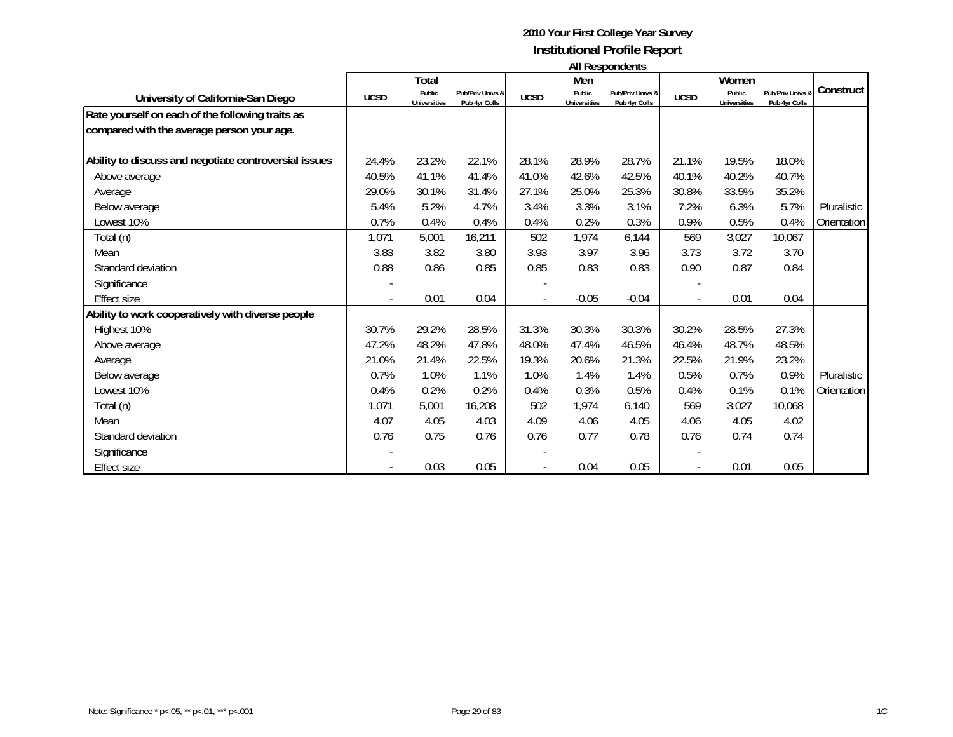#### **2010 Your First College Year Survey Institutional Profile Report All Respondents**

|                                                       |             |                               |                                   |             |                               | , ,,, ,,v,pv,,wv,,                |             | Women                         |                                   |             |
|-------------------------------------------------------|-------------|-------------------------------|-----------------------------------|-------------|-------------------------------|-----------------------------------|-------------|-------------------------------|-----------------------------------|-------------|
|                                                       | Total       |                               |                                   |             | Men                           |                                   |             |                               |                                   |             |
| University of California-San Diego                    | <b>UCSD</b> | Public<br><b>Universities</b> | Pub/Priv Univs &<br>Pub 4yr Colls | <b>UCSD</b> | Public<br><b>Universities</b> | Pub/Priv Univs &<br>Pub 4yr Colls | <b>UCSD</b> | Public<br><b>Universities</b> | Pub/Priv Univs &<br>Pub 4yr Colls | Construct   |
| Rate yourself on each of the following traits as      |             |                               |                                   |             |                               |                                   |             |                               |                                   |             |
| compared with the average person your age.            |             |                               |                                   |             |                               |                                   |             |                               |                                   |             |
| Ability to discuss and negotiate controversial issues | 24.4%       | 23.2%                         | 22.1%                             | 28.1%       | 28.9%                         | 28.7%                             | 21.1%       | 19.5%                         | 18.0%                             |             |
| Above average                                         | 40.5%       | 41.1%                         | 41.4%                             | 41.0%       | 42.6%                         | 42.5%                             | 40.1%       | 40.2%                         | 40.7%                             |             |
| Average                                               | 29.0%       | 30.1%                         | 31.4%                             | 27.1%       | 25.0%                         | 25.3%                             | 30.8%       | 33.5%                         | 35.2%                             |             |
| Below average                                         | 5.4%        | 5.2%                          | 4.7%                              | 3.4%        | 3.3%                          | 3.1%                              | 7.2%        | 6.3%                          | 5.7%                              | Pluralistic |
| Lowest 10%                                            | 0.7%        | 0.4%                          | 0.4%                              | 0.4%        | 0.2%                          | 0.3%                              | 0.9%        | 0.5%                          | 0.4%                              | Orientation |
| Total (n)                                             | 1,071       | 5,001                         | 16,211                            | 502         | 1,974                         | 6,144                             | 569         | 3,027                         | 10,067                            |             |
| Mean                                                  | 3.83        | 3.82                          | 3.80                              | 3.93        | 3.97                          | 3.96                              | 3.73        | 3.72                          | 3.70                              |             |
| Standard deviation                                    | 0.88        | 0.86                          | 0.85                              | 0.85        | 0.83                          | 0.83                              | 0.90        | 0.87                          | 0.84                              |             |
| Significance                                          |             |                               |                                   |             |                               |                                   |             |                               |                                   |             |
| <b>Effect size</b>                                    |             | 0.01                          | 0.04                              |             | $-0.05$                       | $-0.04$                           |             | 0.01                          | 0.04                              |             |
| Ability to work cooperatively with diverse people     |             |                               |                                   |             |                               |                                   |             |                               |                                   |             |
| Highest 10%                                           | 30.7%       | 29.2%                         | 28.5%                             | 31.3%       | 30.3%                         | 30.3%                             | 30.2%       | 28.5%                         | 27.3%                             |             |
| Above average                                         | 47.2%       | 48.2%                         | 47.8%                             | 48.0%       | 47.4%                         | 46.5%                             | 46.4%       | 48.7%                         | 48.5%                             |             |
| Average                                               | 21.0%       | 21.4%                         | 22.5%                             | 19.3%       | 20.6%                         | 21.3%                             | 22.5%       | 21.9%                         | 23.2%                             |             |
| Below average                                         | 0.7%        | 1.0%                          | 1.1%                              | 1.0%        | 1.4%                          | 1.4%                              | 0.5%        | 0.7%                          | 0.9%                              | Pluralistic |
| Lowest 10%                                            | 0.4%        | 0.2%                          | 0.2%                              | 0.4%        | 0.3%                          | 0.5%                              | 0.4%        | 0.1%                          | 0.1%                              | Orientation |
| Total (n)                                             | 1,071       | 5,001                         | 16,208                            | 502         | 1,974                         | 6,140                             | 569         | 3,027                         | 10,068                            |             |
| Mean                                                  | 4.07        | 4.05                          | 4.03                              | 4.09        | 4.06                          | 4.05                              | 4.06        | 4.05                          | 4.02                              |             |
| Standard deviation                                    | 0.76        | 0.75                          | 0.76                              | 0.76        | 0.77                          | 0.78                              | 0.76        | 0.74                          | 0.74                              |             |
| Significance                                          |             |                               |                                   |             |                               |                                   |             |                               |                                   |             |
| <b>Effect size</b>                                    |             | 0.03                          | 0.05                              |             | 0.04                          | 0.05                              |             | 0.01                          | 0.05                              |             |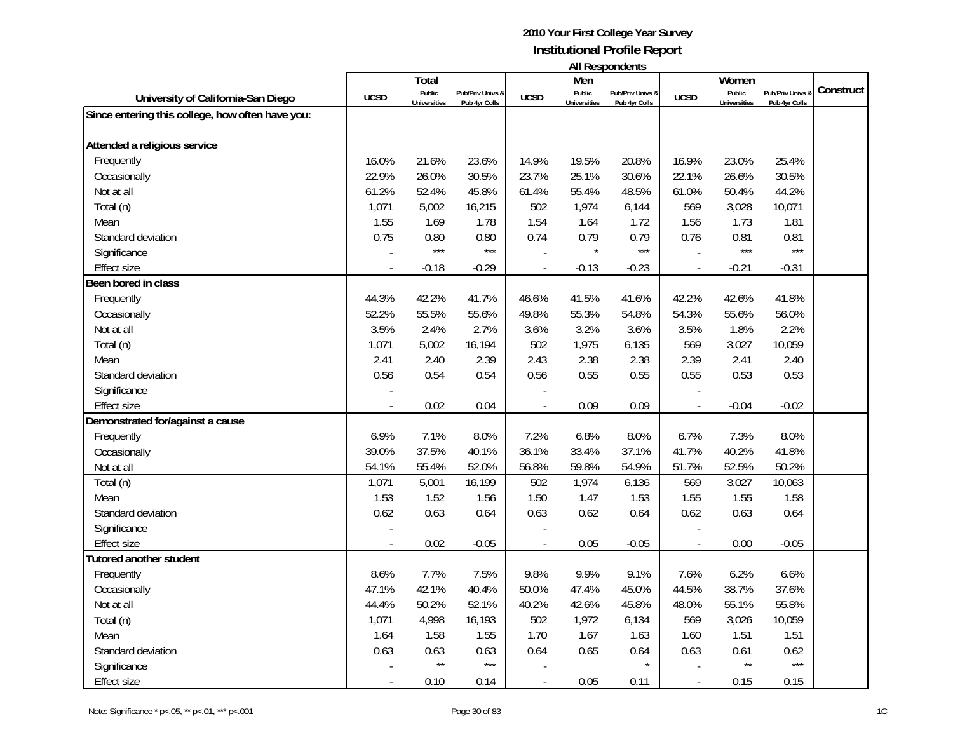| <b>All Respondents</b> |  |
|------------------------|--|
|------------------------|--|

|                                                  |                | Total               |                  |                | Men                 | בוו ולהוטעכטוו ווח |                          | Women               |                  |           |
|--------------------------------------------------|----------------|---------------------|------------------|----------------|---------------------|--------------------|--------------------------|---------------------|------------------|-----------|
|                                                  | <b>UCSD</b>    | Public              | Pub/Priv Univs & | <b>UCSD</b>    | Public              | Pub/Priv Univs &   | <b>UCSD</b>              | Public              | Pub/Priv Univs & | Construct |
| University of California-San Diego               |                | <b>Universities</b> | Pub 4yr Colls    |                | <b>Universities</b> | Pub 4yr Colls      |                          | <b>Universities</b> | Pub 4yr Colls    |           |
| Since entering this college, how often have you: |                |                     |                  |                |                     |                    |                          |                     |                  |           |
| Attended a religious service                     |                |                     |                  |                |                     |                    |                          |                     |                  |           |
| Frequently                                       | 16.0%          | 21.6%               | 23.6%            | 14.9%          | 19.5%               | 20.8%              | 16.9%                    | 23.0%               | 25.4%            |           |
| Occasionally                                     | 22.9%          | 26.0%               | 30.5%            | 23.7%          | 25.1%               | 30.6%              | 22.1%                    | 26.6%               | 30.5%            |           |
| Not at all                                       | 61.2%          | 52.4%               | 45.8%            | 61.4%          | 55.4%               | 48.5%              | 61.0%                    | 50.4%               | 44.2%            |           |
| Total (n)                                        | 1,071          | 5,002               | 16,215           | 502            | 1,974               | 6,144              | 569                      | 3,028               | 10,071           |           |
| Mean                                             | 1.55           | 1.69                | 1.78             | 1.54           | 1.64                | 1.72               | 1.56                     | 1.73                | 1.81             |           |
| Standard deviation                               | 0.75           | 0.80                | 0.80             | 0.74           | 0.79                | 0.79               | 0.76                     | 0.81                | 0.81             |           |
| Significance                                     |                | $***$               | $***$            |                | $\star$             | $***$              |                          | $***$               | $***$            |           |
| Effect size                                      | $\overline{a}$ | $-0.18$             | $-0.29$          | $\blacksquare$ | $-0.13$             | $-0.23$            | $\blacksquare$           | $-0.21$             | $-0.31$          |           |
| Been bored in class                              |                |                     |                  |                |                     |                    |                          |                     |                  |           |
| Frequently                                       | 44.3%          | 42.2%               | 41.7%            | 46.6%          | 41.5%               | 41.6%              | 42.2%                    | 42.6%               | 41.8%            |           |
| Occasionally                                     | 52.2%          | 55.5%               | 55.6%            | 49.8%          | 55.3%               | 54.8%              | 54.3%                    | 55.6%               | 56.0%            |           |
| Not at all                                       | 3.5%           | 2.4%                | 2.7%             | 3.6%           | 3.2%                | 3.6%               | 3.5%                     | 1.8%                | 2.2%             |           |
| Total (n)                                        | 1,071          | 5,002               | 16,194           | 502            | 1,975               | 6,135              | 569                      | 3,027               | 10,059           |           |
| Mean                                             | 2.41           | 2.40                | 2.39             | 2.43           | 2.38                | 2.38               | 2.39                     | 2.41                | 2.40             |           |
| Standard deviation                               | 0.56           | 0.54                | 0.54             | 0.56           | 0.55                | 0.55               | 0.55                     | 0.53                | 0.53             |           |
| Significance                                     |                |                     |                  |                |                     |                    |                          |                     |                  |           |
| <b>Effect size</b>                               |                | 0.02                | 0.04             |                | 0.09                | 0.09               |                          | $-0.04$             | $-0.02$          |           |
| Demonstrated for/against a cause                 |                |                     |                  |                |                     |                    |                          |                     |                  |           |
| Frequently                                       | 6.9%           | 7.1%                | 8.0%             | 7.2%           | 6.8%                | 8.0%               | 6.7%                     | 7.3%                | 8.0%             |           |
| Occasionally                                     | 39.0%          | 37.5%               | 40.1%            | 36.1%          | 33.4%               | 37.1%              | 41.7%                    | 40.2%               | 41.8%            |           |
| Not at all                                       | 54.1%          | 55.4%               | 52.0%            | 56.8%          | 59.8%               | 54.9%              | 51.7%                    | 52.5%               | 50.2%            |           |
| Total (n)                                        | 1,071          | 5,001               | 16,199           | 502            | 1,974               | 6,136              | 569                      | 3,027               | 10,063           |           |
| Mean                                             | 1.53           | 1.52                | 1.56             | 1.50           | 1.47                | 1.53               | 1.55                     | 1.55                | 1.58             |           |
| Standard deviation                               | 0.62           | 0.63                | 0.64             | 0.63           | 0.62                | 0.64               | 0.62                     | 0.63                | 0.64             |           |
| Significance                                     |                |                     |                  |                |                     |                    |                          |                     |                  |           |
| Effect size                                      | $\overline{a}$ | 0.02                | $-0.05$          |                | 0.05                | $-0.05$            | $\overline{\phantom{a}}$ | 0.00                | $-0.05$          |           |
| <b>Tutored another student</b>                   |                |                     |                  |                |                     |                    |                          |                     |                  |           |
| Frequently                                       | 8.6%           | 7.7%                | 7.5%             | 9.8%           | 9.9%                | 9.1%               | 7.6%                     | 6.2%                | 6.6%             |           |
| Occasionally                                     | 47.1%          | 42.1%               | 40.4%            | 50.0%          | 47.4%               | 45.0%              | 44.5%                    | 38.7%               | 37.6%            |           |
| Not at all                                       | 44.4%          | 50.2%               | 52.1%            | 40.2%          | 42.6%               | 45.8%              | 48.0%                    | 55.1%               | 55.8%            |           |
| Total (n)                                        | 1,071          | 4,998               | 16,193           | 502            | 1,972               | 6,134              | 569                      | 3,026               | 10,059           |           |
| Mean                                             | 1.64           | 1.58                | 1.55             | 1.70           | 1.67                | 1.63               | 1.60                     | 1.51                | 1.51             |           |
| Standard deviation                               | 0.63           | 0.63                | 0.63             | 0.64           | 0.65                | 0.64               | 0.63                     | 0.61                | 0.62             |           |
| Significance                                     |                | $\star\star$        | $***$            |                |                     |                    |                          | $\star\star$        | $***$            |           |
| Effect size                                      | $\overline{a}$ | 0.10                | 0.14             |                | 0.05                | 0.11               | $\overline{\phantom{a}}$ | 0.15                | 0.15             |           |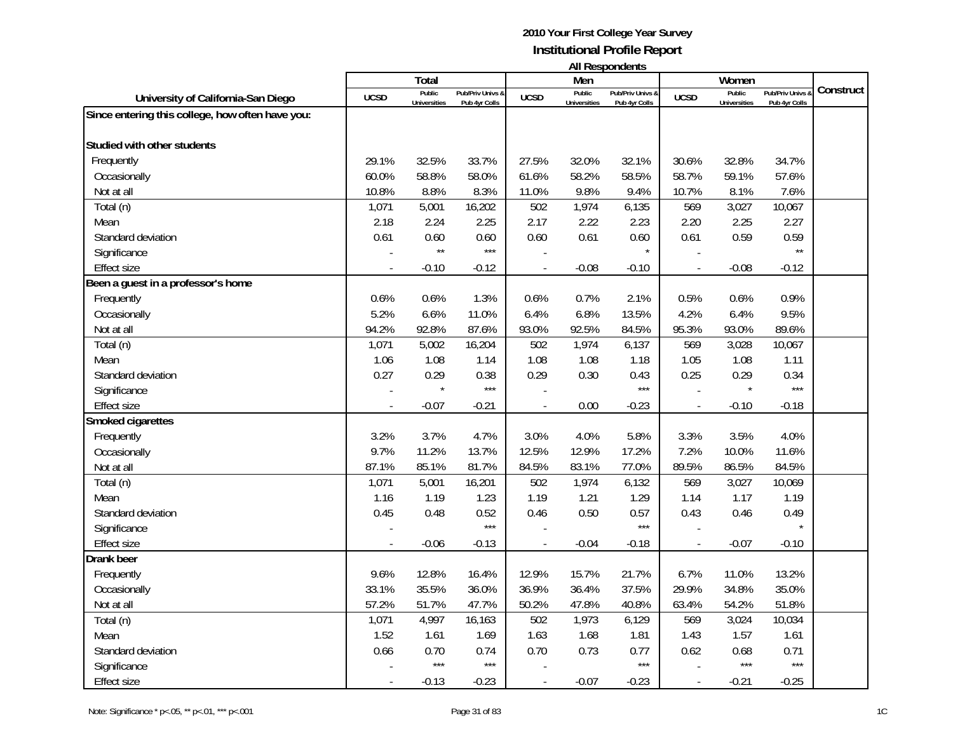| <b>All Respondents</b> |  |
|------------------------|--|
|------------------------|--|

|                                                  |                          | Total                         |                                   |                | Men                           | טוווטאווטעכטוו ווו                |                          | Women                         |                                   |           |
|--------------------------------------------------|--------------------------|-------------------------------|-----------------------------------|----------------|-------------------------------|-----------------------------------|--------------------------|-------------------------------|-----------------------------------|-----------|
| University of California-San Diego               | <b>UCSD</b>              | Public<br><b>Universities</b> | Pub/Priv Univs 8<br>Pub 4yr Colls | <b>UCSD</b>    | Public<br><b>Universities</b> | Pub/Priv Univs 8<br>Pub 4yr Colls | <b>UCSD</b>              | Public<br><b>Universities</b> | Pub/Priv Univs &<br>Pub 4yr Colls | Construct |
| Since entering this college, how often have you: |                          |                               |                                   |                |                               |                                   |                          |                               |                                   |           |
|                                                  |                          |                               |                                   |                |                               |                                   |                          |                               |                                   |           |
| Studied with other students                      |                          |                               |                                   |                |                               |                                   |                          |                               |                                   |           |
| Frequently                                       | 29.1%                    | 32.5%                         | 33.7%                             | 27.5%          | 32.0%                         | 32.1%                             | 30.6%                    | 32.8%                         | 34.7%                             |           |
| Occasionally                                     | 60.0%                    | 58.8%                         | 58.0%                             | 61.6%          | 58.2%                         | 58.5%                             | 58.7%                    | 59.1%                         | 57.6%                             |           |
| Not at all                                       | 10.8%                    | 8.8%                          | 8.3%                              | 11.0%          | 9.8%                          | 9.4%                              | 10.7%                    | 8.1%                          | 7.6%                              |           |
| Total (n)                                        | 1,071                    | 5,001                         | 16,202                            | 502            | 1,974                         | 6,135                             | 569                      | 3,027                         | 10,067                            |           |
| Mean                                             | 2.18                     | 2.24                          | 2.25                              | 2.17           | 2.22                          | 2.23                              | 2.20                     | 2.25                          | 2.27                              |           |
| Standard deviation                               | 0.61                     | 0.60                          | 0.60                              | 0.60           | 0.61                          | 0.60                              | 0.61                     | 0.59                          | 0.59                              |           |
| Significance                                     |                          | $^{\star\star}$               | $***$                             |                |                               | $\star$                           |                          |                               | $\star\star$                      |           |
| Effect size                                      | $\overline{\phantom{a}}$ | $-0.10$                       | $-0.12$                           | $\overline{a}$ | $-0.08$                       | $-0.10$                           | $\blacksquare$           | $-0.08$                       | $-0.12$                           |           |
| Been a guest in a professor's home               |                          |                               |                                   |                |                               |                                   |                          |                               |                                   |           |
| Frequently                                       | 0.6%                     | 0.6%                          | 1.3%                              | 0.6%           | 0.7%                          | 2.1%                              | 0.5%                     | 0.6%                          | 0.9%                              |           |
| Occasionally                                     | 5.2%                     | 6.6%                          | 11.0%                             | 6.4%           | 6.8%                          | 13.5%                             | 4.2%                     | 6.4%                          | 9.5%                              |           |
| Not at all                                       | 94.2%                    | 92.8%                         | 87.6%                             | 93.0%          | 92.5%                         | 84.5%                             | 95.3%                    | 93.0%                         | 89.6%                             |           |
| Total (n)                                        | 1,071                    | 5,002                         | 16,204                            | 502            | 1,974                         | 6,137                             | 569                      | 3,028                         | 10,067                            |           |
| Mean                                             | 1.06                     | 1.08                          | 1.14                              | 1.08           | 1.08                          | 1.18                              | 1.05                     | 1.08                          | 1.11                              |           |
| Standard deviation                               | 0.27                     | 0.29                          | 0.38                              | 0.29           | 0.30                          | 0.43                              | 0.25                     | 0.29                          | 0.34                              |           |
| Significance                                     |                          |                               | $***$                             |                |                               | $***$                             |                          | $\star$                       | $***$                             |           |
| <b>Effect size</b>                               |                          | $-0.07$                       | $-0.21$                           |                | 0.00                          | $-0.23$                           |                          | $-0.10$                       | $-0.18$                           |           |
| Smoked cigarettes                                |                          |                               |                                   |                |                               |                                   |                          |                               |                                   |           |
| Frequently                                       | 3.2%                     | 3.7%                          | 4.7%                              | 3.0%           | 4.0%                          | 5.8%                              | 3.3%                     | 3.5%                          | 4.0%                              |           |
| Occasionally                                     | 9.7%                     | 11.2%                         | 13.7%                             | 12.5%          | 12.9%                         | 17.2%                             | 7.2%                     | 10.0%                         | 11.6%                             |           |
| Not at all                                       | 87.1%                    | 85.1%                         | 81.7%                             | 84.5%          | 83.1%                         | 77.0%                             | 89.5%                    | 86.5%                         | 84.5%                             |           |
| Total (n)                                        | 1,071                    | 5,001                         | 16,201                            | 502            | 1,974                         | 6,132                             | 569                      | 3,027                         | 10,069                            |           |
| Mean                                             | 1.16                     | 1.19                          | 1.23                              | 1.19           | 1.21                          | 1.29                              | 1.14                     | 1.17                          | 1.19                              |           |
| Standard deviation                               | 0.45                     | 0.48                          | 0.52                              | 0.46           | 0.50                          | 0.57                              | 0.43                     | 0.46                          | 0.49                              |           |
| Significance                                     |                          |                               | $***$                             |                |                               | $***$                             |                          |                               |                                   |           |
| <b>Effect size</b>                               |                          | $-0.06$                       | $-0.13$                           |                | $-0.04$                       | $-0.18$                           |                          | $-0.07$                       | $-0.10$                           |           |
| Drank beer                                       |                          |                               |                                   |                |                               |                                   |                          |                               |                                   |           |
| Frequently                                       | 9.6%                     | 12.8%                         | 16.4%                             | 12.9%          | 15.7%                         | 21.7%                             | 6.7%                     | 11.0%                         | 13.2%                             |           |
| Occasionally                                     | 33.1%                    | 35.5%                         | 36.0%                             | 36.9%          | 36.4%                         | 37.5%                             | 29.9%                    | 34.8%                         | 35.0%                             |           |
| Not at all                                       | 57.2%                    | 51.7%                         | 47.7%                             | 50.2%          | 47.8%                         | 40.8%                             | 63.4%                    | 54.2%                         | 51.8%                             |           |
| Total (n)                                        | 1,071                    | 4,997                         | 16,163                            | 502            | 1,973                         | 6,129                             | 569                      | 3,024                         | 10,034                            |           |
| Mean                                             | 1.52                     | 1.61                          | 1.69                              | 1.63           | 1.68                          | 1.81                              | 1.43                     | 1.57                          | 1.61                              |           |
| Standard deviation                               | 0.66                     | 0.70                          | 0.74                              | 0.70           | 0.73                          | 0.77                              | 0.62                     | 0.68                          | 0.71                              |           |
| Significance                                     |                          | $***$                         | $***$                             |                |                               | $***$                             |                          | $***$                         | $***$                             |           |
| <b>Effect size</b>                               |                          | $-0.13$                       | $-0.23$                           |                | $-0.07$                       | $-0.23$                           | $\overline{\phantom{a}}$ | $-0.21$                       | $-0.25$                           |           |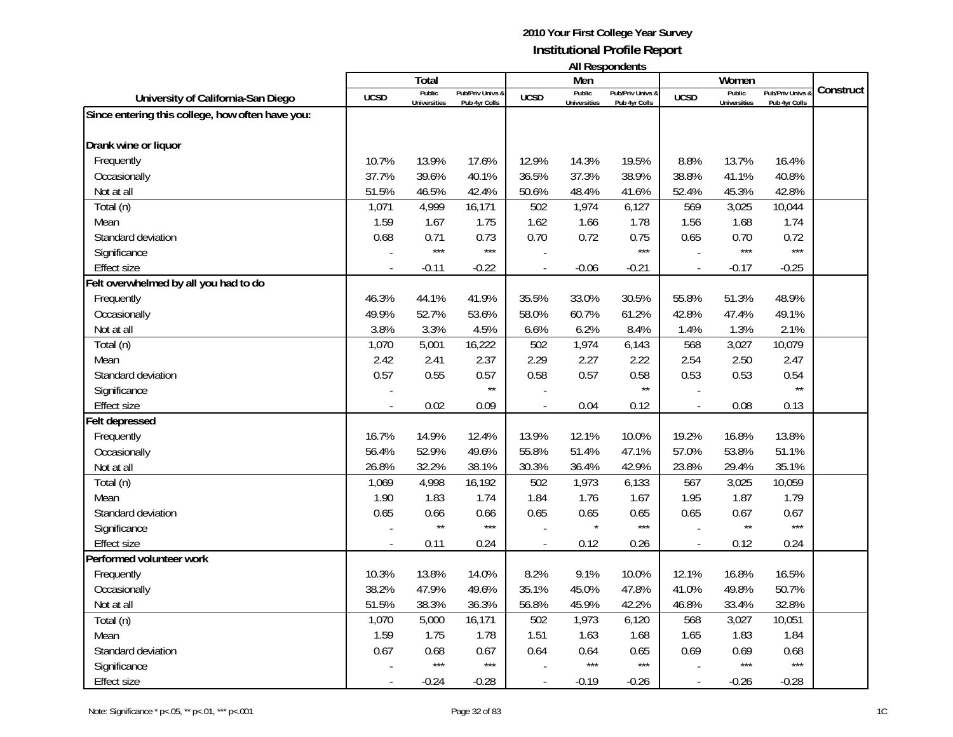| <b>All Respondents</b> |  |
|------------------------|--|
|------------------------|--|

|                                                  |                          | Total                         |                                   |                | Men                           | טוווטאווטעכטוו ווו                |                          | Women                         |                                   |           |
|--------------------------------------------------|--------------------------|-------------------------------|-----------------------------------|----------------|-------------------------------|-----------------------------------|--------------------------|-------------------------------|-----------------------------------|-----------|
| University of California-San Diego               | <b>UCSD</b>              | Public<br><b>Universities</b> | Pub/Priv Univs 8<br>Pub 4yr Colls | <b>UCSD</b>    | Public<br><b>Universities</b> | Pub/Priv Univs &<br>Pub 4yr Colls | <b>UCSD</b>              | Public<br><b>Universities</b> | Pub/Priv Univs &<br>Pub 4yr Colls | Construct |
| Since entering this college, how often have you: |                          |                               |                                   |                |                               |                                   |                          |                               |                                   |           |
|                                                  |                          |                               |                                   |                |                               |                                   |                          |                               |                                   |           |
| Drank wine or liquor                             |                          |                               |                                   |                |                               |                                   |                          |                               |                                   |           |
| Frequently                                       | 10.7%                    | 13.9%                         | 17.6%                             | 12.9%          | 14.3%                         | 19.5%                             | 8.8%                     | 13.7%                         | 16.4%                             |           |
| Occasionally                                     | 37.7%                    | 39.6%                         | 40.1%                             | 36.5%          | 37.3%                         | 38.9%                             | 38.8%                    | 41.1%                         | 40.8%                             |           |
| Not at all                                       | 51.5%                    | 46.5%                         | 42.4%                             | 50.6%          | 48.4%                         | 41.6%                             | 52.4%                    | 45.3%                         | 42.8%                             |           |
| Total (n)                                        | 1,071                    | 4,999                         | 16,171                            | 502            | 1,974                         | 6,127                             | 569                      | 3,025                         | 10,044                            |           |
| Mean                                             | 1.59                     | 1.67                          | 1.75                              | 1.62           | 1.66                          | 1.78                              | 1.56                     | 1.68                          | 1.74                              |           |
| Standard deviation                               | 0.68                     | 0.71                          | 0.73                              | 0.70           | 0.72                          | 0.75                              | 0.65                     | 0.70                          | 0.72                              |           |
| Significance                                     |                          | $***$                         | $***$                             |                |                               | $***$                             |                          | $***$                         | $***$                             |           |
| <b>Effect size</b>                               | $\overline{\phantom{a}}$ | $-0.11$                       | $-0.22$                           | $\overline{a}$ | $-0.06$                       | $-0.21$                           | $\overline{\phantom{a}}$ | $-0.17$                       | $-0.25$                           |           |
| Felt overwhelmed by all you had to do            |                          |                               |                                   |                |                               |                                   |                          |                               |                                   |           |
| Frequently                                       | 46.3%                    | 44.1%                         | 41.9%                             | 35.5%          | 33.0%                         | 30.5%                             | 55.8%                    | 51.3%                         | 48.9%                             |           |
| Occasionally                                     | 49.9%                    | 52.7%                         | 53.6%                             | 58.0%          | 60.7%                         | 61.2%                             | 42.8%                    | 47.4%                         | 49.1%                             |           |
| Not at all                                       | 3.8%                     | 3.3%                          | 4.5%                              | 6.6%           | 6.2%                          | 8.4%                              | 1.4%                     | 1.3%                          | 2.1%                              |           |
| Total (n)                                        | 1,070                    | 5,001                         | 16,222                            | 502            | 1,974                         | 6,143                             | 568                      | 3,027                         | 10,079                            |           |
| Mean                                             | 2.42                     | 2.41                          | 2.37                              | 2.29           | 2.27                          | 2.22                              | 2.54                     | 2.50                          | 2.47                              |           |
| Standard deviation                               | 0.57                     | 0.55                          | 0.57                              | 0.58           | 0.57                          | 0.58                              | 0.53                     | 0.53                          | 0.54                              |           |
| Significance                                     |                          |                               | $\star\star$                      |                |                               | $\star\star$                      |                          |                               | $\star\star$                      |           |
| Effect size                                      |                          | 0.02                          | 0.09                              |                | 0.04                          | 0.12                              |                          | 0.08                          | 0.13                              |           |
| Felt depressed                                   |                          |                               |                                   |                |                               |                                   |                          |                               |                                   |           |
| Frequently                                       | 16.7%                    | 14.9%                         | 12.4%                             | 13.9%          | 12.1%                         | 10.0%                             | 19.2%                    | 16.8%                         | 13.8%                             |           |
| Occasionally                                     | 56.4%                    | 52.9%                         | 49.6%                             | 55.8%          | 51.4%                         | 47.1%                             | 57.0%                    | 53.8%                         | 51.1%                             |           |
| Not at all                                       | 26.8%                    | 32.2%                         | 38.1%                             | 30.3%          | 36.4%                         | 42.9%                             | 23.8%                    | 29.4%                         | 35.1%                             |           |
| Total (n)                                        | 1,069                    | 4,998                         | 16,192                            | 502            | 1,973                         | 6,133                             | 567                      | 3,025                         | 10,059                            |           |
| Mean                                             | 1.90                     | 1.83                          | 1.74                              | 1.84           | 1.76                          | 1.67                              | 1.95                     | 1.87                          | 1.79                              |           |
| Standard deviation                               | 0.65                     | 0.66                          | 0.66                              | 0.65           | 0.65                          | 0.65                              | 0.65                     | 0.67                          | 0.67                              |           |
| Significance                                     |                          | $\star\star$                  | $***$                             |                |                               | $***$                             |                          | $\star\star$                  | $***$                             |           |
| <b>Effect size</b>                               |                          | 0.11                          | 0.24                              |                | 0.12                          | 0.26                              |                          | 0.12                          | 0.24                              |           |
| Performed volunteer work                         |                          |                               |                                   |                |                               |                                   |                          |                               |                                   |           |
| Frequently                                       | 10.3%                    | 13.8%                         | 14.0%                             | 8.2%           | 9.1%                          | 10.0%                             | 12.1%                    | 16.8%                         | 16.5%                             |           |
| Occasionally                                     | 38.2%                    | 47.9%                         | 49.6%                             | 35.1%          | 45.0%                         | 47.8%                             | 41.0%                    | 49.8%                         | 50.7%                             |           |
| Not at all                                       | 51.5%                    | 38.3%                         | 36.3%                             | 56.8%          | 45.9%                         | 42.2%                             | 46.8%                    | 33.4%                         | 32.8%                             |           |
| Total (n)                                        | 1,070                    | 5,000                         | 16,171                            | 502            | 1,973                         | 6,120                             | 568                      | 3,027                         | 10,051                            |           |
| Mean                                             | 1.59                     | 1.75                          | 1.78                              | 1.51           | 1.63                          | 1.68                              | 1.65                     | 1.83                          | 1.84                              |           |
| Standard deviation                               | 0.67                     | 0.68                          | 0.67                              | 0.64           | 0.64                          | 0.65                              | 0.69                     | 0.69                          | 0.68                              |           |
| Significance                                     |                          | $***$                         | $***$                             |                | $***$                         | $***$                             |                          | $***$                         | $***$                             |           |
| Effect size                                      |                          | $-0.24$                       | $-0.28$                           |                | $-0.19$                       | $-0.26$                           |                          | $-0.26$                       | $-0.28$                           |           |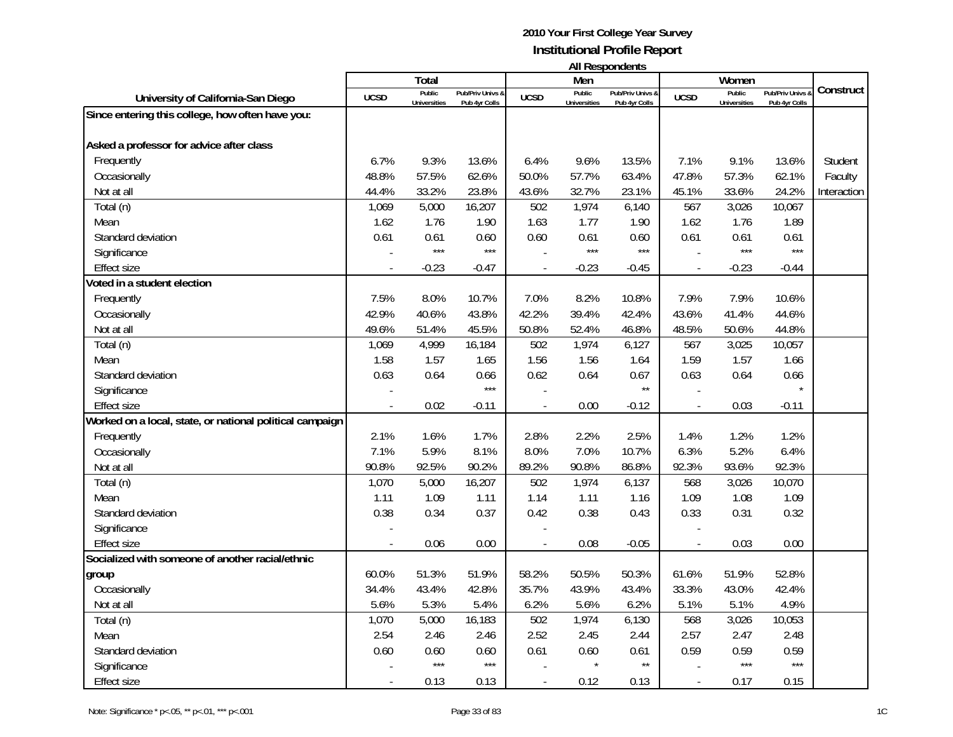|                                                          |             |                               |                                 |             |                               | All Respondents                   |             | Women                                |                                 |             |  |
|----------------------------------------------------------|-------------|-------------------------------|---------------------------------|-------------|-------------------------------|-----------------------------------|-------------|--------------------------------------|---------------------------------|-------------|--|
|                                                          |             | <b>Total</b>                  |                                 |             | Men                           |                                   |             |                                      |                                 |             |  |
| University of California-San Diego                       | <b>UCSD</b> | Public<br><b>Universities</b> | Pub/Priv Univs<br>Pub 4yr Colls | <b>UCSD</b> | Public<br><b>Universities</b> | Pub/Priv Univs &<br>Pub 4yr Colls | <b>UCSD</b> | <b>Public</b><br><b>Universities</b> | Pub/Priv Univs<br>Pub 4yr Colls | Construct   |  |
| Since entering this college, how often have you:         |             |                               |                                 |             |                               |                                   |             |                                      |                                 |             |  |
|                                                          |             |                               |                                 |             |                               |                                   |             |                                      |                                 |             |  |
| Asked a professor for advice after class                 |             |                               |                                 |             |                               |                                   |             |                                      |                                 |             |  |
| Frequently                                               | 6.7%        | 9.3%                          | 13.6%                           | 6.4%        | 9.6%                          | 13.5%                             | 7.1%        | 9.1%                                 | 13.6%                           | Student     |  |
| Occasionally                                             | 48.8%       | 57.5%                         | 62.6%                           | 50.0%       | 57.7%                         | 63.4%                             | 47.8%       | 57.3%                                | 62.1%                           | Faculty     |  |
| Not at all                                               | 44.4%       | 33.2%                         | 23.8%                           | 43.6%       | 32.7%                         | 23.1%                             | 45.1%       | 33.6%                                | 24.2%                           | Interaction |  |
| Total (n)                                                | 1,069       | 5,000                         | 16,207                          | 502         | 1,974                         | 6,140                             | 567         | 3,026                                | 10,067                          |             |  |
| Mean                                                     | 1.62        | 1.76                          | 1.90                            | 1.63        | 1.77                          | 1.90                              | 1.62        | 1.76                                 | 1.89                            |             |  |
| Standard deviation                                       | 0.61        | 0.61                          | 0.60                            | 0.60        | 0.61                          | 0.60                              | 0.61        | 0.61                                 | 0.61                            |             |  |
| Significance                                             |             | ***                           | $***$                           |             | $***$                         | $***$                             |             | $***$                                | $***$                           |             |  |
| <b>Effect size</b>                                       |             | $-0.23$                       | $-0.47$                         |             | $-0.23$                       | $-0.45$                           |             | $-0.23$                              | $-0.44$                         |             |  |
| Voted in a student election                              |             |                               |                                 |             |                               |                                   |             |                                      |                                 |             |  |
| Frequently                                               | 7.5%        | 8.0%                          | 10.7%                           | 7.0%        | 8.2%                          | 10.8%                             | 7.9%        | 7.9%                                 | 10.6%                           |             |  |
| Occasionally                                             | 42.9%       | 40.6%                         | 43.8%                           | 42.2%       | 39.4%                         | 42.4%                             | 43.6%       | 41.4%                                | 44.6%                           |             |  |
| Not at all                                               | 49.6%       | 51.4%                         | 45.5%                           | 50.8%       | 52.4%                         | 46.8%                             | 48.5%       | 50.6%                                | 44.8%                           |             |  |
| Total (n)                                                | 1,069       | 4,999                         | 16,184                          | 502         | 1,974                         | 6,127                             | 567         | 3,025                                | 10,057                          |             |  |
| Mean                                                     | 1.58        | 1.57                          | 1.65                            | 1.56        | 1.56                          | 1.64                              | 1.59        | 1.57                                 | 1.66                            |             |  |
| Standard deviation                                       | 0.63        | 0.64                          | 0.66                            | 0.62        | 0.64                          | 0.67                              | 0.63        | 0.64                                 | 0.66                            |             |  |
| Significance                                             |             |                               | $***$                           |             |                               | $\star\star$                      |             |                                      |                                 |             |  |
| <b>Effect size</b>                                       |             | 0.02                          | $-0.11$                         |             | 0.00                          | $-0.12$                           |             | 0.03                                 | $-0.11$                         |             |  |
| Worked on a local, state, or national political campaign |             |                               |                                 |             |                               |                                   |             |                                      |                                 |             |  |
| Frequently                                               | 2.1%        | 1.6%                          | 1.7%                            | 2.8%        | 2.2%                          | 2.5%                              | 1.4%        | 1.2%                                 | 1.2%                            |             |  |
| Occasionally                                             | 7.1%        | 5.9%                          | 8.1%                            | 8.0%        | 7.0%                          | 10.7%                             | 6.3%        | 5.2%                                 | 6.4%                            |             |  |
| Not at all                                               | 90.8%       | 92.5%                         | 90.2%                           | 89.2%       | 90.8%                         | 86.8%                             | 92.3%       | 93.6%                                | 92.3%                           |             |  |
| Total (n)                                                | 1,070       | 5,000                         | 16,207                          | 502         | 1,974                         | 6,137                             | 568         | 3,026                                | 10,070                          |             |  |
| Mean                                                     | 1.11        | 1.09                          | 1.11                            | 1.14        | 1.11                          | 1.16                              | 1.09        | 1.08                                 | 1.09                            |             |  |
| Standard deviation                                       | 0.38        | 0.34                          | 0.37                            | 0.42        | 0.38                          | 0.43                              | 0.33        | 0.31                                 | 0.32                            |             |  |
| Significance                                             |             |                               |                                 |             |                               |                                   |             |                                      |                                 |             |  |
| <b>Effect size</b>                                       |             | 0.06                          | 0.00                            |             | 0.08                          | $-0.05$                           |             | 0.03                                 | 0.00                            |             |  |
| Socialized with someone of another racial/ethnic         |             |                               |                                 |             |                               |                                   |             |                                      |                                 |             |  |
| group                                                    | 60.0%       | 51.3%                         | 51.9%                           | 58.2%       | 50.5%                         | 50.3%                             | 61.6%       | 51.9%                                | 52.8%                           |             |  |
| Occasionally                                             | 34.4%       | 43.4%                         | 42.8%                           | 35.7%       | 43.9%                         | 43.4%                             | 33.3%       | 43.0%                                | 42.4%                           |             |  |
| Not at all                                               | 5.6%        | 5.3%                          | 5.4%                            | 6.2%        | 5.6%                          | 6.2%                              | 5.1%        | 5.1%                                 | 4.9%                            |             |  |
| Total (n)                                                | 1,070       | 5,000                         | 16,183                          | 502         | 1,974                         | 6,130                             | 568         | 3,026                                | 10,053                          |             |  |
| Mean                                                     | 2.54        | 2.46                          | 2.46                            | 2.52        | 2.45                          | 2.44                              | 2.57        | 2.47                                 | 2.48                            |             |  |
| Standard deviation                                       | 0.60        | 0.60                          | 0.60                            | 0.61        | 0.60                          | 0.61                              | 0.59        | 0.59                                 | 0.59                            |             |  |

Effect size

- 0.13 0.13 - 0.12 0.13 - 0.17 0.15

Significance - \*\*\* - \*\*\* \*\*\* - \*\*\* - \*\*\* - \*\*\* - \*\*\* - \*\*\* - \*\*\* - \*\*\* - \*\*\* - \*\*\* - \*\*\* - \*\*\* - \*\*\* - \*\*\* - \*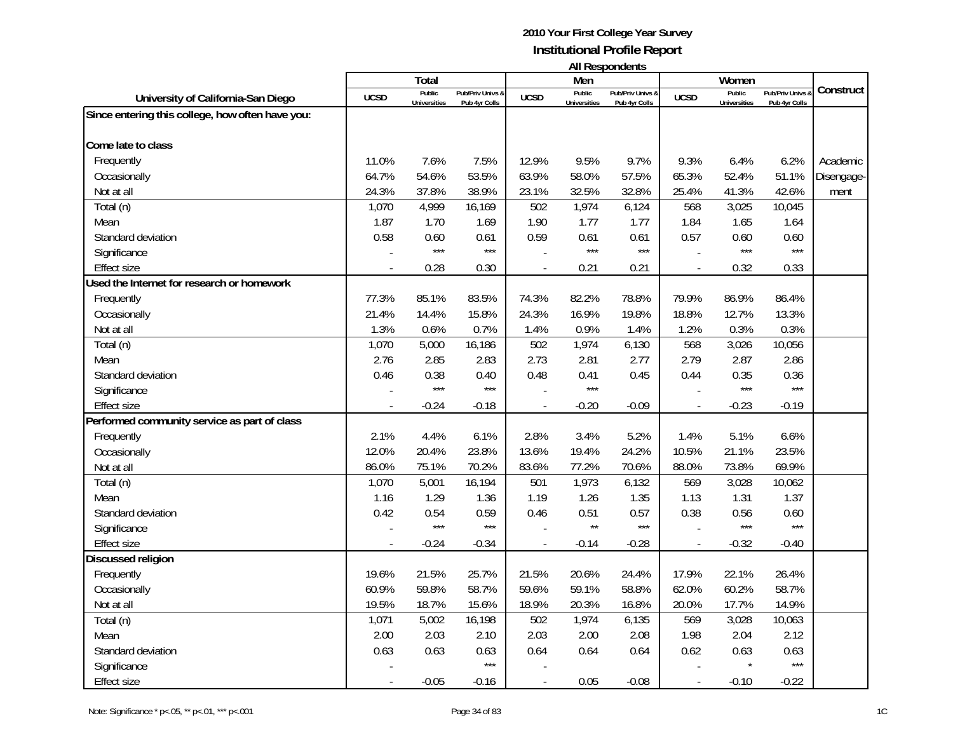|                               |                                   |             |                               | All Respondents                   |             |                               |
|-------------------------------|-----------------------------------|-------------|-------------------------------|-----------------------------------|-------------|-------------------------------|
| Total                         |                                   |             | Men                           |                                   |             | Women                         |
| Public<br><b>Iniversities</b> | Pub/Priv Univs &<br>Pub 4vr Colls | <b>UCSD</b> | Public<br><b>Universities</b> | Pub/Priv Univs &<br>Pub 4vr Colls | <b>UCSD</b> | Public<br><b>Universities</b> |
|                               |                                   |             |                               |                                   |             |                               |
|                               |                                   |             |                               |                                   |             |                               |

|                                                  |             | <b>Total</b>                  |                                   |                | Men                           |                                   |                          | Women                         |                                              |            |
|--------------------------------------------------|-------------|-------------------------------|-----------------------------------|----------------|-------------------------------|-----------------------------------|--------------------------|-------------------------------|----------------------------------------------|------------|
| University of California-San Diego               | <b>UCSD</b> | Public<br><b>Universities</b> | Pub/Priv Univs &<br>Pub 4yr Colls | <b>UCSD</b>    | Public<br><b>Universities</b> | Pub/Priv Univs &<br>Pub 4yr Colls | <b>UCSD</b>              | Public<br><b>Universities</b> | <b>Pub/Priv Univs &amp;</b><br>Pub 4yr Colls | Construct  |
| Since entering this college, how often have you: |             |                               |                                   |                |                               |                                   |                          |                               |                                              |            |
|                                                  |             |                               |                                   |                |                               |                                   |                          |                               |                                              |            |
| Come late to class                               |             |                               |                                   |                |                               |                                   |                          |                               |                                              |            |
| Frequently                                       | 11.0%       | 7.6%                          | 7.5%                              | 12.9%          | 9.5%                          | 9.7%                              | 9.3%                     | 6.4%                          | 6.2%                                         | Academic   |
| Occasionally                                     | 64.7%       | 54.6%                         | 53.5%                             | 63.9%          | 58.0%                         | 57.5%                             | 65.3%                    | 52.4%                         | 51.1%                                        | Disengage- |
| Not at all                                       | 24.3%       | 37.8%                         | 38.9%                             | 23.1%          | 32.5%                         | 32.8%                             | 25.4%                    | 41.3%                         | 42.6%                                        | ment       |
| Total (n)                                        | 1,070       | 4,999                         | 16,169                            | 502            | 1,974                         | 6,124                             | 568                      | 3,025                         | 10,045                                       |            |
| Mean                                             | 1.87        | 1.70                          | 1.69                              | 1.90           | 1.77                          | 1.77                              | 1.84                     | 1.65                          | 1.64                                         |            |
| Standard deviation                               | 0.58        | 0.60                          | 0.61                              | 0.59           | 0.61                          | 0.61                              | 0.57                     | 0.60                          | 0.60                                         |            |
| Significance                                     |             | $***$                         | $***$                             |                | $***$                         | $***$                             |                          | $***$                         | $***$                                        |            |
| <b>Effect size</b>                               |             | 0.28                          | 0.30                              | $\overline{a}$ | 0.21                          | 0.21                              | $\overline{\phantom{a}}$ | 0.32                          | 0.33                                         |            |
| Used the Internet for research or homework       |             |                               |                                   |                |                               |                                   |                          |                               |                                              |            |
| Frequently                                       | 77.3%       | 85.1%                         | 83.5%                             | 74.3%          | 82.2%                         | 78.8%                             | 79.9%                    | 86.9%                         | 86.4%                                        |            |
| Occasionally                                     | 21.4%       | 14.4%                         | 15.8%                             | 24.3%          | 16.9%                         | 19.8%                             | 18.8%                    | 12.7%                         | 13.3%                                        |            |
| Not at all                                       | 1.3%        | 0.6%                          | 0.7%                              | 1.4%           | 0.9%                          | 1.4%                              | 1.2%                     | 0.3%                          | 0.3%                                         |            |
| Total (n)                                        | 1,070       | 5,000                         | 16,186                            | 502            | 1,974                         | 6,130                             | 568                      | 3,026                         | 10,056                                       |            |
| Mean                                             | 2.76        | 2.85                          | 2.83                              | 2.73           | 2.81                          | 2.77                              | 2.79                     | 2.87                          | 2.86                                         |            |
| Standard deviation                               | 0.46        | 0.38                          | 0.40                              | 0.48           | 0.41                          | 0.45                              | 0.44                     | 0.35                          | 0.36                                         |            |
| Significance                                     |             | $***$                         | $***$                             |                | $***$                         |                                   |                          | $***$                         | $***$                                        |            |
| <b>Effect size</b>                               |             | $-0.24$                       | $-0.18$                           | $\bar{a}$      | $-0.20$                       | $-0.09$                           | $\overline{\phantom{a}}$ | $-0.23$                       | $-0.19$                                      |            |
| Performed community service as part of class     |             |                               |                                   |                |                               |                                   |                          |                               |                                              |            |
| Frequently                                       | 2.1%        | 4.4%                          | 6.1%                              | 2.8%           | 3.4%                          | 5.2%                              | 1.4%                     | 5.1%                          | 6.6%                                         |            |
| Occasionally                                     | 12.0%       | 20.4%                         | 23.8%                             | 13.6%          | 19.4%                         | 24.2%                             | 10.5%                    | 21.1%                         | 23.5%                                        |            |
| Not at all                                       | 86.0%       | 75.1%                         | 70.2%                             | 83.6%          | 77.2%                         | 70.6%                             | 88.0%                    | 73.8%                         | 69.9%                                        |            |
| Total (n)                                        | 1,070       | 5,001                         | 16,194                            | 501            | 1,973                         | 6,132                             | 569                      | 3,028                         | 10,062                                       |            |
| Mean                                             | 1.16        | 1.29                          | 1.36                              | 1.19           | 1.26                          | 1.35                              | 1.13                     | 1.31                          | 1.37                                         |            |
| Standard deviation                               | 0.42        | 0.54                          | 0.59                              | 0.46           | 0.51                          | 0.57                              | 0.38                     | 0.56                          | 0.60                                         |            |
| Significance                                     |             | $***$                         | $***$                             |                | $\star\star$                  | $***$                             |                          | $***$                         | $***$                                        |            |
| <b>Effect size</b>                               |             | $-0.24$                       | $-0.34$                           |                | $-0.14$                       | $-0.28$                           |                          | $-0.32$                       | $-0.40$                                      |            |
| Discussed religion                               |             |                               |                                   |                |                               |                                   |                          |                               |                                              |            |
| Frequently                                       | 19.6%       | 21.5%                         | 25.7%                             | 21.5%          | 20.6%                         | 24.4%                             | 17.9%                    | 22.1%                         | 26.4%                                        |            |
| Occasionally                                     | 60.9%       | 59.8%                         | 58.7%                             | 59.6%          | 59.1%                         | 58.8%                             | 62.0%                    | 60.2%                         | 58.7%                                        |            |
| Not at all                                       | 19.5%       | 18.7%                         | 15.6%                             | 18.9%          | 20.3%                         | 16.8%                             | 20.0%                    | 17.7%                         | 14.9%                                        |            |
| Total (n)                                        | 1,071       | 5,002                         | 16,198                            | 502            | 1,974                         | 6,135                             | 569                      | 3,028                         | 10,063                                       |            |
| Mean                                             | 2.00        | 2.03                          | 2.10                              | 2.03           | 2.00                          | 2.08                              | 1.98                     | 2.04                          | 2.12                                         |            |
| Standard deviation                               | 0.63        | 0.63                          | 0.63                              | 0.64           | 0.64                          | 0.64                              | 0.62                     | 0.63                          | 0.63                                         |            |
| Significance                                     |             |                               | $***$                             |                |                               |                                   |                          |                               | $***$                                        |            |
| <b>Effect size</b>                               |             | $-0.05$                       | $-0.16$                           |                | 0.05                          | $-0.08$                           |                          | $-0.10$                       | $-0.22$                                      |            |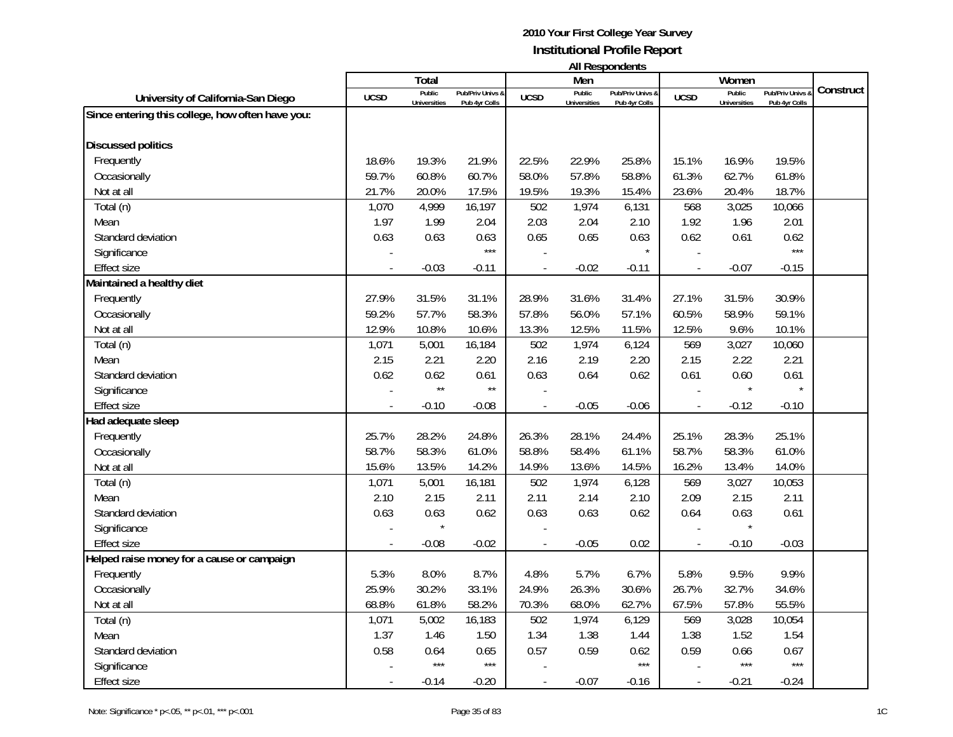| <b>All Respondents</b> |  |
|------------------------|--|
|------------------------|--|

|                                                  | Total          |                     |                             |                | Men                 | טוווטאווטעכטוו ווו          | Women       |                     |                  |           |
|--------------------------------------------------|----------------|---------------------|-----------------------------|----------------|---------------------|-----------------------------|-------------|---------------------|------------------|-----------|
| University of California-San Diego               | <b>UCSD</b>    | Public              | <b>Pub/Priv Univs &amp;</b> | <b>UCSD</b>    | Public              | <b>Pub/Priv Univs &amp;</b> | <b>UCSD</b> | Public              | Pub/Priv Univs & | Construct |
|                                                  |                | <b>Universities</b> | Pub 4yr Colls               |                | <b>Universities</b> | Pub 4yr Colls               |             | <b>Universities</b> | Pub 4yr Colls    |           |
| Since entering this college, how often have you: |                |                     |                             |                |                     |                             |             |                     |                  |           |
| <b>Discussed politics</b>                        |                |                     |                             |                |                     |                             |             |                     |                  |           |
| Frequently                                       | 18.6%          | 19.3%               | 21.9%                       | 22.5%          | 22.9%               | 25.8%                       | 15.1%       | 16.9%               | 19.5%            |           |
| Occasionally                                     | 59.7%          | 60.8%               | 60.7%                       | 58.0%          | 57.8%               | 58.8%                       | 61.3%       | 62.7%               | 61.8%            |           |
| Not at all                                       | 21.7%          | 20.0%               | 17.5%                       | 19.5%          | 19.3%               | 15.4%                       | 23.6%       | 20.4%               | 18.7%            |           |
| Total (n)                                        | 1,070          | 4,999               | 16,197                      | 502            | 1,974               | 6,131                       | 568         | 3,025               | 10,066           |           |
| Mean                                             | 1.97           | 1.99                | 2.04                        | 2.03           | 2.04                | 2.10                        | 1.92        | 1.96                | 2.01             |           |
| Standard deviation                               | 0.63           | 0.63                | 0.63                        | 0.65           | 0.65                | 0.63                        | 0.62        | 0.61                | 0.62             |           |
| Significance                                     |                |                     | $***$                       |                |                     | $\star$                     |             |                     | $***$            |           |
| Effect size                                      | $\overline{a}$ | $-0.03$             | $-0.11$                     | $\blacksquare$ | $-0.02$             | $-0.11$                     | $\sim$      | $-0.07$             | $-0.15$          |           |
| Maintained a healthy diet                        |                |                     |                             |                |                     |                             |             |                     |                  |           |
| Frequently                                       | 27.9%          | 31.5%               | 31.1%                       | 28.9%          | 31.6%               | 31.4%                       | 27.1%       | 31.5%               | 30.9%            |           |
| Occasionally                                     | 59.2%          | 57.7%               | 58.3%                       | 57.8%          | 56.0%               | 57.1%                       | 60.5%       | 58.9%               | 59.1%            |           |
| Not at all                                       | 12.9%          | 10.8%               | 10.6%                       | 13.3%          | 12.5%               | 11.5%                       | 12.5%       | 9.6%                | 10.1%            |           |
| Total (n)                                        | 1,071          | 5,001               | 16,184                      | 502            | 1,974               | 6,124                       | 569         | 3,027               | 10,060           |           |
| Mean                                             | 2.15           | 2.21                | 2.20                        | 2.16           | 2.19                | 2.20                        | 2.15        | 2.22                | 2.21             |           |
| Standard deviation                               | 0.62           | 0.62                | 0.61                        | 0.63           | 0.64                | 0.62                        | 0.61        | 0.60                | 0.61             |           |
| Significance                                     |                | $\star\star$        | $\star\star$                |                |                     |                             |             | $\star$             | $\star$          |           |
| <b>Effect size</b>                               |                | $-0.10$             | $-0.08$                     |                | $-0.05$             | $-0.06$                     |             | $-0.12$             | $-0.10$          |           |
| Had adequate sleep                               |                |                     |                             |                |                     |                             |             |                     |                  |           |
| Frequently                                       | 25.7%          | 28.2%               | 24.8%                       | 26.3%          | 28.1%               | 24.4%                       | 25.1%       | 28.3%               | 25.1%            |           |
| Occasionally                                     | 58.7%          | 58.3%               | 61.0%                       | 58.8%          | 58.4%               | 61.1%                       | 58.7%       | 58.3%               | 61.0%            |           |
| Not at all                                       | 15.6%          | 13.5%               | 14.2%                       | 14.9%          | 13.6%               | 14.5%                       | 16.2%       | 13.4%               | 14.0%            |           |
| Total (n)                                        | 1,071          | 5,001               | 16,181                      | 502            | 1,974               | 6,128                       | 569         | 3,027               | 10,053           |           |
| Mean                                             | 2.10           | 2.15                | 2.11                        | 2.11           | 2.14                | 2.10                        | 2.09        | 2.15                | 2.11             |           |
| Standard deviation                               | 0.63           | 0.63                | 0.62                        | 0.63           | 0.63                | 0.62                        | 0.64        | 0.63                | 0.61             |           |
| Significance                                     |                |                     |                             |                |                     |                             |             |                     |                  |           |
| <b>Effect size</b>                               | $\overline{a}$ | $-0.08$             | $-0.02$                     | $\blacksquare$ | $-0.05$             | 0.02                        | $\sim$      | $-0.10$             | $-0.03$          |           |
| Helped raise money for a cause or campaign       |                |                     |                             |                |                     |                             |             |                     |                  |           |
| Frequently                                       | 5.3%           | 8.0%                | 8.7%                        | 4.8%           | 5.7%                | 6.7%                        | 5.8%        | 9.5%                | 9.9%             |           |
| Occasionally                                     | 25.9%          | 30.2%               | 33.1%                       | 24.9%          | 26.3%               | 30.6%                       | 26.7%       | 32.7%               | 34.6%            |           |
| Not at all                                       | 68.8%          | 61.8%               | 58.2%                       | 70.3%          | 68.0%               | 62.7%                       | 67.5%       | 57.8%               | 55.5%            |           |
| Total (n)                                        | 1,071          | 5,002               | 16,183                      | 502            | 1,974               | 6,129                       | 569         | 3,028               | 10,054           |           |
| Mean                                             | 1.37           | 1.46                | 1.50                        | 1.34           | 1.38                | 1.44                        | 1.38        | 1.52                | 1.54             |           |
| Standard deviation                               | 0.58           | 0.64                | 0.65                        | 0.57           | 0.59                | 0.62                        | 0.59        | 0.66                | 0.67             |           |
| Significance                                     |                | $***$               | $***$                       |                |                     | $***$                       |             | $***$               | $***$            |           |
| <b>Effect size</b>                               | $\overline{a}$ | $-0.14$             | $-0.20$                     | $\sim$         | $-0.07$             | -0.16                       | $\sim$      | $-0.21$             | $-0.24$          |           |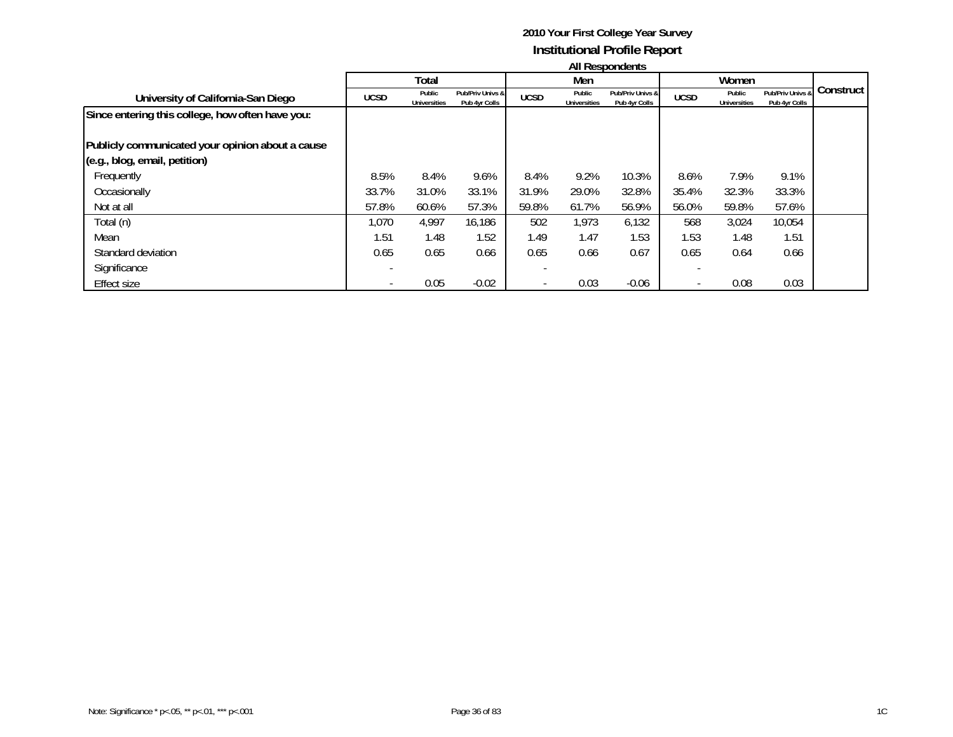|                                                  | All Respondents |                               |                                   |             |                               |                                   |                          |                               |                                   |           |
|--------------------------------------------------|-----------------|-------------------------------|-----------------------------------|-------------|-------------------------------|-----------------------------------|--------------------------|-------------------------------|-----------------------------------|-----------|
|                                                  | Total           |                               |                                   | Men         |                               |                                   | Women                    |                               |                                   |           |
| University of California-San Diego               | <b>UCSD</b>     | Public<br><b>Universities</b> | Pub/Priv Univs &<br>Pub 4yr Colls | <b>UCSD</b> | Public<br><b>Universities</b> | Pub/Priv Univs &<br>Pub 4yr Colls | <b>UCSD</b>              | Public<br><b>Universities</b> | Pub/Priv Univs &<br>Pub 4yr Colls | Construct |
| Since entering this college, how often have you: |                 |                               |                                   |             |                               |                                   |                          |                               |                                   |           |
| Publicly communicated your opinion about a cause |                 |                               |                                   |             |                               |                                   |                          |                               |                                   |           |
| (e.g., blog, email, petition)                    |                 |                               |                                   |             |                               |                                   |                          |                               |                                   |           |
| Frequently                                       | 8.5%            | 8.4%                          | 9.6%                              | 8.4%        | 9.2%                          | 10.3%                             | 8.6%                     | 7.9%                          | 9.1%                              |           |
| Occasionally                                     | 33.7%           | 31.0%                         | 33.1%                             | 31.9%       | 29.0%                         | 32.8%                             | 35.4%                    | 32.3%                         | 33.3%                             |           |
| Not at all                                       | 57.8%           | 60.6%                         | 57.3%                             | 59.8%       | 61.7%                         | 56.9%                             | 56.0%                    | 59.8%                         | 57.6%                             |           |
| Total (n)                                        | 1,070           | 4,997                         | 16,186                            | 502         | 1,973                         | 6,132                             | 568                      | 3,024                         | 10,054                            |           |
| Mean                                             | 1.51            | 1.48                          | 1.52                              | 1.49        | 1.47                          | 1.53                              | 1.53                     | 1.48                          | 1.51                              |           |
| Standard deviation                               | 0.65            | 0.65                          | 0.66                              | 0.65        | 0.66                          | 0.67                              | 0.65                     | 0.64                          | 0.66                              |           |
| Significance                                     |                 |                               |                                   |             |                               |                                   |                          |                               |                                   |           |
| Effect size                                      |                 | 0.05                          | $-0.02$                           |             | 0.03                          | $-0.06$                           | $\overline{\phantom{a}}$ | 0.08                          | 0.03                              |           |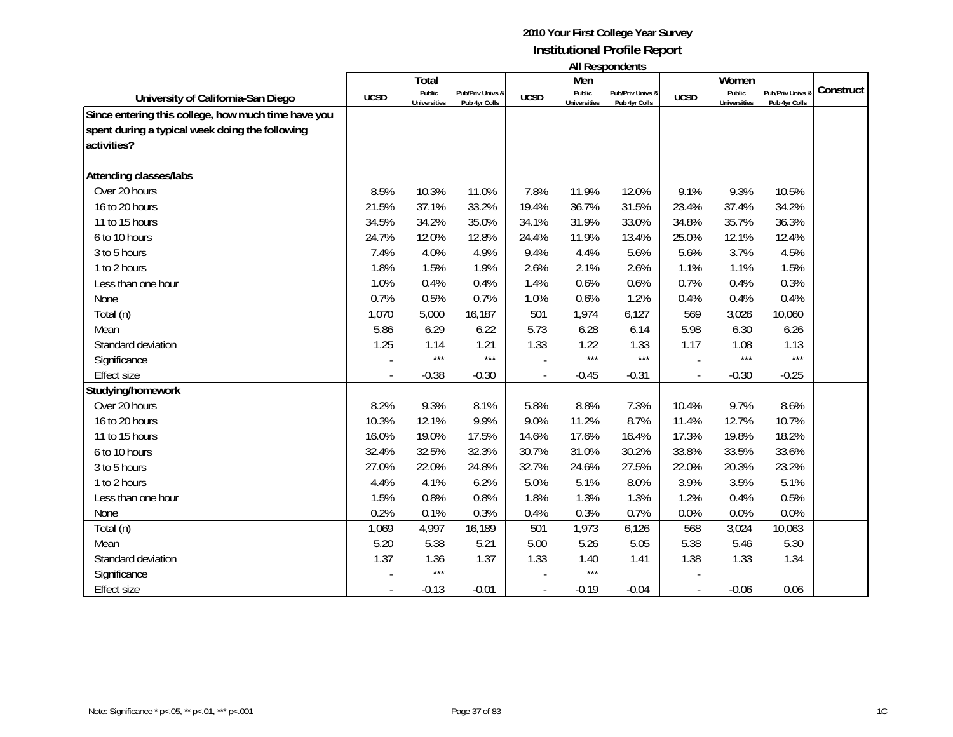|                                                                                                                       |                | Total               |                  |             | Men                 | בוו ושאווטעכטרו וור |             | Women               |                |           |
|-----------------------------------------------------------------------------------------------------------------------|----------------|---------------------|------------------|-------------|---------------------|---------------------|-------------|---------------------|----------------|-----------|
|                                                                                                                       | <b>UCSD</b>    | Public              | Pub/Priv Univs & | <b>UCSD</b> | Public              | Pub/Priv Univs &    | <b>UCSD</b> | Public              | Pub/Priv Univs | Construct |
| University of California-San Diego                                                                                    |                | <b>Universities</b> | Pub 4yr Colls    |             | <b>Universities</b> | Pub 4yr Colls       |             | <b>Universities</b> | Pub 4yr Colls  |           |
| Since entering this college, how much time have you<br>spent during a typical week doing the following<br>activities? |                |                     |                  |             |                     |                     |             |                     |                |           |
| <b>Attending classes/labs</b>                                                                                         |                |                     |                  |             |                     |                     |             |                     |                |           |
| Over 20 hours                                                                                                         | 8.5%           | 10.3%               | 11.0%            | 7.8%        | 11.9%               | 12.0%               | 9.1%        | 9.3%                | 10.5%          |           |
| 16 to 20 hours                                                                                                        | 21.5%          | 37.1%               | 33.2%            | 19.4%       | 36.7%               | 31.5%               | 23.4%       | 37.4%               | 34.2%          |           |
| 11 to 15 hours                                                                                                        | 34.5%          | 34.2%               | 35.0%            | 34.1%       | 31.9%               | 33.0%               | 34.8%       | 35.7%               | 36.3%          |           |
| 6 to 10 hours                                                                                                         | 24.7%          | 12.0%               | 12.8%            | 24.4%       | 11.9%               | 13.4%               | 25.0%       | 12.1%               | 12.4%          |           |
| 3 to 5 hours                                                                                                          | 7.4%           | 4.0%                | 4.9%             | 9.4%        | 4.4%                | 5.6%                | 5.6%        | 3.7%                | 4.5%           |           |
| 1 to 2 hours                                                                                                          | 1.8%           | 1.5%                | 1.9%             | 2.6%        | 2.1%                | 2.6%                | 1.1%        | 1.1%                | 1.5%           |           |
| Less than one hour                                                                                                    | 1.0%           | 0.4%                | 0.4%             | 1.4%        | 0.6%                | 0.6%                | 0.7%        | 0.4%                | 0.3%           |           |
| None                                                                                                                  | 0.7%           | 0.5%                | 0.7%             | 1.0%        | 0.6%                | 1.2%                | 0.4%        | 0.4%                | 0.4%           |           |
| Total (n)                                                                                                             | 1,070          | 5,000               | 16,187           | 501         | 1,974               | 6,127               | 569         | 3,026               | 10,060         |           |
| Mean                                                                                                                  | 5.86           | 6.29                | 6.22             | 5.73        | 6.28                | 6.14                | 5.98        | 6.30                | 6.26           |           |
| Standard deviation                                                                                                    | 1.25           | 1.14                | 1.21             | 1.33        | 1.22                | 1.33                | 1.17        | 1.08                | 1.13           |           |
| Significance                                                                                                          |                | $***$               | $***$            |             | $***$               | $***$               |             | ***                 | $***$          |           |
| <b>Effect size</b>                                                                                                    | $\overline{a}$ | $-0.38$             | $-0.30$          |             | $-0.45$             | $-0.31$             |             | $-0.30$             | $-0.25$        |           |
| Studying/homework                                                                                                     |                |                     |                  |             |                     |                     |             |                     |                |           |
| Over 20 hours                                                                                                         | 8.2%           | 9.3%                | 8.1%             | 5.8%        | 8.8%                | 7.3%                | 10.4%       | 9.7%                | 8.6%           |           |
| 16 to 20 hours                                                                                                        | 10.3%          | 12.1%               | 9.9%             | 9.0%        | 11.2%               | 8.7%                | 11.4%       | 12.7%               | 10.7%          |           |
| 11 to 15 hours                                                                                                        | 16.0%          | 19.0%               | 17.5%            | 14.6%       | 17.6%               | 16.4%               | 17.3%       | 19.8%               | 18.2%          |           |
| 6 to 10 hours                                                                                                         | 32.4%          | 32.5%               | 32.3%            | 30.7%       | 31.0%               | 30.2%               | 33.8%       | 33.5%               | 33.6%          |           |
| 3 to 5 hours                                                                                                          | 27.0%          | 22.0%               | 24.8%            | 32.7%       | 24.6%               | 27.5%               | 22.0%       | 20.3%               | 23.2%          |           |
| 1 to 2 hours                                                                                                          | 4.4%           | 4.1%                | 6.2%             | 5.0%        | 5.1%                | 8.0%                | 3.9%        | 3.5%                | 5.1%           |           |
| Less than one hour                                                                                                    | 1.5%           | 0.8%                | 0.8%             | 1.8%        | 1.3%                | 1.3%                | 1.2%        | 0.4%                | 0.5%           |           |
| None                                                                                                                  | 0.2%           | 0.1%                | 0.3%             | 0.4%        | 0.3%                | 0.7%                | 0.0%        | 0.0%                | 0.0%           |           |
| Total (n)                                                                                                             | 1,069          | 4,997               | 16,189           | 501         | 1,973               | 6,126               | 568         | 3,024               | 10,063         |           |
| Mean                                                                                                                  | 5.20           | 5.38                | 5.21             | 5.00        | 5.26                | 5.05                | 5.38        | 5.46                | 5.30           |           |
| Standard deviation                                                                                                    | 1.37           | 1.36                | 1.37             | 1.33        | 1.40                | 1.41                | 1.38        | 1.33                | 1.34           |           |
| Significance                                                                                                          |                | $***$               |                  |             | $***$               |                     |             |                     |                |           |
| <b>Effect size</b>                                                                                                    |                | $-0.13$             | $-0.01$          |             | $-0.19$             | $-0.04$             |             | $-0.06$             | 0.06           |           |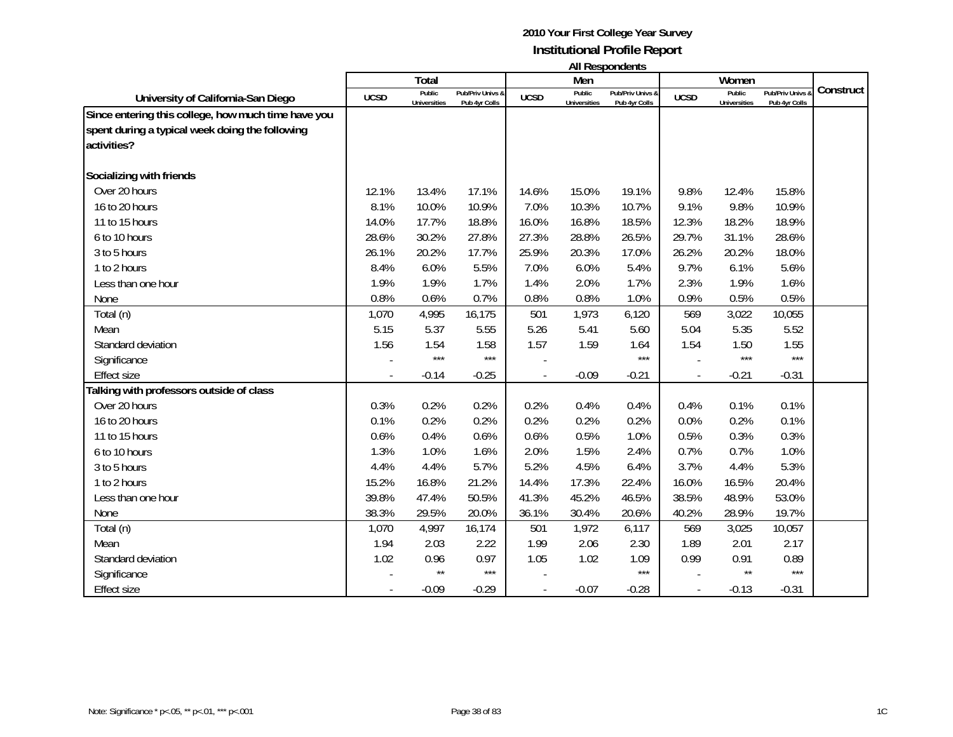|                                                                                                                       |                          | Total                         |                                   |             | Men                           | טוווטאווטעכטרו וור                |             | Women                         |                                 |           |
|-----------------------------------------------------------------------------------------------------------------------|--------------------------|-------------------------------|-----------------------------------|-------------|-------------------------------|-----------------------------------|-------------|-------------------------------|---------------------------------|-----------|
| University of California-San Diego                                                                                    | <b>UCSD</b>              | Public<br><b>Universities</b> | Pub/Priv Univs &<br>Pub 4yr Colls | <b>UCSD</b> | Public<br><b>Universities</b> | Pub/Priv Univs &<br>Pub 4yr Colls | <b>UCSD</b> | Public<br><b>Universities</b> | Pub/Priv Univs<br>Pub 4yr Colls | Construct |
| Since entering this college, how much time have you<br>spent during a typical week doing the following<br>activities? |                          |                               |                                   |             |                               |                                   |             |                               |                                 |           |
| Socializing with friends                                                                                              |                          |                               |                                   |             |                               |                                   |             |                               |                                 |           |
| Over 20 hours                                                                                                         | 12.1%                    | 13.4%                         | 17.1%                             | 14.6%       | 15.0%                         | 19.1%                             | 9.8%        | 12.4%                         | 15.8%                           |           |
| 16 to 20 hours                                                                                                        | 8.1%                     | 10.0%                         | 10.9%                             | 7.0%        | 10.3%                         | 10.7%                             | 9.1%        | 9.8%                          | 10.9%                           |           |
| 11 to 15 hours                                                                                                        | 14.0%                    | 17.7%                         | 18.8%                             | 16.0%       | 16.8%                         | 18.5%                             | 12.3%       | 18.2%                         | 18.9%                           |           |
| 6 to 10 hours                                                                                                         | 28.6%                    | 30.2%                         | 27.8%                             | 27.3%       | 28.8%                         | 26.5%                             | 29.7%       | 31.1%                         | 28.6%                           |           |
| 3 to 5 hours                                                                                                          | 26.1%                    | 20.2%                         | 17.7%                             | 25.9%       | 20.3%                         | 17.0%                             | 26.2%       | 20.2%                         | 18.0%                           |           |
| 1 to 2 hours                                                                                                          | 8.4%                     | 6.0%                          | 5.5%                              | 7.0%        | 6.0%                          | 5.4%                              | 9.7%        | 6.1%                          | 5.6%                            |           |
| Less than one hour                                                                                                    | 1.9%                     | 1.9%                          | 1.7%                              | 1.4%        | 2.0%                          | 1.7%                              | 2.3%        | 1.9%                          | 1.6%                            |           |
| None                                                                                                                  | 0.8%                     | 0.6%                          | 0.7%                              | 0.8%        | 0.8%                          | 1.0%                              | 0.9%        | 0.5%                          | 0.5%                            |           |
| Total (n)                                                                                                             | 1,070                    | 4,995                         | 16,175                            | 501         | 1,973                         | 6,120                             | 569         | 3,022                         | 10,055                          |           |
| Mean                                                                                                                  | 5.15                     | 5.37                          | 5.55                              | 5.26        | 5.41                          | 5.60                              | 5.04        | 5.35                          | 5.52                            |           |
| Standard deviation                                                                                                    | 1.56                     | 1.54                          | 1.58                              | 1.57        | 1.59                          | 1.64                              | 1.54        | 1.50                          | 1.55                            |           |
| Significance                                                                                                          |                          | $***$                         | $***$                             |             |                               | $***$                             |             | $***$                         | $***$                           |           |
| <b>Effect size</b>                                                                                                    | $\overline{\phantom{a}}$ | $-0.14$                       | $-0.25$                           |             | $-0.09$                       | $-0.21$                           |             | $-0.21$                       | $-0.31$                         |           |
| Talking with professors outside of class                                                                              |                          |                               |                                   |             |                               |                                   |             |                               |                                 |           |
| Over 20 hours                                                                                                         | 0.3%                     | 0.2%                          | 0.2%                              | 0.2%        | 0.4%                          | 0.4%                              | 0.4%        | 0.1%                          | 0.1%                            |           |
| 16 to 20 hours                                                                                                        | 0.1%                     | 0.2%                          | 0.2%                              | 0.2%        | 0.2%                          | 0.2%                              | 0.0%        | 0.2%                          | 0.1%                            |           |
| 11 to 15 hours                                                                                                        | 0.6%                     | 0.4%                          | 0.6%                              | 0.6%        | 0.5%                          | 1.0%                              | 0.5%        | 0.3%                          | 0.3%                            |           |
| 6 to 10 hours                                                                                                         | 1.3%                     | 1.0%                          | 1.6%                              | 2.0%        | 1.5%                          | 2.4%                              | 0.7%        | 0.7%                          | 1.0%                            |           |
| 3 to 5 hours                                                                                                          | 4.4%                     | 4.4%                          | 5.7%                              | 5.2%        | 4.5%                          | 6.4%                              | 3.7%        | 4.4%                          | 5.3%                            |           |
| 1 to 2 hours                                                                                                          | 15.2%                    | 16.8%                         | 21.2%                             | 14.4%       | 17.3%                         | 22.4%                             | 16.0%       | 16.5%                         | 20.4%                           |           |
| Less than one hour                                                                                                    | 39.8%                    | 47.4%                         | 50.5%                             | 41.3%       | 45.2%                         | 46.5%                             | 38.5%       | 48.9%                         | 53.0%                           |           |
| None                                                                                                                  | 38.3%                    | 29.5%                         | 20.0%                             | 36.1%       | 30.4%                         | 20.6%                             | 40.2%       | 28.9%                         | 19.7%                           |           |
| Total (n)                                                                                                             | 1,070                    | 4,997                         | 16,174                            | 501         | 1,972                         | 6,117                             | 569         | 3,025                         | 10,057                          |           |
| Mean                                                                                                                  | 1.94                     | 2.03                          | 2.22                              | 1.99        | 2.06                          | 2.30                              | 1.89        | 2.01                          | 2.17                            |           |
| Standard deviation                                                                                                    | 1.02                     | 0.96                          | 0.97                              | 1.05        | 1.02                          | 1.09                              | 0.99        | 0.91                          | 0.89                            |           |
| Significance                                                                                                          |                          | $\star\star$                  | $***$                             |             |                               | $***$                             |             | $\star\star$                  | $***$                           |           |
| <b>Effect size</b>                                                                                                    |                          | $-0.09$                       | $-0.29$                           |             | $-0.07$                       | $-0.28$                           |             | $-0.13$                       | $-0.31$                         |           |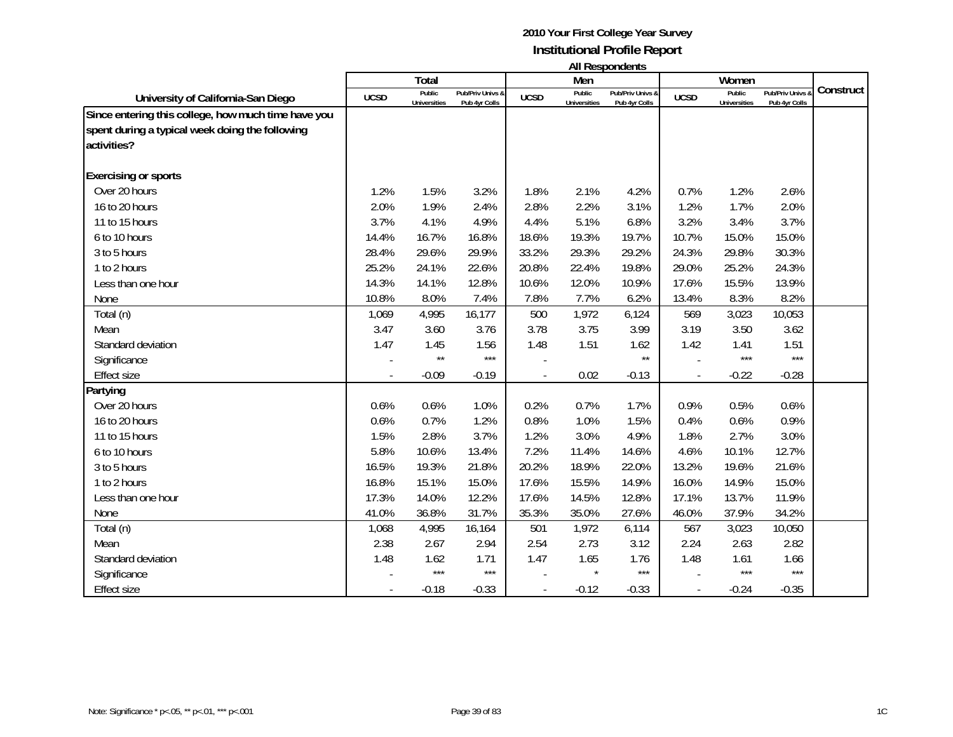|                                                                                                                       |             | Total                         |                                   |             | Men                           | בוו ושאווטעכטרו וור               |             | Women                         |                                              |           |
|-----------------------------------------------------------------------------------------------------------------------|-------------|-------------------------------|-----------------------------------|-------------|-------------------------------|-----------------------------------|-------------|-------------------------------|----------------------------------------------|-----------|
| University of California-San Diego                                                                                    | <b>UCSD</b> | Public<br><b>Universities</b> | Pub/Priv Univs &<br>Pub 4yr Colls | <b>UCSD</b> | Public<br><b>Universities</b> | Pub/Priv Univs &<br>Pub 4yr Colls | <b>UCSD</b> | Public<br><b>Universities</b> | <b>Pub/Priv Univs &amp;</b><br>Pub 4yr Colls | Construct |
| Since entering this college, how much time have you<br>spent during a typical week doing the following<br>activities? |             |                               |                                   |             |                               |                                   |             |                               |                                              |           |
| <b>Exercising or sports</b>                                                                                           |             |                               |                                   |             |                               |                                   |             |                               |                                              |           |
| Over 20 hours                                                                                                         | 1.2%        | 1.5%                          | 3.2%                              | 1.8%        | 2.1%                          | 4.2%                              | 0.7%        | 1.2%                          | 2.6%                                         |           |
| 16 to 20 hours                                                                                                        | 2.0%        | 1.9%                          | 2.4%                              | 2.8%        | 2.2%                          | 3.1%                              | 1.2%        | 1.7%                          | 2.0%                                         |           |
| 11 to 15 hours                                                                                                        | 3.7%        | 4.1%                          | 4.9%                              | 4.4%        | 5.1%                          | 6.8%                              | 3.2%        | 3.4%                          | 3.7%                                         |           |
| 6 to 10 hours                                                                                                         | 14.4%       | 16.7%                         | 16.8%                             | 18.6%       | 19.3%                         | 19.7%                             | 10.7%       | 15.0%                         | 15.0%                                        |           |
| 3 to 5 hours                                                                                                          | 28.4%       | 29.6%                         | 29.9%                             | 33.2%       | 29.3%                         | 29.2%                             | 24.3%       | 29.8%                         | 30.3%                                        |           |
| 1 to 2 hours                                                                                                          | 25.2%       | 24.1%                         | 22.6%                             | 20.8%       | 22.4%                         | 19.8%                             | 29.0%       | 25.2%                         | 24.3%                                        |           |
| Less than one hour                                                                                                    | 14.3%       | 14.1%                         | 12.8%                             | 10.6%       | 12.0%                         | 10.9%                             | 17.6%       | 15.5%                         | 13.9%                                        |           |
| None                                                                                                                  | 10.8%       | 8.0%                          | 7.4%                              | 7.8%        | 7.7%                          | 6.2%                              | 13.4%       | 8.3%                          | 8.2%                                         |           |
| Total (n)                                                                                                             | 1,069       | 4,995                         | 16,177                            | 500         | 1,972                         | 6,124                             | 569         | 3,023                         | 10,053                                       |           |
| Mean                                                                                                                  | 3.47        | 3.60                          | 3.76                              | 3.78        | 3.75                          | 3.99                              | 3.19        | 3.50                          | 3.62                                         |           |
| Standard deviation                                                                                                    | 1.47        | 1.45                          | 1.56                              | 1.48        | 1.51                          | 1.62                              | 1.42        | 1.41                          | 1.51                                         |           |
| Significance                                                                                                          |             | $\star\star$                  | $***$                             |             |                               | $\star\star$                      |             | ***                           | $***$                                        |           |
| <b>Effect size</b>                                                                                                    |             | $-0.09$                       | $-0.19$                           |             | 0.02                          | $-0.13$                           |             | $-0.22$                       | $-0.28$                                      |           |
| Partying                                                                                                              |             |                               |                                   |             |                               |                                   |             |                               |                                              |           |
| Over 20 hours                                                                                                         | 0.6%        | 0.6%                          | 1.0%                              | 0.2%        | 0.7%                          | 1.7%                              | 0.9%        | 0.5%                          | 0.6%                                         |           |
| 16 to 20 hours                                                                                                        | 0.6%        | 0.7%                          | 1.2%                              | 0.8%        | 1.0%                          | 1.5%                              | 0.4%        | 0.6%                          | 0.9%                                         |           |
| 11 to 15 hours                                                                                                        | 1.5%        | 2.8%                          | 3.7%                              | 1.2%        | 3.0%                          | 4.9%                              | 1.8%        | 2.7%                          | 3.0%                                         |           |
| 6 to 10 hours                                                                                                         | 5.8%        | 10.6%                         | 13.4%                             | 7.2%        | 11.4%                         | 14.6%                             | 4.6%        | 10.1%                         | 12.7%                                        |           |
| 3 to 5 hours                                                                                                          | 16.5%       | 19.3%                         | 21.8%                             | 20.2%       | 18.9%                         | 22.0%                             | 13.2%       | 19.6%                         | 21.6%                                        |           |
| 1 to 2 hours                                                                                                          | 16.8%       | 15.1%                         | 15.0%                             | 17.6%       | 15.5%                         | 14.9%                             | 16.0%       | 14.9%                         | 15.0%                                        |           |
| Less than one hour                                                                                                    | 17.3%       | 14.0%                         | 12.2%                             | 17.6%       | 14.5%                         | 12.8%                             | 17.1%       | 13.7%                         | 11.9%                                        |           |
| None                                                                                                                  | 41.0%       | 36.8%                         | 31.7%                             | 35.3%       | 35.0%                         | 27.6%                             | 46.0%       | 37.9%                         | 34.2%                                        |           |
| Total (n)                                                                                                             | 1,068       | 4,995                         | 16,164                            | 501         | 1,972                         | 6,114                             | 567         | 3,023                         | 10,050                                       |           |
| Mean                                                                                                                  | 2.38        | 2.67                          | 2.94                              | 2.54        | 2.73                          | 3.12                              | 2.24        | 2.63                          | 2.82                                         |           |
| Standard deviation                                                                                                    | 1.48        | 1.62                          | 1.71                              | 1.47        | 1.65                          | 1.76                              | 1.48        | 1.61                          | 1.66                                         |           |
| Significance                                                                                                          |             | $***$                         | $***$                             |             |                               | $***$                             |             | ***                           | $***$                                        |           |
| <b>Effect size</b>                                                                                                    |             | $-0.18$                       | $-0.33$                           |             | $-0.12$                       | $-0.33$                           |             | $-0.24$                       | $-0.35$                                      |           |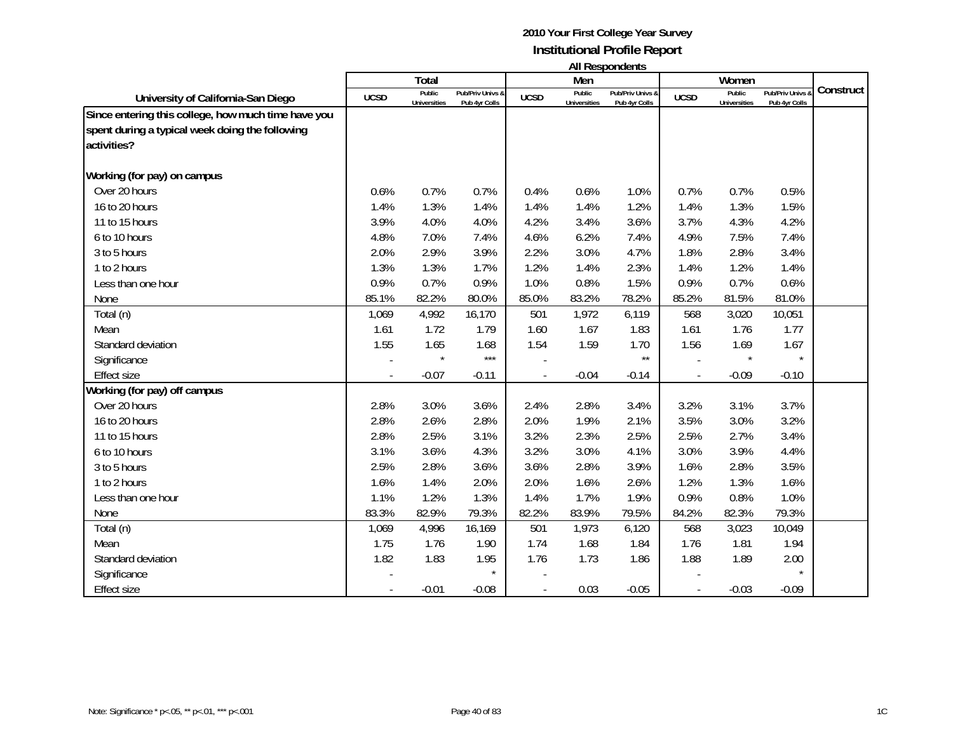|                                                                                                                       |                          | Total                         |                                   |             | Men                           | אוויטאווטאפטרו ווי                |             | Women                         |                                 |           |
|-----------------------------------------------------------------------------------------------------------------------|--------------------------|-------------------------------|-----------------------------------|-------------|-------------------------------|-----------------------------------|-------------|-------------------------------|---------------------------------|-----------|
| University of California-San Diego                                                                                    | <b>UCSD</b>              | Public<br><b>Universities</b> | Pub/Priv Univs &<br>Pub 4yr Colls | <b>UCSD</b> | Public<br><b>Universities</b> | Pub/Priv Univs &<br>Pub 4yr Colls | <b>UCSD</b> | Public<br><b>Universities</b> | Pub/Priv Univs<br>Pub 4yr Colls | Construct |
| Since entering this college, how much time have you<br>spent during a typical week doing the following<br>activities? |                          |                               |                                   |             |                               |                                   |             |                               |                                 |           |
| Working (for pay) on campus                                                                                           |                          |                               |                                   |             |                               |                                   |             |                               |                                 |           |
| Over 20 hours                                                                                                         | 0.6%                     | 0.7%                          | 0.7%                              | 0.4%        | 0.6%                          | 1.0%                              | 0.7%        | 0.7%                          | 0.5%                            |           |
| 16 to 20 hours                                                                                                        | 1.4%                     | 1.3%                          | 1.4%                              | 1.4%        | 1.4%                          | 1.2%                              | 1.4%        | 1.3%                          | 1.5%                            |           |
| 11 to 15 hours                                                                                                        | 3.9%                     | 4.0%                          | 4.0%                              | 4.2%        | 3.4%                          | 3.6%                              | 3.7%        | 4.3%                          | 4.2%                            |           |
| 6 to 10 hours                                                                                                         | 4.8%                     | 7.0%                          | 7.4%                              | 4.6%        | 6.2%                          | 7.4%                              | 4.9%        | 7.5%                          | 7.4%                            |           |
| 3 to 5 hours                                                                                                          | 2.0%                     | 2.9%                          | 3.9%                              | 2.2%        | 3.0%                          | 4.7%                              | 1.8%        | 2.8%                          | 3.4%                            |           |
| 1 to 2 hours                                                                                                          | 1.3%                     | 1.3%                          | 1.7%                              | 1.2%        | 1.4%                          | 2.3%                              | 1.4%        | 1.2%                          | 1.4%                            |           |
| Less than one hour                                                                                                    | 0.9%                     | 0.7%                          | 0.9%                              | 1.0%        | 0.8%                          | 1.5%                              | 0.9%        | 0.7%                          | 0.6%                            |           |
| None                                                                                                                  | 85.1%                    | 82.2%                         | 80.0%                             | 85.0%       | 83.2%                         | 78.2%                             | 85.2%       | 81.5%                         | 81.0%                           |           |
| Total (n)                                                                                                             | 1,069                    | 4,992                         | 16,170                            | 501         | 1,972                         | 6,119                             | 568         | 3,020                         | 10,051                          |           |
| Mean                                                                                                                  | 1.61                     | 1.72                          | 1.79                              | 1.60        | 1.67                          | 1.83                              | 1.61        | 1.76                          | 1.77                            |           |
| Standard deviation                                                                                                    | 1.55                     | 1.65                          | 1.68                              | 1.54        | 1.59                          | 1.70                              | 1.56        | 1.69                          | 1.67                            |           |
| Significance                                                                                                          |                          |                               | $***$                             |             |                               | $\star\star$                      |             | $\star$                       | $\star$                         |           |
| <b>Effect size</b>                                                                                                    | $\overline{\phantom{a}}$ | $-0.07$                       | $-0.11$                           |             | $-0.04$                       | $-0.14$                           |             | $-0.09$                       | $-0.10$                         |           |
| Working (for pay) off campus                                                                                          |                          |                               |                                   |             |                               |                                   |             |                               |                                 |           |
| Over 20 hours                                                                                                         | 2.8%                     | 3.0%                          | 3.6%                              | 2.4%        | 2.8%                          | 3.4%                              | 3.2%        | 3.1%                          | 3.7%                            |           |
| 16 to 20 hours                                                                                                        | 2.8%                     | 2.6%                          | 2.8%                              | 2.0%        | 1.9%                          | 2.1%                              | 3.5%        | 3.0%                          | 3.2%                            |           |
| 11 to 15 hours                                                                                                        | 2.8%                     | 2.5%                          | 3.1%                              | 3.2%        | 2.3%                          | 2.5%                              | 2.5%        | 2.7%                          | 3.4%                            |           |
| 6 to 10 hours                                                                                                         | 3.1%                     | 3.6%                          | 4.3%                              | 3.2%        | 3.0%                          | 4.1%                              | 3.0%        | 3.9%                          | 4.4%                            |           |
| 3 to 5 hours                                                                                                          | 2.5%                     | 2.8%                          | 3.6%                              | 3.6%        | 2.8%                          | 3.9%                              | 1.6%        | 2.8%                          | 3.5%                            |           |
| 1 to 2 hours                                                                                                          | 1.6%                     | 1.4%                          | 2.0%                              | 2.0%        | 1.6%                          | 2.6%                              | 1.2%        | 1.3%                          | 1.6%                            |           |
| Less than one hour                                                                                                    | 1.1%                     | 1.2%                          | 1.3%                              | 1.4%        | 1.7%                          | 1.9%                              | 0.9%        | 0.8%                          | 1.0%                            |           |
| None                                                                                                                  | 83.3%                    | 82.9%                         | 79.3%                             | 82.2%       | 83.9%                         | 79.5%                             | 84.2%       | 82.3%                         | 79.3%                           |           |
| Total (n)                                                                                                             | 1,069                    | 4,996                         | 16,169                            | 501         | 1,973                         | 6,120                             | 568         | 3,023                         | 10,049                          |           |
| Mean                                                                                                                  | 1.75                     | 1.76                          | 1.90                              | 1.74        | 1.68                          | 1.84                              | 1.76        | 1.81                          | 1.94                            |           |
| Standard deviation                                                                                                    | 1.82                     | 1.83                          | 1.95                              | 1.76        | 1.73                          | 1.86                              | 1.88        | 1.89                          | 2.00                            |           |
| Significance                                                                                                          |                          |                               | $\star$                           |             |                               |                                   |             |                               |                                 |           |
| <b>Effect size</b>                                                                                                    |                          | $-0.01$                       | $-0.08$                           |             | 0.03                          | $-0.05$                           |             | $-0.03$                       | $-0.09$                         |           |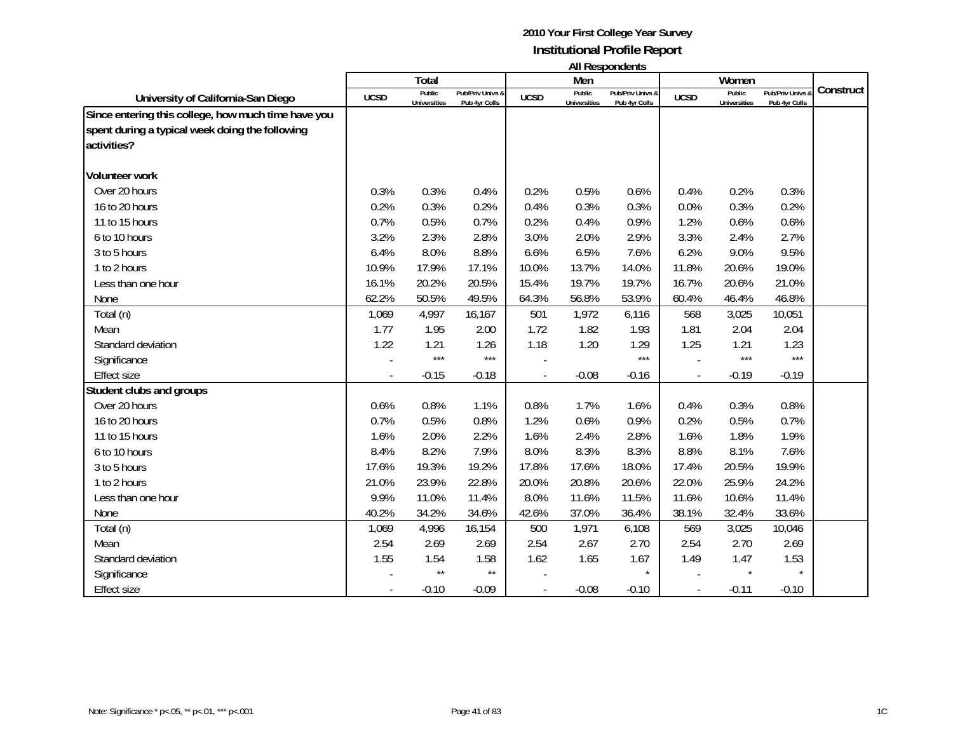|                                                                                                                       |                | Total                         |                                   |             | Men                           | טוויטאוטעכטאו ווו                 |             | Women                         |                                 |           |
|-----------------------------------------------------------------------------------------------------------------------|----------------|-------------------------------|-----------------------------------|-------------|-------------------------------|-----------------------------------|-------------|-------------------------------|---------------------------------|-----------|
| University of California-San Diego                                                                                    | <b>UCSD</b>    | Public<br><b>Universities</b> | Pub/Priv Univs &<br>Pub 4yr Colls | <b>UCSD</b> | Public<br><b>Universities</b> | Pub/Priv Univs &<br>Pub 4yr Colls | <b>UCSD</b> | Public<br><b>Universities</b> | Pub/Priv Univs<br>Pub 4yr Colls | Construct |
| Since entering this college, how much time have you<br>spent during a typical week doing the following<br>activities? |                |                               |                                   |             |                               |                                   |             |                               |                                 |           |
| <b>Volunteer work</b>                                                                                                 |                |                               |                                   |             |                               |                                   |             |                               |                                 |           |
| Over 20 hours                                                                                                         | 0.3%           | 0.3%                          | 0.4%                              | 0.2%        | 0.5%                          | 0.6%                              | 0.4%        | 0.2%                          | 0.3%                            |           |
| 16 to 20 hours                                                                                                        | 0.2%           | 0.3%                          | 0.2%                              | 0.4%        | 0.3%                          | 0.3%                              | 0.0%        | 0.3%                          | 0.2%                            |           |
| 11 to 15 hours                                                                                                        | 0.7%           | 0.5%                          | 0.7%                              | 0.2%        | 0.4%                          | 0.9%                              | 1.2%        | 0.6%                          | 0.6%                            |           |
| 6 to 10 hours                                                                                                         | 3.2%           | 2.3%                          | 2.8%                              | 3.0%        | 2.0%                          | 2.9%                              | 3.3%        | 2.4%                          | 2.7%                            |           |
| 3 to 5 hours                                                                                                          | 6.4%           | 8.0%                          | 8.8%                              | 6.6%        | 6.5%                          | 7.6%                              | 6.2%        | 9.0%                          | 9.5%                            |           |
| 1 to 2 hours                                                                                                          | 10.9%          | 17.9%                         | 17.1%                             | 10.0%       | 13.7%                         | 14.0%                             | 11.8%       | 20.6%                         | 19.0%                           |           |
| Less than one hour                                                                                                    | 16.1%          | 20.2%                         | 20.5%                             | 15.4%       | 19.7%                         | 19.7%                             | 16.7%       | 20.6%                         | 21.0%                           |           |
| None                                                                                                                  | 62.2%          | 50.5%                         | 49.5%                             | 64.3%       | 56.8%                         | 53.9%                             | 60.4%       | 46.4%                         | 46.8%                           |           |
| Total (n)                                                                                                             | 1,069          | 4,997                         | 16,167                            | 501         | 1,972                         | 6,116                             | 568         | 3,025                         | 10,051                          |           |
| Mean                                                                                                                  | 1.77           | 1.95                          | 2.00                              | 1.72        | 1.82                          | 1.93                              | 1.81        | 2.04                          | 2.04                            |           |
| Standard deviation                                                                                                    | 1.22           | 1.21                          | 1.26                              | 1.18        | 1.20                          | 1.29                              | 1.25        | 1.21                          | 1.23                            |           |
| Significance                                                                                                          |                | $***$                         | $***$                             |             |                               | $***$                             |             | ***                           | $***$                           |           |
| <b>Effect size</b>                                                                                                    | $\overline{a}$ | $-0.15$                       | $-0.18$                           |             | $-0.08$                       | $-0.16$                           |             | $-0.19$                       | $-0.19$                         |           |
| Student clubs and groups                                                                                              |                |                               |                                   |             |                               |                                   |             |                               |                                 |           |
| Over 20 hours                                                                                                         | 0.6%           | 0.8%                          | 1.1%                              | 0.8%        | 1.7%                          | 1.6%                              | 0.4%        | 0.3%                          | 0.8%                            |           |
| 16 to 20 hours                                                                                                        | 0.7%           | 0.5%                          | 0.8%                              | 1.2%        | 0.6%                          | 0.9%                              | 0.2%        | 0.5%                          | 0.7%                            |           |
| 11 to 15 hours                                                                                                        | 1.6%           | 2.0%                          | 2.2%                              | 1.6%        | 2.4%                          | 2.8%                              | 1.6%        | 1.8%                          | 1.9%                            |           |
| 6 to 10 hours                                                                                                         | 8.4%           | 8.2%                          | 7.9%                              | 8.0%        | 8.3%                          | 8.3%                              | 8.8%        | 8.1%                          | 7.6%                            |           |
| 3 to 5 hours                                                                                                          | 17.6%          | 19.3%                         | 19.2%                             | 17.8%       | 17.6%                         | 18.0%                             | 17.4%       | 20.5%                         | 19.9%                           |           |
| 1 to 2 hours                                                                                                          | 21.0%          | 23.9%                         | 22.8%                             | 20.0%       | 20.8%                         | 20.6%                             | 22.0%       | 25.9%                         | 24.2%                           |           |
| Less than one hour                                                                                                    | 9.9%           | 11.0%                         | 11.4%                             | 8.0%        | 11.6%                         | 11.5%                             | 11.6%       | 10.6%                         | 11.4%                           |           |
| None                                                                                                                  | 40.2%          | 34.2%                         | 34.6%                             | 42.6%       | 37.0%                         | 36.4%                             | 38.1%       | 32.4%                         | 33.6%                           |           |
| Total (n)                                                                                                             | 1,069          | 4,996                         | 16,154                            | 500         | 1,971                         | 6,108                             | 569         | 3,025                         | 10,046                          |           |
| Mean                                                                                                                  | 2.54           | 2.69                          | 2.69                              | 2.54        | 2.67                          | 2.70                              | 2.54        | 2.70                          | 2.69                            |           |
| Standard deviation                                                                                                    | 1.55           | 1.54                          | 1.58                              | 1.62        | 1.65                          | 1.67                              | 1.49        | 1.47                          | 1.53                            |           |
| Significance                                                                                                          |                | $\star\star$                  | $\star\star$                      |             |                               |                                   |             | $\star$                       | $\star$                         |           |
| <b>Effect size</b>                                                                                                    |                | $-0.10$                       | $-0.09$                           |             | $-0.08$                       | $-0.10$                           |             | $-0.11$                       | $-0.10$                         |           |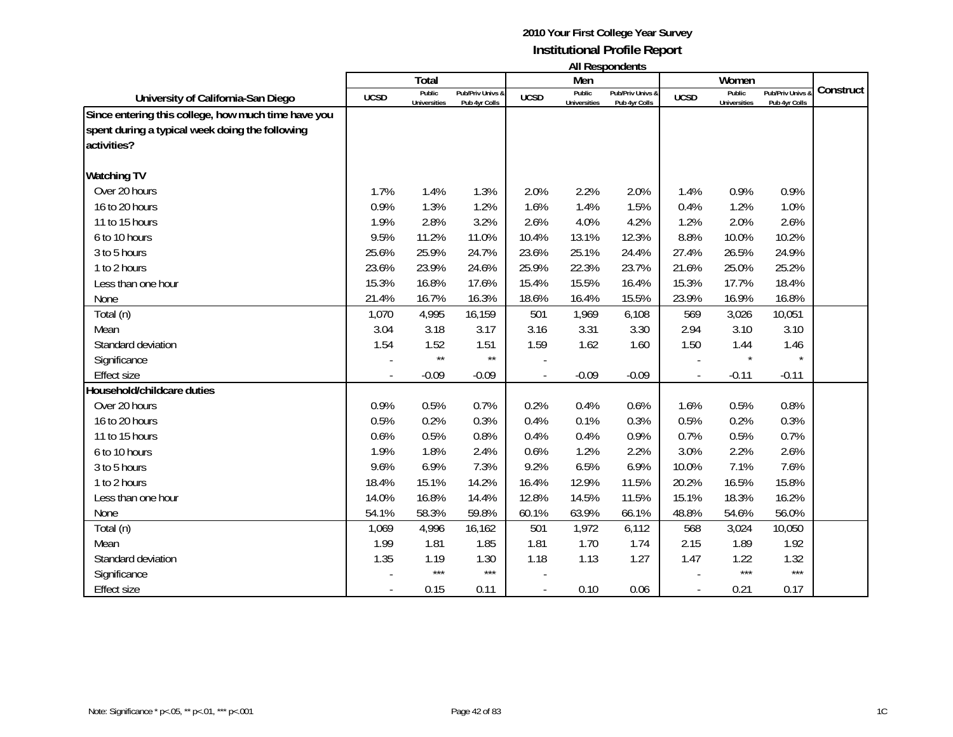|                                                                                                                       |             | Total                         |                                   |                | Men                           | טוויטאוטעכטאו ווו                 |                | Women                         |                                 |           |
|-----------------------------------------------------------------------------------------------------------------------|-------------|-------------------------------|-----------------------------------|----------------|-------------------------------|-----------------------------------|----------------|-------------------------------|---------------------------------|-----------|
| University of California-San Diego                                                                                    | <b>UCSD</b> | Public<br><b>Universities</b> | Pub/Priv Univs &<br>Pub 4yr Colls | <b>UCSD</b>    | Public<br><b>Universities</b> | Pub/Priv Univs &<br>Pub 4yr Colls | <b>UCSD</b>    | Public<br><b>Universities</b> | Pub/Priv Univs<br>Pub 4yr Colls | Construct |
| Since entering this college, how much time have you<br>spent during a typical week doing the following<br>activities? |             |                               |                                   |                |                               |                                   |                |                               |                                 |           |
| <b>Watching TV</b>                                                                                                    |             |                               |                                   |                |                               |                                   |                |                               |                                 |           |
| Over 20 hours                                                                                                         | 1.7%        | 1.4%                          | 1.3%                              | 2.0%           | 2.2%                          | 2.0%                              | 1.4%           | 0.9%                          | 0.9%                            |           |
| 16 to 20 hours                                                                                                        | 0.9%        | 1.3%                          | 1.2%                              | 1.6%           | 1.4%                          | 1.5%                              | 0.4%           | 1.2%                          | 1.0%                            |           |
| 11 to 15 hours                                                                                                        | 1.9%        | 2.8%                          | 3.2%                              | 2.6%           | 4.0%                          | 4.2%                              | 1.2%           | 2.0%                          | 2.6%                            |           |
| 6 to 10 hours                                                                                                         | 9.5%        | 11.2%                         | 11.0%                             | 10.4%          | 13.1%                         | 12.3%                             | 8.8%           | 10.0%                         | 10.2%                           |           |
| 3 to 5 hours                                                                                                          | 25.6%       | 25.9%                         | 24.7%                             | 23.6%          | 25.1%                         | 24.4%                             | 27.4%          | 26.5%                         | 24.9%                           |           |
| 1 to 2 hours                                                                                                          | 23.6%       | 23.9%                         | 24.6%                             | 25.9%          | 22.3%                         | 23.7%                             | 21.6%          | 25.0%                         | 25.2%                           |           |
| Less than one hour                                                                                                    | 15.3%       | 16.8%                         | 17.6%                             | 15.4%          | 15.5%                         | 16.4%                             | 15.3%          | 17.7%                         | 18.4%                           |           |
| None                                                                                                                  | 21.4%       | 16.7%                         | 16.3%                             | 18.6%          | 16.4%                         | 15.5%                             | 23.9%          | 16.9%                         | 16.8%                           |           |
| Total (n)                                                                                                             | 1,070       | 4,995                         | 16,159                            | 501            | 1,969                         | 6,108                             | 569            | 3,026                         | 10,051                          |           |
| Mean                                                                                                                  | 3.04        | 3.18                          | 3.17                              | 3.16           | 3.31                          | 3.30                              | 2.94           | 3.10                          | 3.10                            |           |
| Standard deviation                                                                                                    | 1.54        | 1.52                          | 1.51                              | 1.59           | 1.62                          | 1.60                              | 1.50           | 1.44                          | 1.46                            |           |
| Significance                                                                                                          |             | $\star\star$                  | $\star\star$                      |                |                               |                                   |                | $\star$                       | $\star$                         |           |
| <b>Effect size</b>                                                                                                    |             | $-0.09$                       | $-0.09$                           | $\blacksquare$ | $-0.09$                       | $-0.09$                           | $\blacksquare$ | $-0.11$                       | $-0.11$                         |           |
| Household/childcare duties                                                                                            |             |                               |                                   |                |                               |                                   |                |                               |                                 |           |
| Over 20 hours                                                                                                         | 0.9%        | 0.5%                          | 0.7%                              | 0.2%           | 0.4%                          | 0.6%                              | 1.6%           | 0.5%                          | 0.8%                            |           |
| 16 to 20 hours                                                                                                        | 0.5%        | 0.2%                          | 0.3%                              | 0.4%           | 0.1%                          | 0.3%                              | 0.5%           | 0.2%                          | 0.3%                            |           |
| 11 to 15 hours                                                                                                        | 0.6%        | 0.5%                          | 0.8%                              | 0.4%           | 0.4%                          | 0.9%                              | 0.7%           | 0.5%                          | 0.7%                            |           |
| 6 to 10 hours                                                                                                         | 1.9%        | 1.8%                          | 2.4%                              | 0.6%           | 1.2%                          | 2.2%                              | 3.0%           | 2.2%                          | 2.6%                            |           |
| 3 to 5 hours                                                                                                          | 9.6%        | 6.9%                          | 7.3%                              | 9.2%           | 6.5%                          | 6.9%                              | 10.0%          | 7.1%                          | 7.6%                            |           |
| 1 to 2 hours                                                                                                          | 18.4%       | 15.1%                         | 14.2%                             | 16.4%          | 12.9%                         | 11.5%                             | 20.2%          | 16.5%                         | 15.8%                           |           |
| Less than one hour                                                                                                    | 14.0%       | 16.8%                         | 14.4%                             | 12.8%          | 14.5%                         | 11.5%                             | 15.1%          | 18.3%                         | 16.2%                           |           |
| None                                                                                                                  | 54.1%       | 58.3%                         | 59.8%                             | 60.1%          | 63.9%                         | 66.1%                             | 48.8%          | 54.6%                         | 56.0%                           |           |
| Total (n)                                                                                                             | 1,069       | 4,996                         | 16,162                            | 501            | 1,972                         | 6,112                             | 568            | 3,024                         | 10,050                          |           |
| Mean                                                                                                                  | 1.99        | 1.81                          | 1.85                              | 1.81           | 1.70                          | 1.74                              | 2.15           | 1.89                          | 1.92                            |           |
| Standard deviation                                                                                                    | 1.35        | 1.19                          | 1.30                              | 1.18           | 1.13                          | 1.27                              | 1.47           | 1.22                          | 1.32                            |           |
| Significance                                                                                                          |             | $***$                         | $***$                             |                |                               |                                   |                | $***$                         | $***$                           |           |
| <b>Effect size</b>                                                                                                    |             | 0.15                          | 0.11                              |                | 0.10                          | 0.06                              |                | 0.21                          | 0.17                            |           |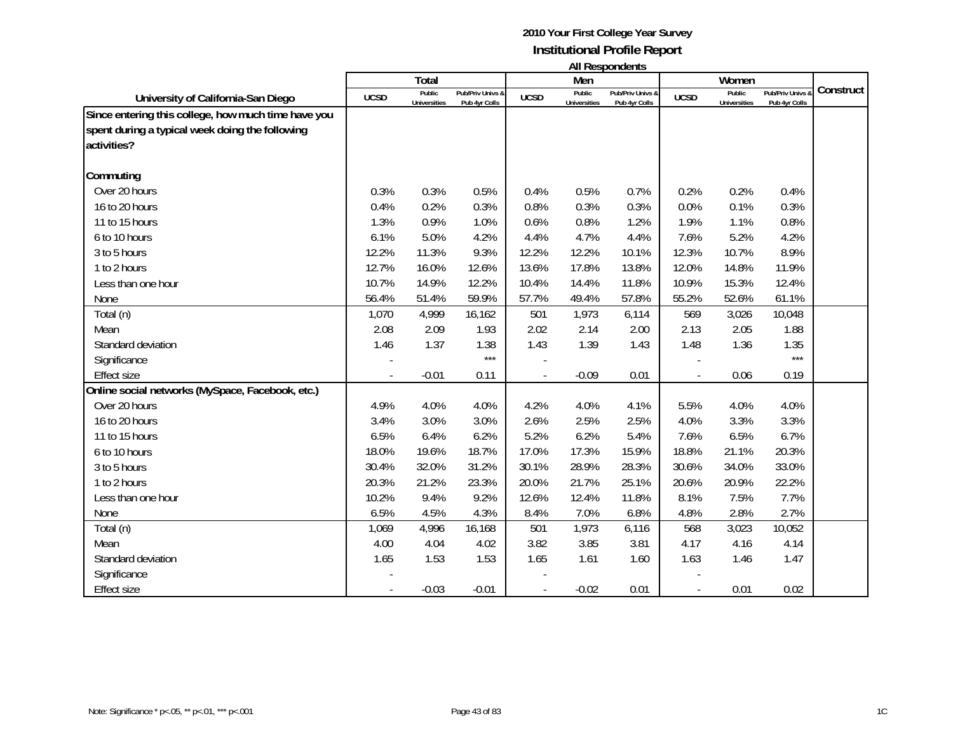|                                                                                                                       |                          | Total                         |                                   |             | Men                           | טוווטאווטעכטרו וור                |                | Women                         |                                 |           |
|-----------------------------------------------------------------------------------------------------------------------|--------------------------|-------------------------------|-----------------------------------|-------------|-------------------------------|-----------------------------------|----------------|-------------------------------|---------------------------------|-----------|
| University of California-San Diego                                                                                    | <b>UCSD</b>              | Public<br><b>Universities</b> | Pub/Priv Univs &<br>Pub 4yr Colls | <b>UCSD</b> | Public<br><b>Universities</b> | Pub/Priv Univs &<br>Pub 4yr Colls | <b>UCSD</b>    | Public<br><b>Universities</b> | Pub/Priv Univs<br>Pub 4yr Colls | Construct |
| Since entering this college, how much time have you<br>spent during a typical week doing the following<br>activities? |                          |                               |                                   |             |                               |                                   |                |                               |                                 |           |
| Commuting                                                                                                             |                          |                               |                                   |             |                               |                                   |                |                               |                                 |           |
| Over 20 hours                                                                                                         | 0.3%                     | 0.3%                          | 0.5%                              | 0.4%        | 0.5%                          | 0.7%                              | 0.2%           | 0.2%                          | 0.4%                            |           |
| 16 to 20 hours                                                                                                        | 0.4%                     | 0.2%                          | 0.3%                              | 0.8%        | 0.3%                          | 0.3%                              | 0.0%           | 0.1%                          | 0.3%                            |           |
| 11 to 15 hours                                                                                                        | 1.3%                     | 0.9%                          | 1.0%                              | 0.6%        | 0.8%                          | 1.2%                              | 1.9%           | 1.1%                          | 0.8%                            |           |
| 6 to 10 hours                                                                                                         | 6.1%                     | 5.0%                          | 4.2%                              | 4.4%        | 4.7%                          | 4.4%                              | 7.6%           | 5.2%                          | 4.2%                            |           |
| 3 to 5 hours                                                                                                          | 12.2%                    | 11.3%                         | 9.3%                              | 12.2%       | 12.2%                         | 10.1%                             | 12.3%          | 10.7%                         | 8.9%                            |           |
| 1 to 2 hours                                                                                                          | 12.7%                    | 16.0%                         | 12.6%                             | 13.6%       | 17.8%                         | 13.8%                             | 12.0%          | 14.8%                         | 11.9%                           |           |
| Less than one hour                                                                                                    | 10.7%                    | 14.9%                         | 12.2%                             | 10.4%       | 14.4%                         | 11.8%                             | 10.9%          | 15.3%                         | 12.4%                           |           |
| None                                                                                                                  | 56.4%                    | 51.4%                         | 59.9%                             | 57.7%       | 49.4%                         | 57.8%                             | 55.2%          | 52.6%                         | 61.1%                           |           |
| Total (n)                                                                                                             | 1,070                    | 4,999                         | 16,162                            | 501         | 1,973                         | 6,114                             | 569            | 3,026                         | 10,048                          |           |
| Mean                                                                                                                  | 2.08                     | 2.09                          | 1.93                              | 2.02        | 2.14                          | 2.00                              | 2.13           | 2.05                          | 1.88                            |           |
| Standard deviation                                                                                                    | 1.46                     | 1.37                          | 1.38                              | 1.43        | 1.39                          | 1.43                              | 1.48           | 1.36                          | 1.35                            |           |
| Significance                                                                                                          |                          |                               | $***$                             |             |                               |                                   |                |                               | $***$                           |           |
| <b>Effect size</b>                                                                                                    | $\overline{\phantom{a}}$ | $-0.01$                       | 0.11                              |             | $-0.09$                       | 0.01                              | $\blacksquare$ | 0.06                          | 0.19                            |           |
| Online social networks (MySpace, Facebook, etc.)                                                                      |                          |                               |                                   |             |                               |                                   |                |                               |                                 |           |
| Over 20 hours                                                                                                         | 4.9%                     | 4.0%                          | 4.0%                              | 4.2%        | 4.0%                          | 4.1%                              | 5.5%           | 4.0%                          | 4.0%                            |           |
| 16 to 20 hours                                                                                                        | 3.4%                     | 3.0%                          | 3.0%                              | 2.6%        | 2.5%                          | 2.5%                              | 4.0%           | 3.3%                          | 3.3%                            |           |
| 11 to 15 hours                                                                                                        | 6.5%                     | 6.4%                          | 6.2%                              | 5.2%        | 6.2%                          | 5.4%                              | 7.6%           | 6.5%                          | 6.7%                            |           |
| 6 to 10 hours                                                                                                         | 18.0%                    | 19.6%                         | 18.7%                             | 17.0%       | 17.3%                         | 15.9%                             | 18.8%          | 21.1%                         | 20.3%                           |           |
| 3 to 5 hours                                                                                                          | 30.4%                    | 32.0%                         | 31.2%                             | 30.1%       | 28.9%                         | 28.3%                             | 30.6%          | 34.0%                         | 33.0%                           |           |
| 1 to 2 hours                                                                                                          | 20.3%                    | 21.2%                         | 23.3%                             | 20.0%       | 21.7%                         | 25.1%                             | 20.6%          | 20.9%                         | 22.2%                           |           |
| Less than one hour                                                                                                    | 10.2%                    | 9.4%                          | 9.2%                              | 12.6%       | 12.4%                         | 11.8%                             | 8.1%           | 7.5%                          | 7.7%                            |           |
| None                                                                                                                  | 6.5%                     | 4.5%                          | 4.3%                              | 8.4%        | 7.0%                          | 6.8%                              | 4.8%           | 2.8%                          | 2.7%                            |           |
| Total (n)                                                                                                             | 1,069                    | 4,996                         | 16,168                            | 501         | 1,973                         | 6,116                             | 568            | 3,023                         | 10,052                          |           |
| Mean                                                                                                                  | 4.00                     | 4.04                          | 4.02                              | 3.82        | 3.85                          | 3.81                              | 4.17           | 4.16                          | 4.14                            |           |
| Standard deviation                                                                                                    | 1.65                     | 1.53                          | 1.53                              | 1.65        | 1.61                          | 1.60                              | 1.63           | 1.46                          | 1.47                            |           |
| Significance                                                                                                          |                          |                               |                                   |             |                               |                                   |                |                               |                                 |           |
| <b>Effect size</b>                                                                                                    |                          | $-0.03$                       | $-0.01$                           |             | $-0.02$                       | 0.01                              |                | 0.01                          | 0.02                            |           |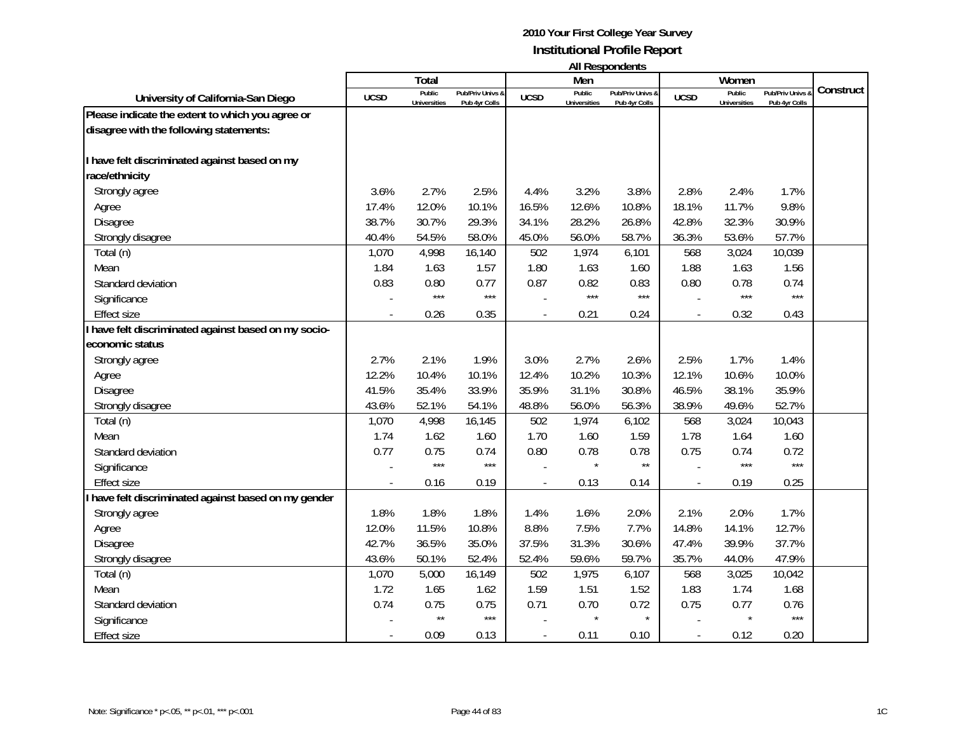|                                                      |             | <b>Total</b>                  |                                   |                          | Men                           |                                   |             | Women                         |                                 |           |
|------------------------------------------------------|-------------|-------------------------------|-----------------------------------|--------------------------|-------------------------------|-----------------------------------|-------------|-------------------------------|---------------------------------|-----------|
| University of California-San Diego                   | <b>UCSD</b> | Public<br><b>Universities</b> | Pub/Priv Univs &<br>Pub 4yr Colls | <b>UCSD</b>              | Public<br><b>Universities</b> | Pub/Priv Univs &<br>Pub 4yr Colls | <b>UCSD</b> | Public<br><b>Universities</b> | Pub/Priv Univs<br>Pub 4yr Colls | Construct |
| Please indicate the extent to which you agree or     |             |                               |                                   |                          |                               |                                   |             |                               |                                 |           |
| disagree with the following statements:              |             |                               |                                   |                          |                               |                                   |             |                               |                                 |           |
|                                                      |             |                               |                                   |                          |                               |                                   |             |                               |                                 |           |
| I have felt discriminated against based on my        |             |                               |                                   |                          |                               |                                   |             |                               |                                 |           |
| race/ethnicity                                       |             |                               |                                   |                          |                               |                                   |             |                               |                                 |           |
| Strongly agree                                       | 3.6%        | 2.7%                          | 2.5%                              | 4.4%                     | 3.2%                          | 3.8%                              | 2.8%        | 2.4%                          | 1.7%                            |           |
| Agree                                                | 17.4%       | 12.0%                         | 10.1%                             | 16.5%                    | 12.6%                         | 10.8%                             | 18.1%       | 11.7%                         | 9.8%                            |           |
| Disagree                                             | 38.7%       | 30.7%                         | 29.3%                             | 34.1%                    | 28.2%                         | 26.8%                             | 42.8%       | 32.3%                         | 30.9%                           |           |
| Strongly disagree                                    | 40.4%       | 54.5%                         | 58.0%                             | 45.0%                    | 56.0%                         | 58.7%                             | 36.3%       | 53.6%                         | 57.7%                           |           |
| Total (n)                                            | 1,070       | 4,998                         | 16,140                            | 502                      | 1,974                         | 6,101                             | 568         | 3,024                         | 10,039                          |           |
| Mean                                                 | 1.84        | 1.63                          | 1.57                              | 1.80                     | 1.63                          | 1.60                              | 1.88        | 1.63                          | 1.56                            |           |
| Standard deviation                                   | 0.83        | 0.80                          | 0.77                              | 0.87                     | 0.82                          | 0.83                              | 0.80        | 0.78                          | 0.74                            |           |
| Significance                                         |             | $***$                         | $***$                             |                          | $***$                         | $***$                             |             | $***$                         | $***$                           |           |
| <b>Effect size</b>                                   |             | 0.26                          | 0.35                              | $\overline{\phantom{a}}$ | 0.21                          | 0.24                              |             | 0.32                          | 0.43                            |           |
| I have felt discriminated against based on my socio- |             |                               |                                   |                          |                               |                                   |             |                               |                                 |           |
| economic status                                      |             |                               |                                   |                          |                               |                                   |             |                               |                                 |           |
| Strongly agree                                       | 2.7%        | 2.1%                          | 1.9%                              | 3.0%                     | 2.7%                          | 2.6%                              | 2.5%        | 1.7%                          | 1.4%                            |           |
| Agree                                                | 12.2%       | 10.4%                         | 10.1%                             | 12.4%                    | 10.2%                         | 10.3%                             | 12.1%       | 10.6%                         | 10.0%                           |           |
| <b>Disagree</b>                                      | 41.5%       | 35.4%                         | 33.9%                             | 35.9%                    | 31.1%                         | 30.8%                             | 46.5%       | 38.1%                         | 35.9%                           |           |
| Strongly disagree                                    | 43.6%       | 52.1%                         | 54.1%                             | 48.8%                    | 56.0%                         | 56.3%                             | 38.9%       | 49.6%                         | 52.7%                           |           |
| Total (n)                                            | 1,070       | 4,998                         | 16,145                            | 502                      | 1,974                         | 6,102                             | 568         | 3,024                         | 10,043                          |           |
| Mean                                                 | 1.74        | 1.62                          | 1.60                              | 1.70                     | 1.60                          | 1.59                              | 1.78        | 1.64                          | 1.60                            |           |
| Standard deviation                                   | 0.77        | 0.75                          | 0.74                              | 0.80                     | 0.78                          | 0.78                              | 0.75        | 0.74                          | 0.72                            |           |
| Significance                                         |             | $***$                         | $***$                             |                          |                               | $\star\star$                      |             | $***$                         | $***$                           |           |
| <b>Effect size</b>                                   |             | 0.16                          | 0.19                              |                          | 0.13                          | 0.14                              |             | 0.19                          | 0.25                            |           |
| I have felt discriminated against based on my gender |             |                               |                                   |                          |                               |                                   |             |                               |                                 |           |
| Strongly agree                                       | 1.8%        | 1.8%                          | 1.8%                              | 1.4%                     | 1.6%                          | 2.0%                              | 2.1%        | 2.0%                          | 1.7%                            |           |
| Agree                                                | 12.0%       | 11.5%                         | 10.8%                             | 8.8%                     | 7.5%                          | 7.7%                              | 14.8%       | 14.1%                         | 12.7%                           |           |
| Disagree                                             | 42.7%       | 36.5%                         | 35.0%                             | 37.5%                    | 31.3%                         | 30.6%                             | 47.4%       | 39.9%                         | 37.7%                           |           |
| Strongly disagree                                    | 43.6%       | 50.1%                         | 52.4%                             | 52.4%                    | 59.6%                         | 59.7%                             | 35.7%       | 44.0%                         | 47.9%                           |           |
| Total (n)                                            | 1,070       | 5,000                         | 16,149                            | 502                      | 1,975                         | 6,107                             | 568         | 3,025                         | 10,042                          |           |
| Mean                                                 | 1.72        | 1.65                          | 1.62                              | 1.59                     | 1.51                          | 1.52                              | 1.83        | 1.74                          | 1.68                            |           |
| Standard deviation                                   | 0.74        | 0.75                          | 0.75                              | 0.71                     | 0.70                          | 0.72                              | 0.75        | 0.77                          | 0.76                            |           |
| Significance                                         |             | $\star\star$                  | $***$                             |                          | $\star$                       | $\star$                           |             | $\star$                       | $***$                           |           |
| <b>Effect size</b>                                   |             | 0.09                          | 0.13                              |                          | 0.11                          | 0.10                              |             | 0.12                          | 0.20                            |           |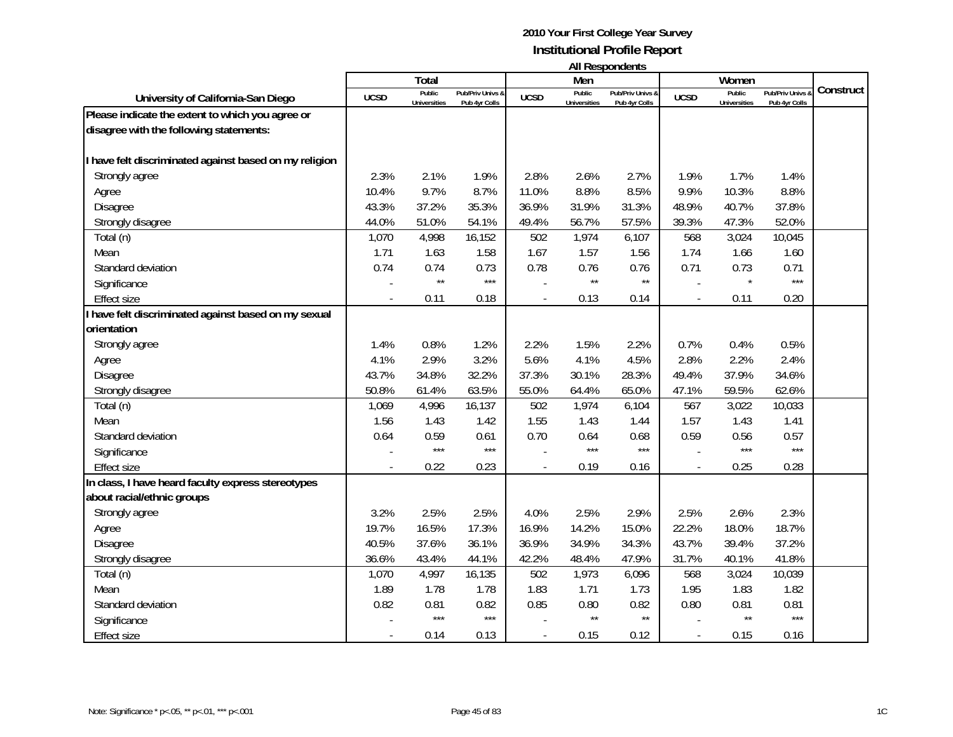|                                                        |             | Total               |                  |                | .<br>Men            |                  |                |                     |                |           |
|--------------------------------------------------------|-------------|---------------------|------------------|----------------|---------------------|------------------|----------------|---------------------|----------------|-----------|
|                                                        |             | Public              | Pub/Priv Univs & |                | Public              | Pub/Priv Univs & |                | Women<br>Public     | Pub/Priv Univs | Construct |
| University of California-San Diego                     | <b>UCSD</b> | <b>Universities</b> | Pub 4yr Colls    | <b>UCSD</b>    | <b>Universities</b> | Pub 4yr Colls    | <b>UCSD</b>    | <b>Universities</b> | Pub 4yr Colls  |           |
| Please indicate the extent to which you agree or       |             |                     |                  |                |                     |                  |                |                     |                |           |
| disagree with the following statements:                |             |                     |                  |                |                     |                  |                |                     |                |           |
|                                                        |             |                     |                  |                |                     |                  |                |                     |                |           |
| I have felt discriminated against based on my religion |             |                     |                  |                |                     |                  |                |                     |                |           |
| Strongly agree                                         | 2.3%        | 2.1%                | 1.9%             | 2.8%           | 2.6%                | 2.7%             | 1.9%           | 1.7%                | 1.4%           |           |
| Agree                                                  | 10.4%       | 9.7%                | 8.7%             | 11.0%          | 8.8%                | 8.5%             | 9.9%           | 10.3%               | 8.8%           |           |
| <b>Disagree</b>                                        | 43.3%       | 37.2%               | 35.3%            | 36.9%          | 31.9%               | 31.3%            | 48.9%          | 40.7%               | 37.8%          |           |
| Strongly disagree                                      | 44.0%       | 51.0%               | 54.1%            | 49.4%          | 56.7%               | 57.5%            | 39.3%          | 47.3%               | 52.0%          |           |
| Total (n)                                              | 1,070       | 4,998               | 16,152           | 502            | 1,974               | 6,107            | 568            | 3,024               | 10,045         |           |
| Mean                                                   | 1.71        | 1.63                | 1.58             | 1.67           | 1.57                | 1.56             | 1.74           | 1.66                | 1.60           |           |
| Standard deviation                                     | 0.74        | 0.74                | 0.73             | 0.78           | 0.76                | 0.76             | 0.71           | 0.73                | 0.71           |           |
| Significance                                           |             | $\star\star$        | $***$            |                | $\star\star$        | $\star\star$     |                | $\star$             | $***$          |           |
| Effect size                                            |             | 0.11                | 0.18             | $\overline{a}$ | 0.13                | 0.14             | $\blacksquare$ | 0.11                | 0.20           |           |
| I have felt discriminated against based on my sexual   |             |                     |                  |                |                     |                  |                |                     |                |           |
| orientation                                            |             |                     |                  |                |                     |                  |                |                     |                |           |
| Strongly agree                                         | 1.4%        | 0.8%                | 1.2%             | 2.2%           | 1.5%                | 2.2%             | 0.7%           | 0.4%                | 0.5%           |           |
| Agree                                                  | 4.1%        | 2.9%                | 3.2%             | 5.6%           | 4.1%                | 4.5%             | 2.8%           | 2.2%                | 2.4%           |           |
| <b>Disagree</b>                                        | 43.7%       | 34.8%               | 32.2%            | 37.3%          | 30.1%               | 28.3%            | 49.4%          | 37.9%               | 34.6%          |           |
| Strongly disagree                                      | 50.8%       | 61.4%               | 63.5%            | 55.0%          | 64.4%               | 65.0%            | 47.1%          | 59.5%               | 62.6%          |           |
| Total (n)                                              | 1,069       | 4,996               | 16,137           | 502            | 1,974               | 6,104            | 567            | 3,022               | 10,033         |           |
| Mean                                                   | 1.56        | 1.43                | 1.42             | 1.55           | 1.43                | 1.44             | 1.57           | 1.43                | 1.41           |           |
| Standard deviation                                     | 0.64        | 0.59                | 0.61             | 0.70           | 0.64                | 0.68             | 0.59           | 0.56                | 0.57           |           |
| Significance                                           |             | $***$               | $***$            |                | $***$               | $***$            |                | $***$               | $***$          |           |
| <b>Effect size</b>                                     |             | 0.22                | 0.23             | $\overline{a}$ | 0.19                | 0.16             | $\overline{a}$ | 0.25                | 0.28           |           |
| In class, I have heard faculty express stereotypes     |             |                     |                  |                |                     |                  |                |                     |                |           |
| about racial/ethnic groups                             |             |                     |                  |                |                     |                  |                |                     |                |           |
| Strongly agree                                         | 3.2%        | 2.5%                | 2.5%             | 4.0%           | 2.5%                | 2.9%             | 2.5%           | 2.6%                | 2.3%           |           |
| Agree                                                  | 19.7%       | 16.5%               | 17.3%            | 16.9%          | 14.2%               | 15.0%            | 22.2%          | 18.0%               | 18.7%          |           |
| Disagree                                               | 40.5%       | 37.6%               | 36.1%            | 36.9%          | 34.9%               | 34.3%            | 43.7%          | 39.4%               | 37.2%          |           |
| Strongly disagree                                      | 36.6%       | 43.4%               | 44.1%            | 42.2%          | 48.4%               | 47.9%            | 31.7%          | 40.1%               | 41.8%          |           |
| Total (n)                                              | 1,070       | 4,997               | 16,135           | 502            | 1,973               | 6,096            | 568            | 3,024               | 10,039         |           |
| Mean                                                   | 1.89        | 1.78                | 1.78             | 1.83           | 1.71                | 1.73             | 1.95           | 1.83                | 1.82           |           |
| Standard deviation                                     | 0.82        | 0.81                | 0.82             | 0.85           | 0.80                | 0.82             | 0.80           | 0.81                | 0.81           |           |
| Significance                                           |             | $***$               | $***$            |                | $\star\star$        | $\star\star$     |                | $\star\star$        | $***$          |           |
| <b>Effect size</b>                                     |             | 0.14                | 0.13             |                | 0.15                | 0.12             | $\overline{a}$ | 0.15                | 0.16           |           |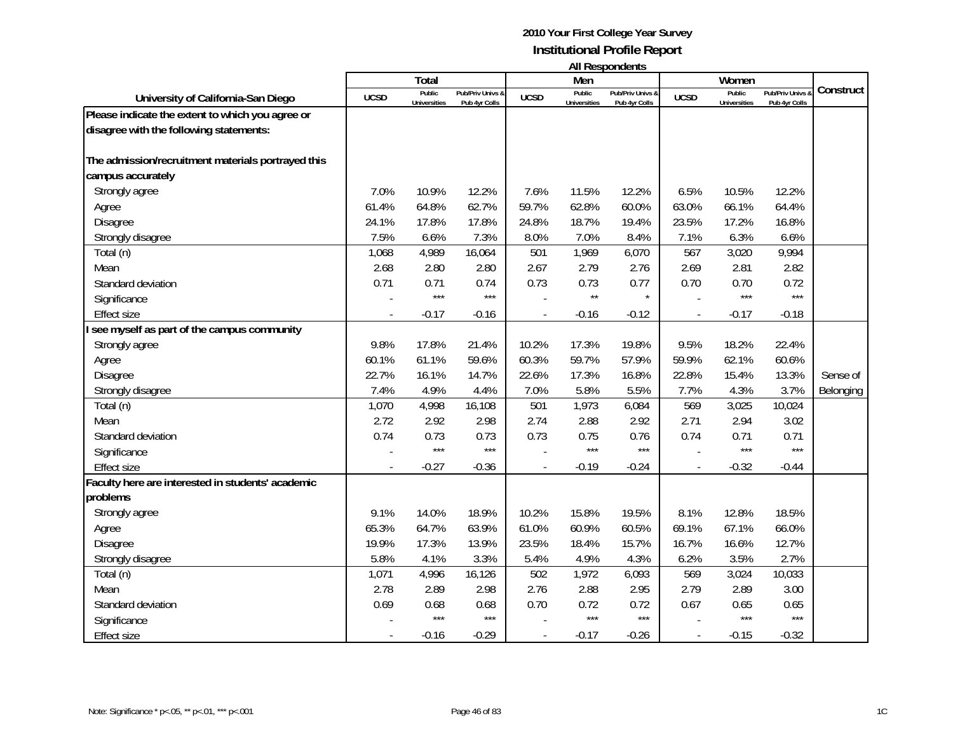|                                                    |             | <b>Total</b>                  |                                   |             | Men                           |                                   |                          | Women                         |                                 |           |
|----------------------------------------------------|-------------|-------------------------------|-----------------------------------|-------------|-------------------------------|-----------------------------------|--------------------------|-------------------------------|---------------------------------|-----------|
| University of California-San Diego                 | <b>UCSD</b> | Public<br><b>Universities</b> | Pub/Priv Univs &<br>Pub 4yr Colls | <b>UCSD</b> | Public<br><b>Universities</b> | Pub/Priv Univs &<br>Pub 4yr Colls | <b>UCSD</b>              | Public<br><b>Universities</b> | Pub/Priv Univs<br>Pub 4yr Colls | Construct |
| Please indicate the extent to which you agree or   |             |                               |                                   |             |                               |                                   |                          |                               |                                 |           |
| disagree with the following statements:            |             |                               |                                   |             |                               |                                   |                          |                               |                                 |           |
| The admission/recruitment materials portrayed this |             |                               |                                   |             |                               |                                   |                          |                               |                                 |           |
| campus accurately                                  |             |                               |                                   |             |                               |                                   |                          |                               |                                 |           |
| Strongly agree                                     | 7.0%        | 10.9%                         | 12.2%                             | 7.6%        | 11.5%                         | 12.2%                             | 6.5%                     | 10.5%                         | 12.2%                           |           |
| Agree                                              | 61.4%       | 64.8%                         | 62.7%                             | 59.7%       | 62.8%                         | 60.0%                             | 63.0%                    | 66.1%                         | 64.4%                           |           |
| Disagree                                           | 24.1%       | 17.8%                         | 17.8%                             | 24.8%       | 18.7%                         | 19.4%                             | 23.5%                    | 17.2%                         | 16.8%                           |           |
| Strongly disagree                                  | 7.5%        | 6.6%                          | 7.3%                              | 8.0%        | 7.0%                          | 8.4%                              | 7.1%                     | 6.3%                          | 6.6%                            |           |
| Total (n)                                          | 1,068       | 4,989                         | 16,064                            | 501         | 1,969                         | 6,070                             | 567                      | 3,020                         | 9,994                           |           |
| Mean                                               | 2.68        | 2.80                          | 2.80                              | 2.67        | 2.79                          | 2.76                              | 2.69                     | 2.81                          | 2.82                            |           |
| Standard deviation                                 | 0.71        | 0.71                          | 0.74                              | 0.73        | 0.73                          | 0.77                              | 0.70                     | 0.70                          | 0.72                            |           |
| Significance                                       |             | $***$                         | $***$                             |             | $\star\star$                  | $\star$                           |                          | $***$                         | $***$                           |           |
| <b>Effect size</b>                                 |             | $-0.17$                       | $-0.16$                           |             | $-0.16$                       | $-0.12$                           | $\overline{\phantom{a}}$ | $-0.17$                       | $-0.18$                         |           |
| see myself as part of the campus community         |             |                               |                                   |             |                               |                                   |                          |                               |                                 |           |
| Strongly agree                                     | 9.8%        | 17.8%                         | 21.4%                             | 10.2%       | 17.3%                         | 19.8%                             | 9.5%                     | 18.2%                         | 22.4%                           |           |
| Agree                                              | 60.1%       | 61.1%                         | 59.6%                             | 60.3%       | 59.7%                         | 57.9%                             | 59.9%                    | 62.1%                         | 60.6%                           |           |
| Disagree                                           | 22.7%       | 16.1%                         | 14.7%                             | 22.6%       | 17.3%                         | 16.8%                             | 22.8%                    | 15.4%                         | 13.3%                           | Sense of  |
| Strongly disagree                                  | 7.4%        | 4.9%                          | 4.4%                              | 7.0%        | 5.8%                          | 5.5%                              | 7.7%                     | 4.3%                          | 3.7%                            | Belonging |
| Total (n)                                          | 1,070       | 4,998                         | 16,108                            | 501         | 1,973                         | 6,084                             | 569                      | 3,025                         | 10,024                          |           |
| Mean                                               | 2.72        | 2.92                          | 2.98                              | 2.74        | 2.88                          | 2.92                              | 2.71                     | 2.94                          | 3.02                            |           |
| Standard deviation                                 | 0.74        | 0.73                          | 0.73                              | 0.73        | 0.75                          | 0.76                              | 0.74                     | 0.71                          | 0.71                            |           |
| Significance                                       |             | $***$                         | $***$                             |             | $***$                         | $***$                             |                          | $***$                         | $***$                           |           |
| <b>Effect size</b>                                 |             | $-0.27$                       | $-0.36$                           |             | $-0.19$                       | $-0.24$                           |                          | $-0.32$                       | $-0.44$                         |           |
| Faculty here are interested in students' academic  |             |                               |                                   |             |                               |                                   |                          |                               |                                 |           |
| problems                                           |             |                               |                                   |             |                               |                                   |                          |                               |                                 |           |
| Strongly agree                                     | 9.1%        | 14.0%                         | 18.9%                             | 10.2%       | 15.8%                         | 19.5%                             | 8.1%                     | 12.8%                         | 18.5%                           |           |
| Agree                                              | 65.3%       | 64.7%                         | 63.9%                             | 61.0%       | 60.9%                         | 60.5%                             | 69.1%                    | 67.1%                         | 66.0%                           |           |
| Disagree                                           | 19.9%       | 17.3%                         | 13.9%                             | 23.5%       | 18.4%                         | 15.7%                             | 16.7%                    | 16.6%                         | 12.7%                           |           |
| Strongly disagree                                  | 5.8%        | 4.1%                          | 3.3%                              | 5.4%        | 4.9%                          | 4.3%                              | 6.2%                     | 3.5%                          | 2.7%                            |           |
| Total (n)                                          | 1,071       | 4,996                         | 16,126                            | 502         | 1,972                         | 6,093                             | 569                      | 3,024                         | 10,033                          |           |
| Mean                                               | 2.78        | 2.89                          | 2.98                              | 2.76        | 2.88                          | 2.95                              | 2.79                     | 2.89                          | 3.00                            |           |
| Standard deviation                                 | 0.69        | 0.68                          | 0.68                              | 0.70        | 0.72                          | 0.72                              | 0.67                     | 0.65                          | 0.65                            |           |
| Significance                                       |             | $***$                         | $***$                             |             | $***$                         | $***$                             |                          | $***$                         | $***$                           |           |
| <b>Effect size</b>                                 |             | $-0.16$                       | $-0.29$                           |             | $-0.17$                       | $-0.26$                           |                          | $-0.15$                       | $-0.32$                         |           |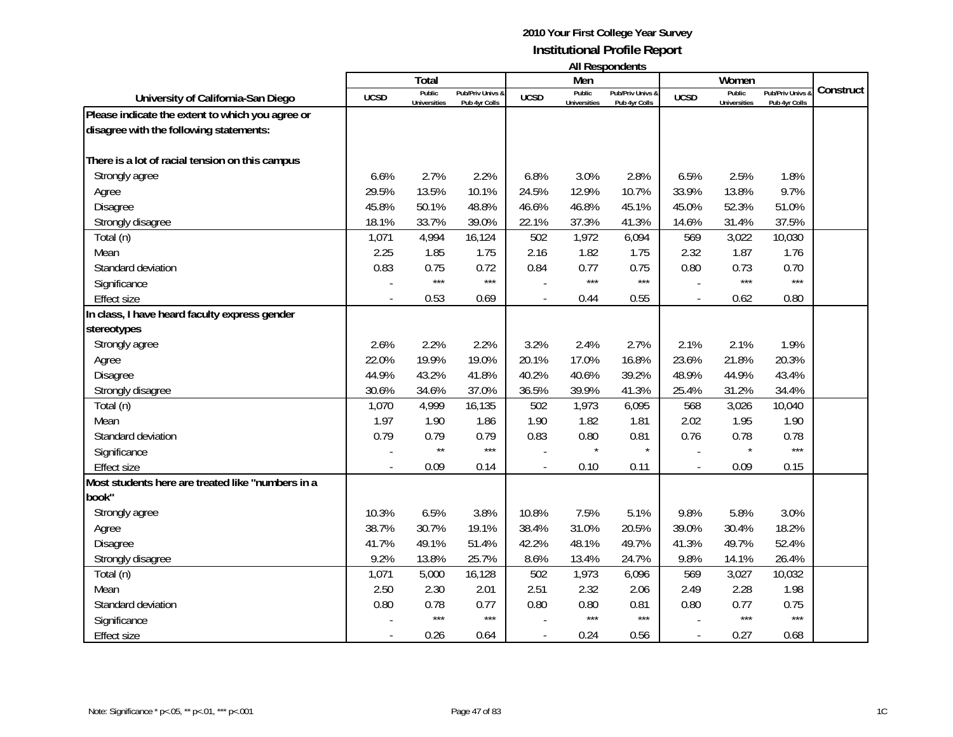|                                                   |             | <b>Total</b>                  |                                   |             | Men                           |                                   |                | Women                         |                                 |           |
|---------------------------------------------------|-------------|-------------------------------|-----------------------------------|-------------|-------------------------------|-----------------------------------|----------------|-------------------------------|---------------------------------|-----------|
| University of California-San Diego                | <b>UCSD</b> | Public<br><b>Universities</b> | Pub/Priv Univs &<br>Pub 4yr Colls | <b>UCSD</b> | Public<br><b>Universities</b> | Pub/Priv Univs &<br>Pub 4yr Colls | <b>UCSD</b>    | Public<br><b>Universities</b> | Pub/Priv Univs<br>Pub 4yr Colls | Construct |
| Please indicate the extent to which you agree or  |             |                               |                                   |             |                               |                                   |                |                               |                                 |           |
| disagree with the following statements:           |             |                               |                                   |             |                               |                                   |                |                               |                                 |           |
| There is a lot of racial tension on this campus   |             |                               |                                   |             |                               |                                   |                |                               |                                 |           |
| Strongly agree                                    | 6.6%        | 2.7%                          | 2.2%                              | 6.8%        | 3.0%                          | 2.8%                              | 6.5%           | 2.5%                          | 1.8%                            |           |
| Agree                                             | 29.5%       | 13.5%                         | 10.1%                             | 24.5%       | 12.9%                         | 10.7%                             | 33.9%          | 13.8%                         | 9.7%                            |           |
| Disagree                                          | 45.8%       | 50.1%                         | 48.8%                             | 46.6%       | 46.8%                         | 45.1%                             | 45.0%          | 52.3%                         | 51.0%                           |           |
| Strongly disagree                                 | 18.1%       | 33.7%                         | 39.0%                             | 22.1%       | 37.3%                         | 41.3%                             | 14.6%          | 31.4%                         | 37.5%                           |           |
| Total (n)                                         | 1,071       | 4,994                         | 16,124                            | 502         | 1,972                         | 6,094                             | 569            | 3,022                         | 10,030                          |           |
| Mean                                              | 2.25        | 1.85                          | 1.75                              | 2.16        | 1.82                          | 1.75                              | 2.32           | 1.87                          | 1.76                            |           |
| Standard deviation                                | 0.83        | 0.75                          | 0.72                              | 0.84        | 0.77                          | 0.75                              | 0.80           | 0.73                          | 0.70                            |           |
| Significance                                      |             | $***$                         | $***$                             |             | $***$                         | $***$                             |                | $***$                         | $***$                           |           |
| <b>Effect size</b>                                |             | 0.53                          | 0.69                              |             | 0.44                          | 0.55                              | $\blacksquare$ | 0.62                          | 0.80                            |           |
| In class, I have heard faculty express gender     |             |                               |                                   |             |                               |                                   |                |                               |                                 |           |
| stereotypes                                       |             |                               |                                   |             |                               |                                   |                |                               |                                 |           |
| Strongly agree                                    | 2.6%        | 2.2%                          | 2.2%                              | 3.2%        | 2.4%                          | 2.7%                              | 2.1%           | 2.1%                          | 1.9%                            |           |
| Agree                                             | 22.0%       | 19.9%                         | 19.0%                             | 20.1%       | 17.0%                         | 16.8%                             | 23.6%          | 21.8%                         | 20.3%                           |           |
| <b>Disagree</b>                                   | 44.9%       | 43.2%                         | 41.8%                             | 40.2%       | 40.6%                         | 39.2%                             | 48.9%          | 44.9%                         | 43.4%                           |           |
| Strongly disagree                                 | 30.6%       | 34.6%                         | 37.0%                             | 36.5%       | 39.9%                         | 41.3%                             | 25.4%          | 31.2%                         | 34.4%                           |           |
| Total (n)                                         | 1,070       | 4,999                         | 16,135                            | 502         | 1,973                         | 6,095                             | 568            | 3,026                         | 10,040                          |           |
| Mean                                              | 1.97        | 1.90                          | 1.86                              | 1.90        | 1.82                          | 1.81                              | 2.02           | 1.95                          | 1.90                            |           |
| Standard deviation                                | 0.79        | 0.79                          | 0.79                              | 0.83        | 0.80                          | 0.81                              | 0.76           | 0.78                          | 0.78                            |           |
| Significance                                      |             | $\star\star$                  | $***$                             |             |                               | $\star$                           |                | $\star$                       | $***$                           |           |
| <b>Effect size</b>                                |             | 0.09                          | 0.14                              |             | 0.10                          | 0.11                              |                | 0.09                          | 0.15                            |           |
| Most students here are treated like "numbers in a |             |                               |                                   |             |                               |                                   |                |                               |                                 |           |
| book"                                             |             |                               |                                   |             |                               |                                   |                |                               |                                 |           |
| Strongly agree                                    | 10.3%       | 6.5%                          | 3.8%                              | 10.8%       | 7.5%                          | 5.1%                              | 9.8%           | 5.8%                          | 3.0%                            |           |
| Agree                                             | 38.7%       | 30.7%                         | 19.1%                             | 38.4%       | 31.0%                         | 20.5%                             | 39.0%          | 30.4%                         | 18.2%                           |           |
| Disagree                                          | 41.7%       | 49.1%                         | 51.4%                             | 42.2%       | 48.1%                         | 49.7%                             | 41.3%          | 49.7%                         | 52.4%                           |           |
| Strongly disagree                                 | 9.2%        | 13.8%                         | 25.7%                             | 8.6%        | 13.4%                         | 24.7%                             | 9.8%           | 14.1%                         | 26.4%                           |           |
| Total (n)                                         | 1,071       | 5,000                         | 16,128                            | 502         | 1,973                         | 6,096                             | 569            | 3,027                         | 10,032                          |           |
| Mean                                              | 2.50        | 2.30                          | 2.01                              | 2.51        | 2.32                          | 2.06                              | 2.49           | 2.28                          | 1.98                            |           |
| Standard deviation                                | 0.80        | 0.78                          | 0.77                              | 0.80        | 0.80                          | 0.81                              | 0.80           | 0.77                          | 0.75                            |           |
| Significance                                      |             | $***$                         | $***$                             |             | $***$                         | $***$                             |                | $***$                         | $***$                           |           |
| <b>Effect size</b>                                |             | 0.26                          | 0.64                              |             | 0.24                          | 0.56                              |                | 0.27                          | 0.68                            |           |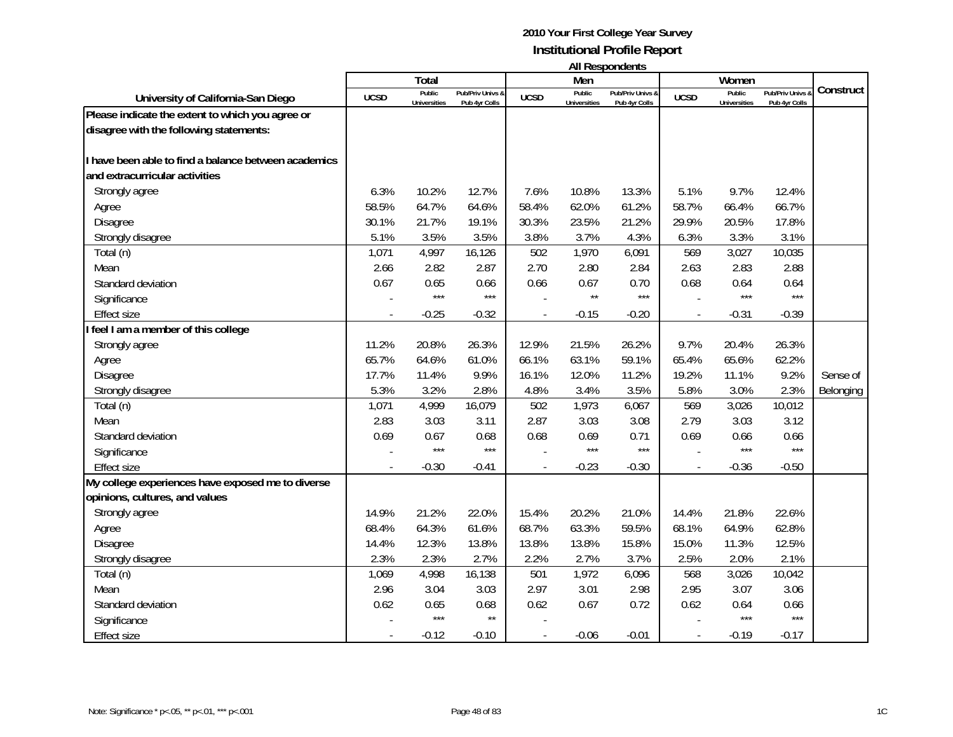|                                                      |             | Total                         |                                   |                | Men                           |                                   |                | Women                         |                                 |           |
|------------------------------------------------------|-------------|-------------------------------|-----------------------------------|----------------|-------------------------------|-----------------------------------|----------------|-------------------------------|---------------------------------|-----------|
| University of California-San Diego                   | <b>UCSD</b> | Public<br><b>Universities</b> | Pub/Priv Univs &<br>Pub 4yr Colls | <b>UCSD</b>    | Public<br><b>Universities</b> | Pub/Priv Univs &<br>Pub 4yr Colls | <b>UCSD</b>    | Public<br><b>Universities</b> | Pub/Priv Univs<br>Pub 4yr Colls | Construct |
| Please indicate the extent to which you agree or     |             |                               |                                   |                |                               |                                   |                |                               |                                 |           |
| disagree with the following statements:              |             |                               |                                   |                |                               |                                   |                |                               |                                 |           |
| I have been able to find a balance between academics |             |                               |                                   |                |                               |                                   |                |                               |                                 |           |
| and extracurricular activities                       |             |                               |                                   |                |                               |                                   |                |                               |                                 |           |
|                                                      |             |                               |                                   |                |                               |                                   |                |                               |                                 |           |
| Strongly agree                                       | 6.3%        | 10.2%                         | 12.7%                             | 7.6%           | 10.8%                         | 13.3%                             | 5.1%           | 9.7%                          | 12.4%                           |           |
| Agree                                                | 58.5%       | 64.7%                         | 64.6%                             | 58.4%          | 62.0%                         | 61.2%                             | 58.7%          | 66.4%                         | 66.7%                           |           |
| Disagree                                             | 30.1%       | 21.7%                         | 19.1%                             | 30.3%          | 23.5%                         | 21.2%                             | 29.9%          | 20.5%                         | 17.8%                           |           |
| Strongly disagree                                    | 5.1%        | 3.5%                          | 3.5%                              | 3.8%           | 3.7%                          | 4.3%                              | 6.3%           | 3.3%                          | 3.1%                            |           |
| Total (n)                                            | 1,071       | 4,997                         | 16,126                            | 502            | 1,970                         | 6,091                             | 569            | 3,027                         | 10,035                          |           |
| Mean                                                 | 2.66        | 2.82                          | 2.87                              | 2.70           | 2.80                          | 2.84                              | 2.63           | 2.83                          | 2.88                            |           |
| Standard deviation                                   | 0.67        | 0.65                          | 0.66                              | 0.66           | 0.67                          | 0.70                              | 0.68           | 0.64                          | 0.64                            |           |
| Significance                                         |             | $***$                         | $***$                             |                | $\star\star$                  | $***$                             |                | ***                           | $***$                           |           |
| <b>Effect size</b>                                   |             | $-0.25$                       | $-0.32$                           | $\blacksquare$ | $-0.15$                       | $-0.20$                           | $\blacksquare$ | $-0.31$                       | $-0.39$                         |           |
| feel I am a member of this college                   |             |                               |                                   |                |                               |                                   |                |                               |                                 |           |
| Strongly agree                                       | 11.2%       | 20.8%                         | 26.3%                             | 12.9%          | 21.5%                         | 26.2%                             | 9.7%           | 20.4%                         | 26.3%                           |           |
| Agree                                                | 65.7%       | 64.6%                         | 61.0%                             | 66.1%          | 63.1%                         | 59.1%                             | 65.4%          | 65.6%                         | 62.2%                           |           |
| Disagree                                             | 17.7%       | 11.4%                         | 9.9%                              | 16.1%          | 12.0%                         | 11.2%                             | 19.2%          | 11.1%                         | 9.2%                            | Sense of  |
| Strongly disagree                                    | 5.3%        | 3.2%                          | 2.8%                              | 4.8%           | 3.4%                          | 3.5%                              | 5.8%           | 3.0%                          | 2.3%                            | Belonging |
| Total (n)                                            | 1,071       | 4,999                         | 16,079                            | 502            | 1,973                         | 6,067                             | 569            | 3,026                         | 10,012                          |           |
| Mean                                                 | 2.83        | 3.03                          | 3.11                              | 2.87           | 3.03                          | 3.08                              | 2.79           | 3.03                          | 3.12                            |           |
| Standard deviation                                   | 0.69        | 0.67                          | 0.68                              | 0.68           | 0.69                          | 0.71                              | 0.69           | 0.66                          | 0.66                            |           |
| Significance                                         |             | $***$                         | $***$                             |                | $***$                         | ***                               |                | $***$                         | $***$                           |           |
| <b>Effect size</b>                                   |             | $-0.30$                       | $-0.41$                           |                | $-0.23$                       | $-0.30$                           |                | $-0.36$                       | $-0.50$                         |           |
| My college experiences have exposed me to diverse    |             |                               |                                   |                |                               |                                   |                |                               |                                 |           |
| opinions, cultures, and values                       |             |                               |                                   |                |                               |                                   |                |                               |                                 |           |
| Strongly agree                                       | 14.9%       | 21.2%                         | 22.0%                             | 15.4%          | 20.2%                         | 21.0%                             | 14.4%          | 21.8%                         | 22.6%                           |           |
| Agree                                                | 68.4%       | 64.3%                         | 61.6%                             | 68.7%          | 63.3%                         | 59.5%                             | 68.1%          | 64.9%                         | 62.8%                           |           |
| Disagree                                             | 14.4%       | 12.3%                         | 13.8%                             | 13.8%          | 13.8%                         | 15.8%                             | 15.0%          | 11.3%                         | 12.5%                           |           |
| Strongly disagree                                    | 2.3%        | 2.3%                          | 2.7%                              | 2.2%           | 2.7%                          | 3.7%                              | 2.5%           | 2.0%                          | 2.1%                            |           |
| Total (n)                                            | 1,069       | 4,998                         | 16,138                            | 501            | 1,972                         | 6,096                             | 568            | 3,026                         | 10,042                          |           |
| Mean                                                 | 2.96        | 3.04                          | 3.03                              | 2.97           | 3.01                          | 2.98                              | 2.95           | 3.07                          | 3.06                            |           |
| Standard deviation                                   | 0.62        | 0.65                          | 0.68                              | 0.62           | 0.67                          | 0.72                              | 0.62           | 0.64                          | 0.66                            |           |
| Significance                                         |             | $***$                         | $\star\star$                      |                |                               |                                   |                | $***$                         | $***$                           |           |
| <b>Effect size</b>                                   |             | $-0.12$                       | $-0.10$                           |                | $-0.06$                       | $-0.01$                           |                | $-0.19$                       | $-0.17$                         |           |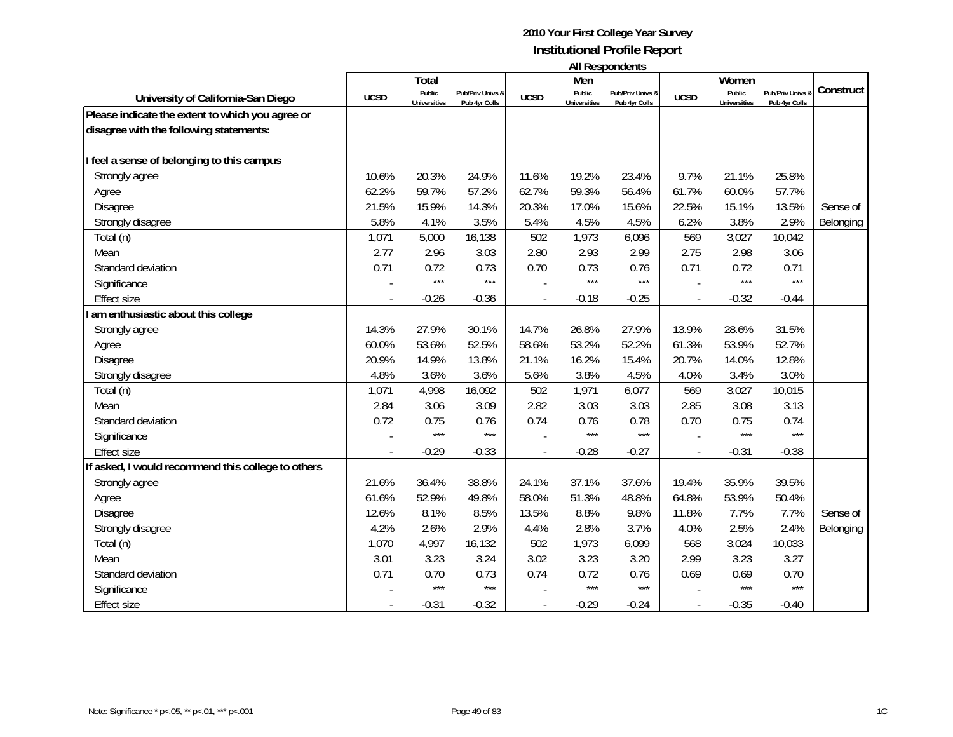|                                                    |             | <b>Total</b>        |                  |             | Men                 | .                |             | Women               |                |           |
|----------------------------------------------------|-------------|---------------------|------------------|-------------|---------------------|------------------|-------------|---------------------|----------------|-----------|
| University of California-San Diego                 | <b>UCSD</b> | Public              | Pub/Priv Univs & | <b>UCSD</b> | Public              | Pub/Priv Univs & | <b>UCSD</b> | Public              | Pub/Priv Univs | Construct |
| Please indicate the extent to which you agree or   |             | <b>Universities</b> | Pub 4yr Colls    |             | <b>Universities</b> | Pub 4yr Colls    |             | <b>Universities</b> | Pub 4yr Colls  |           |
| disagree with the following statements:            |             |                     |                  |             |                     |                  |             |                     |                |           |
|                                                    |             |                     |                  |             |                     |                  |             |                     |                |           |
| I feel a sense of belonging to this campus         |             |                     |                  |             |                     |                  |             |                     |                |           |
| Strongly agree                                     | 10.6%       | 20.3%               | 24.9%            | 11.6%       | 19.2%               | 23.4%            | 9.7%        | 21.1%               | 25.8%          |           |
| Agree                                              | 62.2%       | 59.7%               | 57.2%            | 62.7%       | 59.3%               | 56.4%            | 61.7%       | 60.0%               | 57.7%          |           |
| <b>Disagree</b>                                    | 21.5%       | 15.9%               | 14.3%            | 20.3%       | 17.0%               | 15.6%            | 22.5%       | 15.1%               | 13.5%          | Sense of  |
| Strongly disagree                                  | 5.8%        | 4.1%                | 3.5%             | 5.4%        | 4.5%                | 4.5%             | 6.2%        | 3.8%                | 2.9%           | Belonging |
| Total (n)                                          | 1,071       | 5,000               | 16,138           | 502         | 1,973               | 6,096            | 569         | 3,027               | 10,042         |           |
| Mean                                               | 2.77        | 2.96                | 3.03             | 2.80        | 2.93                | 2.99             | 2.75        | 2.98                | 3.06           |           |
| Standard deviation                                 | 0.71        | 0.72                | 0.73             | 0.70        | 0.73                | 0.76             | 0.71        | 0.72                | 0.71           |           |
| Significance                                       |             | $***$               | $***$            |             | $***$               | $***$            |             | $***$               | $***$          |           |
| <b>Effect size</b>                                 |             | $-0.26$             | $-0.36$          |             | $-0.18$             | $-0.25$          |             | $-0.32$             | $-0.44$        |           |
| am enthusiastic about this college                 |             |                     |                  |             |                     |                  |             |                     |                |           |
| Strongly agree                                     | 14.3%       | 27.9%               | 30.1%            | 14.7%       | 26.8%               | 27.9%            | 13.9%       | 28.6%               | 31.5%          |           |
| Agree                                              | 60.0%       | 53.6%               | 52.5%            | 58.6%       | 53.2%               | 52.2%            | 61.3%       | 53.9%               | 52.7%          |           |
| <b>Disagree</b>                                    | 20.9%       | 14.9%               | 13.8%            | 21.1%       | 16.2%               | 15.4%            | 20.7%       | 14.0%               | 12.8%          |           |
| Strongly disagree                                  | 4.8%        | 3.6%                | 3.6%             | 5.6%        | 3.8%                | 4.5%             | 4.0%        | 3.4%                | 3.0%           |           |
| Total (n)                                          | 1,071       | 4,998               | 16,092           | 502         | 1,971               | 6,077            | 569         | 3,027               | 10,015         |           |
| Mean                                               | 2.84        | 3.06                | 3.09             | 2.82        | 3.03                | 3.03             | 2.85        | 3.08                | 3.13           |           |
| Standard deviation                                 | 0.72        | 0.75                | 0.76             | 0.74        | 0.76                | 0.78             | 0.70        | 0.75                | 0.74           |           |
| Significance                                       |             | $***$               | $***$            |             | $***$               | $***$            |             | $***$               | $***$          |           |
| <b>Effect size</b>                                 |             | $-0.29$             | $-0.33$          |             | $-0.28$             | $-0.27$          |             | $-0.31$             | $-0.38$        |           |
| If asked, I would recommend this college to others |             |                     |                  |             |                     |                  |             |                     |                |           |
| Strongly agree                                     | 21.6%       | 36.4%               | 38.8%            | 24.1%       | 37.1%               | 37.6%            | 19.4%       | 35.9%               | 39.5%          |           |
| Agree                                              | 61.6%       | 52.9%               | 49.8%            | 58.0%       | 51.3%               | 48.8%            | 64.8%       | 53.9%               | 50.4%          |           |
| <b>Disagree</b>                                    | 12.6%       | 8.1%                | 8.5%             | 13.5%       | 8.8%                | 9.8%             | 11.8%       | 7.7%                | 7.7%           | Sense of  |
| Strongly disagree                                  | 4.2%        | 2.6%                | 2.9%             | 4.4%        | 2.8%                | 3.7%             | 4.0%        | 2.5%                | 2.4%           | Belonging |
| Total (n)                                          | 1,070       | 4,997               | 16,132           | 502         | 1,973               | 6,099            | 568         | 3,024               | 10,033         |           |
| Mean                                               | 3.01        | 3.23                | 3.24             | 3.02        | 3.23                | 3.20             | 2.99        | 3.23                | 3.27           |           |
| Standard deviation                                 | 0.71        | 0.70                | 0.73             | 0.74        | 0.72                | 0.76             | 0.69        | 0.69                | 0.70           |           |
| Significance                                       |             | $***$               | $***$            |             | $***$               | $***$            |             | $***$               | $***$          |           |
| <b>Effect size</b>                                 |             | $-0.31$             | $-0.32$          |             | $-0.29$             | $-0.24$          |             | $-0.35$             | $-0.40$        |           |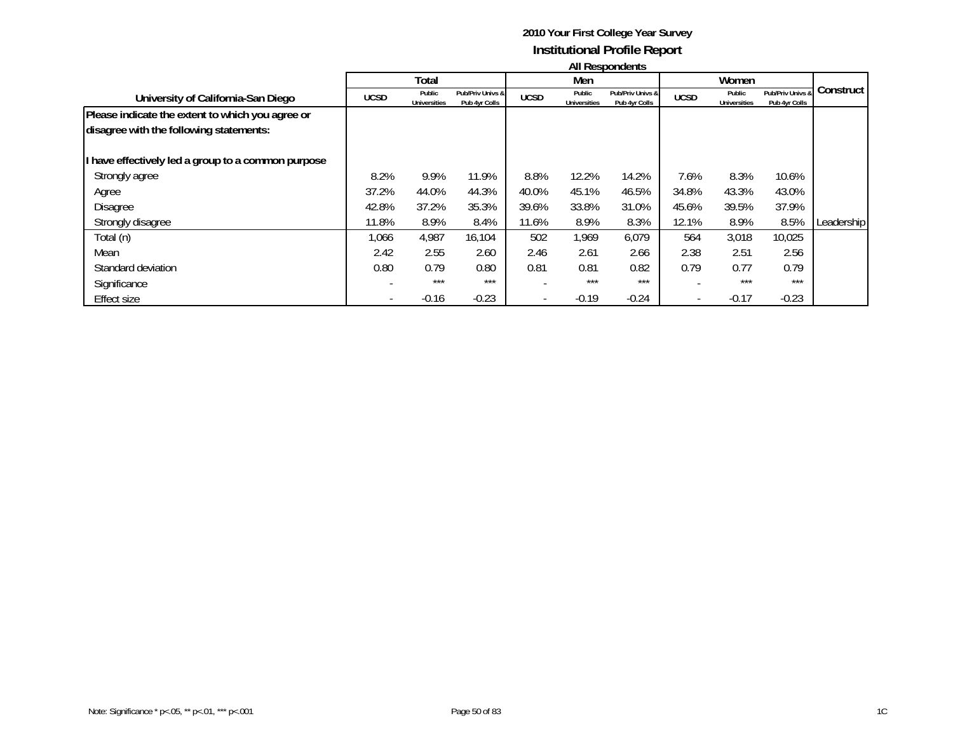| <b>All Respondents</b> |  |
|------------------------|--|
|------------------------|--|

|                                                    |             | Total                         |                                   |             | Men                           |                                   |                          | Women                         |                                   |              |
|----------------------------------------------------|-------------|-------------------------------|-----------------------------------|-------------|-------------------------------|-----------------------------------|--------------------------|-------------------------------|-----------------------------------|--------------|
| University of California-San Diego                 | <b>UCSD</b> | Public<br><b>Universities</b> | Pub/Priv Univs &<br>Pub 4yr Colls | <b>UCSD</b> | Public<br><b>Universities</b> | Pub/Priv Univs &<br>Pub 4yr Colls | <b>UCSD</b>              | Public<br><b>Universities</b> | Pub/Priv Univs &<br>Pub 4yr Colls | Construct    |
| Please indicate the extent to which you agree or   |             |                               |                                   |             |                               |                                   |                          |                               |                                   |              |
| disagree with the following statements:            |             |                               |                                   |             |                               |                                   |                          |                               |                                   |              |
| I have effectively led a group to a common purpose |             |                               |                                   |             |                               |                                   |                          |                               |                                   |              |
| Strongly agree                                     | 8.2%        | 9.9%                          | 11.9%                             | 8.8%        | 12.2%                         | 14.2%                             | 7.6%                     | 8.3%                          | 10.6%                             |              |
| Agree                                              | 37.2%       | 44.0%                         | 44.3%                             | 40.0%       | 45.1%                         | 46.5%                             | 34.8%                    | 43.3%                         | 43.0%                             |              |
| <b>Disagree</b>                                    | 42.8%       | 37.2%                         | 35.3%                             | 39.6%       | 33.8%                         | 31.0%                             | 45.6%                    | 39.5%                         | 37.9%                             |              |
| Strongly disagree                                  | 11.8%       | 8.9%                          | 8.4%                              | 11.6%       | 8.9%                          | 8.3%                              | 12.1%                    | 8.9%                          | 8.5%                              | Leadership I |
| Total (n)                                          | 1,066       | 4,987                         | 16,104                            | 502         | 1,969                         | 6,079                             | 564                      | 3,018                         | 10,025                            |              |
| Mean                                               | 2.42        | 2.55                          | 2.60                              | 2.46        | 2.61                          | 2.66                              | 2.38                     | 2.51                          | 2.56                              |              |
| Standard deviation                                 | 0.80        | 0.79                          | 0.80                              | 0.81        | 0.81                          | 0.82                              | 0.79                     | 0.77                          | 0.79                              |              |
| Significance                                       |             | $***$                         | $***$                             |             | $***$                         | $***$                             |                          | $***$                         | $***$                             |              |
| Effect size                                        |             | $-0.16$                       | $-0.23$                           |             | $-0.19$                       | $-0.24$                           | $\overline{\phantom{a}}$ | $-0.17$                       | $-0.23$                           |              |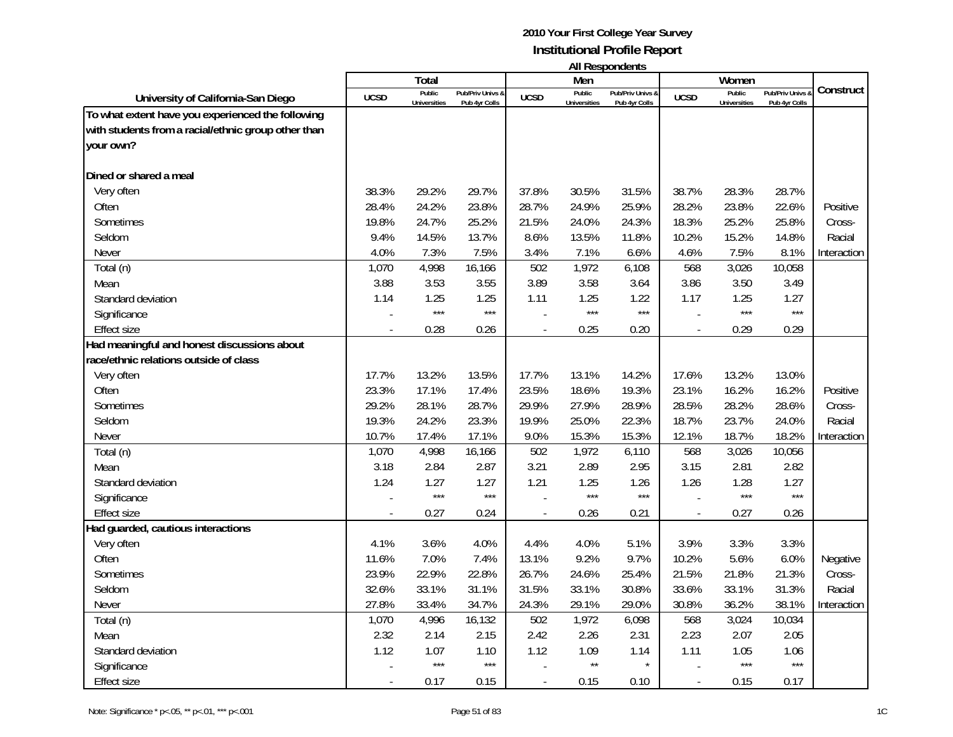|                                                     |                | Total                         |                                   |                          | Men                           | טוויטשויטעכטוויי                  |                          | Women                         |                                              |             |
|-----------------------------------------------------|----------------|-------------------------------|-----------------------------------|--------------------------|-------------------------------|-----------------------------------|--------------------------|-------------------------------|----------------------------------------------|-------------|
| University of California-San Diego                  | <b>UCSD</b>    | Public<br><b>Universities</b> | Pub/Priv Univs &<br>Pub 4yr Colls | <b>UCSD</b>              | Public<br><b>Universities</b> | Pub/Priv Univs &<br>Pub 4yr Colls | <b>UCSD</b>              | Public<br><b>Universities</b> | <b>Pub/Priv Univs &amp;</b><br>Pub 4yr Colls | Construct   |
| To what extent have you experienced the following   |                |                               |                                   |                          |                               |                                   |                          |                               |                                              |             |
| with students from a racial/ethnic group other than |                |                               |                                   |                          |                               |                                   |                          |                               |                                              |             |
| your own?                                           |                |                               |                                   |                          |                               |                                   |                          |                               |                                              |             |
|                                                     |                |                               |                                   |                          |                               |                                   |                          |                               |                                              |             |
| Dined or shared a meal                              |                |                               |                                   |                          |                               |                                   |                          |                               |                                              |             |
| Very often                                          | 38.3%          | 29.2%                         | 29.7%                             | 37.8%                    | 30.5%                         | 31.5%                             | 38.7%                    | 28.3%                         | 28.7%                                        |             |
| Often                                               | 28.4%          | 24.2%                         | 23.8%                             | 28.7%                    | 24.9%                         | 25.9%                             | 28.2%                    | 23.8%                         | 22.6%                                        | Positive    |
| Sometimes                                           | 19.8%          | 24.7%                         | 25.2%                             | 21.5%                    | 24.0%                         | 24.3%                             | 18.3%                    | 25.2%                         | 25.8%                                        | Cross-      |
| Seldom                                              | 9.4%           | 14.5%                         | 13.7%                             | 8.6%                     | 13.5%                         | 11.8%                             | 10.2%                    | 15.2%                         | 14.8%                                        | Racial      |
| Never                                               | 4.0%           | 7.3%                          | 7.5%                              | 3.4%                     | 7.1%                          | 6.6%                              | 4.6%                     | 7.5%                          | 8.1%                                         | Interaction |
| Total (n)                                           | 1,070          | 4,998                         | 16,166                            | 502                      | 1,972                         | 6,108                             | 568                      | 3,026                         | 10,058                                       |             |
| Mean                                                | 3.88           | 3.53                          | 3.55                              | 3.89                     | 3.58                          | 3.64                              | 3.86                     | 3.50                          | 3.49                                         |             |
| Standard deviation                                  | 1.14           | 1.25                          | 1.25                              | 1.11                     | 1.25                          | 1.22                              | 1.17                     | 1.25                          | 1.27                                         |             |
| Significance                                        |                | $***$                         | $***$                             |                          | $***$                         | $***$                             |                          | $***$                         | $***$                                        |             |
| <b>Effect size</b>                                  |                | 0.28                          | 0.26                              |                          | 0.25                          | 0.20                              | $\overline{\phantom{a}}$ | 0.29                          | 0.29                                         |             |
| Had meaningful and honest discussions about         |                |                               |                                   |                          |                               |                                   |                          |                               |                                              |             |
| race/ethnic relations outside of class              |                |                               |                                   |                          |                               |                                   |                          |                               |                                              |             |
| Very often                                          | 17.7%          | 13.2%                         | 13.5%                             | 17.7%                    | 13.1%                         | 14.2%                             | 17.6%                    | 13.2%                         | 13.0%                                        |             |
| Often                                               | 23.3%          | 17.1%                         | 17.4%                             | 23.5%                    | 18.6%                         | 19.3%                             | 23.1%                    | 16.2%                         | 16.2%                                        | Positive    |
| Sometimes                                           | 29.2%          | 28.1%                         | 28.7%                             | 29.9%                    | 27.9%                         | 28.9%                             | 28.5%                    | 28.2%                         | 28.6%                                        | Cross-      |
| Seldom                                              | 19.3%          | 24.2%                         | 23.3%                             | 19.9%                    | 25.0%                         | 22.3%                             | 18.7%                    | 23.7%                         | 24.0%                                        | Racial      |
| Never                                               | 10.7%          | 17.4%                         | 17.1%                             | 9.0%                     | 15.3%                         | 15.3%                             | 12.1%                    | 18.7%                         | 18.2%                                        | Interaction |
| Total (n)                                           | 1,070          | 4,998                         | 16,166                            | 502                      | 1,972                         | 6,110                             | 568                      | 3,026                         | 10,056                                       |             |
| Mean                                                | 3.18           | 2.84                          | 2.87                              | 3.21                     | 2.89                          | 2.95                              | 3.15                     | 2.81                          | 2.82                                         |             |
| Standard deviation                                  | 1.24           | 1.27                          | 1.27                              | 1.21                     | 1.25                          | 1.26                              | 1.26                     | 1.28                          | 1.27                                         |             |
| Significance                                        |                | $***$                         | $***$                             |                          | $***$                         | $***$                             |                          | $***$                         | $***$                                        |             |
| <b>Effect size</b>                                  | $\overline{a}$ | 0.27                          | 0.24                              | $\overline{\phantom{a}}$ | 0.26                          | 0.21                              | $\overline{\phantom{a}}$ | 0.27                          | 0.26                                         |             |
| Had guarded, cautious interactions                  |                |                               |                                   |                          |                               |                                   |                          |                               |                                              |             |
| Very often                                          | 4.1%           | 3.6%                          | 4.0%                              | 4.4%                     | 4.0%                          | 5.1%                              | 3.9%                     | 3.3%                          | 3.3%                                         |             |
| Often                                               | 11.6%          | 7.0%                          | 7.4%                              | 13.1%                    | 9.2%                          | 9.7%                              | 10.2%                    | 5.6%                          | 6.0%                                         | Negative    |
| Sometimes                                           | 23.9%          | 22.9%                         | 22.8%                             | 26.7%                    | 24.6%                         | 25.4%                             | 21.5%                    | 21.8%                         | 21.3%                                        | Cross-      |
| Seldom                                              | 32.6%          | 33.1%                         | 31.1%                             | 31.5%                    | 33.1%                         | 30.8%                             | 33.6%                    | 33.1%                         | 31.3%                                        | Racial      |
| Never                                               | 27.8%          | 33.4%                         | 34.7%                             | 24.3%                    | 29.1%                         | 29.0%                             | 30.8%                    | 36.2%                         | 38.1%                                        | Interaction |
| Total (n)                                           | 1,070          | 4,996                         | 16,132                            | 502                      | 1,972                         | 6,098                             | 568                      | 3,024                         | 10,034                                       |             |
| Mean                                                | 2.32           | 2.14                          | 2.15                              | 2.42                     | 2.26                          | 2.31                              | 2.23                     | 2.07                          | 2.05                                         |             |
| Standard deviation                                  | 1.12           | 1.07                          | 1.10                              | 1.12                     | 1.09                          | 1.14                              | 1.11                     | 1.05                          | 1.06                                         |             |
| Significance                                        |                | $***$                         | $***$                             |                          | $\star\star$                  | $\star$                           |                          | $***$                         | $***$                                        |             |
| <b>Effect size</b>                                  |                | 0.17                          | 0.15                              |                          | 0.15                          | 0.10                              | $\blacksquare$           | 0.15                          | 0.17                                         |             |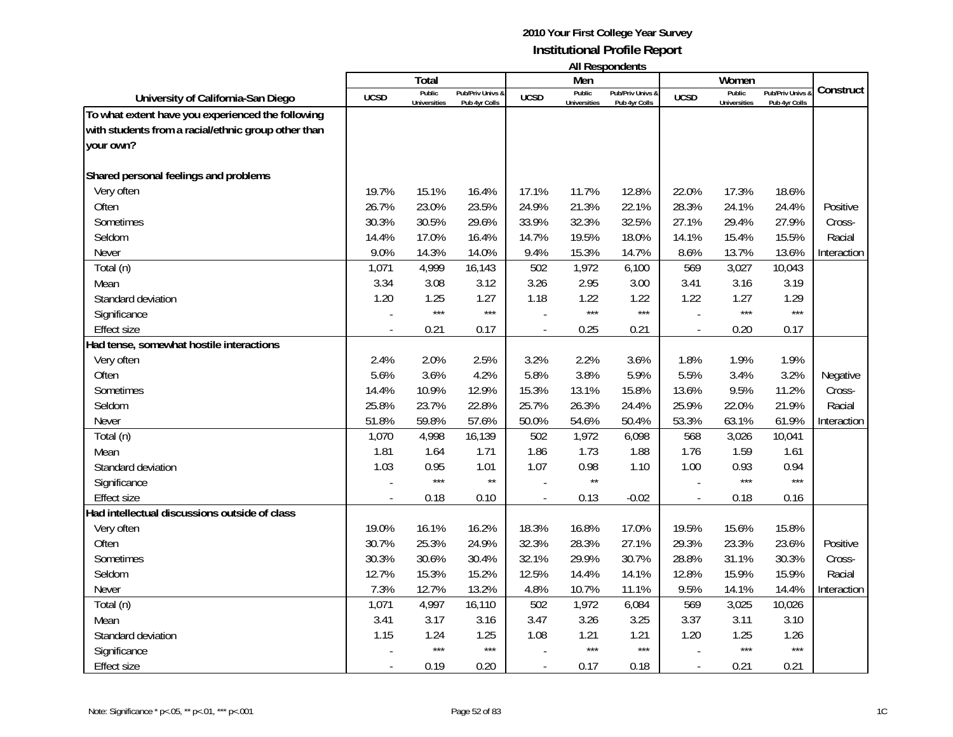|                                                     |             | Total                         |                                   |                | Men                           | בחוסטוושטואו וור                  |                | Women                         |                                   |             |
|-----------------------------------------------------|-------------|-------------------------------|-----------------------------------|----------------|-------------------------------|-----------------------------------|----------------|-------------------------------|-----------------------------------|-------------|
| University of California-San Diego                  | <b>UCSD</b> | Public<br><b>Universities</b> | Pub/Priv Univs &<br>Pub 4yr Colls | <b>UCSD</b>    | Public<br><b>Universities</b> | Pub/Priv Univs &<br>Pub 4yr Colls | <b>UCSD</b>    | Public<br><b>Universities</b> | Pub/Priv Univs &<br>Pub 4yr Colls | Construct   |
| To what extent have you experienced the following   |             |                               |                                   |                |                               |                                   |                |                               |                                   |             |
| with students from a racial/ethnic group other than |             |                               |                                   |                |                               |                                   |                |                               |                                   |             |
| your own?                                           |             |                               |                                   |                |                               |                                   |                |                               |                                   |             |
|                                                     |             |                               |                                   |                |                               |                                   |                |                               |                                   |             |
| Shared personal feelings and problems               |             |                               |                                   |                |                               |                                   |                |                               |                                   |             |
| Very often                                          | 19.7%       | 15.1%                         | 16.4%                             | 17.1%          | 11.7%                         | 12.8%                             | 22.0%          | 17.3%                         | 18.6%                             |             |
| Often                                               | 26.7%       | 23.0%                         | 23.5%                             | 24.9%          | 21.3%                         | 22.1%                             | 28.3%          | 24.1%                         | 24.4%                             | Positive    |
| Sometimes                                           | 30.3%       | 30.5%                         | 29.6%                             | 33.9%          | 32.3%                         | 32.5%                             | 27.1%          | 29.4%                         | 27.9%                             | Cross-      |
| Seldom                                              | 14.4%       | 17.0%                         | 16.4%                             | 14.7%          | 19.5%                         | 18.0%                             | 14.1%          | 15.4%                         | 15.5%                             | Racial      |
| Never                                               | 9.0%        | 14.3%                         | 14.0%                             | 9.4%           | 15.3%                         | 14.7%                             | 8.6%           | 13.7%                         | 13.6%                             | Interaction |
| Total (n)                                           | 1,071       | 4,999                         | 16,143                            | 502            | 1,972                         | 6,100                             | 569            | 3,027                         | 10,043                            |             |
| Mean                                                | 3.34        | 3.08                          | 3.12                              | 3.26           | 2.95                          | 3.00                              | 3.41           | 3.16                          | 3.19                              |             |
| Standard deviation                                  | 1.20        | 1.25                          | 1.27                              | 1.18           | 1.22                          | 1.22                              | 1.22           | 1.27                          | 1.29                              |             |
| Significance                                        |             | $***$                         | $***$                             |                | $***$                         | $***$                             |                | $***$                         | $***$                             |             |
| <b>Effect size</b>                                  |             | 0.21                          | 0.17                              | $\overline{a}$ | 0.25                          | 0.21                              | $\blacksquare$ | 0.20                          | 0.17                              |             |
| Had tense, somewhat hostile interactions            |             |                               |                                   |                |                               |                                   |                |                               |                                   |             |
| Very often                                          | 2.4%        | 2.0%                          | 2.5%                              | 3.2%           | 2.2%                          | 3.6%                              | 1.8%           | 1.9%                          | 1.9%                              |             |
| Often                                               | 5.6%        | 3.6%                          | 4.2%                              | 5.8%           | 3.8%                          | 5.9%                              | 5.5%           | 3.4%                          | 3.2%                              | Negative    |
| Sometimes                                           | 14.4%       | 10.9%                         | 12.9%                             | 15.3%          | 13.1%                         | 15.8%                             | 13.6%          | 9.5%                          | 11.2%                             | Cross-      |
| Seldom                                              | 25.8%       | 23.7%                         | 22.8%                             | 25.7%          | 26.3%                         | 24.4%                             | 25.9%          | 22.0%                         | 21.9%                             | Racial      |
| <b>Never</b>                                        | 51.8%       | 59.8%                         | 57.6%                             | 50.0%          | 54.6%                         | 50.4%                             | 53.3%          | 63.1%                         | 61.9%                             | Interaction |
| Total (n)                                           | 1,070       | 4,998                         | 16,139                            | 502            | 1,972                         | 6,098                             | 568            | 3,026                         | 10,041                            |             |
| Mean                                                | 1.81        | 1.64                          | 1.71                              | 1.86           | 1.73                          | 1.88                              | 1.76           | 1.59                          | 1.61                              |             |
| Standard deviation                                  | 1.03        | 0.95                          | 1.01                              | 1.07           | 0.98                          | 1.10                              | 1.00           | 0.93                          | 0.94                              |             |
| Significance                                        |             | $***$                         | $\star\star$                      |                | $\star\star$                  |                                   |                | $***$                         | $***$                             |             |
| <b>Effect size</b>                                  |             | 0.18                          | 0.10                              |                | 0.13                          | $-0.02$                           |                | 0.18                          | 0.16                              |             |
| Had intellectual discussions outside of class       |             |                               |                                   |                |                               |                                   |                |                               |                                   |             |
| Very often                                          | 19.0%       | 16.1%                         | 16.2%                             | 18.3%          | 16.8%                         | 17.0%                             | 19.5%          | 15.6%                         | 15.8%                             |             |
| Often                                               | 30.7%       | 25.3%                         | 24.9%                             | 32.3%          | 28.3%                         | 27.1%                             | 29.3%          | 23.3%                         | 23.6%                             | Positive    |
| Sometimes                                           | 30.3%       | 30.6%                         | 30.4%                             | 32.1%          | 29.9%                         | 30.7%                             | 28.8%          | 31.1%                         | 30.3%                             | Cross-      |
| Seldom                                              | 12.7%       | 15.3%                         | 15.2%                             | 12.5%          | 14.4%                         | 14.1%                             | 12.8%          | 15.9%                         | 15.9%                             | Racial      |
| Never                                               | 7.3%        | 12.7%                         | 13.2%                             | 4.8%           | 10.7%                         | 11.1%                             | 9.5%           | 14.1%                         | 14.4%                             | Interaction |
| Total (n)                                           | 1,071       | 4,997                         | 16,110                            | 502            | 1,972                         | 6,084                             | 569            | 3,025                         | 10,026                            |             |
| Mean                                                | 3.41        | 3.17                          | 3.16                              | 3.47           | 3.26                          | 3.25                              | 3.37           | 3.11                          | 3.10                              |             |
| Standard deviation                                  | 1.15        | 1.24                          | 1.25                              | 1.08           | 1.21                          | 1.21                              | 1.20           | 1.25                          | 1.26                              |             |
| Significance                                        |             | $***$                         | $***$                             |                | ***                           | $***$                             |                | $***$                         | $***$                             |             |
| <b>Effect size</b>                                  |             | 0.19                          | 0.20                              |                | 0.17                          | 0.18                              |                | 0.21                          | 0.21                              |             |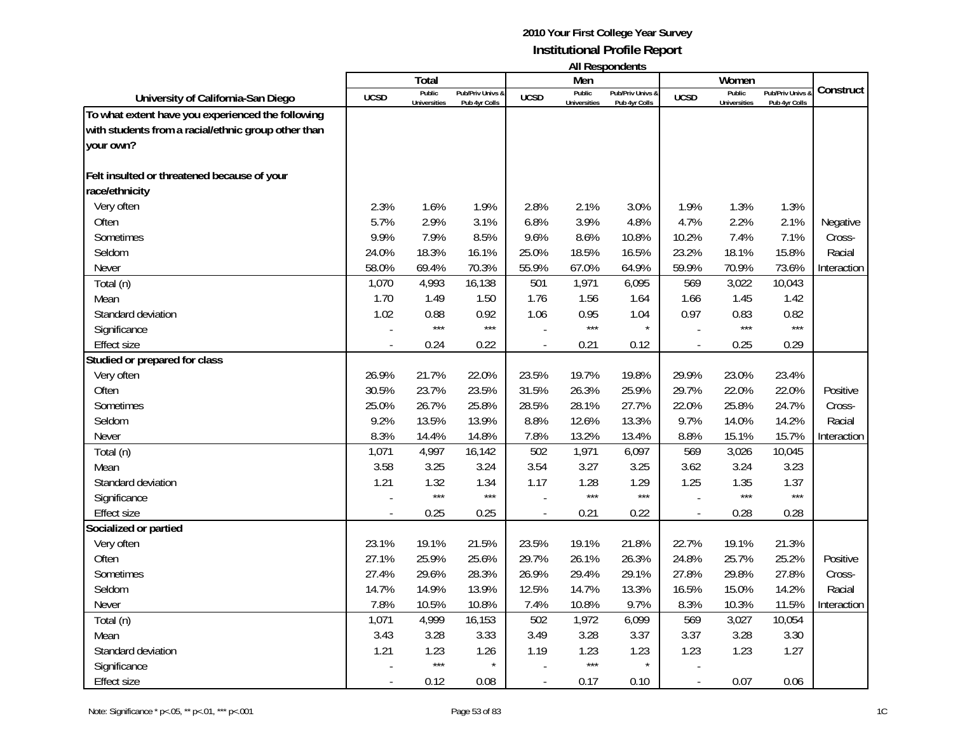|                                                     |                          | Total                         |                                   |                | Men                    | טוויטשויטעכטוויי                  |                          | Women                         |                                 |             |
|-----------------------------------------------------|--------------------------|-------------------------------|-----------------------------------|----------------|------------------------|-----------------------------------|--------------------------|-------------------------------|---------------------------------|-------------|
| University of California-San Diego                  | <b>UCSD</b>              | Public<br><b>Universities</b> | Pub/Priv Univs &<br>Pub 4yr Colls | <b>UCSD</b>    | Public<br>Universities | Pub/Priv Univs &<br>Pub 4yr Colls | <b>UCSD</b>              | Public<br><b>Universities</b> | Pub/Priv Univs<br>Pub 4yr Colls | Construct   |
| To what extent have you experienced the following   |                          |                               |                                   |                |                        |                                   |                          |                               |                                 |             |
| with students from a racial/ethnic group other than |                          |                               |                                   |                |                        |                                   |                          |                               |                                 |             |
| your own?                                           |                          |                               |                                   |                |                        |                                   |                          |                               |                                 |             |
|                                                     |                          |                               |                                   |                |                        |                                   |                          |                               |                                 |             |
| Felt insulted or threatened because of your         |                          |                               |                                   |                |                        |                                   |                          |                               |                                 |             |
| race/ethnicity                                      |                          |                               |                                   |                |                        |                                   |                          |                               |                                 |             |
| Very often                                          | 2.3%                     | 1.6%                          | 1.9%                              | 2.8%           | 2.1%                   | 3.0%                              | 1.9%                     | 1.3%                          | 1.3%                            |             |
| Often                                               | 5.7%                     | 2.9%                          | 3.1%                              | 6.8%           | 3.9%                   | 4.8%                              | 4.7%                     | 2.2%                          | 2.1%                            | Negative    |
| <b>Sometimes</b>                                    | 9.9%                     | 7.9%                          | 8.5%                              | 9.6%           | 8.6%                   | 10.8%                             | 10.2%                    | 7.4%                          | 7.1%                            | Cross-      |
| Seldom                                              | 24.0%                    | 18.3%                         | 16.1%                             | 25.0%          | 18.5%                  | 16.5%                             | 23.2%                    | 18.1%                         | 15.8%                           | Racial      |
| Never                                               | 58.0%                    | 69.4%                         | 70.3%                             | 55.9%          | 67.0%                  | 64.9%                             | 59.9%                    | 70.9%                         | 73.6%                           | Interaction |
| Total (n)                                           | 1,070                    | 4,993                         | 16,138                            | 501            | 1,971                  | 6,095                             | 569                      | 3,022                         | 10,043                          |             |
| Mean                                                | 1.70                     | 1.49                          | 1.50                              | 1.76           | 1.56                   | 1.64                              | 1.66                     | 1.45                          | 1.42                            |             |
| Standard deviation                                  | 1.02                     | 0.88                          | 0.92                              | 1.06           | 0.95                   | 1.04                              | 0.97                     | 0.83                          | 0.82                            |             |
| Significance                                        |                          | $***$                         | $***$                             |                | $***$                  | $\star$                           |                          | $***$                         | $***$                           |             |
| <b>Effect size</b>                                  |                          | 0.24                          | 0.22                              |                | 0.21                   | 0.12                              | $\overline{\phantom{a}}$ | 0.25                          | 0.29                            |             |
| Studied or prepared for class                       |                          |                               |                                   |                |                        |                                   |                          |                               |                                 |             |
| Very often                                          | 26.9%                    | 21.7%                         | 22.0%                             | 23.5%          | 19.7%                  | 19.8%                             | 29.9%                    | 23.0%                         | 23.4%                           |             |
| Often                                               | 30.5%                    | 23.7%                         | 23.5%                             | 31.5%          | 26.3%                  | 25.9%                             | 29.7%                    | 22.0%                         | 22.0%                           | Positive    |
| Sometimes                                           | 25.0%                    | 26.7%                         | 25.8%                             | 28.5%          | 28.1%                  | 27.7%                             | 22.0%                    | 25.8%                         | 24.7%                           | Cross-      |
| Seldom                                              | 9.2%                     | 13.5%                         | 13.9%                             | 8.8%           | 12.6%                  | 13.3%                             | 9.7%                     | 14.0%                         | 14.2%                           | Racial      |
| Never                                               | 8.3%                     | 14.4%                         | 14.8%                             | 7.8%           | 13.2%                  | 13.4%                             | 8.8%                     | 15.1%                         | 15.7%                           | Interaction |
| Total (n)                                           | 1,071                    | 4,997                         | 16,142                            | 502            | 1,971                  | 6,097                             | 569                      | 3,026                         | 10,045                          |             |
| Mean                                                | 3.58                     | 3.25                          | 3.24                              | 3.54           | 3.27                   | 3.25                              | 3.62                     | 3.24                          | 3.23                            |             |
| Standard deviation                                  | 1.21                     | 1.32                          | 1.34                              | 1.17           | 1.28                   | 1.29                              | 1.25                     | 1.35                          | 1.37                            |             |
| Significance                                        |                          | $***$                         | $\star\star\star$                 |                | $***$                  | $***$                             |                          | $***$                         | $***$                           |             |
| <b>Effect size</b>                                  |                          | 0.25                          | 0.25                              | $\overline{a}$ | 0.21                   | 0.22                              | $\overline{\phantom{a}}$ | 0.28                          | 0.28                            |             |
| Socialized or partied                               |                          |                               |                                   |                |                        |                                   |                          |                               |                                 |             |
| Very often                                          | 23.1%                    | 19.1%                         | 21.5%                             | 23.5%          | 19.1%                  | 21.8%                             | 22.7%                    | 19.1%                         | 21.3%                           |             |
| Often                                               | 27.1%                    | 25.9%                         | 25.6%                             | 29.7%          | 26.1%                  | 26.3%                             | 24.8%                    | 25.7%                         | 25.2%                           | Positive    |
| Sometimes                                           | 27.4%                    | 29.6%                         | 28.3%                             | 26.9%          | 29.4%                  | 29.1%                             | 27.8%                    | 29.8%                         | 27.8%                           | Cross-      |
| Seldom                                              | 14.7%                    | 14.9%                         | 13.9%                             | 12.5%          | 14.7%                  | 13.3%                             | 16.5%                    | 15.0%                         | 14.2%                           | Racial      |
| Never                                               | 7.8%                     | 10.5%                         | 10.8%                             | 7.4%           | 10.8%                  | 9.7%                              | 8.3%                     | 10.3%                         | 11.5%                           | Interaction |
| Total (n)                                           | 1,071                    | 4,999                         | 16,153                            | 502            | 1,972                  | 6,099                             | 569                      | 3,027                         | 10,054                          |             |
| Mean                                                | 3.43                     | 3.28                          | 3.33                              | 3.49           | 3.28                   | 3.37                              | 3.37                     | 3.28                          | 3.30                            |             |
| Standard deviation                                  | 1.21                     | 1.23                          | 1.26                              | 1.19           | 1.23                   | 1.23                              | 1.23                     | 1.23                          | 1.27                            |             |
| Significance                                        |                          | $***$                         |                                   |                | $***$                  | $\star$                           |                          |                               |                                 |             |
| <b>Effect size</b>                                  | $\overline{\phantom{a}}$ | 0.12                          | 0.08                              | $\sim$         | 0.17                   | 0.10                              | $\overline{a}$           | 0.07                          | 0.06                            |             |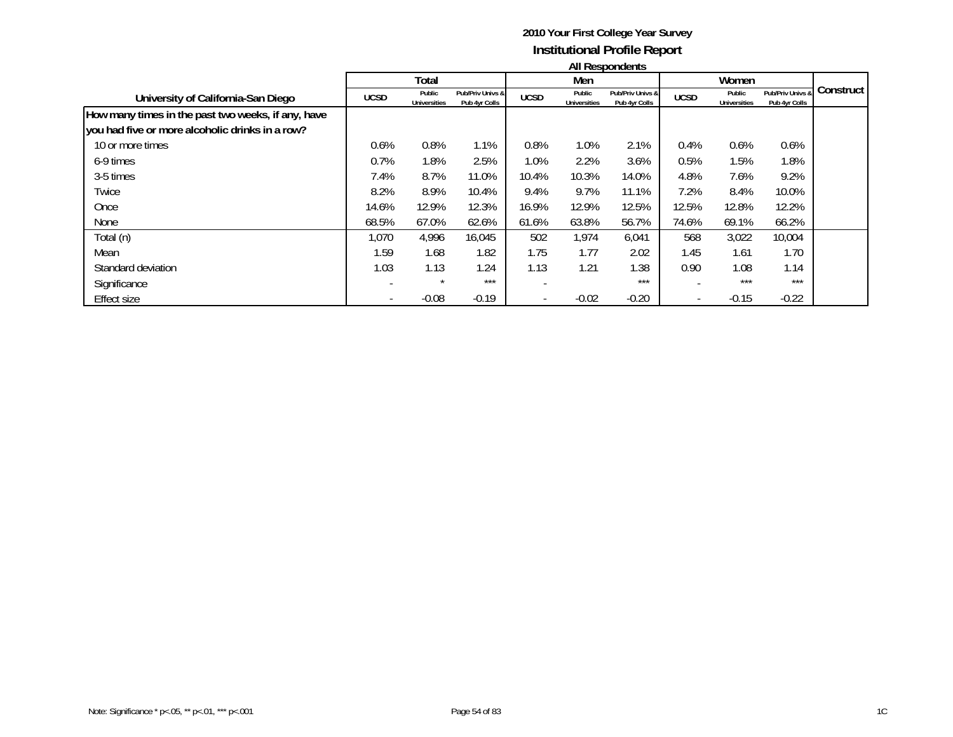|                                                    |             | All Respondents               |                                   |             |                               |                                   |             |                               |                                   |           |  |  |
|----------------------------------------------------|-------------|-------------------------------|-----------------------------------|-------------|-------------------------------|-----------------------------------|-------------|-------------------------------|-----------------------------------|-----------|--|--|
|                                                    |             | Total                         |                                   |             | Men                           |                                   |             | Women                         |                                   |           |  |  |
| University of California-San Diego                 | <b>UCSD</b> | Public<br><b>Universities</b> | Pub/Priv Univs &<br>Pub 4yr Colls | <b>UCSD</b> | Public<br><b>Universities</b> | Pub/Priv Univs &<br>Pub 4yr Colls | <b>UCSD</b> | Public<br><b>Universities</b> | Pub/Priv Univs &<br>Pub 4yr Colls | Construct |  |  |
| How many times in the past two weeks, if any, have |             |                               |                                   |             |                               |                                   |             |                               |                                   |           |  |  |
| you had five or more alcoholic drinks in a row?    |             |                               |                                   |             |                               |                                   |             |                               |                                   |           |  |  |
| 10 or more times                                   | 0.6%        | 0.8%                          | 1.1%                              | 0.8%        | 1.0%                          | 2.1%                              | 0.4%        | 0.6%                          | 0.6%                              |           |  |  |
| 6-9 times                                          | 0.7%        | 1.8%                          | 2.5%                              | 1.0%        | 2.2%                          | 3.6%                              | 0.5%        | 1.5%                          | 1.8%                              |           |  |  |
| 3-5 times                                          | 7.4%        | 8.7%                          | 11.0%                             | 10.4%       | 10.3%                         | 14.0%                             | 4.8%        | 7.6%                          | 9.2%                              |           |  |  |
| Twice                                              | 8.2%        | 8.9%                          | 10.4%                             | 9.4%        | 9.7%                          | 11.1%                             | 7.2%        | 8.4%                          | 10.0%                             |           |  |  |
| Once                                               | 14.6%       | 12.9%                         | 12.3%                             | 16.9%       | 12.9%                         | 12.5%                             | 12.5%       | 12.8%                         | 12.2%                             |           |  |  |
| None                                               | 68.5%       | 67.0%                         | 62.6%                             | 61.6%       | 63.8%                         | 56.7%                             | 74.6%       | 69.1%                         | 66.2%                             |           |  |  |
| Total (n)                                          | 1,070       | 4,996                         | 16,045                            | 502         | 1,974                         | 6,041                             | 568         | 3,022                         | 10,004                            |           |  |  |
| Mean                                               | 1.59        | 1.68                          | 1.82                              | 1.75        | 1.77                          | 2.02                              | 1.45        | 1.61                          | 1.70                              |           |  |  |
| Standard deviation                                 | 1.03        | 1.13                          | 1.24                              | 1.13        | 1.21                          | 1.38                              | 0.90        | 1.08                          | 1.14                              |           |  |  |
| Significance                                       |             | $\star$                       | $***$                             |             |                               | ***                               |             | ***                           | $***$                             |           |  |  |
| <b>Effect size</b>                                 |             | $-0.08$                       | $-0.19$                           |             | $-0.02$                       | $-0.20$                           |             | $-0.15$                       | $-0.22$                           |           |  |  |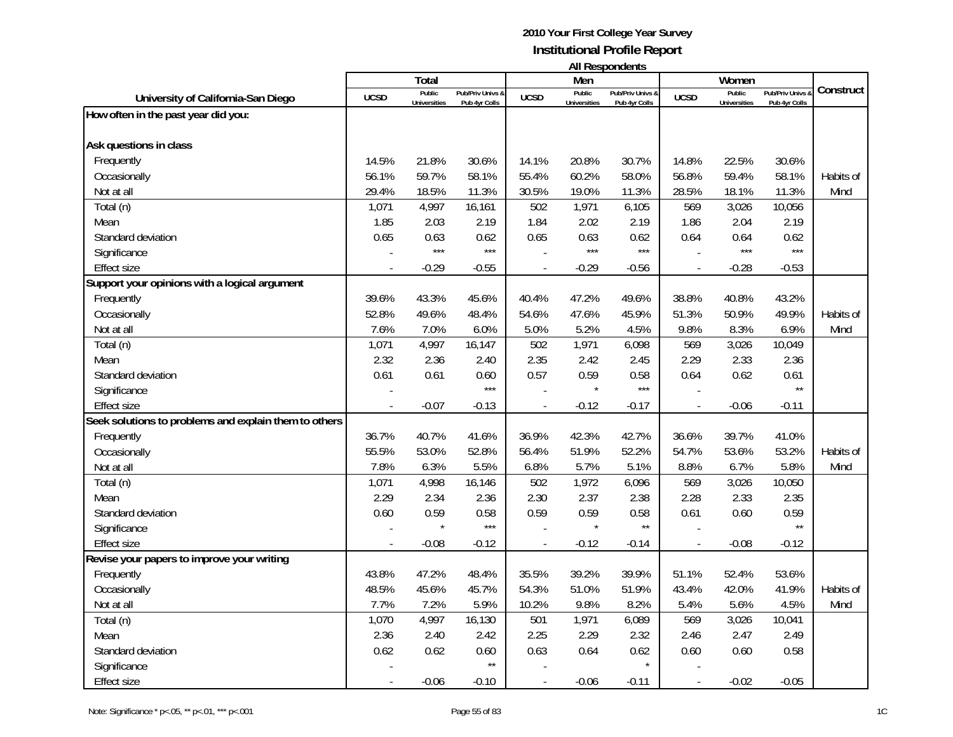| <b>All Respondents</b> |  |
|------------------------|--|
|------------------------|--|

|                                                       |                          |                     |                  |                          | Men                 | AII RESPUNJENTS  |                |                     |                |           |
|-------------------------------------------------------|--------------------------|---------------------|------------------|--------------------------|---------------------|------------------|----------------|---------------------|----------------|-----------|
|                                                       |                          | Total<br>Public     | Pub/Priv Univs & |                          | Public              | Pub/Priv Univs & |                | Women<br>Public     | Pub/Priv Univs | Construct |
| University of California-San Diego                    | <b>UCSD</b>              | <b>Universities</b> | Pub 4yr Colls    | <b>UCSD</b>              | <b>Universities</b> | Pub 4yr Colls    | <b>UCSD</b>    | <b>Universities</b> | Pub 4yr Colls  |           |
| How often in the past year did you:                   |                          |                     |                  |                          |                     |                  |                |                     |                |           |
|                                                       |                          |                     |                  |                          |                     |                  |                |                     |                |           |
| Ask questions in class                                |                          |                     |                  |                          |                     |                  |                |                     |                |           |
| Frequently                                            | 14.5%                    | 21.8%               | 30.6%            | 14.1%                    | 20.8%               | 30.7%            | 14.8%          | 22.5%               | 30.6%          |           |
| Occasionally                                          | 56.1%                    | 59.7%               | 58.1%            | 55.4%                    | 60.2%               | 58.0%            | 56.8%          | 59.4%               | 58.1%          | Habits of |
| Not at all                                            | 29.4%                    | 18.5%               | 11.3%            | 30.5%                    | 19.0%               | 11.3%            | 28.5%          | 18.1%               | 11.3%          | Mind      |
| Total (n)                                             | 1,071                    | 4,997               | 16,161           | 502                      | 1,971               | 6,105            | 569            | 3,026               | 10,056         |           |
| Mean                                                  | 1.85                     | 2.03                | 2.19             | 1.84                     | 2.02                | 2.19             | 1.86           | 2.04                | 2.19           |           |
| Standard deviation                                    | 0.65                     | 0.63                | 0.62             | 0.65                     | 0.63                | 0.62             | 0.64           | 0.64                | 0.62           |           |
| Significance                                          |                          | $***$               | $***$            |                          | $***$               | $***$            |                | ***                 | $***$          |           |
| <b>Effect size</b>                                    |                          | $-0.29$             | $-0.55$          |                          | $-0.29$             | $-0.56$          |                | $-0.28$             | $-0.53$        |           |
| Support your opinions with a logical argument         |                          |                     |                  |                          |                     |                  |                |                     |                |           |
| Frequently                                            | 39.6%                    | 43.3%               | 45.6%            | 40.4%                    | 47.2%               | 49.6%            | 38.8%          | 40.8%               | 43.2%          |           |
| Occasionally                                          | 52.8%                    | 49.6%               | 48.4%            | 54.6%                    | 47.6%               | 45.9%            | 51.3%          | 50.9%               | 49.9%          | Habits of |
| Not at all                                            | 7.6%                     | 7.0%                | 6.0%             | 5.0%                     | 5.2%                | 4.5%             | 9.8%           | 8.3%                | 6.9%           | Mind      |
| Total (n)                                             | 1,071                    | 4,997               | 16,147           | 502                      | 1,971               | 6,098            | 569            | 3,026               | 10,049         |           |
| Mean                                                  | 2.32                     | 2.36                | 2.40             | 2.35                     | 2.42                | 2.45             | 2.29           | 2.33                | 2.36           |           |
| Standard deviation                                    | 0.61                     | 0.61                | 0.60             | 0.57                     | 0.59                | 0.58             | 0.64           | 0.62                | 0.61           |           |
| Significance                                          |                          |                     | $***$            |                          |                     | $***$            |                |                     | $\star\star$   |           |
| <b>Effect size</b>                                    |                          | $-0.07$             | $-0.13$          |                          | $-0.12$             | $-0.17$          |                | $-0.06$             | $-0.11$        |           |
| Seek solutions to problems and explain them to others |                          |                     |                  |                          |                     |                  |                |                     |                |           |
| Frequently                                            | 36.7%                    | 40.7%               | 41.6%            | 36.9%                    | 42.3%               | 42.7%            | 36.6%          | 39.7%               | 41.0%          |           |
| Occasionally                                          | 55.5%                    | 53.0%               | 52.8%            | 56.4%                    | 51.9%               | 52.2%            | 54.7%          | 53.6%               | 53.2%          | Habits of |
| Not at all                                            | 7.8%                     | 6.3%                | 5.5%             | 6.8%                     | 5.7%                | 5.1%             | 8.8%           | 6.7%                | 5.8%           | Mind      |
| Total (n)                                             | 1,071                    | 4,998               | 16,146           | 502                      | 1,972               | 6,096            | 569            | 3,026               | 10,050         |           |
| Mean                                                  | 2.29                     | 2.34                | 2.36             | 2.30                     | 2.37                | 2.38             | 2.28           | 2.33                | 2.35           |           |
| Standard deviation                                    | 0.60                     | 0.59                | 0.58             | 0.59                     | 0.59                | 0.58             | 0.61           | 0.60                | 0.59           |           |
| Significance                                          |                          |                     | $***$            |                          |                     | $\star\star$     |                |                     | $\star\star$   |           |
| <b>Effect size</b>                                    |                          | $-0.08$             | $-0.12$          | $\overline{\phantom{a}}$ | $-0.12$             | $-0.14$          | $\blacksquare$ | $-0.08$             | $-0.12$        |           |
| Revise your papers to improve your writing            |                          |                     |                  |                          |                     |                  |                |                     |                |           |
| Frequently                                            | 43.8%                    | 47.2%               | 48.4%            | 35.5%                    | 39.2%               | 39.9%            | 51.1%          | 52.4%               | 53.6%          |           |
| Occasionally                                          | 48.5%                    | 45.6%               | 45.7%            | 54.3%                    | 51.0%               | 51.9%            | 43.4%          | 42.0%               | 41.9%          | Habits of |
| Not at all                                            | 7.7%                     | 7.2%                | 5.9%             | 10.2%                    | 9.8%                | 8.2%             | 5.4%           | 5.6%                | 4.5%           | Mind      |
| Total (n)                                             | 1,070                    | 4,997               | 16,130           | 501                      | 1,971               | 6,089            | 569            | 3,026               | 10,041         |           |
| Mean                                                  | 2.36                     | 2.40                | 2.42             | 2.25                     | 2.29                | 2.32             | 2.46           | 2.47                | 2.49           |           |
| Standard deviation                                    | 0.62                     | 0.62                | 0.60             | 0.63                     | 0.64                | 0.62             | 0.60           | 0.60                | 0.58           |           |
| Significance                                          |                          |                     | $\star\star$     |                          |                     | $\star$          |                |                     |                |           |
| <b>Effect size</b>                                    | $\overline{\phantom{a}}$ | $-0.06$             | $-0.10$          |                          | $-0.06$             | $-0.11$          | $\blacksquare$ | $-0.02$             | $-0.05$        |           |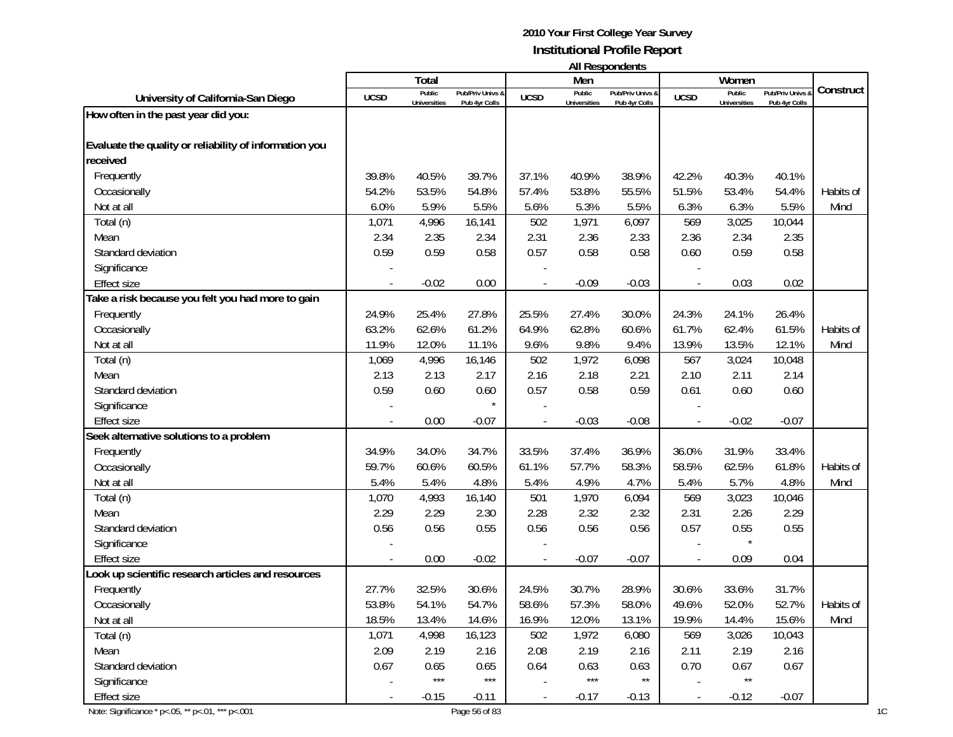| <b>All Respondents</b> |  |
|------------------------|--|
|------------------------|--|

|                                                        |             | Total               |                  |                | Men                 | n in neoponiaomo |                          | Women               |                |           |
|--------------------------------------------------------|-------------|---------------------|------------------|----------------|---------------------|------------------|--------------------------|---------------------|----------------|-----------|
| University of California-San Diego                     | <b>UCSD</b> | Public              | Pub/Priv Univs & | <b>UCSD</b>    | Public              | Pub/Priv Univs & | <b>UCSD</b>              | Public              | Pub/Priv Univs | Construct |
|                                                        |             | <b>Universities</b> | Pub 4yr Colls    |                | <b>Universities</b> | Pub 4yr Colls    |                          | <b>Universities</b> | Pub 4yr Colls  |           |
| How often in the past year did you:                    |             |                     |                  |                |                     |                  |                          |                     |                |           |
| Evaluate the quality or reliability of information you |             |                     |                  |                |                     |                  |                          |                     |                |           |
| received                                               |             |                     |                  |                |                     |                  |                          |                     |                |           |
| Frequently                                             | 39.8%       | 40.5%               | 39.7%            | 37.1%          | 40.9%               | 38.9%            | 42.2%                    | 40.3%               | 40.1%          |           |
| Occasionally                                           | 54.2%       | 53.5%               | 54.8%            | 57.4%          | 53.8%               | 55.5%            | 51.5%                    | 53.4%               | 54.4%          | Habits of |
| Not at all                                             | 6.0%        | 5.9%                | 5.5%             | 5.6%           | 5.3%                | 5.5%             | 6.3%                     | 6.3%                | 5.5%           | Mind      |
| Total (n)                                              | 1,071       | 4,996               | 16,141           | 502            | 1,971               | 6,097            | 569                      | 3,025               | 10,044         |           |
| Mean                                                   | 2.34        | 2.35                | 2.34             | 2.31           | 2.36                | 2.33             | 2.36                     | 2.34                | 2.35           |           |
| Standard deviation                                     | 0.59        | 0.59                | 0.58             | 0.57           | 0.58                | 0.58             | 0.60                     | 0.59                | 0.58           |           |
| Significance                                           |             |                     |                  |                |                     |                  |                          |                     |                |           |
| <b>Effect size</b>                                     |             | $-0.02$             | 0.00             |                | $-0.09$             | $-0.03$          |                          | 0.03                | 0.02           |           |
| Take a risk because you felt you had more to gain      |             |                     |                  |                |                     |                  |                          |                     |                |           |
| Frequently                                             | 24.9%       | 25.4%               | 27.8%            | 25.5%          | 27.4%               | 30.0%            | 24.3%                    | 24.1%               | 26.4%          |           |
| Occasionally                                           | 63.2%       | 62.6%               | 61.2%            | 64.9%          | 62.8%               | 60.6%            | 61.7%                    | 62.4%               | 61.5%          | Habits of |
| Not at all                                             | 11.9%       | 12.0%               | 11.1%            | 9.6%           | 9.8%                | 9.4%             | 13.9%                    | 13.5%               | 12.1%          | Mind      |
| Total (n)                                              | 1,069       | 4,996               | 16,146           | 502            | 1,972               | 6,098            | 567                      | 3,024               | 10,048         |           |
| Mean                                                   | 2.13        | 2.13                | 2.17             | 2.16           | 2.18                | 2.21             | 2.10                     | 2.11                | 2.14           |           |
| Standard deviation                                     | 0.59        | 0.60                | 0.60             | 0.57           | 0.58                | 0.59             | 0.61                     | 0.60                | 0.60           |           |
| Significance                                           |             |                     |                  |                |                     |                  |                          |                     |                |           |
| Effect size                                            |             | 0.00                | $-0.07$          |                | $-0.03$             | $-0.08$          |                          | $-0.02$             | $-0.07$        |           |
| Seek alternative solutions to a problem                |             |                     |                  |                |                     |                  |                          |                     |                |           |
| Frequently                                             | 34.9%       | 34.0%               | 34.7%            | 33.5%          | 37.4%               | 36.9%            | 36.0%                    | 31.9%               | 33.4%          |           |
| Occasionally                                           | 59.7%       | 60.6%               | 60.5%            | 61.1%          | 57.7%               | 58.3%            | 58.5%                    | 62.5%               | 61.8%          | Habits of |
| Not at all                                             | 5.4%        | 5.4%                | 4.8%             | 5.4%           | 4.9%                | 4.7%             | 5.4%                     | 5.7%                | 4.8%           | Mind      |
| Total (n)                                              | 1,070       | 4,993               | 16,140           | 501            | 1,970               | 6,094            | 569                      | 3,023               | 10,046         |           |
| Mean                                                   | 2.29        | 2.29                | 2.30             | 2.28           | 2.32                | 2.32             | 2.31                     | 2.26                | 2.29           |           |
| Standard deviation                                     | 0.56        | 0.56                | 0.55             | 0.56           | 0.56                | 0.56             | 0.57                     | 0.55                | 0.55           |           |
| Significance                                           |             |                     |                  |                |                     |                  |                          |                     |                |           |
| <b>Effect size</b>                                     |             | 0.00                | $-0.02$          |                | $-0.07$             | $-0.07$          |                          | 0.09                | 0.04           |           |
| Look up scientific research articles and resources     |             |                     |                  |                |                     |                  |                          |                     |                |           |
| Frequently                                             | 27.7%       | 32.5%               | 30.6%            | 24.5%          | 30.7%               | 28.9%            | 30.6%                    | 33.6%               | 31.7%          |           |
| Occasionally                                           | 53.8%       | 54.1%               | 54.7%            | 58.6%          | 57.3%               | 58.0%            | 49.6%                    | 52.0%               | 52.7%          | Habits of |
| Not at all                                             | 18.5%       | 13.4%               | 14.6%            | 16.9%          | 12.0%               | 13.1%            | 19.9%                    | 14.4%               | 15.6%          | Mind      |
| Total (n)                                              | 1,071       | 4,998               | 16,123           | 502            | 1,972               | 6,080            | 569                      | 3,026               | 10,043         |           |
| Mean                                                   | 2.09        | 2.19                | 2.16             | 2.08           | 2.19                | 2.16             | 2.11                     | 2.19                | 2.16           |           |
| Standard deviation                                     | 0.67        | 0.65                | 0.65             | 0.64           | 0.63                | 0.63             | 0.70                     | 0.67                | 0.67           |           |
| Significance                                           |             | $***$               | $***$            |                | $***$               | $\star\star$     |                          | $***$               |                |           |
| Effect size                                            |             | $-0.15$             | $-0.11$          | $\blacksquare$ | $-0.17$             | $-0.13$          | $\overline{\phantom{a}}$ | $-0.12$             | $-0.07$        |           |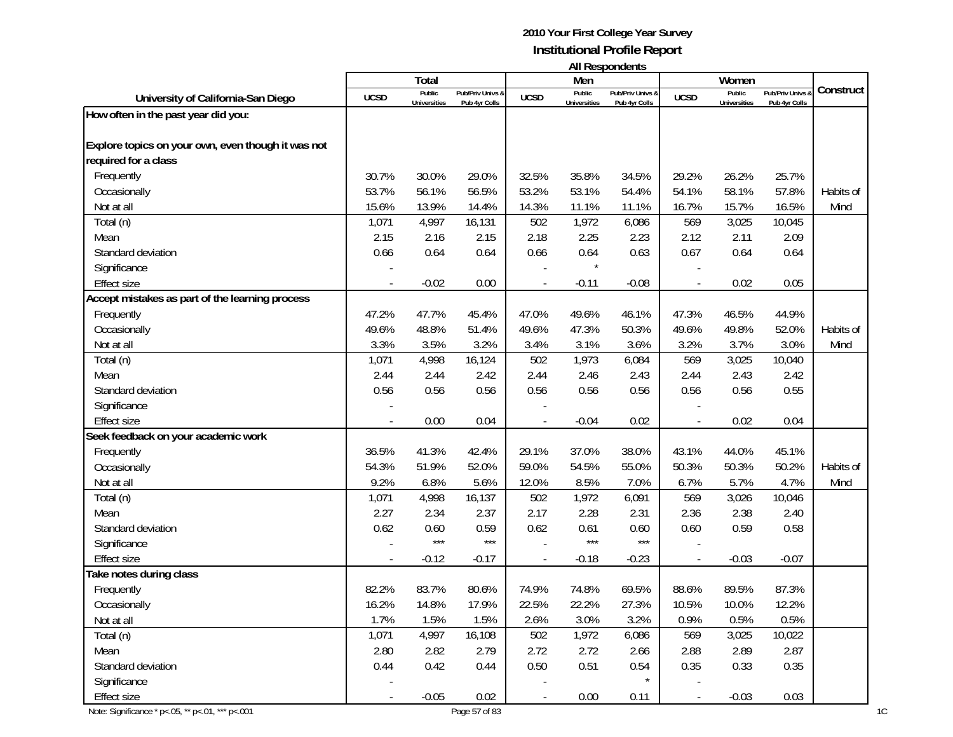| <b>All Respondents</b> |  |
|------------------------|--|
|------------------------|--|

|                                                    |             | Total               |                  |                | Men                 | n in neoponuomo  |                | Women               |                |           |
|----------------------------------------------------|-------------|---------------------|------------------|----------------|---------------------|------------------|----------------|---------------------|----------------|-----------|
| University of California-San Diego                 | <b>UCSD</b> | Public              | Pub/Priv Univs & | <b>UCSD</b>    | Public              | Pub/Priv Univs & | <b>UCSD</b>    | Public              | Pub/Priv Univs | Construct |
| How often in the past year did you:                |             | <b>Universities</b> | Pub 4yr Colls    |                | <b>Universities</b> | Pub 4yr Colls    |                | <b>Universities</b> | Pub 4yr Colls  |           |
|                                                    |             |                     |                  |                |                     |                  |                |                     |                |           |
| Explore topics on your own, even though it was not |             |                     |                  |                |                     |                  |                |                     |                |           |
| required for a class                               |             |                     |                  |                |                     |                  |                |                     |                |           |
| Frequently                                         | 30.7%       | 30.0%               | 29.0%            | 32.5%          | 35.8%               | 34.5%            | 29.2%          | 26.2%               | 25.7%          |           |
| Occasionally                                       | 53.7%       | 56.1%               | 56.5%            | 53.2%          | 53.1%               | 54.4%            | 54.1%          | 58.1%               | 57.8%          | Habits of |
| Not at all                                         | 15.6%       | 13.9%               | 14.4%            | 14.3%          | 11.1%               | 11.1%            | 16.7%          | 15.7%               | 16.5%          | Mind      |
| Total (n)                                          | 1,071       | 4,997               | 16,131           | 502            | 1,972               | 6,086            | 569            | 3,025               | 10,045         |           |
| Mean                                               | 2.15        | 2.16                | 2.15             | 2.18           | 2.25                | 2.23             | 2.12           | 2.11                | 2.09           |           |
| Standard deviation                                 | 0.66        | 0.64                | 0.64             | 0.66           | 0.64                | 0.63             | 0.67           | 0.64                | 0.64           |           |
| Significance                                       |             |                     |                  |                |                     |                  |                |                     |                |           |
| <b>Effect size</b>                                 |             | $-0.02$             | 0.00             |                | $-0.11$             | $-0.08$          |                | 0.02                | 0.05           |           |
| Accept mistakes as part of the learning process    |             |                     |                  |                |                     |                  |                |                     |                |           |
| Frequently                                         | 47.2%       | 47.7%               | 45.4%            | 47.0%          | 49.6%               | 46.1%            | 47.3%          | 46.5%               | 44.9%          |           |
| Occasionally                                       | 49.6%       | 48.8%               | 51.4%            | 49.6%          | 47.3%               | 50.3%            | 49.6%          | 49.8%               | 52.0%          | Habits of |
| Not at all                                         | 3.3%        | 3.5%                | 3.2%             | 3.4%           | 3.1%                | 3.6%             | 3.2%           | 3.7%                | 3.0%           | Mind      |
| Total (n)                                          | 1,071       | 4,998               | 16,124           | 502            | 1,973               | 6,084            | 569            | 3,025               | 10,040         |           |
| Mean                                               | 2.44        | 2.44                | 2.42             | 2.44           | 2.46                | 2.43             | 2.44           | 2.43                | 2.42           |           |
| Standard deviation                                 | 0.56        | 0.56                | 0.56             | 0.56           | 0.56                | 0.56             | 0.56           | 0.56                | 0.55           |           |
| Significance                                       |             |                     |                  |                |                     |                  |                |                     |                |           |
| Effect size                                        |             | 0.00                | 0.04             |                | $-0.04$             | 0.02             |                | 0.02                | 0.04           |           |
| Seek feedback on your academic work                |             |                     |                  |                |                     |                  |                |                     |                |           |
| Frequently                                         | 36.5%       | 41.3%               | 42.4%            | 29.1%          | 37.0%               | 38.0%            | 43.1%          | 44.0%               | 45.1%          |           |
| Occasionally                                       | 54.3%       | 51.9%               | 52.0%            | 59.0%          | 54.5%               | 55.0%            | 50.3%          | 50.3%               | 50.2%          | Habits of |
| Not at all                                         | 9.2%        | 6.8%                | 5.6%             | 12.0%          | 8.5%                | 7.0%             | 6.7%           | 5.7%                | 4.7%           | Mind      |
| Total (n)                                          | 1,071       | 4,998               | 16,137           | 502            | 1,972               | 6,091            | 569            | 3,026               | 10,046         |           |
| Mean                                               | 2.27        | 2.34                | 2.37             | 2.17           | 2.28                | 2.31             | 2.36           | 2.38                | 2.40           |           |
| Standard deviation                                 | 0.62        | 0.60                | 0.59             | 0.62           | 0.61                | 0.60             | 0.60           | 0.59                | 0.58           |           |
| Significance                                       |             | $***$               | $***$            |                | $***$               | $***$            |                |                     |                |           |
| <b>Effect size</b>                                 |             | $-0.12$             | $-0.17$          |                | $-0.18$             | $-0.23$          |                | $-0.03$             | $-0.07$        |           |
| Take notes during class                            |             |                     |                  |                |                     |                  |                |                     |                |           |
| Frequently                                         | 82.2%       | 83.7%               | 80.6%            | 74.9%          | 74.8%               | 69.5%            | 88.6%          | 89.5%               | 87.3%          |           |
| Occasionally                                       | 16.2%       | 14.8%               | 17.9%            | 22.5%          | 22.2%               | 27.3%            | 10.5%          | 10.0%               | 12.2%          |           |
| Not at all                                         | 1.7%        | 1.5%                | 1.5%             | 2.6%           | 3.0%                | 3.2%             | 0.9%           | 0.5%                | 0.5%           |           |
| Total (n)                                          | 1,071       | 4,997               | 16,108           | 502            | 1,972               | 6,086            | 569            | 3,025               | 10,022         |           |
| Mean                                               | 2.80        | 2.82                | 2.79             | 2.72           | 2.72                | 2.66             | 2.88           | 2.89                | 2.87           |           |
| Standard deviation                                 | 0.44        | 0.42                | 0.44             | 0.50           | 0.51                | 0.54             | 0.35           | 0.33                | 0.35           |           |
| Significance                                       |             |                     |                  |                |                     |                  |                |                     |                |           |
| Effect size                                        |             | $-0.05$             | 0.02             | $\blacksquare$ | 0.00                | 0.11             | $\blacksquare$ | $-0.03$             | 0.03           |           |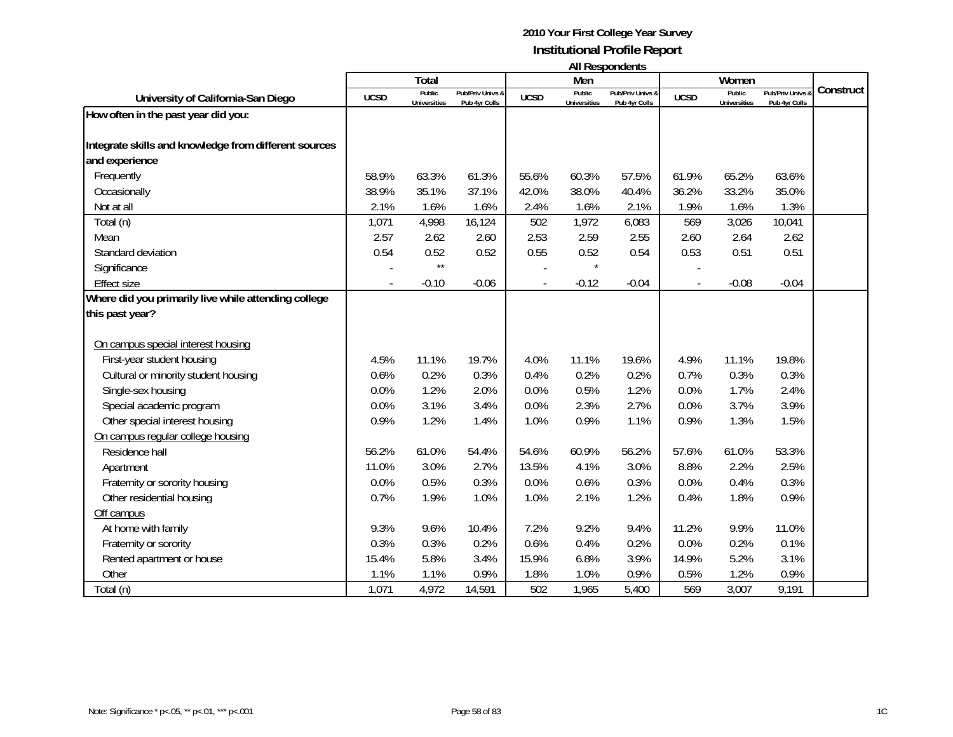|                                                       |             | Total                         |                                   |                          | Men                           |                                   |             | Women                         |                                 |           |
|-------------------------------------------------------|-------------|-------------------------------|-----------------------------------|--------------------------|-------------------------------|-----------------------------------|-------------|-------------------------------|---------------------------------|-----------|
| University of California-San Diego                    | <b>UCSD</b> | Public<br><b>Universities</b> | Pub/Priv Univs &<br>Pub 4yr Colls | <b>UCSD</b>              | Public<br><b>Universities</b> | Pub/Priv Univs &<br>Pub 4yr Colls | <b>UCSD</b> | Public<br><b>Universities</b> | Pub/Priv Univs<br>Pub 4yr Colls | Construct |
| How often in the past year did you:                   |             |                               |                                   |                          |                               |                                   |             |                               |                                 |           |
|                                                       |             |                               |                                   |                          |                               |                                   |             |                               |                                 |           |
| Integrate skills and knowledge from different sources |             |                               |                                   |                          |                               |                                   |             |                               |                                 |           |
| and experience                                        |             |                               |                                   |                          |                               |                                   |             |                               |                                 |           |
| Frequently                                            | 58.9%       | 63.3%                         | 61.3%                             | 55.6%                    | 60.3%                         | 57.5%                             | 61.9%       | 65.2%                         | 63.6%                           |           |
| Occasionally                                          | 38.9%       | 35.1%                         | 37.1%                             | 42.0%                    | 38.0%                         | 40.4%                             | 36.2%       | 33.2%                         | 35.0%                           |           |
| Not at all                                            | 2.1%        | 1.6%                          | 1.6%                              | 2.4%                     | 1.6%                          | 2.1%                              | 1.9%        | 1.6%                          | 1.3%                            |           |
| Total (n)                                             | 1,071       | 4,998                         | 16,124                            | 502                      | 1,972                         | 6,083                             | 569         | 3,026                         | 10,041                          |           |
| Mean                                                  | 2.57        | 2.62                          | 2.60                              | 2.53                     | 2.59                          | 2.55                              | 2.60        | 2.64                          | 2.62                            |           |
| Standard deviation                                    | 0.54        | 0.52                          | 0.52                              | 0.55                     | 0.52                          | 0.54                              | 0.53        | 0.51                          | 0.51                            |           |
| Significance                                          |             | $\star\star$                  |                                   |                          |                               |                                   |             |                               |                                 |           |
| <b>Effect size</b>                                    |             | $-0.10$                       | $-0.06$                           | $\overline{\phantom{a}}$ | $-0.12$                       | $-0.04$                           |             | $-0.08$                       | $-0.04$                         |           |
| Where did you primarily live while attending college  |             |                               |                                   |                          |                               |                                   |             |                               |                                 |           |
| this past year?                                       |             |                               |                                   |                          |                               |                                   |             |                               |                                 |           |
|                                                       |             |                               |                                   |                          |                               |                                   |             |                               |                                 |           |
| On campus special interest housing                    |             |                               |                                   |                          |                               |                                   |             |                               |                                 |           |
| First-year student housing                            | 4.5%        | 11.1%                         | 19.7%                             | 4.0%                     | 11.1%                         | 19.6%                             | 4.9%        | 11.1%                         | 19.8%                           |           |
| Cultural or minority student housing                  | 0.6%        | 0.2%                          | 0.3%                              | 0.4%                     | 0.2%                          | 0.2%                              | 0.7%        | 0.3%                          | 0.3%                            |           |
| Single-sex housing                                    | 0.0%        | 1.2%                          | 2.0%                              | 0.0%                     | 0.5%                          | 1.2%                              | 0.0%        | 1.7%                          | 2.4%                            |           |
| Special academic program                              | 0.0%        | 3.1%                          | 3.4%                              | 0.0%                     | 2.3%                          | 2.7%                              | 0.0%        | 3.7%                          | 3.9%                            |           |
| Other special interest housing                        | 0.9%        | 1.2%                          | 1.4%                              | 1.0%                     | 0.9%                          | 1.1%                              | 0.9%        | 1.3%                          | 1.5%                            |           |
| On campus regular college housing                     |             |                               |                                   |                          |                               |                                   |             |                               |                                 |           |
| Residence hall                                        | 56.2%       | 61.0%                         | 54.4%                             | 54.6%                    | 60.9%                         | 56.2%                             | 57.6%       | 61.0%                         | 53.3%                           |           |
| Apartment                                             | 11.0%       | 3.0%                          | 2.7%                              | 13.5%                    | 4.1%                          | 3.0%                              | 8.8%        | 2.2%                          | 2.5%                            |           |
| Fraternity or sorority housing                        | 0.0%        | 0.5%                          | 0.3%                              | 0.0%                     | 0.6%                          | 0.3%                              | 0.0%        | 0.4%                          | 0.3%                            |           |
| Other residential housing                             | 0.7%        | 1.9%                          | 1.0%                              | 1.0%                     | 2.1%                          | 1.2%                              | 0.4%        | 1.8%                          | 0.9%                            |           |
| Off campus                                            |             |                               |                                   |                          |                               |                                   |             |                               |                                 |           |
| At home with family                                   | 9.3%        | 9.6%                          | 10.4%                             | 7.2%                     | 9.2%                          | 9.4%                              | 11.2%       | 9.9%                          | 11.0%                           |           |
| Fraternity or sorority                                | 0.3%        | 0.3%                          | 0.2%                              | 0.6%                     | 0.4%                          | 0.2%                              | 0.0%        | 0.2%                          | 0.1%                            |           |
| Rented apartment or house                             | 15.4%       | 5.8%                          | 3.4%                              | 15.9%                    | 6.8%                          | 3.9%                              | 14.9%       | 5.2%                          | 3.1%                            |           |
| Other                                                 | 1.1%        | 1.1%                          | 0.9%                              | 1.8%                     | 1.0%                          | 0.9%                              | 0.5%        | 1.2%                          | 0.9%                            |           |
| Total (n)                                             | 1,071       | 4,972                         | 14,591                            | 502                      | 1,965                         | 5,400                             | 569         | 3,007                         | 9,191                           |           |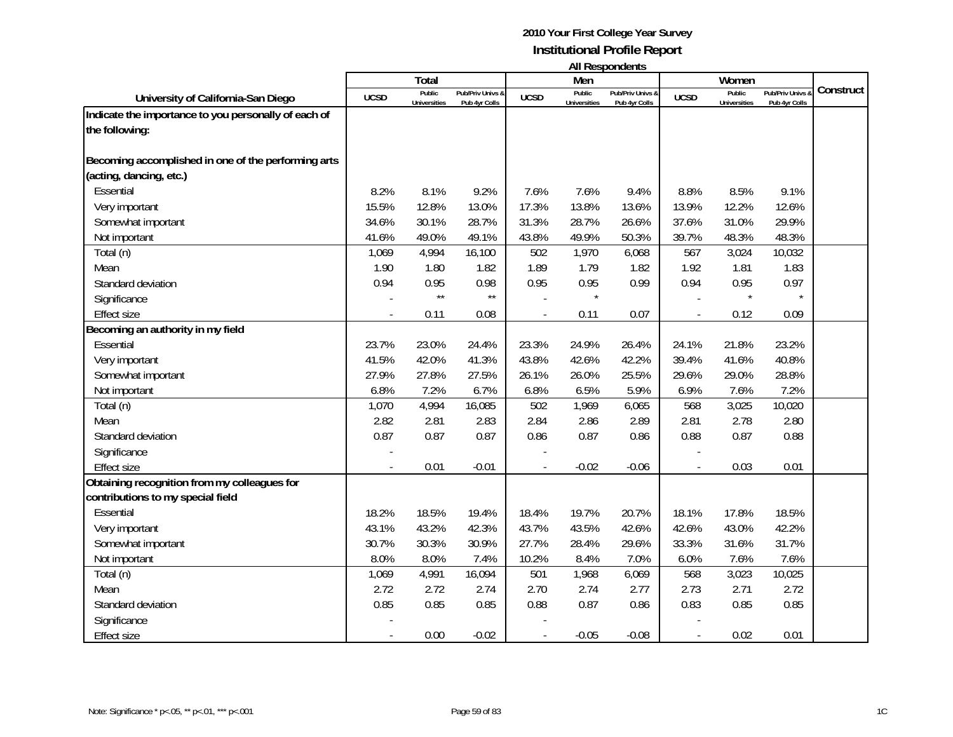|                                                      |             | Total                         |                                   |             | .<br>Men                      |                                   |             | Women                         |                                   |           |
|------------------------------------------------------|-------------|-------------------------------|-----------------------------------|-------------|-------------------------------|-----------------------------------|-------------|-------------------------------|-----------------------------------|-----------|
| University of California-San Diego                   | <b>UCSD</b> | Public<br><b>Universities</b> | Pub/Priv Univs &<br>Pub 4yr Colls | <b>UCSD</b> | Public<br><b>Universities</b> | Pub/Priv Univs &<br>Pub 4yr Colls | <b>UCSD</b> | Public<br><b>Universities</b> | Pub/Priv Univs &<br>Pub 4yr Colls | Construct |
| Indicate the importance to you personally of each of |             |                               |                                   |             |                               |                                   |             |                               |                                   |           |
| the following:                                       |             |                               |                                   |             |                               |                                   |             |                               |                                   |           |
|                                                      |             |                               |                                   |             |                               |                                   |             |                               |                                   |           |
| Becoming accomplished in one of the performing arts  |             |                               |                                   |             |                               |                                   |             |                               |                                   |           |
| (acting, dancing, etc.)                              |             |                               |                                   |             |                               |                                   |             |                               |                                   |           |
| Essential                                            | 8.2%        | 8.1%                          | 9.2%                              | 7.6%        | 7.6%                          | 9.4%                              | 8.8%        | 8.5%                          | 9.1%                              |           |
| Very important                                       | 15.5%       | 12.8%                         | 13.0%                             | 17.3%       | 13.8%                         | 13.6%                             | 13.9%       | 12.2%                         | 12.6%                             |           |
| Somewhat important                                   | 34.6%       | 30.1%                         | 28.7%                             | 31.3%       | 28.7%                         | 26.6%                             | 37.6%       | 31.0%                         | 29.9%                             |           |
| Not important                                        | 41.6%       | 49.0%                         | 49.1%                             | 43.8%       | 49.9%                         | 50.3%                             | 39.7%       | 48.3%                         | 48.3%                             |           |
| Total (n)                                            | 1,069       | 4,994                         | 16,100                            | 502         | 1,970                         | 6,068                             | 567         | 3,024                         | 10,032                            |           |
| Mean                                                 | 1.90        | 1.80                          | 1.82                              | 1.89        | 1.79                          | 1.82                              | 1.92        | 1.81                          | 1.83                              |           |
| Standard deviation                                   | 0.94        | 0.95                          | 0.98                              | 0.95        | 0.95                          | 0.99                              | 0.94        | 0.95                          | 0.97                              |           |
| Significance                                         |             | $\star\star$                  | $\star\star$                      |             |                               |                                   |             | $\star$                       | $\star$                           |           |
| <b>Effect size</b>                                   |             | 0.11                          | 0.08                              |             | 0.11                          | 0.07                              |             | 0.12                          | 0.09                              |           |
| Becoming an authority in my field                    |             |                               |                                   |             |                               |                                   |             |                               |                                   |           |
| Essential                                            | 23.7%       | 23.0%                         | 24.4%                             | 23.3%       | 24.9%                         | 26.4%                             | 24.1%       | 21.8%                         | 23.2%                             |           |
| Very important                                       | 41.5%       | 42.0%                         | 41.3%                             | 43.8%       | 42.6%                         | 42.2%                             | 39.4%       | 41.6%                         | 40.8%                             |           |
| Somewhat important                                   | 27.9%       | 27.8%                         | 27.5%                             | 26.1%       | 26.0%                         | 25.5%                             | 29.6%       | 29.0%                         | 28.8%                             |           |
| Not important                                        | 6.8%        | 7.2%                          | 6.7%                              | 6.8%        | 6.5%                          | 5.9%                              | 6.9%        | 7.6%                          | 7.2%                              |           |
| Total (n)                                            | 1,070       | 4,994                         | 16,085                            | 502         | 1,969                         | 6,065                             | 568         | 3,025                         | 10,020                            |           |
| Mean                                                 | 2.82        | 2.81                          | 2.83                              | 2.84        | 2.86                          | 2.89                              | 2.81        | 2.78                          | 2.80                              |           |
| Standard deviation                                   | 0.87        | 0.87                          | 0.87                              | 0.86        | 0.87                          | 0.86                              | 0.88        | 0.87                          | 0.88                              |           |
| Significance                                         |             |                               |                                   |             |                               |                                   |             |                               |                                   |           |
| <b>Effect size</b>                                   |             | 0.01                          | $-0.01$                           |             | $-0.02$                       | $-0.06$                           |             | 0.03                          | 0.01                              |           |
| Obtaining recognition from my colleagues for         |             |                               |                                   |             |                               |                                   |             |                               |                                   |           |
| contributions to my special field                    |             |                               |                                   |             |                               |                                   |             |                               |                                   |           |
| Essential                                            | 18.2%       | 18.5%                         | 19.4%                             | 18.4%       | 19.7%                         | 20.7%                             | 18.1%       | 17.8%                         | 18.5%                             |           |
| Very important                                       | 43.1%       | 43.2%                         | 42.3%                             | 43.7%       | 43.5%                         | 42.6%                             | 42.6%       | 43.0%                         | 42.2%                             |           |
| Somewhat important                                   | 30.7%       | 30.3%                         | 30.9%                             | 27.7%       | 28.4%                         | 29.6%                             | 33.3%       | 31.6%                         | 31.7%                             |           |
| Not important                                        | 8.0%        | 8.0%                          | 7.4%                              | 10.2%       | 8.4%                          | 7.0%                              | 6.0%        | 7.6%                          | 7.6%                              |           |
| Total (n)                                            | 1,069       | 4,991                         | 16,094                            | 501         | 1,968                         | 6,069                             | 568         | 3,023                         | 10,025                            |           |
| Mean                                                 | 2.72        | 2.72                          | 2.74                              | 2.70        | 2.74                          | 2.77                              | 2.73        | 2.71                          | 2.72                              |           |
| Standard deviation                                   | 0.85        | 0.85                          | 0.85                              | 0.88        | 0.87                          | 0.86                              | 0.83        | 0.85                          | 0.85                              |           |
| Significance                                         |             |                               |                                   |             |                               |                                   |             |                               |                                   |           |
| <b>Effect size</b>                                   |             | 0.00                          | $-0.02$                           |             | $-0.05$                       | $-0.08$                           |             | 0.02                          | 0.01                              |           |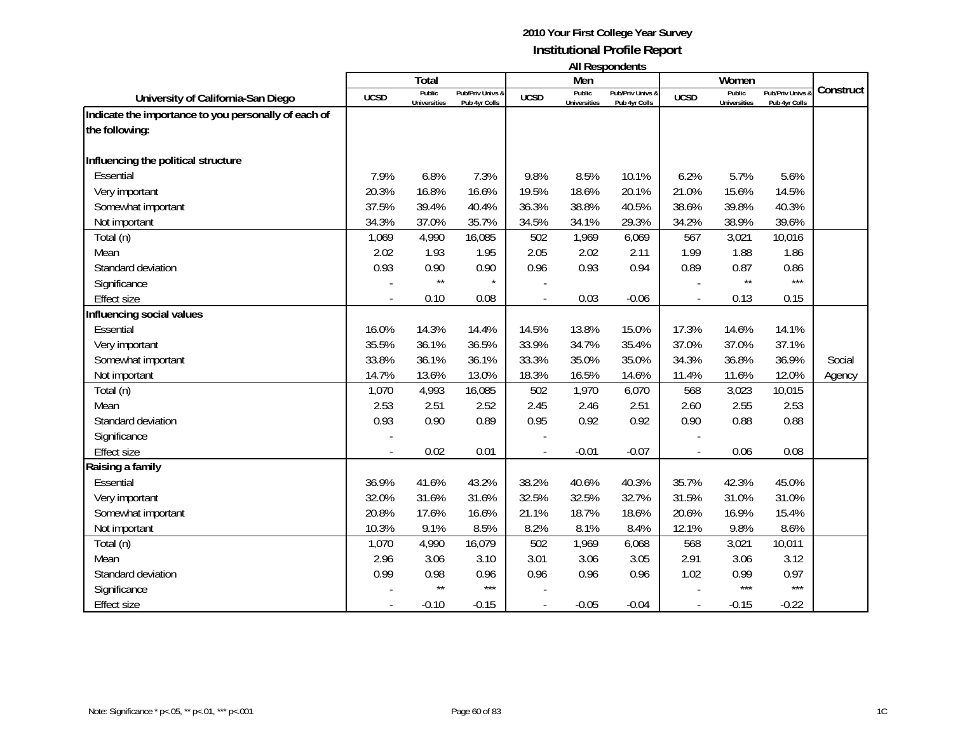|                                                      |             |                               |                                   |             |                               | טוויטאנטעכטער ווו                 |             |                               |                                 |           |
|------------------------------------------------------|-------------|-------------------------------|-----------------------------------|-------------|-------------------------------|-----------------------------------|-------------|-------------------------------|---------------------------------|-----------|
|                                                      |             | Total                         |                                   |             | Men                           |                                   |             | Women                         |                                 | Construct |
| University of California-San Diego                   | <b>UCSD</b> | Public<br><b>Universities</b> | Pub/Priv Univs &<br>Pub 4yr Colls | <b>UCSD</b> | Public<br><b>Universities</b> | Pub/Priv Univs &<br>Pub 4yr Colls | <b>UCSD</b> | Public<br><b>Universities</b> | Pub/Priv Univs<br>Pub 4yr Colls |           |
| Indicate the importance to you personally of each of |             |                               |                                   |             |                               |                                   |             |                               |                                 |           |
| the following:                                       |             |                               |                                   |             |                               |                                   |             |                               |                                 |           |
| Influencing the political structure                  |             |                               |                                   |             |                               |                                   |             |                               |                                 |           |
| Essential                                            | 7.9%        | 6.8%                          | 7.3%                              | 9.8%        | 8.5%                          | 10.1%                             | 6.2%        | 5.7%                          | 5.6%                            |           |
| Very important                                       | 20.3%       | 16.8%                         | 16.6%                             | 19.5%       | 18.6%                         | 20.1%                             | 21.0%       | 15.6%                         | 14.5%                           |           |
| Somewhat important                                   | 37.5%       | 39.4%                         | 40.4%                             | 36.3%       | 38.8%                         | 40.5%                             | 38.6%       | 39.8%                         | 40.3%                           |           |
| Not important                                        | 34.3%       | 37.0%                         | 35.7%                             | 34.5%       | 34.1%                         | 29.3%                             | 34.2%       | 38.9%                         | 39.6%                           |           |
| Total (n)                                            | 1,069       | 4,990                         | 16,085                            | 502         | 1,969                         | 6,069                             | 567         | 3,021                         | 10,016                          |           |
| Mean                                                 | 2.02        | 1.93                          | 1.95                              | 2.05        | 2.02                          | 2.11                              | 1.99        | 1.88                          | 1.86                            |           |
| Standard deviation                                   | 0.93        | 0.90                          | 0.90                              | 0.96        | 0.93                          | 0.94                              | 0.89        | 0.87                          | 0.86                            |           |
| Significance                                         |             | $\star\star$                  | $\star$                           |             |                               |                                   |             | $\star\star$                  | $***$                           |           |
| <b>Effect size</b>                                   |             | 0.10                          | 0.08                              |             | 0.03                          | $-0.06$                           |             | 0.13                          | 0.15                            |           |
| Influencing social values                            |             |                               |                                   |             |                               |                                   |             |                               |                                 |           |
| Essential                                            | 16.0%       | 14.3%                         | 14.4%                             | 14.5%       | 13.8%                         | 15.0%                             | 17.3%       | 14.6%                         | 14.1%                           |           |
| Very important                                       | 35.5%       | 36.1%                         | 36.5%                             | 33.9%       | 34.7%                         | 35.4%                             | 37.0%       | 37.0%                         | 37.1%                           |           |
| Somewhat important                                   | 33.8%       | 36.1%                         | 36.1%                             | 33.3%       | 35.0%                         | 35.0%                             | 34.3%       | 36.8%                         | 36.9%                           | Social    |
| Not important                                        | 14.7%       | 13.6%                         | 13.0%                             | 18.3%       | 16.5%                         | 14.6%                             | 11.4%       | 11.6%                         | 12.0%                           | Agency    |
| Total (n)                                            | 1,070       | 4,993                         | 16,085                            | 502         | 1,970                         | 6,070                             | 568         | 3,023                         | 10,015                          |           |
| Mean                                                 | 2.53        | 2.51                          | 2.52                              | 2.45        | 2.46                          | 2.51                              | 2.60        | 2.55                          | 2.53                            |           |
| Standard deviation                                   | 0.93        | 0.90                          | 0.89                              | 0.95        | 0.92                          | 0.92                              | 0.90        | 0.88                          | 0.88                            |           |
| Significance                                         |             |                               |                                   |             |                               |                                   |             |                               |                                 |           |
| <b>Effect size</b>                                   |             | 0.02                          | 0.01                              |             | $-0.01$                       | $-0.07$                           |             | 0.06                          | 0.08                            |           |
| Raising a family                                     |             |                               |                                   |             |                               |                                   |             |                               |                                 |           |
| Essential                                            | 36.9%       | 41.6%                         | 43.2%                             | 38.2%       | 40.6%                         | 40.3%                             | 35.7%       | 42.3%                         | 45.0%                           |           |
| Very important                                       | 32.0%       | 31.6%                         | 31.6%                             | 32.5%       | 32.5%                         | 32.7%                             | 31.5%       | 31.0%                         | 31.0%                           |           |
| Somewhat important                                   | 20.8%       | 17.6%                         | 16.6%                             | 21.1%       | 18.7%                         | 18.6%                             | 20.6%       | 16.9%                         | 15.4%                           |           |
| Not important                                        | 10.3%       | 9.1%                          | 8.5%                              | 8.2%        | 8.1%                          | 8.4%                              | 12.1%       | 9.8%                          | 8.6%                            |           |
| Total (n)                                            | 1,070       | 4,990                         | 16,079                            | 502         | 1,969                         | 6,068                             | 568         | 3,021                         | 10,011                          |           |
| Mean                                                 | 2.96        | 3.06                          | 3.10                              | 3.01        | 3.06                          | 3.05                              | 2.91        | 3.06                          | 3.12                            |           |
| Standard deviation                                   | 0.99        | 0.98                          | 0.96                              | 0.96        | 0.96                          | 0.96                              | 1.02        | 0.99                          | 0.97                            |           |
| Significance                                         |             | $\star\star$                  | $***$                             |             |                               |                                   |             | $***$                         | $***$                           |           |
| <b>Effect size</b>                                   |             | $-0.10$                       | $-0.15$                           |             | $-0.05$                       | $-0.04$                           |             | $-0.15$                       | $-0.22$                         |           |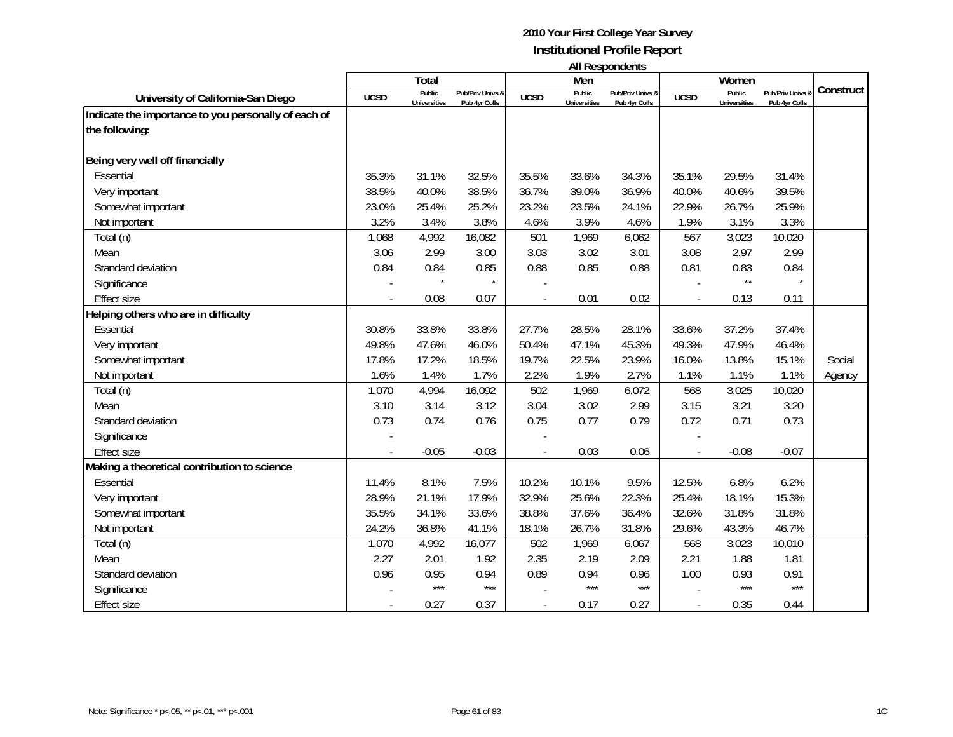|                                                      |             |                               |                                   |             |                               | טוויטאנטעכטער ווו                 |             |                               |                                 |           |
|------------------------------------------------------|-------------|-------------------------------|-----------------------------------|-------------|-------------------------------|-----------------------------------|-------------|-------------------------------|---------------------------------|-----------|
|                                                      |             | Total                         |                                   |             | Men                           |                                   |             | Women                         |                                 | Construct |
| University of California-San Diego                   | <b>UCSD</b> | Public<br><b>Universities</b> | Pub/Priv Univs &<br>Pub 4yr Colls | <b>UCSD</b> | Public<br><b>Universities</b> | Pub/Priv Univs &<br>Pub 4yr Colls | <b>UCSD</b> | Public<br><b>Universities</b> | Pub/Priv Univs<br>Pub 4yr Colls |           |
| Indicate the importance to you personally of each of |             |                               |                                   |             |                               |                                   |             |                               |                                 |           |
| the following:                                       |             |                               |                                   |             |                               |                                   |             |                               |                                 |           |
|                                                      |             |                               |                                   |             |                               |                                   |             |                               |                                 |           |
| Being very well off financially                      |             |                               |                                   |             |                               |                                   |             |                               |                                 |           |
| Essential                                            | 35.3%       | 31.1%                         | 32.5%                             | 35.5%       | 33.6%                         | 34.3%                             | 35.1%       | 29.5%                         | 31.4%                           |           |
| Very important                                       | 38.5%       | 40.0%                         | 38.5%                             | 36.7%       | 39.0%                         | 36.9%                             | 40.0%       | 40.6%                         | 39.5%                           |           |
| Somewhat important                                   | 23.0%       | 25.4%                         | 25.2%                             | 23.2%       | 23.5%                         | 24.1%                             | 22.9%       | 26.7%                         | 25.9%                           |           |
| Not important                                        | 3.2%        | 3.4%                          | 3.8%                              | 4.6%        | 3.9%                          | 4.6%                              | 1.9%        | 3.1%                          | 3.3%                            |           |
| Total (n)                                            | 1,068       | 4,992                         | 16,082                            | 501         | 1,969                         | 6,062                             | 567         | 3,023                         | 10,020                          |           |
| Mean                                                 | 3.06        | 2.99                          | 3.00                              | 3.03        | 3.02                          | 3.01                              | 3.08        | 2.97                          | 2.99                            |           |
| Standard deviation                                   | 0.84        | 0.84                          | 0.85                              | 0.88        | 0.85                          | 0.88                              | 0.81        | 0.83                          | 0.84                            |           |
| Significance                                         |             |                               | $\star$                           |             |                               |                                   |             | $\star\star$                  |                                 |           |
| <b>Effect size</b>                                   |             | 0.08                          | 0.07                              |             | 0.01                          | 0.02                              |             | 0.13                          | 0.11                            |           |
| Helping others who are in difficulty                 |             |                               |                                   |             |                               |                                   |             |                               |                                 |           |
| Essential                                            | 30.8%       | 33.8%                         | 33.8%                             | 27.7%       | 28.5%                         | 28.1%                             | 33.6%       | 37.2%                         | 37.4%                           |           |
| Very important                                       | 49.8%       | 47.6%                         | 46.0%                             | 50.4%       | 47.1%                         | 45.3%                             | 49.3%       | 47.9%                         | 46.4%                           |           |
| Somewhat important                                   | 17.8%       | 17.2%                         | 18.5%                             | 19.7%       | 22.5%                         | 23.9%                             | 16.0%       | 13.8%                         | 15.1%                           | Social    |
| Not important                                        | 1.6%        | 1.4%                          | 1.7%                              | 2.2%        | 1.9%                          | 2.7%                              | 1.1%        | 1.1%                          | 1.1%                            | Agency    |
| Total (n)                                            | 1,070       | 4,994                         | 16,092                            | 502         | 1,969                         | 6,072                             | 568         | 3,025                         | 10,020                          |           |
| Mean                                                 | 3.10        | 3.14                          | 3.12                              | 3.04        | 3.02                          | 2.99                              | 3.15        | 3.21                          | 3.20                            |           |
| Standard deviation                                   | 0.73        | 0.74                          | 0.76                              | 0.75        | 0.77                          | 0.79                              | 0.72        | 0.71                          | 0.73                            |           |
| Significance                                         |             |                               |                                   |             |                               |                                   |             |                               |                                 |           |
| <b>Effect size</b>                                   |             | $-0.05$                       | $-0.03$                           |             | 0.03                          | 0.06                              |             | $-0.08$                       | $-0.07$                         |           |
| Making a theoretical contribution to science         |             |                               |                                   |             |                               |                                   |             |                               |                                 |           |
| Essential                                            | 11.4%       | 8.1%                          | 7.5%                              | 10.2%       | 10.1%                         | 9.5%                              | 12.5%       | 6.8%                          | 6.2%                            |           |
| Very important                                       | 28.9%       | 21.1%                         | 17.9%                             | 32.9%       | 25.6%                         | 22.3%                             | 25.4%       | 18.1%                         | 15.3%                           |           |
| Somewhat important                                   | 35.5%       | 34.1%                         | 33.6%                             | 38.8%       | 37.6%                         | 36.4%                             | 32.6%       | 31.8%                         | 31.8%                           |           |
| Not important                                        | 24.2%       | 36.8%                         | 41.1%                             | 18.1%       | 26.7%                         | 31.8%                             | 29.6%       | 43.3%                         | 46.7%                           |           |
| Total (n)                                            | 1,070       | 4,992                         | 16,077                            | 502         | 1,969                         | 6,067                             | 568         | 3,023                         | 10,010                          |           |
| Mean                                                 | 2.27        | 2.01                          | 1.92                              | 2.35        | 2.19                          | 2.09                              | 2.21        | 1.88                          | 1.81                            |           |
| Standard deviation                                   | 0.96        | 0.95                          | 0.94                              | 0.89        | 0.94                          | 0.96                              | 1.00        | 0.93                          | 0.91                            |           |
| Significance                                         |             | $***$                         | $***$                             |             | $***$                         | $***$                             |             | $***$                         | $***$                           |           |
| <b>Effect size</b>                                   |             | 0.27                          | 0.37                              |             | 0.17                          | 0.27                              |             | 0.35                          | 0.44                            |           |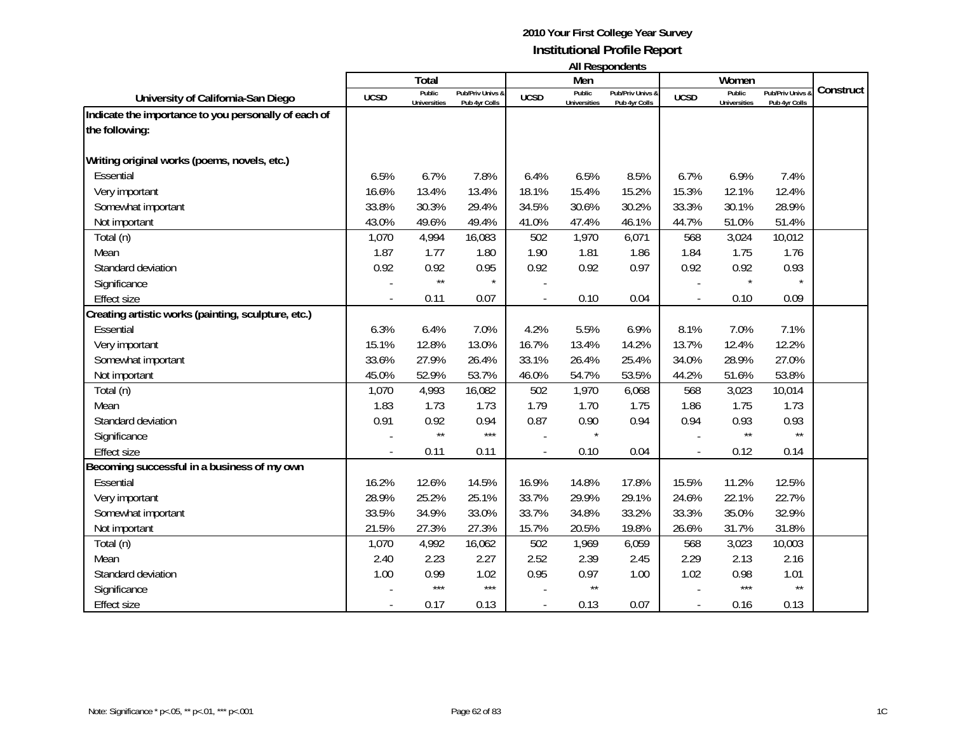|                                                      |             | Total               |                  |             | Men                 | בזווטאווטקטטרו וור |             | Women               |                |           |
|------------------------------------------------------|-------------|---------------------|------------------|-------------|---------------------|--------------------|-------------|---------------------|----------------|-----------|
|                                                      |             | Public              | Pub/Priv Univs & |             | Public              | Pub/Priv Univs &   |             | Public              | Pub/Priv Univs | Construct |
| University of California-San Diego                   | <b>UCSD</b> | <b>Universities</b> | Pub 4yr Colls    | <b>UCSD</b> | <b>Universities</b> | Pub 4yr Colls      | <b>UCSD</b> | <b>Universities</b> | Pub 4yr Colls  |           |
| Indicate the importance to you personally of each of |             |                     |                  |             |                     |                    |             |                     |                |           |
| the following:                                       |             |                     |                  |             |                     |                    |             |                     |                |           |
| Writing original works (poems, novels, etc.)         |             |                     |                  |             |                     |                    |             |                     |                |           |
| Essential                                            | 6.5%        | 6.7%                | 7.8%             | 6.4%        | 6.5%                | 8.5%               | 6.7%        | 6.9%                | 7.4%           |           |
| Very important                                       | 16.6%       | 13.4%               | 13.4%            | 18.1%       | 15.4%               | 15.2%              | 15.3%       | 12.1%               | 12.4%          |           |
| Somewhat important                                   | 33.8%       | 30.3%               | 29.4%            | 34.5%       | 30.6%               | 30.2%              | 33.3%       | 30.1%               | 28.9%          |           |
| Not important                                        | 43.0%       | 49.6%               | 49.4%            | 41.0%       | 47.4%               | 46.1%              | 44.7%       | 51.0%               | 51.4%          |           |
| Total (n)                                            | 1,070       | 4,994               | 16,083           | 502         | 1,970               | 6,071              | 568         | 3,024               | 10,012         |           |
| Mean                                                 | 1.87        | 1.77                | 1.80             | 1.90        | 1.81                | 1.86               | 1.84        | 1.75                | 1.76           |           |
| Standard deviation                                   | 0.92        | 0.92                | 0.95             | 0.92        | 0.92                | 0.97               | 0.92        | 0.92                | 0.93           |           |
| Significance                                         |             | $\star\star$        | $\star$          |             |                     |                    |             | $\star$             |                |           |
| <b>Effect size</b>                                   |             | 0.11                | 0.07             |             | 0.10                | 0.04               |             | 0.10                | 0.09           |           |
| Creating artistic works (painting, sculpture, etc.)  |             |                     |                  |             |                     |                    |             |                     |                |           |
| Essential                                            | 6.3%        | 6.4%                | 7.0%             | 4.2%        | 5.5%                | 6.9%               | 8.1%        | 7.0%                | 7.1%           |           |
| Very important                                       | 15.1%       | 12.8%               | 13.0%            | 16.7%       | 13.4%               | 14.2%              | 13.7%       | 12.4%               | 12.2%          |           |
| Somewhat important                                   | 33.6%       | 27.9%               | 26.4%            | 33.1%       | 26.4%               | 25.4%              | 34.0%       | 28.9%               | 27.0%          |           |
| Not important                                        | 45.0%       | 52.9%               | 53.7%            | 46.0%       | 54.7%               | 53.5%              | 44.2%       | 51.6%               | 53.8%          |           |
| Total (n)                                            | 1,070       | 4,993               | 16,082           | 502         | 1,970               | 6,068              | 568         | 3,023               | 10,014         |           |
| Mean                                                 | 1.83        | 1.73                | 1.73             | 1.79        | 1.70                | 1.75               | 1.86        | 1.75                | 1.73           |           |
| Standard deviation                                   | 0.91        | 0.92                | 0.94             | 0.87        | 0.90                | 0.94               | 0.94        | 0.93                | 0.93           |           |
| Significance                                         |             | $\star\star$        | $***$            |             |                     |                    |             | $\star\star$        | $\star\star$   |           |
| <b>Effect size</b>                                   |             | 0.11                | 0.11             |             | 0.10                | 0.04               |             | 0.12                | 0.14           |           |
| Becoming successful in a business of my own          |             |                     |                  |             |                     |                    |             |                     |                |           |
| Essential                                            | 16.2%       | 12.6%               | 14.5%            | 16.9%       | 14.8%               | 17.8%              | 15.5%       | 11.2%               | 12.5%          |           |
| Very important                                       | 28.9%       | 25.2%               | 25.1%            | 33.7%       | 29.9%               | 29.1%              | 24.6%       | 22.1%               | 22.7%          |           |
| Somewhat important                                   | 33.5%       | 34.9%               | 33.0%            | 33.7%       | 34.8%               | 33.2%              | 33.3%       | 35.0%               | 32.9%          |           |
| Not important                                        | 21.5%       | 27.3%               | 27.3%            | 15.7%       | 20.5%               | 19.8%              | 26.6%       | 31.7%               | 31.8%          |           |
| Total (n)                                            | 1,070       | 4,992               | 16,062           | 502         | 1,969               | 6,059              | 568         | 3,023               | 10,003         |           |
| Mean                                                 | 2.40        | 2.23                | 2.27             | 2.52        | 2.39                | 2.45               | 2.29        | 2.13                | 2.16           |           |
| Standard deviation                                   | 1.00        | 0.99                | 1.02             | 0.95        | 0.97                | 1.00               | 1.02        | 0.98                | 1.01           |           |
| Significance                                         |             | $***$               | $***$            |             | $\star\star$        |                    |             | ***                 | $\star\star$   |           |
| <b>Effect size</b>                                   |             | 0.17                | 0.13             |             | 0.13                | 0.07               |             | 0.16                | 0.13           |           |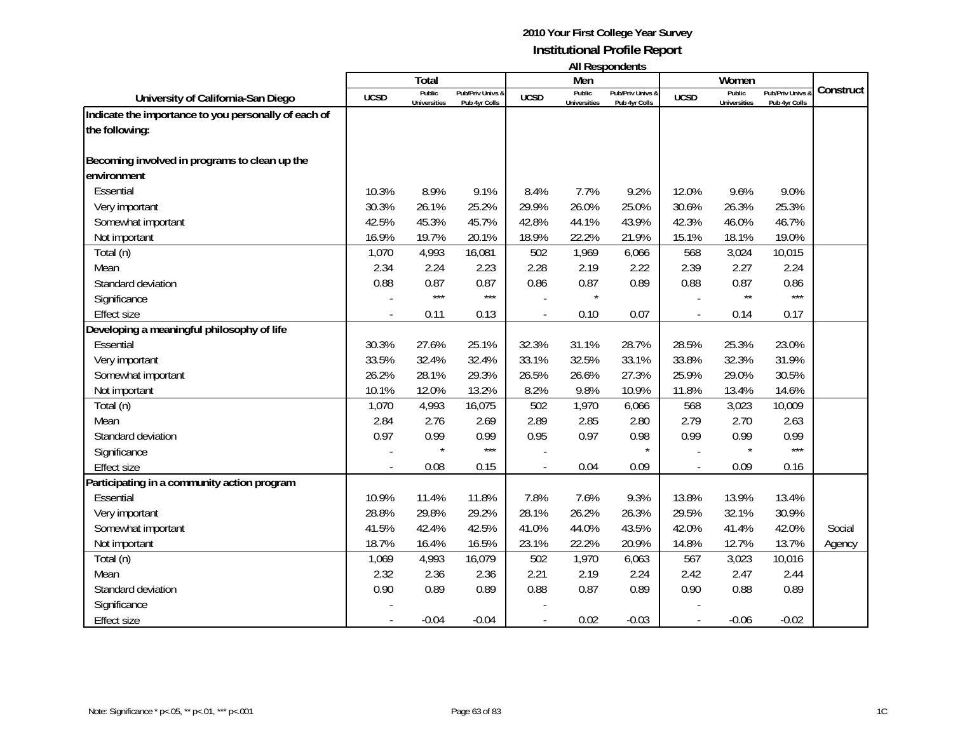|                                                      |             | Total                         |                                              |             | Men                           | בווסטווטקכטוו ווו                 |             | Women                         |                                 |           |
|------------------------------------------------------|-------------|-------------------------------|----------------------------------------------|-------------|-------------------------------|-----------------------------------|-------------|-------------------------------|---------------------------------|-----------|
| University of California-San Diego                   | <b>UCSD</b> | Public<br><b>Universities</b> | <b>Pub/Priv Univs &amp;</b><br>Pub 4yr Colls | <b>UCSD</b> | Public<br><b>Universities</b> | Pub/Priv Univs &<br>Pub 4yr Colls | <b>UCSD</b> | Public<br><b>Universities</b> | Pub/Priv Univs<br>Pub 4yr Colls | Construct |
| Indicate the importance to you personally of each of |             |                               |                                              |             |                               |                                   |             |                               |                                 |           |
| the following:                                       |             |                               |                                              |             |                               |                                   |             |                               |                                 |           |
| Becoming involved in programs to clean up the        |             |                               |                                              |             |                               |                                   |             |                               |                                 |           |
| environment                                          |             |                               |                                              |             |                               |                                   |             |                               |                                 |           |
| Essential                                            | 10.3%       | 8.9%                          | 9.1%                                         | 8.4%        | 7.7%                          | 9.2%                              | 12.0%       | 9.6%                          | 9.0%                            |           |
| Very important                                       | 30.3%       | 26.1%                         | 25.2%                                        | 29.9%       | 26.0%                         | 25.0%                             | 30.6%       | 26.3%                         | 25.3%                           |           |
| Somewhat important                                   | 42.5%       | 45.3%                         | 45.7%                                        | 42.8%       | 44.1%                         | 43.9%                             | 42.3%       | 46.0%                         | 46.7%                           |           |
| Not important                                        | 16.9%       | 19.7%                         | 20.1%                                        | 18.9%       | 22.2%                         | 21.9%                             | 15.1%       | 18.1%                         | 19.0%                           |           |
| Total (n)                                            | 1,070       | 4,993                         | 16,081                                       | 502         | 1,969                         | 6,066                             | 568         | 3,024                         | 10,015                          |           |
| Mean                                                 | 2.34        | 2.24                          | 2.23                                         | 2.28        | 2.19                          | 2.22                              | 2.39        | 2.27                          | 2.24                            |           |
| Standard deviation                                   | 0.88        | 0.87                          | 0.87                                         | 0.86        | 0.87                          | 0.89                              | 0.88        | 0.87                          | 0.86                            |           |
| Significance                                         |             | $***$                         | $***$                                        |             |                               |                                   |             | $\star\star$                  | $***$                           |           |
| <b>Effect size</b>                                   |             | 0.11                          | 0.13                                         |             | 0.10                          | 0.07                              |             | 0.14                          | 0.17                            |           |
| Developing a meaningful philosophy of life           |             |                               |                                              |             |                               |                                   |             |                               |                                 |           |
| Essential                                            | 30.3%       | 27.6%                         | 25.1%                                        | 32.3%       | 31.1%                         | 28.7%                             | 28.5%       | 25.3%                         | 23.0%                           |           |
| Very important                                       | 33.5%       | 32.4%                         | 32.4%                                        | 33.1%       | 32.5%                         | 33.1%                             | 33.8%       | 32.3%                         | 31.9%                           |           |
| Somewhat important                                   | 26.2%       | 28.1%                         | 29.3%                                        | 26.5%       | 26.6%                         | 27.3%                             | 25.9%       | 29.0%                         | 30.5%                           |           |
| Not important                                        | 10.1%       | 12.0%                         | 13.2%                                        | 8.2%        | 9.8%                          | 10.9%                             | 11.8%       | 13.4%                         | 14.6%                           |           |
| Total (n)                                            | 1,070       | 4,993                         | 16,075                                       | 502         | 1,970                         | 6,066                             | 568         | 3,023                         | 10,009                          |           |
| Mean                                                 | 2.84        | 2.76                          | 2.69                                         | 2.89        | 2.85                          | 2.80                              | 2.79        | 2.70                          | 2.63                            |           |
| Standard deviation                                   | 0.97        | 0.99                          | 0.99                                         | 0.95        | 0.97                          | 0.98                              | 0.99        | 0.99                          | 0.99                            |           |
| Significance                                         |             |                               | $***$                                        |             |                               |                                   |             |                               | $***$                           |           |
| <b>Effect size</b>                                   |             | 0.08                          | 0.15                                         |             | 0.04                          | 0.09                              |             | 0.09                          | 0.16                            |           |
| Participating in a community action program          |             |                               |                                              |             |                               |                                   |             |                               |                                 |           |
| Essential                                            | 10.9%       | 11.4%                         | 11.8%                                        | 7.8%        | 7.6%                          | 9.3%                              | 13.8%       | 13.9%                         | 13.4%                           |           |
| Very important                                       | 28.8%       | 29.8%                         | 29.2%                                        | 28.1%       | 26.2%                         | 26.3%                             | 29.5%       | 32.1%                         | 30.9%                           |           |
| Somewhat important                                   | 41.5%       | 42.4%                         | 42.5%                                        | 41.0%       | 44.0%                         | 43.5%                             | 42.0%       | 41.4%                         | 42.0%                           | Social    |
| Not important                                        | 18.7%       | 16.4%                         | 16.5%                                        | 23.1%       | 22.2%                         | 20.9%                             | 14.8%       | 12.7%                         | 13.7%                           | Agency    |
| Total (n)                                            | 1,069       | 4,993                         | 16,079                                       | 502         | 1,970                         | 6,063                             | 567         | 3,023                         | 10,016                          |           |
| Mean                                                 | 2.32        | 2.36                          | 2.36                                         | 2.21        | 2.19                          | 2.24                              | 2.42        | 2.47                          | 2.44                            |           |
| Standard deviation                                   | 0.90        | 0.89                          | 0.89                                         | 0.88        | 0.87                          | 0.89                              | 0.90        | 0.88                          | 0.89                            |           |
| Significance                                         |             |                               |                                              |             |                               |                                   |             |                               |                                 |           |
| <b>Effect size</b>                                   |             | $-0.04$                       | $-0.04$                                      |             | 0.02                          | $-0.03$                           |             | $-0.06$                       | $-0.02$                         |           |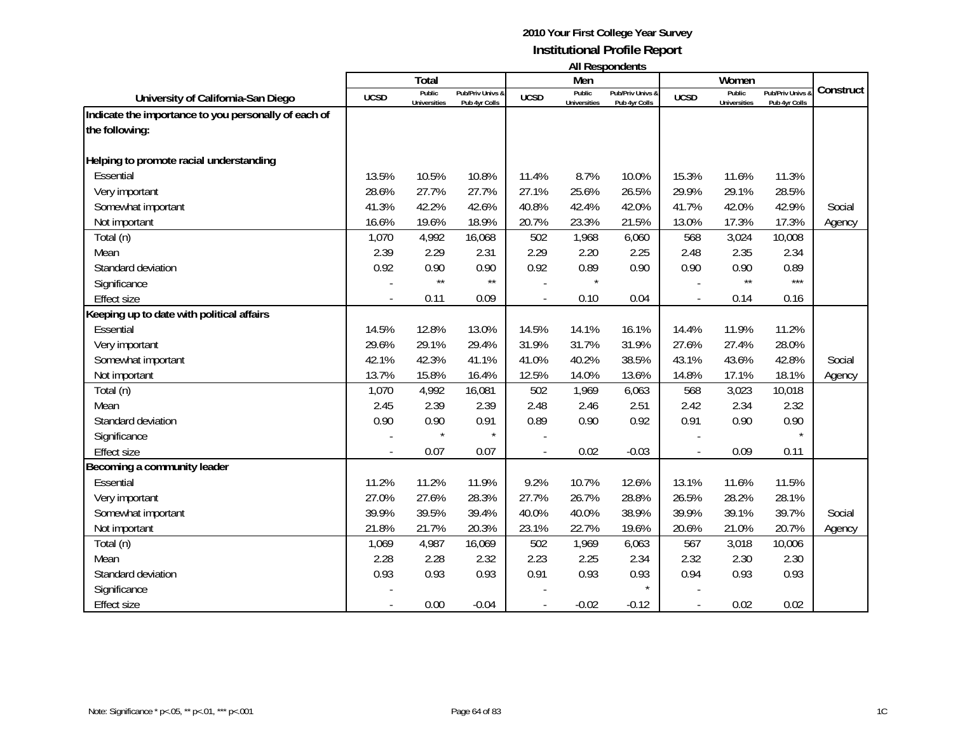|                                                                        |             | Total                         |                                   |             | Men                           |                                   |             | Women                         |                                 |           |
|------------------------------------------------------------------------|-------------|-------------------------------|-----------------------------------|-------------|-------------------------------|-----------------------------------|-------------|-------------------------------|---------------------------------|-----------|
| University of California-San Diego                                     | <b>UCSD</b> | Public<br><b>Universities</b> | Pub/Priv Univs &<br>Pub 4yr Colls | <b>UCSD</b> | Public<br><b>Universities</b> | Pub/Priv Univs &<br>Pub 4yr Colls | <b>UCSD</b> | Public<br><b>Universities</b> | Pub/Priv Univs<br>Pub 4yr Colls | Construct |
| Indicate the importance to you personally of each of<br>the following: |             |                               |                                   |             |                               |                                   |             |                               |                                 |           |
| Helping to promote racial understanding                                |             |                               |                                   |             |                               |                                   |             |                               |                                 |           |
| Essential                                                              | 13.5%       | 10.5%                         | 10.8%                             | 11.4%       | 8.7%                          | 10.0%                             | 15.3%       | 11.6%                         | 11.3%                           |           |
| Very important                                                         | 28.6%       | 27.7%                         | 27.7%                             | 27.1%       | 25.6%                         | 26.5%                             | 29.9%       | 29.1%                         | 28.5%                           |           |
| Somewhat important                                                     | 41.3%       | 42.2%                         | 42.6%                             | 40.8%       | 42.4%                         | 42.0%                             | 41.7%       | 42.0%                         | 42.9%                           | Social    |
| Not important                                                          | 16.6%       | 19.6%                         | 18.9%                             | 20.7%       | 23.3%                         | 21.5%                             | 13.0%       | 17.3%                         | 17.3%                           | Agency    |
| Total (n)                                                              | 1,070       | 4,992                         | 16,068                            | 502         | 1,968                         | 6,060                             | 568         | 3,024                         | 10,008                          |           |
| Mean                                                                   | 2.39        | 2.29                          | 2.31                              | 2.29        | 2.20                          | 2.25                              | 2.48        | 2.35                          | 2.34                            |           |
| Standard deviation                                                     | 0.92        | 0.90                          | 0.90                              | 0.92        | 0.89                          | 0.90                              | 0.90        | 0.90                          | 0.89                            |           |
| Significance                                                           |             | $\star\star$                  | $\star\star$                      |             |                               |                                   |             | $\star\star$                  | $***$                           |           |
| <b>Effect size</b>                                                     |             | 0.11                          | 0.09                              |             | 0.10                          | 0.04                              |             | 0.14                          | 0.16                            |           |
| Keeping up to date with political affairs                              |             |                               |                                   |             |                               |                                   |             |                               |                                 |           |
| Essential                                                              | 14.5%       | 12.8%                         | 13.0%                             | 14.5%       | 14.1%                         | 16.1%                             | 14.4%       | 11.9%                         | 11.2%                           |           |
| Very important                                                         | 29.6%       | 29.1%                         | 29.4%                             | 31.9%       | 31.7%                         | 31.9%                             | 27.6%       | 27.4%                         | 28.0%                           |           |
| Somewhat important                                                     | 42.1%       | 42.3%                         | 41.1%                             | 41.0%       | 40.2%                         | 38.5%                             | 43.1%       | 43.6%                         | 42.8%                           | Social    |
| Not important                                                          | 13.7%       | 15.8%                         | 16.4%                             | 12.5%       | 14.0%                         | 13.6%                             | 14.8%       | 17.1%                         | 18.1%                           | Agency    |
| Total (n)                                                              | 1,070       | 4,992                         | 16,081                            | 502         | 1,969                         | 6,063                             | 568         | 3,023                         | 10,018                          |           |
| Mean                                                                   | 2.45        | 2.39                          | 2.39                              | 2.48        | 2.46                          | 2.51                              | 2.42        | 2.34                          | 2.32                            |           |
| Standard deviation                                                     | 0.90        | 0.90                          | 0.91                              | 0.89        | 0.90                          | 0.92                              | 0.91        | 0.90                          | 0.90                            |           |
| Significance                                                           |             |                               | $\star$                           |             |                               |                                   |             |                               |                                 |           |
| <b>Effect size</b>                                                     |             | 0.07                          | 0.07                              |             | 0.02                          | $-0.03$                           |             | 0.09                          | 0.11                            |           |
| Becoming a community leader                                            |             |                               |                                   |             |                               |                                   |             |                               |                                 |           |
| Essential                                                              | 11.2%       | 11.2%                         | 11.9%                             | 9.2%        | 10.7%                         | 12.6%                             | 13.1%       | 11.6%                         | 11.5%                           |           |
| Very important                                                         | 27.0%       | 27.6%                         | 28.3%                             | 27.7%       | 26.7%                         | 28.8%                             | 26.5%       | 28.2%                         | 28.1%                           |           |
| Somewhat important                                                     | 39.9%       | 39.5%                         | 39.4%                             | 40.0%       | 40.0%                         | 38.9%                             | 39.9%       | 39.1%                         | 39.7%                           | Social    |
| Not important                                                          | 21.8%       | 21.7%                         | 20.3%                             | 23.1%       | 22.7%                         | 19.6%                             | 20.6%       | 21.0%                         | 20.7%                           | Agency    |
| Total (n)                                                              | 1,069       | 4,987                         | 16,069                            | 502         | 1,969                         | 6,063                             | 567         | 3,018                         | 10,006                          |           |
| Mean                                                                   | 2.28        | 2.28                          | 2.32                              | 2.23        | 2.25                          | 2.34                              | 2.32        | 2.30                          | 2.30                            |           |
| Standard deviation                                                     | 0.93        | 0.93                          | 0.93                              | 0.91        | 0.93                          | 0.93                              | 0.94        | 0.93                          | 0.93                            |           |
| Significance                                                           |             |                               |                                   |             |                               |                                   |             |                               |                                 |           |
| <b>Effect size</b>                                                     |             | 0.00                          | $-0.04$                           |             | $-0.02$                       | $-0.12$                           |             | 0.02                          | 0.02                            |           |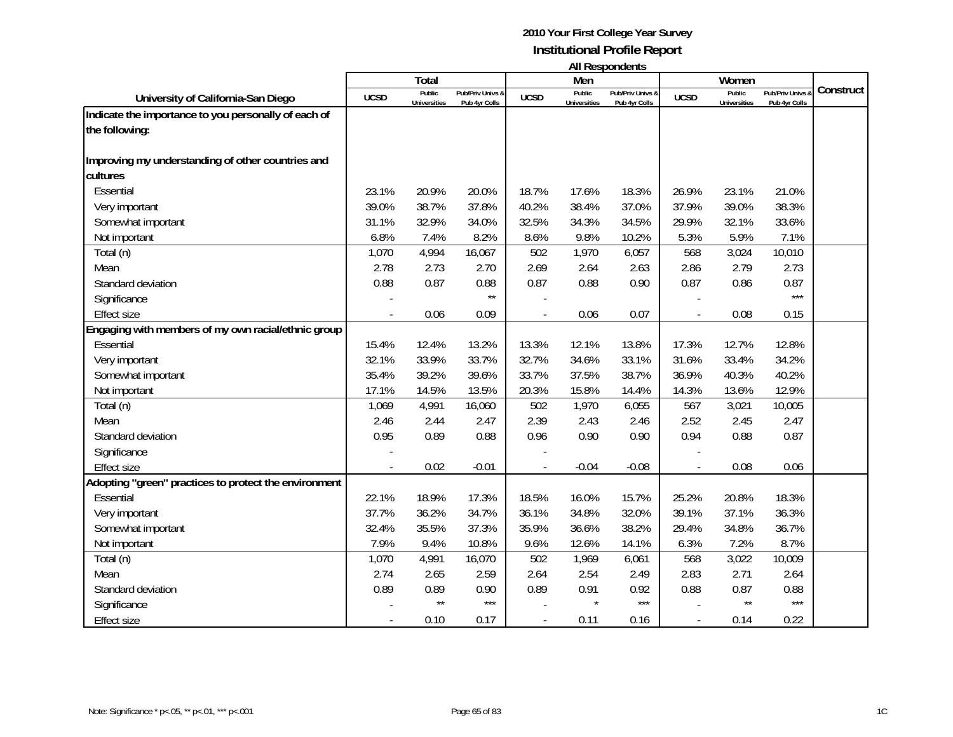|                                                       |             | Total                         |                                   |             | Men                           | בווסטווטקכטוו ווו                 |             | Women                         |                                 |           |
|-------------------------------------------------------|-------------|-------------------------------|-----------------------------------|-------------|-------------------------------|-----------------------------------|-------------|-------------------------------|---------------------------------|-----------|
| University of California-San Diego                    | <b>UCSD</b> | Public<br><b>Universities</b> | Pub/Priv Univs &<br>Pub 4yr Colls | <b>UCSD</b> | Public<br><b>Universities</b> | Pub/Priv Univs &<br>Pub 4yr Colls | <b>UCSD</b> | Public<br><b>Universities</b> | Pub/Priv Univs<br>Pub 4yr Colls | Construct |
| Indicate the importance to you personally of each of  |             |                               |                                   |             |                               |                                   |             |                               |                                 |           |
| the following:                                        |             |                               |                                   |             |                               |                                   |             |                               |                                 |           |
| Improving my understanding of other countries and     |             |                               |                                   |             |                               |                                   |             |                               |                                 |           |
| cultures                                              |             |                               |                                   |             |                               |                                   |             |                               |                                 |           |
| Essential                                             | 23.1%       | 20.9%                         | 20.0%                             | 18.7%       | 17.6%                         | 18.3%                             | 26.9%       | 23.1%                         | 21.0%                           |           |
| Very important                                        | 39.0%       | 38.7%                         | 37.8%                             | 40.2%       | 38.4%                         | 37.0%                             | 37.9%       | 39.0%                         | 38.3%                           |           |
| Somewhat important                                    | 31.1%       | 32.9%                         | 34.0%                             | 32.5%       | 34.3%                         | 34.5%                             | 29.9%       | 32.1%                         | 33.6%                           |           |
| Not important                                         | 6.8%        | 7.4%                          | 8.2%                              | 8.6%        | 9.8%                          | 10.2%                             | 5.3%        | 5.9%                          | 7.1%                            |           |
| Total (n)                                             | 1,070       | 4,994                         | 16,067                            | 502         | 1,970                         | 6,057                             | 568         | 3,024                         | 10,010                          |           |
| Mean                                                  | 2.78        | 2.73                          | 2.70                              | 2.69        | 2.64                          | 2.63                              | 2.86        | 2.79                          | 2.73                            |           |
| Standard deviation                                    | 0.88        | 0.87                          | 0.88                              | 0.87        | 0.88                          | 0.90                              | 0.87        | 0.86                          | 0.87                            |           |
| Significance                                          |             |                               | $\star\star$                      |             |                               |                                   |             |                               | $***$                           |           |
| <b>Effect size</b>                                    |             | 0.06                          | 0.09                              |             | 0.06                          | 0.07                              |             | 0.08                          | 0.15                            |           |
| Engaging with members of my own racial/ethnic group   |             |                               |                                   |             |                               |                                   |             |                               |                                 |           |
| Essential                                             | 15.4%       | 12.4%                         | 13.2%                             | 13.3%       | 12.1%                         | 13.8%                             | 17.3%       | 12.7%                         | 12.8%                           |           |
| Very important                                        | 32.1%       | 33.9%                         | 33.7%                             | 32.7%       | 34.6%                         | 33.1%                             | 31.6%       | 33.4%                         | 34.2%                           |           |
| Somewhat important                                    | 35.4%       | 39.2%                         | 39.6%                             | 33.7%       | 37.5%                         | 38.7%                             | 36.9%       | 40.3%                         | 40.2%                           |           |
| Not important                                         | 17.1%       | 14.5%                         | 13.5%                             | 20.3%       | 15.8%                         | 14.4%                             | 14.3%       | 13.6%                         | 12.9%                           |           |
| Total (n)                                             | 1,069       | 4,991                         | 16,060                            | 502         | 1,970                         | 6,055                             | 567         | 3,021                         | 10,005                          |           |
| Mean                                                  | 2.46        | 2.44                          | 2.47                              | 2.39        | 2.43                          | 2.46                              | 2.52        | 2.45                          | 2.47                            |           |
| Standard deviation                                    | 0.95        | 0.89                          | 0.88                              | 0.96        | 0.90                          | 0.90                              | 0.94        | 0.88                          | 0.87                            |           |
| Significance                                          |             |                               |                                   |             |                               |                                   |             |                               |                                 |           |
| <b>Effect size</b>                                    |             | 0.02                          | $-0.01$                           |             | $-0.04$                       | $-0.08$                           |             | 0.08                          | 0.06                            |           |
| Adopting "green" practices to protect the environment |             |                               |                                   |             |                               |                                   |             |                               |                                 |           |
| Essential                                             | 22.1%       | 18.9%                         | 17.3%                             | 18.5%       | 16.0%                         | 15.7%                             | 25.2%       | 20.8%                         | 18.3%                           |           |
| Very important                                        | 37.7%       | 36.2%                         | 34.7%                             | 36.1%       | 34.8%                         | 32.0%                             | 39.1%       | 37.1%                         | 36.3%                           |           |
| Somewhat important                                    | 32.4%       | 35.5%                         | 37.3%                             | 35.9%       | 36.6%                         | 38.2%                             | 29.4%       | 34.8%                         | 36.7%                           |           |
| Not important                                         | 7.9%        | 9.4%                          | 10.8%                             | 9.6%        | 12.6%                         | 14.1%                             | 6.3%        | 7.2%                          | 8.7%                            |           |
| Total (n)                                             | 1,070       | 4,991                         | 16,070                            | 502         | 1,969                         | 6,061                             | 568         | 3,022                         | 10,009                          |           |
| Mean                                                  | 2.74        | 2.65                          | 2.59                              | 2.64        | 2.54                          | 2.49                              | 2.83        | 2.71                          | 2.64                            |           |
| Standard deviation                                    | 0.89        | 0.89                          | 0.90                              | 0.89        | 0.91                          | 0.92                              | 0.88        | 0.87                          | 0.88                            |           |
| Significance                                          |             | $\star\star$                  | $***$                             |             | $\star$                       | $***$                             |             | $\star\star$                  | $***$                           |           |
| <b>Effect size</b>                                    |             | 0.10                          | 0.17                              |             | 0.11                          | 0.16                              |             | 0.14                          | 0.22                            |           |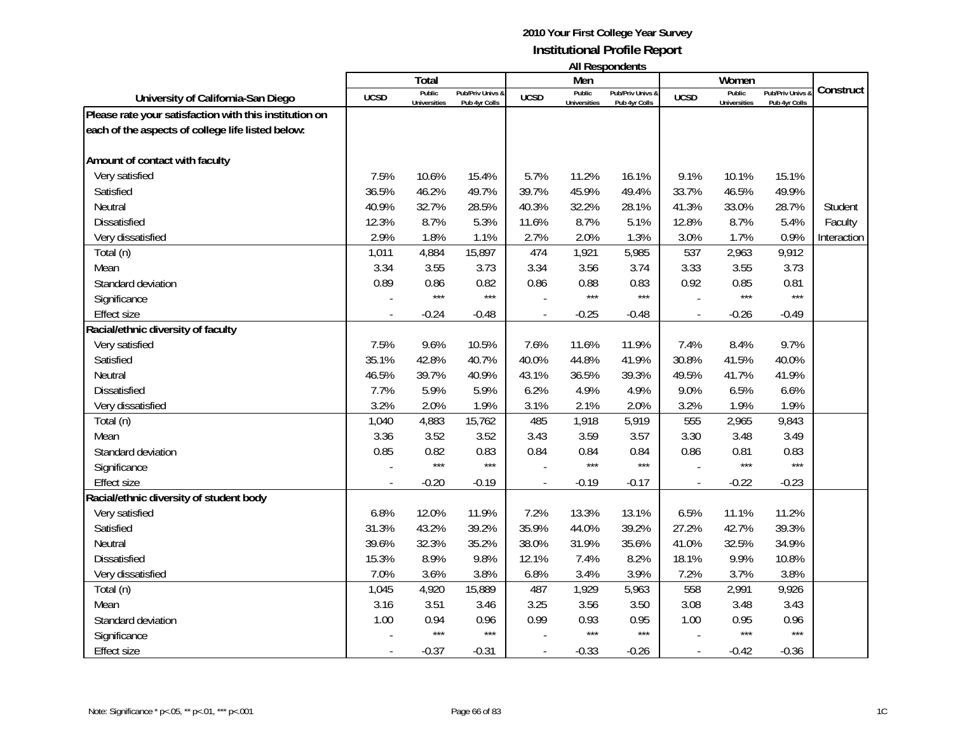| <b>All Respondents</b> |  |
|------------------------|--|
|------------------------|--|

|                                                        |                          | Total                         |                                   |                | Men                           | טוויטאנטעכטער ווו                 |             | Women                         |                                   |             |
|--------------------------------------------------------|--------------------------|-------------------------------|-----------------------------------|----------------|-------------------------------|-----------------------------------|-------------|-------------------------------|-----------------------------------|-------------|
| University of California-San Diego                     | <b>UCSD</b>              | Public<br><b>Universities</b> | Pub/Priv Univs &<br>Pub 4yr Colls | <b>UCSD</b>    | Public<br><b>Universities</b> | Pub/Priv Univs &<br>Pub 4yr Colls | <b>UCSD</b> | Public<br><b>Universities</b> | Pub/Priv Univs &<br>Pub 4yr Colls | Construct   |
| Please rate your satisfaction with this institution on |                          |                               |                                   |                |                               |                                   |             |                               |                                   |             |
| each of the aspects of college life listed below:      |                          |                               |                                   |                |                               |                                   |             |                               |                                   |             |
|                                                        |                          |                               |                                   |                |                               |                                   |             |                               |                                   |             |
| Amount of contact with faculty                         |                          |                               |                                   |                |                               |                                   |             |                               |                                   |             |
| Very satisfied                                         | 7.5%                     | 10.6%                         | 15.4%                             | 5.7%           | 11.2%                         | 16.1%                             | 9.1%        | 10.1%                         | 15.1%                             |             |
| Satisfied                                              | 36.5%                    | 46.2%                         | 49.7%                             | 39.7%          | 45.9%                         | 49.4%                             | 33.7%       | 46.5%                         | 49.9%                             |             |
| Neutral                                                | 40.9%                    | 32.7%                         | 28.5%                             | 40.3%          | 32.2%                         | 28.1%                             | 41.3%       | 33.0%                         | 28.7%                             | Student     |
| <b>Dissatisfied</b>                                    | 12.3%                    | 8.7%                          | 5.3%                              | 11.6%          | 8.7%                          | 5.1%                              | 12.8%       | 8.7%                          | 5.4%                              | Faculty     |
| Very dissatisfied                                      | 2.9%                     | 1.8%                          | 1.1%                              | 2.7%           | 2.0%                          | 1.3%                              | 3.0%        | 1.7%                          | 0.9%                              | Interaction |
| Total (n)                                              | 1,011                    | 4,884                         | 15,897                            | 474            | 1,921                         | 5,985                             | 537         | 2,963                         | 9,912                             |             |
| Mean                                                   | 3.34                     | 3.55                          | 3.73                              | 3.34           | 3.56                          | 3.74                              | 3.33        | 3.55                          | 3.73                              |             |
| Standard deviation                                     | 0.89                     | 0.86                          | 0.82                              | 0.86           | 0.88                          | 0.83                              | 0.92        | 0.85                          | 0.81                              |             |
| Significance                                           |                          | $***$                         | $***$                             |                | $***$                         | $***$                             |             | $***$                         | $***$                             |             |
| <b>Effect size</b>                                     |                          | $-0.24$                       | $-0.48$                           |                | $-0.25$                       | $-0.48$                           |             | $-0.26$                       | $-0.49$                           |             |
| Racial/ethnic diversity of faculty                     |                          |                               |                                   |                |                               |                                   |             |                               |                                   |             |
| Very satisfied                                         | 7.5%                     | 9.6%                          | 10.5%                             | 7.6%           | 11.6%                         | 11.9%                             | 7.4%        | 8.4%                          | 9.7%                              |             |
| Satisfied                                              | 35.1%                    | 42.8%                         | 40.7%                             | 40.0%          | 44.8%                         | 41.9%                             | 30.8%       | 41.5%                         | 40.0%                             |             |
| Neutral                                                | 46.5%                    | 39.7%                         | 40.9%                             | 43.1%          | 36.5%                         | 39.3%                             | 49.5%       | 41.7%                         | 41.9%                             |             |
| <b>Dissatisfied</b>                                    | 7.7%                     | 5.9%                          | 5.9%                              | 6.2%           | 4.9%                          | 4.9%                              | 9.0%        | 6.5%                          | 6.6%                              |             |
| Very dissatisfied                                      | 3.2%                     | 2.0%                          | 1.9%                              | 3.1%           | 2.1%                          | 2.0%                              | 3.2%        | 1.9%                          | 1.9%                              |             |
| Total (n)                                              | 1,040                    | 4,883                         | 15,762                            | 485            | 1,918                         | 5,919                             | 555         | 2,965                         | 9,843                             |             |
| Mean                                                   | 3.36                     | 3.52                          | 3.52                              | 3.43           | 3.59                          | 3.57                              | 3.30        | 3.48                          | 3.49                              |             |
| Standard deviation                                     | 0.85                     | 0.82                          | 0.83                              | 0.84           | 0.84                          | 0.84                              | 0.86        | 0.81                          | 0.83                              |             |
| Significance                                           |                          | $***$                         | $***$                             |                | $***$                         | $***$                             |             | ***                           | $***$                             |             |
| <b>Effect size</b>                                     | $\overline{\phantom{a}}$ | $-0.20$                       | $-0.19$                           | $\overline{a}$ | $-0.19$                       | $-0.17$                           |             | $-0.22$                       | $-0.23$                           |             |
| Racial/ethnic diversity of student body                |                          |                               |                                   |                |                               |                                   |             |                               |                                   |             |
| Very satisfied                                         | 6.8%                     | 12.0%                         | 11.9%                             | 7.2%           | 13.3%                         | 13.1%                             | 6.5%        | 11.1%                         | 11.2%                             |             |
| Satisfied                                              | 31.3%                    | 43.2%                         | 39.2%                             | 35.9%          | 44.0%                         | 39.2%                             | 27.2%       | 42.7%                         | 39.3%                             |             |
| Neutral                                                | 39.6%                    | 32.3%                         | 35.2%                             | 38.0%          | 31.9%                         | 35.6%                             | 41.0%       | 32.5%                         | 34.9%                             |             |
| <b>Dissatisfied</b>                                    | 15.3%                    | 8.9%                          | 9.8%                              | 12.1%          | 7.4%                          | 8.2%                              | 18.1%       | 9.9%                          | 10.8%                             |             |
| Very dissatisfied                                      | 7.0%                     | 3.6%                          | 3.8%                              | 6.8%           | 3.4%                          | 3.9%                              | 7.2%        | 3.7%                          | 3.8%                              |             |
| Total (n)                                              | 1,045                    | 4,920                         | 15,889                            | 487            | 1,929                         | 5,963                             | 558         | 2,991                         | 9,926                             |             |
| Mean                                                   | 3.16                     | 3.51                          | 3.46                              | 3.25           | 3.56                          | 3.50                              | 3.08        | 3.48                          | 3.43                              |             |
| Standard deviation                                     | 1.00                     | 0.94                          | 0.96                              | 0.99           | 0.93                          | 0.95                              | 1.00        | 0.95                          | 0.96                              |             |
| Significance                                           |                          | $***$                         | $***$                             |                | $***$                         | $***$                             |             | $***$                         | $***$                             |             |
| <b>Effect size</b>                                     |                          | $-0.37$                       | $-0.31$                           |                | $-0.33$                       | $-0.26$                           |             | $-0.42$                       | $-0.36$                           |             |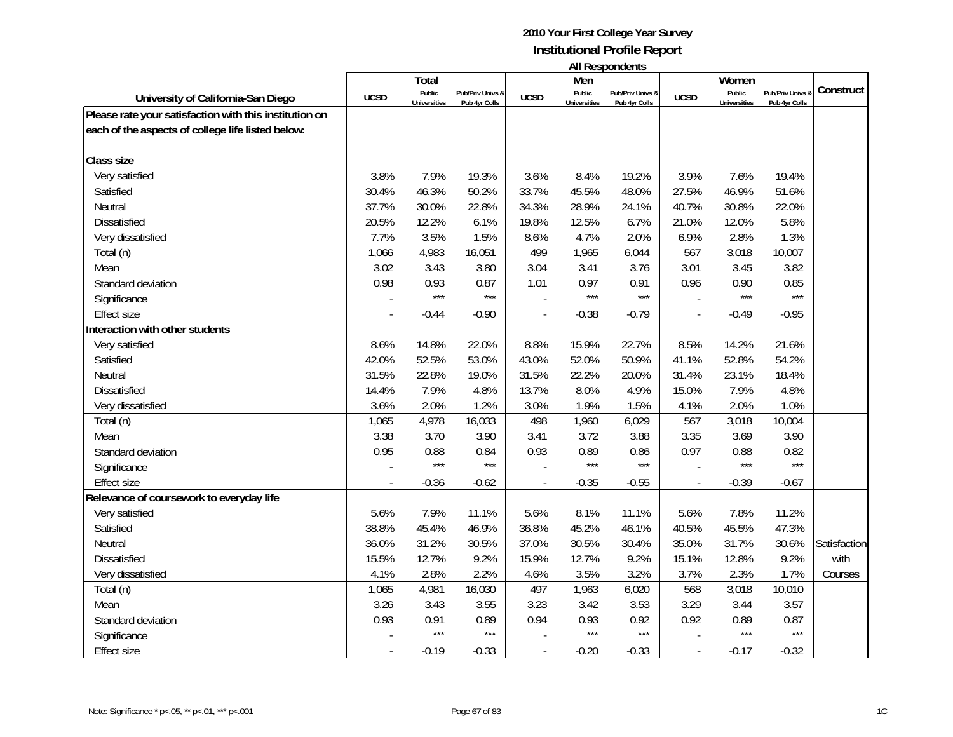| <b>All Respondents</b> |  |
|------------------------|--|
|------------------------|--|

|                                                        |             | Total               |                  |                          | Men                 | ניוויוועטאניומייוויי |                          | Women               |                  |              |
|--------------------------------------------------------|-------------|---------------------|------------------|--------------------------|---------------------|----------------------|--------------------------|---------------------|------------------|--------------|
| University of California-San Diego                     | <b>UCSD</b> | Public              | Pub/Priv Univs & | <b>UCSD</b>              | Public              | Pub/Priv Univs &     | <b>UCSD</b>              | Public              | Pub/Priv Univs & | Construct    |
|                                                        |             | <b>Universities</b> | Pub 4yr Colls    |                          | <b>Universities</b> | Pub 4yr Colls        |                          | <b>Universities</b> | Pub 4yr Colls    |              |
| Please rate your satisfaction with this institution on |             |                     |                  |                          |                     |                      |                          |                     |                  |              |
| each of the aspects of college life listed below:      |             |                     |                  |                          |                     |                      |                          |                     |                  |              |
| <b>Class size</b>                                      |             |                     |                  |                          |                     |                      |                          |                     |                  |              |
| Very satisfied                                         | 3.8%        | 7.9%                | 19.3%            | 3.6%                     | 8.4%                | 19.2%                | 3.9%                     | 7.6%                | 19.4%            |              |
| Satisfied                                              | 30.4%       | 46.3%               | 50.2%            | 33.7%                    | 45.5%               | 48.0%                | 27.5%                    | 46.9%               | 51.6%            |              |
| Neutral                                                | 37.7%       | 30.0%               | 22.8%            | 34.3%                    | 28.9%               | 24.1%                | 40.7%                    | 30.8%               | 22.0%            |              |
| <b>Dissatisfied</b>                                    | 20.5%       | 12.2%               | 6.1%             | 19.8%                    | 12.5%               | 6.7%                 | 21.0%                    | 12.0%               | 5.8%             |              |
| Very dissatisfied                                      | 7.7%        | 3.5%                | 1.5%             | 8.6%                     | 4.7%                | 2.0%                 | 6.9%                     | 2.8%                | 1.3%             |              |
| Total (n)                                              | 1,066       | 4,983               | 16,051           | 499                      | 1,965               | 6,044                | 567                      | 3,018               | 10,007           |              |
| Mean                                                   | 3.02        | 3.43                | 3.80             | 3.04                     | 3.41                | 3.76                 | 3.01                     | 3.45                | 3.82             |              |
| Standard deviation                                     | 0.98        | 0.93                | 0.87             | 1.01                     | 0.97                | 0.91                 | 0.96                     | 0.90                | 0.85             |              |
| Significance                                           |             | $***$               | $***$            |                          | $***$               | $***$                |                          | $***$               | $***$            |              |
| <b>Effect size</b>                                     |             | $-0.44$             | $-0.90$          |                          | $-0.38$             | $-0.79$              |                          | $-0.49$             | $-0.95$          |              |
| Interaction with other students                        |             |                     |                  |                          |                     |                      |                          |                     |                  |              |
| Very satisfied                                         | 8.6%        | 14.8%               | 22.0%            | 8.8%                     | 15.9%               | 22.7%                | 8.5%                     | 14.2%               | 21.6%            |              |
| Satisfied                                              | 42.0%       | 52.5%               | 53.0%            | 43.0%                    | 52.0%               | 50.9%                | 41.1%                    | 52.8%               | 54.2%            |              |
| Neutral                                                | 31.5%       | 22.8%               | 19.0%            | 31.5%                    | 22.2%               | 20.0%                | 31.4%                    | 23.1%               | 18.4%            |              |
| <b>Dissatisfied</b>                                    | 14.4%       | 7.9%                | 4.8%             | 13.7%                    | 8.0%                | 4.9%                 | 15.0%                    | 7.9%                | 4.8%             |              |
| Very dissatisfied                                      | 3.6%        | 2.0%                | 1.2%             | 3.0%                     | 1.9%                | 1.5%                 | 4.1%                     | 2.0%                | 1.0%             |              |
| Total (n)                                              | 1,065       | 4,978               | 16,033           | 498                      | 1,960               | 6,029                | 567                      | 3,018               | 10,004           |              |
| Mean                                                   | 3.38        | 3.70                | 3.90             | 3.41                     | 3.72                | 3.88                 | 3.35                     | 3.69                | 3.90             |              |
| Standard deviation                                     | 0.95        | 0.88                | 0.84             | 0.93                     | 0.89                | 0.86                 | 0.97                     | 0.88                | 0.82             |              |
| Significance                                           |             | $***$               | $***$            |                          | ***                 | ***                  |                          | ***                 | $***$            |              |
| <b>Effect size</b>                                     |             | $-0.36$             | $-0.62$          | $\overline{\phantom{a}}$ | $-0.35$             | $-0.55$              | $\overline{\phantom{a}}$ | $-0.39$             | $-0.67$          |              |
| Relevance of coursework to everyday life               |             |                     |                  |                          |                     |                      |                          |                     |                  |              |
| Very satisfied                                         | 5.6%        | 7.9%                | 11.1%            | 5.6%                     | 8.1%                | 11.1%                | 5.6%                     | 7.8%                | 11.2%            |              |
| Satisfied                                              | 38.8%       | 45.4%               | 46.9%            | 36.8%                    | 45.2%               | 46.1%                | 40.5%                    | 45.5%               | 47.3%            |              |
| Neutral                                                | 36.0%       | 31.2%               | 30.5%            | 37.0%                    | 30.5%               | 30.4%                | 35.0%                    | 31.7%               | 30.6%            | Satisfaction |
| <b>Dissatisfied</b>                                    | 15.5%       | 12.7%               | 9.2%             | 15.9%                    | 12.7%               | 9.2%                 | 15.1%                    | 12.8%               | 9.2%             | with         |
| Very dissatisfied                                      | 4.1%        | 2.8%                | 2.2%             | 4.6%                     | 3.5%                | 3.2%                 | 3.7%                     | 2.3%                | 1.7%             | Courses      |
| Total (n)                                              | 1,065       | 4,981               | 16,030           | 497                      | 1,963               | 6,020                | 568                      | 3,018               | 10,010           |              |
| Mean                                                   | 3.26        | 3.43                | 3.55             | 3.23                     | 3.42                | 3.53                 | 3.29                     | 3.44                | 3.57             |              |
| Standard deviation                                     | 0.93        | 0.91                | 0.89             | 0.94                     | 0.93                | 0.92                 | 0.92                     | 0.89                | 0.87             |              |
| Significance                                           |             | $***$               | $***$            |                          | $***$               | $***$                |                          | $***$               | $***$            |              |
| <b>Effect size</b>                                     |             | $-0.19$             | $-0.33$          |                          | $-0.20$             | $-0.33$              | $\blacksquare$           | $-0.17$             | $-0.32$          |              |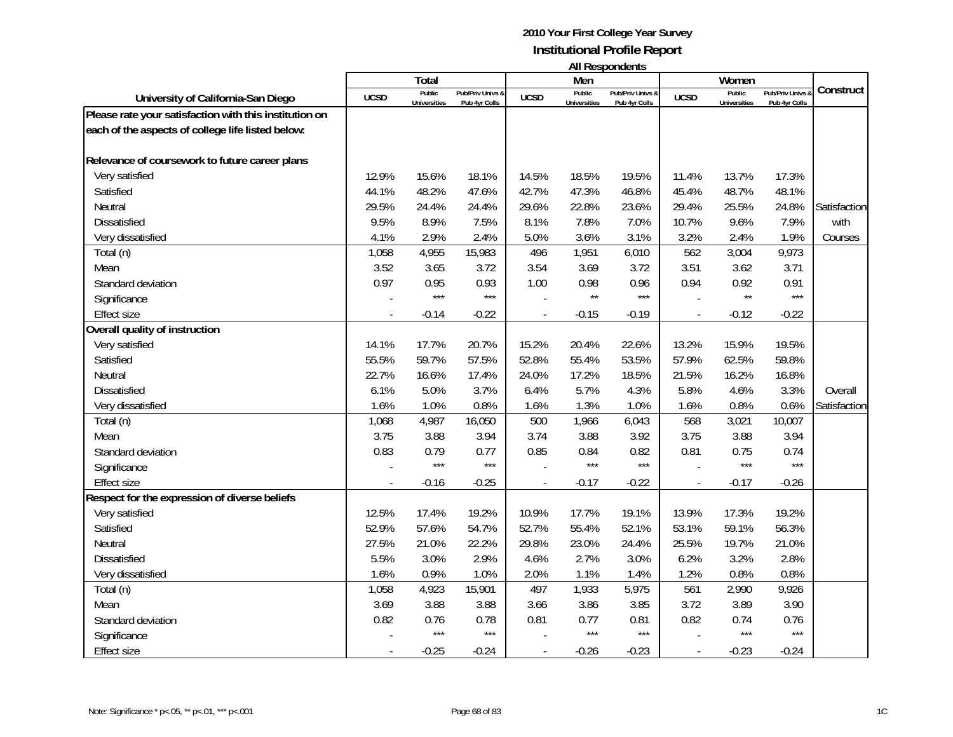|                                                        |                |                     |                  |              |                     | בוו ולהוטעכטוו ווח |                |                     |                |              |
|--------------------------------------------------------|----------------|---------------------|------------------|--------------|---------------------|--------------------|----------------|---------------------|----------------|--------------|
|                                                        |                | Total<br>Public     | Pub/Priv Univs & |              | Men<br>Public       | Pub/Priv Univs &   |                | Women<br>Public     | Pub/Priv Univs | Construct    |
| University of California-San Diego                     | <b>UCSD</b>    | <b>Universities</b> | Pub 4yr Colls    | <b>UCSD</b>  | <b>Universities</b> | Pub 4yr Colls      | <b>UCSD</b>    | <b>Universities</b> | Pub 4yr Colls  |              |
| Please rate your satisfaction with this institution on |                |                     |                  |              |                     |                    |                |                     |                |              |
| each of the aspects of college life listed below:      |                |                     |                  |              |                     |                    |                |                     |                |              |
|                                                        |                |                     |                  |              |                     |                    |                |                     |                |              |
| Relevance of coursework to future career plans         |                |                     |                  |              |                     |                    |                |                     |                |              |
| Very satisfied                                         | 12.9%          | 15.6%               | 18.1%            | 14.5%        | 18.5%               | 19.5%              | 11.4%          | 13.7%               | 17.3%          |              |
| Satisfied                                              | 44.1%          | 48.2%               | 47.6%            | 42.7%        | 47.3%               | 46.8%              | 45.4%          | 48.7%               | 48.1%          |              |
| Neutral                                                | 29.5%          | 24.4%               | 24.4%            | 29.6%        | 22.8%               | 23.6%              | 29.4%          | 25.5%               | 24.8%          | Satisfaction |
| <b>Dissatisfied</b>                                    | 9.5%           | 8.9%                | 7.5%             | 8.1%         | 7.8%                | 7.0%               | 10.7%          | 9.6%                | 7.9%           | with         |
| Very dissatisfied                                      | 4.1%           | 2.9%                | 2.4%             | 5.0%         | 3.6%                | 3.1%               | 3.2%           | 2.4%                | 1.9%           | Courses      |
| Total (n)                                              | 1,058          | 4,955               | 15,983           | 496          | 1,951               | 6,010              | 562            | 3,004               | 9,973          |              |
| Mean                                                   | 3.52           | 3.65                | 3.72             | 3.54         | 3.69                | 3.72               | 3.51           | 3.62                | 3.71           |              |
| Standard deviation                                     | 0.97           | 0.95                | 0.93             | 1.00         | 0.98                | 0.96               | 0.94           | 0.92                | 0.91           |              |
| Significance                                           |                | $***$               | $***$            |              | $\star\star$        | $***$              |                | $\star\star$        | $***$          |              |
| <b>Effect size</b>                                     |                | $-0.14$             | $-0.22$          |              | $-0.15$             | $-0.19$            |                | $-0.12$             | $-0.22$        |              |
| Overall quality of instruction                         |                |                     |                  |              |                     |                    |                |                     |                |              |
| Very satisfied                                         | 14.1%          | 17.7%               | 20.7%            | 15.2%        | 20.4%               | 22.6%              | 13.2%          | 15.9%               | 19.5%          |              |
| Satisfied                                              | 55.5%          | 59.7%               | 57.5%            | 52.8%        | 55.4%               | 53.5%              | 57.9%          | 62.5%               | 59.8%          |              |
| Neutral                                                | 22.7%          | 16.6%               | 17.4%            | 24.0%        | 17.2%               | 18.5%              | 21.5%          | 16.2%               | 16.8%          |              |
| <b>Dissatisfied</b>                                    | 6.1%           | 5.0%                | 3.7%             | 6.4%         | 5.7%                | 4.3%               | 5.8%           | 4.6%                | 3.3%           | Overall      |
| Very dissatisfied                                      | 1.6%           | 1.0%                | 0.8%             | 1.6%         | 1.3%                | 1.0%               | 1.6%           | 0.8%                | 0.6%           | Satisfaction |
| Total (n)                                              | 1,068          | 4,987               | 16,050           | 500          | 1,966               | 6,043              | 568            | 3,021               | 10,007         |              |
| Mean                                                   | 3.75           | 3.88                | 3.94             | 3.74         | 3.88                | 3.92               | 3.75           | 3.88                | 3.94           |              |
| Standard deviation                                     | 0.83           | 0.79                | 0.77             | 0.85         | 0.84                | 0.82               | 0.81           | 0.75                | 0.74           |              |
| Significance                                           |                | $***$               | $***$            |              | $***$               | ***                |                | ***                 | $***$          |              |
| <b>Effect size</b>                                     | $\overline{a}$ | $-0.16$             | $-0.25$          | $\mathbf{r}$ | $-0.17$             | $-0.22$            | $\blacksquare$ | $-0.17$             | $-0.26$        |              |
| Respect for the expression of diverse beliefs          |                |                     |                  |              |                     |                    |                |                     |                |              |
| Very satisfied                                         | 12.5%          | 17.4%               | 19.2%            | 10.9%        | 17.7%               | 19.1%              | 13.9%          | 17.3%               | 19.2%          |              |
| Satisfied                                              | 52.9%          | 57.6%               | 54.7%            | 52.7%        | 55.4%               | 52.1%              | 53.1%          | 59.1%               | 56.3%          |              |
| Neutral                                                | 27.5%          | 21.0%               | 22.2%            | 29.8%        | 23.0%               | 24.4%              | 25.5%          | 19.7%               | 21.0%          |              |
| <b>Dissatisfied</b>                                    | 5.5%           | 3.0%                | 2.9%             | 4.6%         | 2.7%                | 3.0%               | 6.2%           | 3.2%                | 2.8%           |              |
| Very dissatisfied                                      | 1.6%           | 0.9%                | 1.0%             | 2.0%         | 1.1%                | 1.4%               | 1.2%           | 0.8%                | 0.8%           |              |
| Total (n)                                              | 1,058          | 4,923               | 15,901           | 497          | 1,933               | 5,975              | 561            | 2,990               | 9,926          |              |
| Mean                                                   | 3.69           | 3.88                | 3.88             | 3.66         | 3.86                | 3.85               | 3.72           | 3.89                | 3.90           |              |
| Standard deviation                                     | 0.82           | 0.76                | 0.78             | 0.81         | 0.77                | 0.81               | 0.82           | 0.74                | 0.76           |              |
| Significance                                           |                | $***$               | $***$            |              | $***$               | $***$              |                | $***$               | $***$          |              |
| <b>Effect size</b>                                     |                | $-0.25$             | $-0.24$          |              | $-0.26$             | $-0.23$            |                | $-0.23$             | $-0.24$        |              |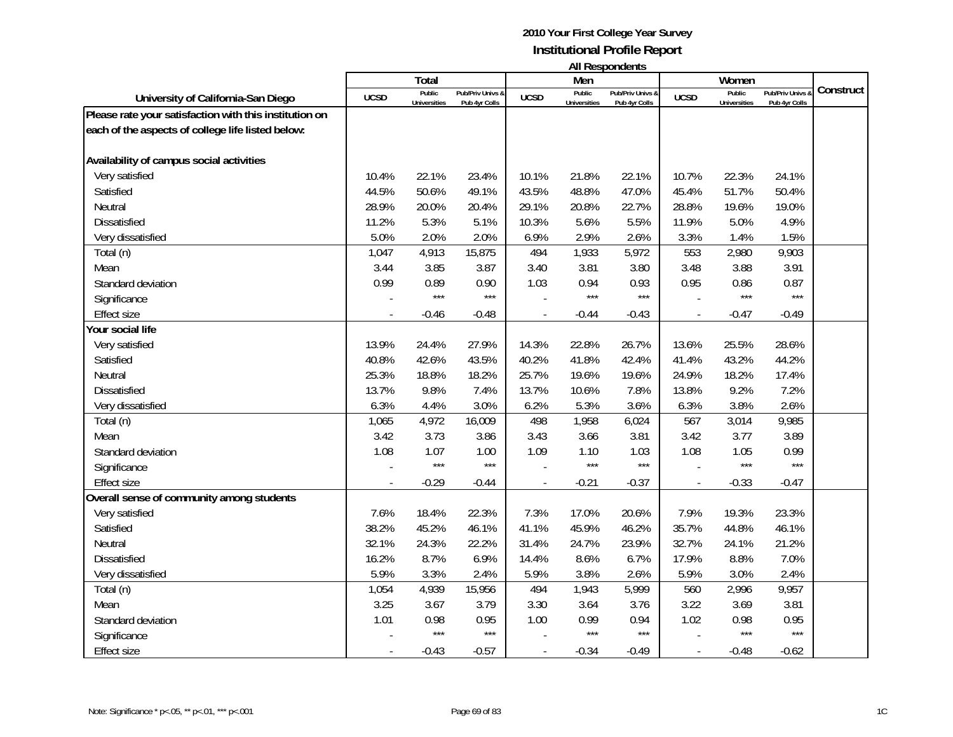|                                                        |             | Total               |                  |             | Men                 | בוו ולהוטעכטוו ווח |             | Women               |                |           |
|--------------------------------------------------------|-------------|---------------------|------------------|-------------|---------------------|--------------------|-------------|---------------------|----------------|-----------|
|                                                        |             | Public              | Pub/Priv Univs & |             | Public              | Pub/Priv Univs &   |             | Public              | Pub/Priv Univs | Construct |
| University of California-San Diego                     | <b>UCSD</b> | <b>Universities</b> | Pub 4yr Colls    | <b>UCSD</b> | <b>Universities</b> | Pub 4yr Colls      | <b>UCSD</b> | <b>Universities</b> | Pub 4yr Colls  |           |
| Please rate your satisfaction with this institution on |             |                     |                  |             |                     |                    |             |                     |                |           |
| each of the aspects of college life listed below:      |             |                     |                  |             |                     |                    |             |                     |                |           |
|                                                        |             |                     |                  |             |                     |                    |             |                     |                |           |
| Availability of campus social activities               |             |                     |                  |             |                     |                    |             |                     |                |           |
| Very satisfied                                         | 10.4%       | 22.1%               | 23.4%            | 10.1%       | 21.8%               | 22.1%              | 10.7%       | 22.3%               | 24.1%          |           |
| Satisfied                                              | 44.5%       | 50.6%               | 49.1%            | 43.5%       | 48.8%               | 47.0%              | 45.4%       | 51.7%               | 50.4%          |           |
| Neutral                                                | 28.9%       | 20.0%               | 20.4%            | 29.1%       | 20.8%               | 22.7%              | 28.8%       | 19.6%               | 19.0%          |           |
| <b>Dissatisfied</b>                                    | 11.2%       | 5.3%                | 5.1%             | 10.3%       | 5.6%                | 5.5%               | 11.9%       | 5.0%                | 4.9%           |           |
| Very dissatisfied                                      | 5.0%        | 2.0%                | 2.0%             | 6.9%        | 2.9%                | 2.6%               | 3.3%        | 1.4%                | 1.5%           |           |
| Total (n)                                              | 1,047       | 4,913               | 15,875           | 494         | 1,933               | 5,972              | 553         | 2,980               | 9,903          |           |
| Mean                                                   | 3.44        | 3.85                | 3.87             | 3.40        | 3.81                | 3.80               | 3.48        | 3.88                | 3.91           |           |
| Standard deviation                                     | 0.99        | 0.89                | 0.90             | 1.03        | 0.94                | 0.93               | 0.95        | 0.86                | 0.87           |           |
| Significance                                           |             | $***$               | $***$            |             | $***$               | $***$              |             | $***$               | $***$          |           |
| <b>Effect size</b>                                     |             | $-0.46$             | $-0.48$          |             | $-0.44$             | $-0.43$            |             | $-0.47$             | $-0.49$        |           |
| Your social life                                       |             |                     |                  |             |                     |                    |             |                     |                |           |
| Very satisfied                                         | 13.9%       | 24.4%               | 27.9%            | 14.3%       | 22.8%               | 26.7%              | 13.6%       | 25.5%               | 28.6%          |           |
| Satisfied                                              | 40.8%       | 42.6%               | 43.5%            | 40.2%       | 41.8%               | 42.4%              | 41.4%       | 43.2%               | 44.2%          |           |
| Neutral                                                | 25.3%       | 18.8%               | 18.2%            | 25.7%       | 19.6%               | 19.6%              | 24.9%       | 18.2%               | 17.4%          |           |
| <b>Dissatisfied</b>                                    | 13.7%       | 9.8%                | 7.4%             | 13.7%       | 10.6%               | 7.8%               | 13.8%       | 9.2%                | 7.2%           |           |
| Very dissatisfied                                      | 6.3%        | 4.4%                | 3.0%             | 6.2%        | 5.3%                | 3.6%               | 6.3%        | 3.8%                | 2.6%           |           |
| Total (n)                                              | 1,065       | 4,972               | 16,009           | 498         | 1,958               | 6,024              | 567         | 3,014               | 9,985          |           |
| Mean                                                   | 3.42        | 3.73                | 3.86             | 3.43        | 3.66                | 3.81               | 3.42        | 3.77                | 3.89           |           |
| Standard deviation                                     | 1.08        | 1.07                | 1.00             | 1.09        | 1.10                | 1.03               | 1.08        | 1.05                | 0.99           |           |
| Significance                                           |             | $***$               | $***$            |             | $***$               | ***                |             | ***                 | $***$          |           |
| <b>Effect size</b>                                     |             | $-0.29$             | $-0.44$          |             | $-0.21$             | $-0.37$            |             | $-0.33$             | $-0.47$        |           |
| Overall sense of community among students              |             |                     |                  |             |                     |                    |             |                     |                |           |
| Very satisfied                                         | 7.6%        | 18.4%               | 22.3%            | 7.3%        | 17.0%               | 20.6%              | 7.9%        | 19.3%               | 23.3%          |           |
| Satisfied                                              | 38.2%       | 45.2%               | 46.1%            | 41.1%       | 45.9%               | 46.2%              | 35.7%       | 44.8%               | 46.1%          |           |
| Neutral                                                | 32.1%       | 24.3%               | 22.2%            | 31.4%       | 24.7%               | 23.9%              | 32.7%       | 24.1%               | 21.2%          |           |
| Dissatisfied                                           | 16.2%       | 8.7%                | 6.9%             | 14.4%       | 8.6%                | 6.7%               | 17.9%       | 8.8%                | 7.0%           |           |
| Very dissatisfied                                      | 5.9%        | 3.3%                | 2.4%             | 5.9%        | 3.8%                | 2.6%               | 5.9%        | 3.0%                | 2.4%           |           |
| Total (n)                                              | 1,054       | 4,939               | 15,956           | 494         | 1,943               | 5,999              | 560         | 2,996               | 9,957          |           |
| Mean                                                   | 3.25        | 3.67                | 3.79             | 3.30        | 3.64                | 3.76               | 3.22        | 3.69                | 3.81           |           |
| Standard deviation                                     | 1.01        | 0.98                | 0.95             | 1.00        | 0.99                | 0.94               | 1.02        | 0.98                | 0.95           |           |
| Significance                                           |             | $***$               | $***$            |             | $***$               | $***$              |             | ***                 | $***$          |           |
| <b>Effect size</b>                                     |             | $-0.43$             | $-0.57$          |             | $-0.34$             | $-0.49$            |             | $-0.48$             | $-0.62$        |           |
|                                                        |             |                     |                  |             |                     |                    |             |                     |                |           |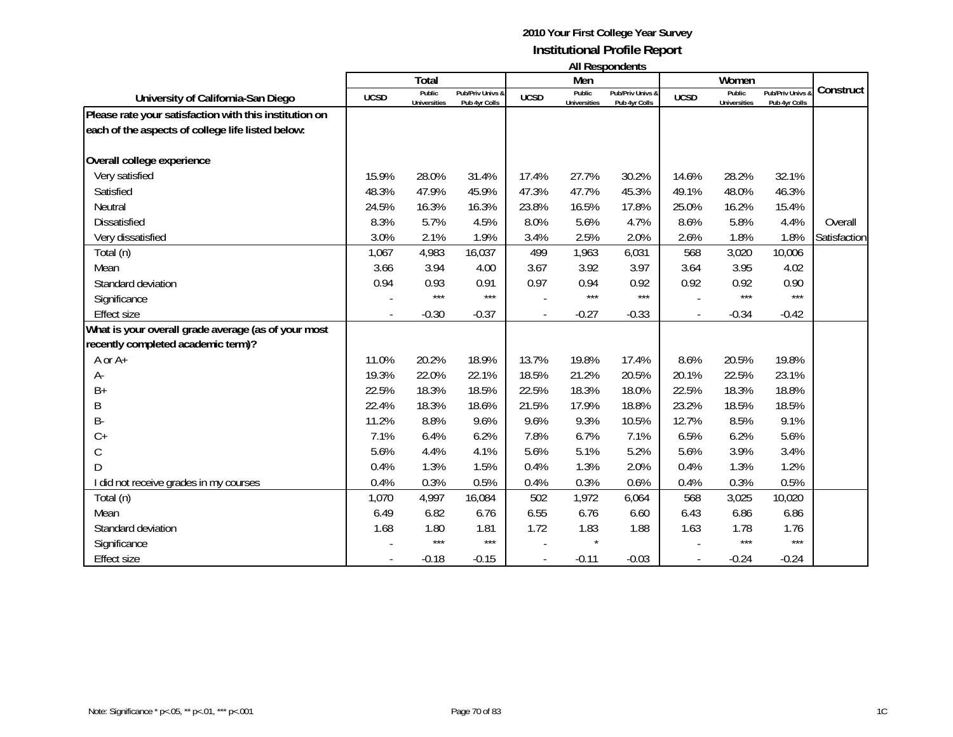|                                                        |             | Total                         |                                   |             | Men                           | $\cdots$                          |             | Women                         |                                 |              |
|--------------------------------------------------------|-------------|-------------------------------|-----------------------------------|-------------|-------------------------------|-----------------------------------|-------------|-------------------------------|---------------------------------|--------------|
| University of California-San Diego                     | <b>UCSD</b> | Public<br><b>Universities</b> | Pub/Priv Univs &<br>Pub 4yr Colls | <b>UCSD</b> | Public<br><b>Universities</b> | Pub/Priv Univs &<br>Pub 4yr Colls | <b>UCSD</b> | Public<br><b>Universities</b> | Pub/Priv Univs<br>Pub 4yr Colls | Construct    |
| Please rate your satisfaction with this institution on |             |                               |                                   |             |                               |                                   |             |                               |                                 |              |
| each of the aspects of college life listed below:      |             |                               |                                   |             |                               |                                   |             |                               |                                 |              |
| Overall college experience                             |             |                               |                                   |             |                               |                                   |             |                               |                                 |              |
| Very satisfied                                         | 15.9%       | 28.0%                         | 31.4%                             | 17.4%       | 27.7%                         | 30.2%                             | 14.6%       | 28.2%                         | 32.1%                           |              |
| Satisfied                                              | 48.3%       | 47.9%                         | 45.9%                             | 47.3%       | 47.7%                         | 45.3%                             | 49.1%       | 48.0%                         | 46.3%                           |              |
| Neutral                                                | 24.5%       | 16.3%                         | 16.3%                             | 23.8%       | 16.5%                         | 17.8%                             | 25.0%       | 16.2%                         | 15.4%                           |              |
| <b>Dissatisfied</b>                                    | 8.3%        | 5.7%                          | 4.5%                              | 8.0%        | 5.6%                          | 4.7%                              | 8.6%        | 5.8%                          | 4.4%                            | Overall      |
| Very dissatisfied                                      | 3.0%        | 2.1%                          | 1.9%                              | 3.4%        | 2.5%                          | 2.0%                              | 2.6%        | 1.8%                          | 1.8%                            | Satisfaction |
| Total (n)                                              | 1,067       | 4,983                         | 16,037                            | 499         | 1,963                         | 6,031                             | 568         | 3,020                         | 10,006                          |              |
| Mean                                                   | 3.66        | 3.94                          | 4.00                              | 3.67        | 3.92                          | 3.97                              | 3.64        | 3.95                          | 4.02                            |              |
| Standard deviation                                     | 0.94        | 0.93                          | 0.91                              | 0.97        | 0.94                          | 0.92                              | 0.92        | 0.92                          | 0.90                            |              |
| Significance                                           |             | $***$                         | $***$                             |             | $***$                         | ***                               |             | ***                           | $***$                           |              |
| <b>Effect size</b>                                     |             | $-0.30$                       | $-0.37$                           |             | $-0.27$                       | $-0.33$                           |             | $-0.34$                       | $-0.42$                         |              |
| What is your overall grade average (as of your most    |             |                               |                                   |             |                               |                                   |             |                               |                                 |              |
| recently completed academic term)?                     |             |                               |                                   |             |                               |                                   |             |                               |                                 |              |
| A or A+                                                | 11.0%       | 20.2%                         | 18.9%                             | 13.7%       | 19.8%                         | 17.4%                             | 8.6%        | 20.5%                         | 19.8%                           |              |
| A-                                                     | 19.3%       | 22.0%                         | 22.1%                             | 18.5%       | 21.2%                         | 20.5%                             | 20.1%       | 22.5%                         | 23.1%                           |              |
| $B+$                                                   | 22.5%       | 18.3%                         | 18.5%                             | 22.5%       | 18.3%                         | 18.0%                             | 22.5%       | 18.3%                         | 18.8%                           |              |
| Β                                                      | 22.4%       | 18.3%                         | 18.6%                             | 21.5%       | 17.9%                         | 18.8%                             | 23.2%       | 18.5%                         | 18.5%                           |              |
| B-                                                     | 11.2%       | 8.8%                          | 9.6%                              | 9.6%        | 9.3%                          | 10.5%                             | 12.7%       | 8.5%                          | 9.1%                            |              |
| $C +$                                                  | 7.1%        | 6.4%                          | 6.2%                              | 7.8%        | 6.7%                          | 7.1%                              | 6.5%        | 6.2%                          | 5.6%                            |              |
| $\mathsf C$                                            | 5.6%        | 4.4%                          | 4.1%                              | 5.6%        | 5.1%                          | 5.2%                              | 5.6%        | 3.9%                          | 3.4%                            |              |
| D                                                      | 0.4%        | 1.3%                          | 1.5%                              | 0.4%        | 1.3%                          | 2.0%                              | 0.4%        | 1.3%                          | 1.2%                            |              |
| I did not receive grades in my courses                 | 0.4%        | 0.3%                          | 0.5%                              | 0.4%        | 0.3%                          | 0.6%                              | 0.4%        | 0.3%                          | 0.5%                            |              |
| Total (n)                                              | 1,070       | 4,997                         | 16,084                            | 502         | 1,972                         | 6,064                             | 568         | 3,025                         | 10,020                          |              |
| Mean                                                   | 6.49        | 6.82                          | 6.76                              | 6.55        | 6.76                          | 6.60                              | 6.43        | 6.86                          | 6.86                            |              |
| Standard deviation                                     | 1.68        | 1.80                          | 1.81                              | 1.72        | 1.83                          | 1.88                              | 1.63        | 1.78                          | 1.76                            |              |
| Significance                                           |             | $***$                         | $***$                             |             |                               |                                   |             | $***$                         | $***$                           |              |
| <b>Effect size</b>                                     |             | $-0.18$                       | $-0.15$                           |             | $-0.11$                       | $-0.03$                           |             | $-0.24$                       | $-0.24$                         |              |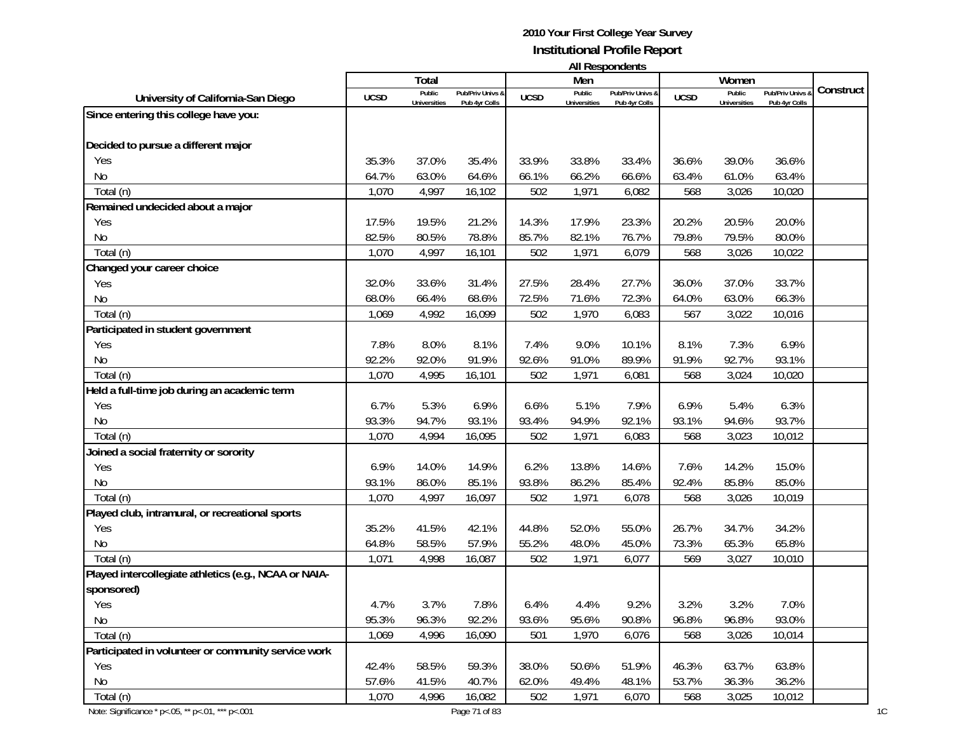| <b>All Respondents</b> |  |
|------------------------|--|
|------------------------|--|

|                                                       |             | Total               |                  |             | Men                 | AII KUJUUHUUTILJ |             | Women               |                |           |
|-------------------------------------------------------|-------------|---------------------|------------------|-------------|---------------------|------------------|-------------|---------------------|----------------|-----------|
| University of California-San Diego                    | <b>UCSD</b> | Public              | Pub/Priv Univs & | <b>UCSD</b> | Public              | Pub/Priv Univs & | <b>UCSD</b> | Public              | Pub/Priv Univs | Construct |
|                                                       |             | <b>Universities</b> | Pub 4yr Colls    |             | <b>Universities</b> | Pub 4yr Colls    |             | <b>Universities</b> | Pub 4yr Colls  |           |
| Since entering this college have you:                 |             |                     |                  |             |                     |                  |             |                     |                |           |
| Decided to pursue a different major                   |             |                     |                  |             |                     |                  |             |                     |                |           |
| Yes                                                   | 35.3%       | 37.0%               | 35.4%            | 33.9%       | 33.8%               | 33.4%            | 36.6%       | 39.0%               | 36.6%          |           |
| No                                                    | 64.7%       | 63.0%               | 64.6%            | 66.1%       | 66.2%               | 66.6%            | 63.4%       | 61.0%               | 63.4%          |           |
| Total (n)                                             | 1,070       | 4,997               | 16,102           | 502         | 1,971               | 6,082            | 568         | 3,026               | 10,020         |           |
| Remained undecided about a major                      |             |                     |                  |             |                     |                  |             |                     |                |           |
| Yes                                                   | 17.5%       | 19.5%               | 21.2%            | 14.3%       | 17.9%               | 23.3%            | 20.2%       | 20.5%               | 20.0%          |           |
| No                                                    | 82.5%       | 80.5%               | 78.8%            | 85.7%       | 82.1%               | 76.7%            | 79.8%       | 79.5%               | 80.0%          |           |
| Total (n)                                             | 1,070       | 4,997               | 16,101           | 502         | 1,971               | 6,079            | 568         | 3,026               | 10,022         |           |
| Changed your career choice                            |             |                     |                  |             |                     |                  |             |                     |                |           |
| Yes                                                   | 32.0%       | 33.6%               | 31.4%            | 27.5%       | 28.4%               | 27.7%            | 36.0%       | 37.0%               | 33.7%          |           |
| No                                                    | 68.0%       | 66.4%               | 68.6%            | 72.5%       | 71.6%               | 72.3%            | 64.0%       | 63.0%               | 66.3%          |           |
| Total (n)                                             | 1,069       | 4,992               | 16,099           | 502         | 1,970               | 6,083            | 567         | 3,022               | 10,016         |           |
| Participated in student government                    |             |                     |                  |             |                     |                  |             |                     |                |           |
| Yes                                                   | 7.8%        | 8.0%                | 8.1%             | 7.4%        | 9.0%                | 10.1%            | 8.1%        | 7.3%                | 6.9%           |           |
| No                                                    | 92.2%       | 92.0%               | 91.9%            | 92.6%       | 91.0%               | 89.9%            | 91.9%       | 92.7%               | 93.1%          |           |
| Total (n)                                             | 1,070       | 4,995               | 16,101           | 502         | 1,971               | 6,081            | 568         | 3,024               | 10,020         |           |
| Held a full-time job during an academic term          |             |                     |                  |             |                     |                  |             |                     |                |           |
| Yes                                                   | 6.7%        | 5.3%                | 6.9%             | 6.6%        | 5.1%                | 7.9%             | 6.9%        | 5.4%                | 6.3%           |           |
| No                                                    | 93.3%       | 94.7%               | 93.1%            | 93.4%       | 94.9%               | 92.1%            | 93.1%       | 94.6%               | 93.7%          |           |
| Total (n)                                             | 1,070       | 4,994               | 16,095           | 502         | 1,971               | 6,083            | 568         | 3,023               | 10,012         |           |
| Joined a social fraternity or sorority                |             |                     |                  |             |                     |                  |             |                     |                |           |
| Yes                                                   | 6.9%        | 14.0%               | 14.9%            | 6.2%        | 13.8%               | 14.6%            | 7.6%        | 14.2%               | 15.0%          |           |
| No                                                    | 93.1%       | 86.0%               | 85.1%            | 93.8%       | 86.2%               | 85.4%            | 92.4%       | 85.8%               | 85.0%          |           |
| Total (n)                                             | 1,070       | 4,997               | 16,097           | 502         | 1,971               | 6,078            | 568         | 3,026               | 10,019         |           |
| Played club, intramural, or recreational sports       |             |                     |                  |             |                     |                  |             |                     |                |           |
| Yes                                                   | 35.2%       | 41.5%               | 42.1%            | 44.8%       | 52.0%               | 55.0%            | 26.7%       | 34.7%               | 34.2%          |           |
| No                                                    | 64.8%       | 58.5%               | 57.9%            | 55.2%       | 48.0%               | 45.0%            | 73.3%       | 65.3%               | 65.8%          |           |
| Total (n)                                             | 1,071       | 4,998               | 16,087           | 502         | 1,971               | 6,077            | 569         | 3,027               | 10,010         |           |
| Played intercollegiate athletics (e.g., NCAA or NAIA- |             |                     |                  |             |                     |                  |             |                     |                |           |
| sponsored)                                            |             |                     |                  |             |                     |                  |             |                     |                |           |
| Yes                                                   | 4.7%        | 3.7%                | 7.8%             | 6.4%        | 4.4%                | 9.2%             | 3.2%        | 3.2%                | 7.0%           |           |
| No                                                    | 95.3%       | 96.3%               | 92.2%            | 93.6%       | 95.6%               | 90.8%            | 96.8%       | 96.8%               | 93.0%          |           |
| Total (n)                                             | 1,069       | 4,996               | 16,090           | 501         | 1,970               | 6,076            | 568         | 3,026               | 10,014         |           |
| Participated in volunteer or community service work   |             |                     |                  |             |                     |                  |             |                     |                |           |
| Yes                                                   | 42.4%       | 58.5%               | 59.3%            | 38.0%       | 50.6%               | 51.9%            | 46.3%       | 63.7%               | 63.8%          |           |
| No                                                    | 57.6%       | 41.5%               | 40.7%            | 62.0%       | 49.4%               | 48.1%            | 53.7%       | 36.3%               | 36.2%          |           |
| Total (n)                                             | 1,070       | 4,996               | 16,082           | 502         | 1,971               | 6,070            | 568         | 3,025               | 10,012         |           |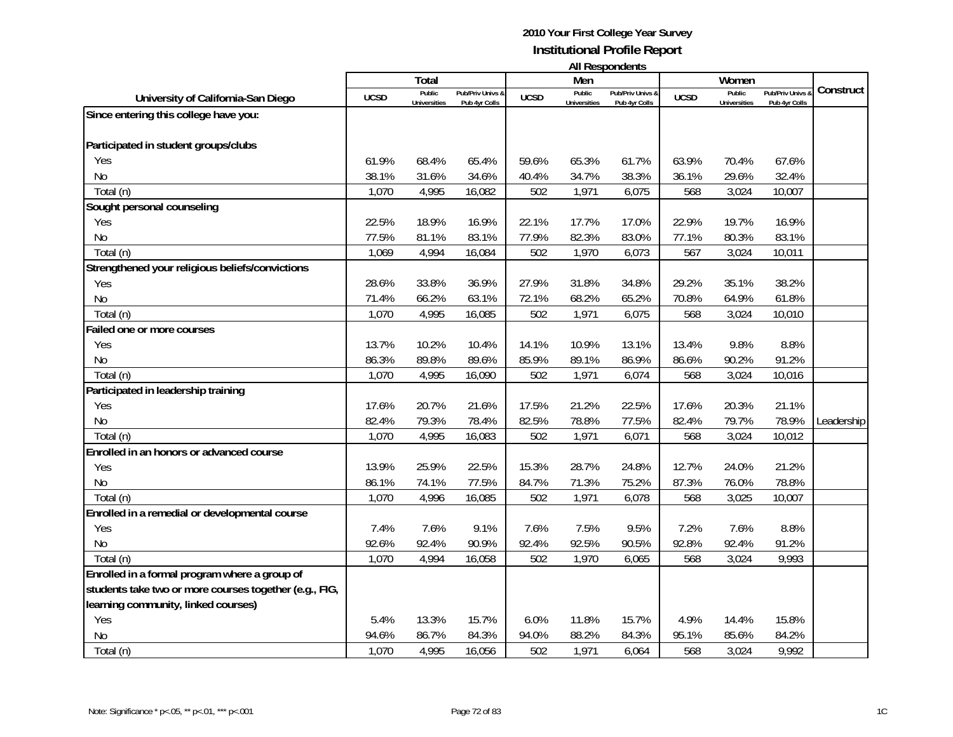| <b>All Respondents</b> |  |
|------------------------|--|
|------------------------|--|

|                                                        |             | Total                         |                                   |             | .<br>Men                      |                                              |             | Women                         |                                   |            |
|--------------------------------------------------------|-------------|-------------------------------|-----------------------------------|-------------|-------------------------------|----------------------------------------------|-------------|-------------------------------|-----------------------------------|------------|
| University of California-San Diego                     | <b>UCSD</b> | Public<br><b>Universities</b> | Pub/Priv Univs &<br>Pub 4yr Colls | <b>UCSD</b> | Public<br><b>Universities</b> | <b>Pub/Priv Univs &amp;</b><br>Pub 4yr Colls | <b>UCSD</b> | Public<br><b>Universities</b> | Pub/Priv Univs &<br>Pub 4yr Colls | Construct  |
| Since entering this college have you:                  |             |                               |                                   |             |                               |                                              |             |                               |                                   |            |
|                                                        |             |                               |                                   |             |                               |                                              |             |                               |                                   |            |
| Participated in student groups/clubs                   |             |                               |                                   |             |                               |                                              |             |                               |                                   |            |
| Yes                                                    | 61.9%       | 68.4%                         | 65.4%                             | 59.6%       | 65.3%                         | 61.7%                                        | 63.9%       | 70.4%                         | 67.6%                             |            |
| <b>No</b>                                              | 38.1%       | 31.6%                         | 34.6%                             | 40.4%       | 34.7%                         | 38.3%                                        | 36.1%       | 29.6%                         | 32.4%                             |            |
| Total (n)                                              | 1,070       | 4,995                         | 16,082                            | 502         | 1,971                         | 6,075                                        | 568         | 3,024                         | 10,007                            |            |
| Sought personal counseling                             |             |                               |                                   |             |                               |                                              |             |                               |                                   |            |
| Yes                                                    | 22.5%       | 18.9%                         | 16.9%                             | 22.1%       | 17.7%                         | 17.0%                                        | 22.9%       | 19.7%                         | 16.9%                             |            |
| No                                                     | 77.5%       | 81.1%                         | 83.1%                             | 77.9%       | 82.3%                         | 83.0%                                        | 77.1%       | 80.3%                         | 83.1%                             |            |
| Total (n)                                              | 1,069       | 4,994                         | 16,084                            | 502         | 1,970                         | 6,073                                        | 567         | 3,024                         | 10,011                            |            |
| Strengthened your religious beliefs/convictions        |             |                               |                                   |             |                               |                                              |             |                               |                                   |            |
| Yes                                                    | 28.6%       | 33.8%                         | 36.9%                             | 27.9%       | 31.8%                         | 34.8%                                        | 29.2%       | 35.1%                         | 38.2%                             |            |
| No                                                     | 71.4%       | 66.2%                         | 63.1%                             | 72.1%       | 68.2%                         | 65.2%                                        | 70.8%       | 64.9%                         | 61.8%                             |            |
| Total (n)                                              | 1,070       | 4,995                         | 16,085                            | 502         | 1,971                         | 6,075                                        | 568         | 3,024                         | 10,010                            |            |
| Failed one or more courses                             |             |                               |                                   |             |                               |                                              |             |                               |                                   |            |
| Yes                                                    | 13.7%       | 10.2%                         | 10.4%                             | 14.1%       | 10.9%                         | 13.1%                                        | 13.4%       | 9.8%                          | 8.8%                              |            |
| No                                                     | 86.3%       | 89.8%                         | 89.6%                             | 85.9%       | 89.1%                         | 86.9%                                        | 86.6%       | 90.2%                         | 91.2%                             |            |
| Total (n)                                              | 1,070       | 4,995                         | 16,090                            | 502         | 1,971                         | 6,074                                        | 568         | 3,024                         | 10,016                            |            |
| Participated in leadership training                    |             |                               |                                   |             |                               |                                              |             |                               |                                   |            |
| Yes                                                    | 17.6%       | 20.7%                         | 21.6%                             | 17.5%       | 21.2%                         | 22.5%                                        | 17.6%       | 20.3%                         | 21.1%                             |            |
| No                                                     | 82.4%       | 79.3%                         | 78.4%                             | 82.5%       | 78.8%                         | 77.5%                                        | 82.4%       | 79.7%                         | 78.9%                             | Leadership |
| Total (n)                                              | 1,070       | 4,995                         | 16,083                            | 502         | 1,971                         | 6,071                                        | 568         | 3,024                         | 10,012                            |            |
| Enrolled in an honors or advanced course               |             |                               |                                   |             |                               |                                              |             |                               |                                   |            |
| Yes                                                    | 13.9%       | 25.9%                         | 22.5%                             | 15.3%       | 28.7%                         | 24.8%                                        | 12.7%       | 24.0%                         | 21.2%                             |            |
| <b>No</b>                                              | 86.1%       | 74.1%                         | 77.5%                             | 84.7%       | 71.3%                         | 75.2%                                        | 87.3%       | 76.0%                         | 78.8%                             |            |
| Total (n)                                              | 1,070       | 4,996                         | 16,085                            | 502         | 1,971                         | 6,078                                        | 568         | 3,025                         | 10,007                            |            |
| Enrolled in a remedial or developmental course         |             |                               |                                   |             |                               |                                              |             |                               |                                   |            |
| Yes                                                    | 7.4%        | 7.6%                          | 9.1%                              | 7.6%        | 7.5%                          | 9.5%                                         | 7.2%        | 7.6%                          | 8.8%                              |            |
| <b>No</b>                                              | 92.6%       | 92.4%                         | 90.9%                             | 92.4%       | 92.5%                         | 90.5%                                        | 92.8%       | 92.4%                         | 91.2%                             |            |
| Total (n)                                              | 1,070       | 4,994                         | 16,058                            | 502         | 1,970                         | 6,065                                        | 568         | 3,024                         | 9,993                             |            |
| Enrolled in a formal program where a group of          |             |                               |                                   |             |                               |                                              |             |                               |                                   |            |
| students take two or more courses together (e.g., FIG, |             |                               |                                   |             |                               |                                              |             |                               |                                   |            |
| learning community, linked courses)                    |             |                               |                                   |             |                               |                                              |             |                               |                                   |            |
| Yes                                                    | 5.4%        | 13.3%                         | 15.7%                             | 6.0%        | 11.8%                         | 15.7%                                        | 4.9%        | 14.4%                         | 15.8%                             |            |
| N <sub>0</sub>                                         | 94.6%       | 86.7%                         | 84.3%                             | 94.0%       | 88.2%                         | 84.3%                                        | 95.1%       | 85.6%                         | 84.2%                             |            |
| Total (n)                                              | 1,070       | 4,995                         | 16,056                            | 502         | 1,971                         | 6,064                                        | 568         | 3,024                         | 9,992                             |            |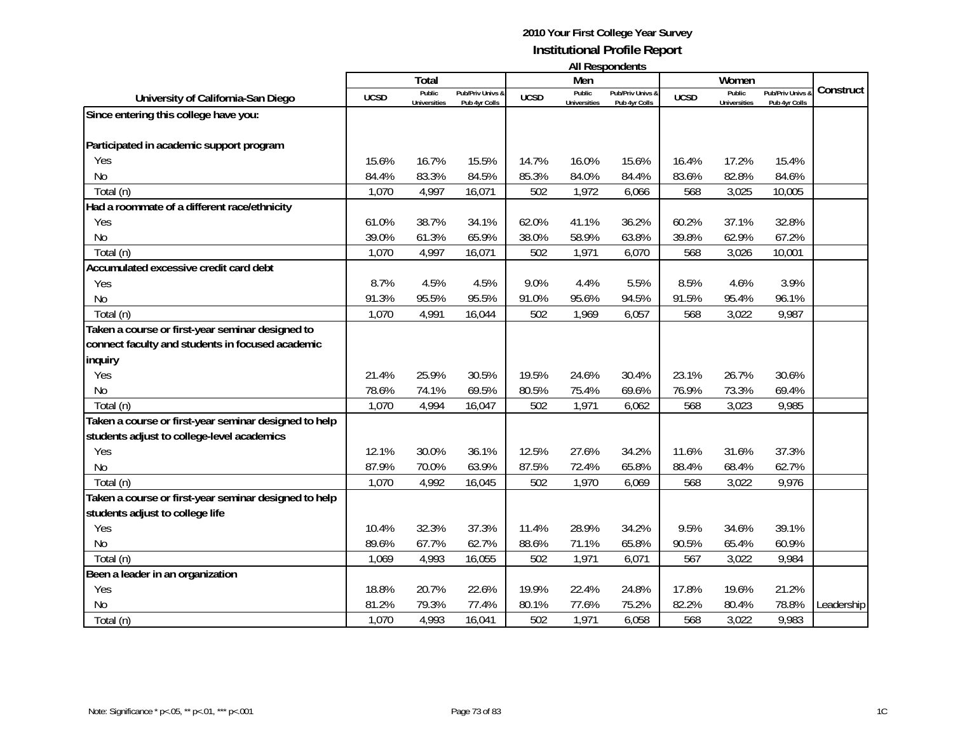| <b>All Respondents</b> |  |
|------------------------|--|
|------------------------|--|

|                                                       |             | Total                         |                                   |             | Men                           |                                   |             | Women                         |                                 |            |
|-------------------------------------------------------|-------------|-------------------------------|-----------------------------------|-------------|-------------------------------|-----------------------------------|-------------|-------------------------------|---------------------------------|------------|
| University of California-San Diego                    | <b>UCSD</b> | Public<br><b>Universities</b> | Pub/Priv Univs &<br>Pub 4yr Colls | <b>UCSD</b> | Public<br><b>Universities</b> | Pub/Priv Univs &<br>Pub 4yr Colls | <b>UCSD</b> | Public<br><b>Universities</b> | Pub/Priv Univs<br>Pub 4yr Colls | Construct  |
| Since entering this college have you:                 |             |                               |                                   |             |                               |                                   |             |                               |                                 |            |
|                                                       |             |                               |                                   |             |                               |                                   |             |                               |                                 |            |
| Participated in academic support program              |             |                               |                                   |             |                               |                                   |             |                               |                                 |            |
| Yes                                                   | 15.6%       | 16.7%                         | 15.5%                             | 14.7%       | 16.0%                         | 15.6%                             | 16.4%       | 17.2%                         | 15.4%                           |            |
| N <sub>0</sub>                                        | 84.4%       | 83.3%                         | 84.5%                             | 85.3%       | 84.0%                         | 84.4%                             | 83.6%       | 82.8%                         | 84.6%                           |            |
| Total (n)                                             | 1,070       | 4,997                         | 16,071                            | 502         | 1,972                         | 6,066                             | 568         | 3,025                         | 10,005                          |            |
| Had a roommate of a different race/ethnicity          |             |                               |                                   |             |                               |                                   |             |                               |                                 |            |
| Yes                                                   | 61.0%       | 38.7%                         | 34.1%                             | 62.0%       | 41.1%                         | 36.2%                             | 60.2%       | 37.1%                         | 32.8%                           |            |
| <b>No</b>                                             | 39.0%       | 61.3%                         | 65.9%                             | 38.0%       | 58.9%                         | 63.8%                             | 39.8%       | 62.9%                         | 67.2%                           |            |
| Total (n)                                             | 1,070       | 4,997                         | 16,071                            | 502         | 1,971                         | 6,070                             | 568         | 3,026                         | 10,001                          |            |
| Accumulated excessive credit card debt                |             |                               |                                   |             |                               |                                   |             |                               |                                 |            |
| Yes                                                   | 8.7%        | 4.5%                          | 4.5%                              | 9.0%        | 4.4%                          | 5.5%                              | 8.5%        | 4.6%                          | 3.9%                            |            |
| <b>No</b>                                             | 91.3%       | 95.5%                         | 95.5%                             | 91.0%       | 95.6%                         | 94.5%                             | 91.5%       | 95.4%                         | 96.1%                           |            |
| Total (n)                                             | 1,070       | 4,991                         | 16,044                            | 502         | 1,969                         | 6,057                             | 568         | 3,022                         | 9,987                           |            |
| Taken a course or first-year seminar designed to      |             |                               |                                   |             |                               |                                   |             |                               |                                 |            |
| connect faculty and students in focused academic      |             |                               |                                   |             |                               |                                   |             |                               |                                 |            |
| inquiry                                               |             |                               |                                   |             |                               |                                   |             |                               |                                 |            |
| Yes                                                   | 21.4%       | 25.9%                         | 30.5%                             | 19.5%       | 24.6%                         | 30.4%                             | 23.1%       | 26.7%                         | 30.6%                           |            |
| N <sub>0</sub>                                        | 78.6%       | 74.1%                         | 69.5%                             | 80.5%       | 75.4%                         | 69.6%                             | 76.9%       | 73.3%                         | 69.4%                           |            |
| Total (n)                                             | 1,070       | 4,994                         | 16,047                            | 502         | 1,971                         | 6,062                             | 568         | 3,023                         | 9,985                           |            |
| Taken a course or first-year seminar designed to help |             |                               |                                   |             |                               |                                   |             |                               |                                 |            |
| students adjust to college-level academics            |             |                               |                                   |             |                               |                                   |             |                               |                                 |            |
| Yes                                                   | 12.1%       | 30.0%                         | 36.1%                             | 12.5%       | 27.6%                         | 34.2%                             | 11.6%       | 31.6%                         | 37.3%                           |            |
| <b>No</b>                                             | 87.9%       | 70.0%                         | 63.9%                             | 87.5%       | 72.4%                         | 65.8%                             | 88.4%       | 68.4%                         | 62.7%                           |            |
| Total (n)                                             | 1,070       | 4,992                         | 16,045                            | 502         | 1,970                         | 6,069                             | 568         | 3,022                         | 9,976                           |            |
| Taken a course or first-year seminar designed to help |             |                               |                                   |             |                               |                                   |             |                               |                                 |            |
| students adjust to college life                       |             |                               |                                   |             |                               |                                   |             |                               |                                 |            |
| Yes                                                   | 10.4%       | 32.3%                         | 37.3%                             | 11.4%       | 28.9%                         | 34.2%                             | 9.5%        | 34.6%                         | 39.1%                           |            |
| <b>No</b>                                             | 89.6%       | 67.7%                         | 62.7%                             | 88.6%       | 71.1%                         | 65.8%                             | 90.5%       | 65.4%                         | 60.9%                           |            |
| Total (n)                                             | 1,069       | 4,993                         | 16,055                            | 502         | 1,971                         | 6,071                             | 567         | 3,022                         | 9,984                           |            |
| Been a leader in an organization                      |             |                               |                                   |             |                               |                                   |             |                               |                                 |            |
| Yes                                                   | 18.8%       | 20.7%                         | 22.6%                             | 19.9%       | 22.4%                         | 24.8%                             | 17.8%       | 19.6%                         | 21.2%                           |            |
| No                                                    | 81.2%       | 79.3%                         | 77.4%                             | 80.1%       | 77.6%                         | 75.2%                             | 82.2%       | 80.4%                         | 78.8%                           | Leadership |
| Total (n)                                             | 1,070       | 4,993                         | 16,041                            | 502         | 1,971                         | 6,058                             | 568         | 3,022                         | 9,983                           |            |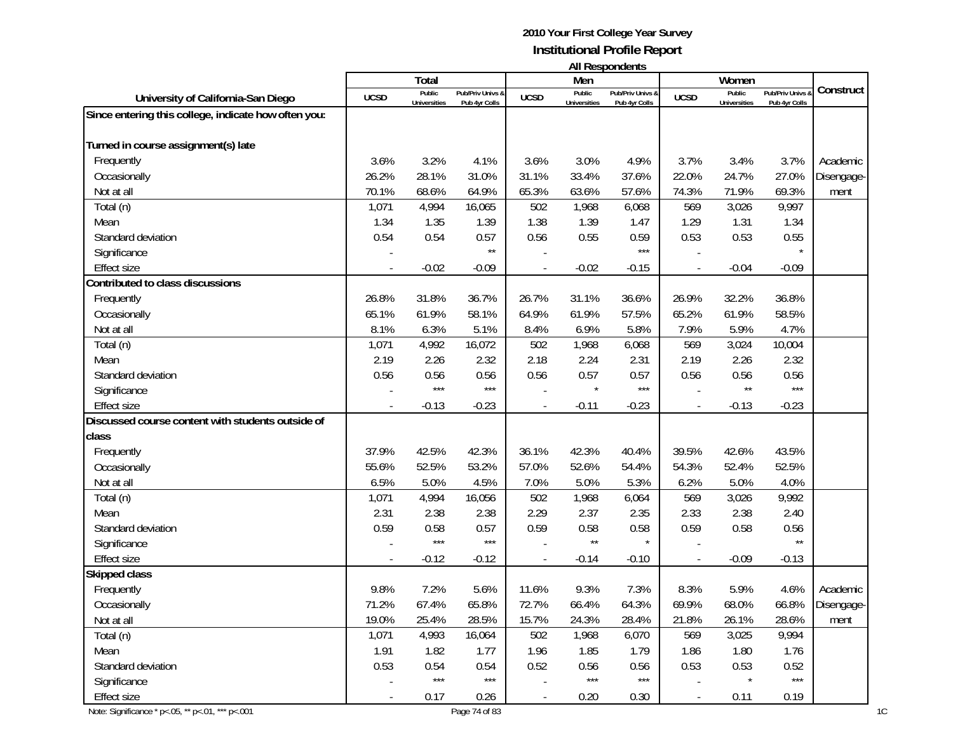| <b>All Respondents</b> |  |
|------------------------|--|
|                        |  |
|                        |  |

|                                                      |             | <b>Total</b>        |                       |                | Men                 | אוויטאווטאפטרו ווי |             | Women               |                  |            |
|------------------------------------------------------|-------------|---------------------|-----------------------|----------------|---------------------|--------------------|-------------|---------------------|------------------|------------|
| University of California-San Diego                   | <b>UCSD</b> | Public              | Pub/Priv Univs &      | <b>UCSD</b>    | Public              | Pub/Priv Univs &   | <b>UCSD</b> | Public              | Pub/Priv Univs & | Construct  |
| Since entering this college, indicate how often you: |             | <b>Universities</b> | Pub 4yr Colls         |                | <b>Universities</b> | Pub 4yr Colls      |             | <b>Universities</b> | Pub 4yr Colls    |            |
|                                                      |             |                     |                       |                |                     |                    |             |                     |                  |            |
| Turned in course assignment(s) late                  |             |                     |                       |                |                     |                    |             |                     |                  |            |
| Frequently                                           | 3.6%        | 3.2%                | 4.1%                  | 3.6%           | 3.0%                | 4.9%               | 3.7%        | 3.4%                | 3.7%             | Academic   |
| Occasionally                                         | 26.2%       | 28.1%               | 31.0%                 | 31.1%          | 33.4%               | 37.6%              | 22.0%       | 24.7%               | 27.0%            | Disengage- |
| Not at all                                           | 70.1%       | 68.6%               | 64.9%                 | 65.3%          | 63.6%               | 57.6%              | 74.3%       | 71.9%               | 69.3%            | ment       |
| Total (n)                                            | 1,071       | 4,994               | 16,065                | 502            | 1,968               | 6,068              | 569         | 3,026               | 9,997            |            |
| Mean                                                 | 1.34        | 1.35                | 1.39                  | 1.38           | 1.39                | 1.47               | 1.29        | 1.31                | 1.34             |            |
| Standard deviation                                   | 0.54        | 0.54                | 0.57                  | 0.56           | 0.55                | 0.59               | 0.53        | 0.53                | 0.55             |            |
| Significance                                         |             |                     | $\star\star$          |                |                     | $***$              |             |                     |                  |            |
| <b>Effect size</b>                                   |             | $-0.02$             | $-0.09$               |                | $-0.02$             | $-0.15$            |             | $-0.04$             | $-0.09$          |            |
| Contributed to class discussions                     |             |                     |                       |                |                     |                    |             |                     |                  |            |
| Frequently                                           | 26.8%       | 31.8%               | 36.7%                 | 26.7%          | 31.1%               | 36.6%              | 26.9%       | 32.2%               | 36.8%            |            |
| Occasionally                                         | 65.1%       | 61.9%               | 58.1%                 | 64.9%          | 61.9%               | 57.5%              | 65.2%       | 61.9%               | 58.5%            |            |
| Not at all                                           | 8.1%        | 6.3%                | 5.1%                  | 8.4%           | 6.9%                | 5.8%               | 7.9%        | 5.9%                | 4.7%             |            |
| Total (n)                                            | 1,071       | 4,992               | 16,072                | 502            | 1,968               | 6,068              | 569         | 3,024               | 10,004           |            |
| Mean                                                 | 2.19        | 2.26                | 2.32                  | 2.18           | 2.24                | 2.31               | 2.19        | 2.26                | 2.32             |            |
| Standard deviation                                   | 0.56        | 0.56                | 0.56                  | 0.56           | 0.57                | 0.57               | 0.56        | 0.56                | 0.56             |            |
| Significance                                         |             | $***$               | $***$                 |                |                     | $***$              |             | $\star\star$        | $***$            |            |
| <b>Effect size</b>                                   |             | $-0.13$             | $-0.23$               |                | $-0.11$             | $-0.23$            |             | $-0.13$             | $-0.23$          |            |
| Discussed course content with students outside of    |             |                     |                       |                |                     |                    |             |                     |                  |            |
| class                                                |             |                     |                       |                |                     |                    |             |                     |                  |            |
| Frequently                                           | 37.9%       | 42.5%               | 42.3%                 | 36.1%          | 42.3%               | 40.4%              | 39.5%       | 42.6%               | 43.5%            |            |
| Occasionally                                         | 55.6%       | 52.5%               | 53.2%                 | 57.0%          | 52.6%               | 54.4%              | 54.3%       | 52.4%               | 52.5%            |            |
| Not at all                                           | 6.5%        | 5.0%                | 4.5%                  | 7.0%           | 5.0%                | 5.3%               | 6.2%        | 5.0%                | 4.0%             |            |
| Total (n)                                            | 1,071       | 4,994               | 16,056                | 502            | 1,968               | 6,064              | 569         | 3,026               | 9,992            |            |
| Mean                                                 | 2.31        | 2.38                | 2.38                  | 2.29           | 2.37                | 2.35               | 2.33        | 2.38                | 2.40             |            |
| Standard deviation                                   | 0.59        | 0.58                | 0.57                  | 0.59           | 0.58                | 0.58               | 0.59        | 0.58                | 0.56             |            |
| Significance                                         |             | $***$               | $***$                 |                | $\star\star$        |                    |             |                     | $\star\star$     |            |
| <b>Effect size</b>                                   |             | $-0.12$             | $-0.12$               |                | $-0.14$             | $-0.10$            |             | $-0.09$             | $-0.13$          |            |
| Skipped class                                        |             |                     |                       |                |                     |                    |             |                     |                  |            |
| Frequently                                           | 9.8%        | 7.2%                | 5.6%                  | 11.6%          | 9.3%                | 7.3%               | 8.3%        | 5.9%                | 4.6%             | Academic   |
| Occasionally                                         | 71.2%       | 67.4%               | 65.8%                 | 72.7%          | 66.4%               | 64.3%              | 69.9%       | 68.0%               | 66.8%            | Disengage- |
| Not at all                                           | 19.0%       | 25.4%               | 28.5%                 | 15.7%          | 24.3%               | 28.4%              | 21.8%       | 26.1%               | 28.6%            | ment       |
| Total (n)                                            | 1,071       | 4,993               | 16,064                | 502            | 1,968               | 6,070              | 569         | 3,025               | 9,994            |            |
| Mean                                                 | 1.91        | 1.82                | 1.77                  | 1.96           | 1.85                | 1.79               | 1.86        | 1.80                | 1.76             |            |
| Standard deviation                                   | 0.53        | 0.54                | 0.54                  | 0.52           | 0.56                | 0.56               | 0.53        | 0.53                | 0.52             |            |
| Significance                                         |             | $***$               | $\star\!\star\!\star$ |                | $***$               | $***$              |             |                     | $***$            |            |
| Effect size                                          |             | 0.17                | 0.26                  | $\blacksquare$ | 0.20                | 0.30               | $\sim$      | 0.11                | 0.19             |            |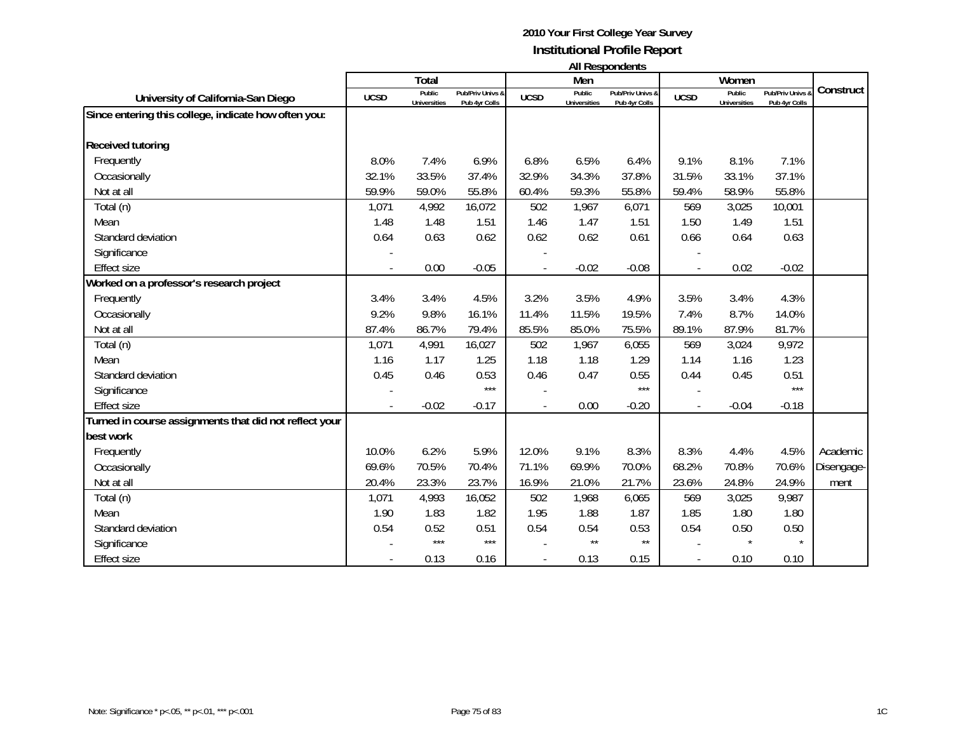#### **2010 Your First College Year Survey Institutional Profile Report All Respondents**

|                                                        |             | Total               |                  |             | Men                 | All nespondents  |             | Women               |                  |            |
|--------------------------------------------------------|-------------|---------------------|------------------|-------------|---------------------|------------------|-------------|---------------------|------------------|------------|
|                                                        |             | Public              | Pub/Priv Univs & |             | Public              | Pub/Priv Univs & |             | Public              | Pub/Priv Univs & | Construct  |
| University of California-San Diego                     | <b>UCSD</b> | <b>Universities</b> | Pub 4yr Colls    | <b>UCSD</b> | <b>Universities</b> | Pub 4yr Colls    | <b>UCSD</b> | <b>Universities</b> | Pub 4yr Colls    |            |
| Since entering this college, indicate how often you:   |             |                     |                  |             |                     |                  |             |                     |                  |            |
|                                                        |             |                     |                  |             |                     |                  |             |                     |                  |            |
| <b>Received tutoring</b>                               |             |                     |                  |             |                     |                  |             |                     |                  |            |
| Frequently                                             | 8.0%        | 7.4%                | 6.9%             | 6.8%        | 6.5%                | 6.4%             | 9.1%        | 8.1%                | 7.1%             |            |
| Occasionally                                           | 32.1%       | 33.5%               | 37.4%            | 32.9%       | 34.3%               | 37.8%            | 31.5%       | 33.1%               | 37.1%            |            |
| Not at all                                             | 59.9%       | 59.0%               | 55.8%            | 60.4%       | 59.3%               | 55.8%            | 59.4%       | 58.9%               | 55.8%            |            |
| Total (n)                                              | 1,071       | 4,992               | 16,072           | 502         | 1,967               | 6,071            | 569         | 3,025               | 10,001           |            |
| Mean                                                   | 1.48        | 1.48                | 1.51             | 1.46        | 1.47                | 1.51             | 1.50        | 1.49                | 1.51             |            |
| Standard deviation                                     | 0.64        | 0.63                | 0.62             | 0.62        | 0.62                | 0.61             | 0.66        | 0.64                | 0.63             |            |
| Significance                                           |             |                     |                  |             |                     |                  |             |                     |                  |            |
| <b>Effect size</b>                                     |             | 0.00                | $-0.05$          |             | $-0.02$             | $-0.08$          |             | 0.02                | $-0.02$          |            |
| Worked on a professor's research project               |             |                     |                  |             |                     |                  |             |                     |                  |            |
| Frequently                                             | 3.4%        | 3.4%                | 4.5%             | 3.2%        | 3.5%                | 4.9%             | 3.5%        | 3.4%                | 4.3%             |            |
| Occasionally                                           | 9.2%        | 9.8%                | 16.1%            | 11.4%       | 11.5%               | 19.5%            | 7.4%        | 8.7%                | 14.0%            |            |
| Not at all                                             | 87.4%       | 86.7%               | 79.4%            | 85.5%       | 85.0%               | 75.5%            | 89.1%       | 87.9%               | 81.7%            |            |
| Total (n)                                              | 1,071       | 4,991               | 16,027           | 502         | 1,967               | 6,055            | 569         | 3,024               | 9,972            |            |
| Mean                                                   | 1.16        | 1.17                | 1.25             | 1.18        | 1.18                | 1.29             | 1.14        | 1.16                | 1.23             |            |
| Standard deviation                                     | 0.45        | 0.46                | 0.53             | 0.46        | 0.47                | 0.55             | 0.44        | 0.45                | 0.51             |            |
| Significance                                           |             |                     | $***$            |             |                     | $***$            |             |                     | $***$            |            |
| <b>Effect size</b>                                     |             | $-0.02$             | $-0.17$          |             | 0.00                | $-0.20$          |             | $-0.04$             | $-0.18$          |            |
| Turned in course assignments that did not reflect your |             |                     |                  |             |                     |                  |             |                     |                  |            |
| best work                                              |             |                     |                  |             |                     |                  |             |                     |                  |            |
| Frequently                                             | 10.0%       | 6.2%                | 5.9%             | 12.0%       | 9.1%                | 8.3%             | 8.3%        | 4.4%                | 4.5%             | Academic   |
| Occasionally                                           | 69.6%       | 70.5%               | 70.4%            | 71.1%       | 69.9%               | 70.0%            | 68.2%       | 70.8%               | 70.6%            | Disengage- |
| Not at all                                             | 20.4%       | 23.3%               | 23.7%            | 16.9%       | 21.0%               | 21.7%            | 23.6%       | 24.8%               | 24.9%            | ment       |
| Total (n)                                              | 1,071       | 4,993               | 16,052           | 502         | 1,968               | 6,065            | 569         | 3,025               | 9,987            |            |
| Mean                                                   | 1.90        | 1.83                | 1.82             | 1.95        | 1.88                | 1.87             | 1.85        | 1.80                | 1.80             |            |
| Standard deviation                                     | 0.54        | 0.52                | 0.51             | 0.54        | 0.54                | 0.53             | 0.54        | 0.50                | 0.50             |            |
| Significance                                           |             | $***$               | $***$            |             | $\star\star$        | $\star\star$     |             |                     |                  |            |
| <b>Effect size</b>                                     |             | 0.13                | 0.16             |             | 0.13                | 0.15             |             | 0.10                | 0.10             |            |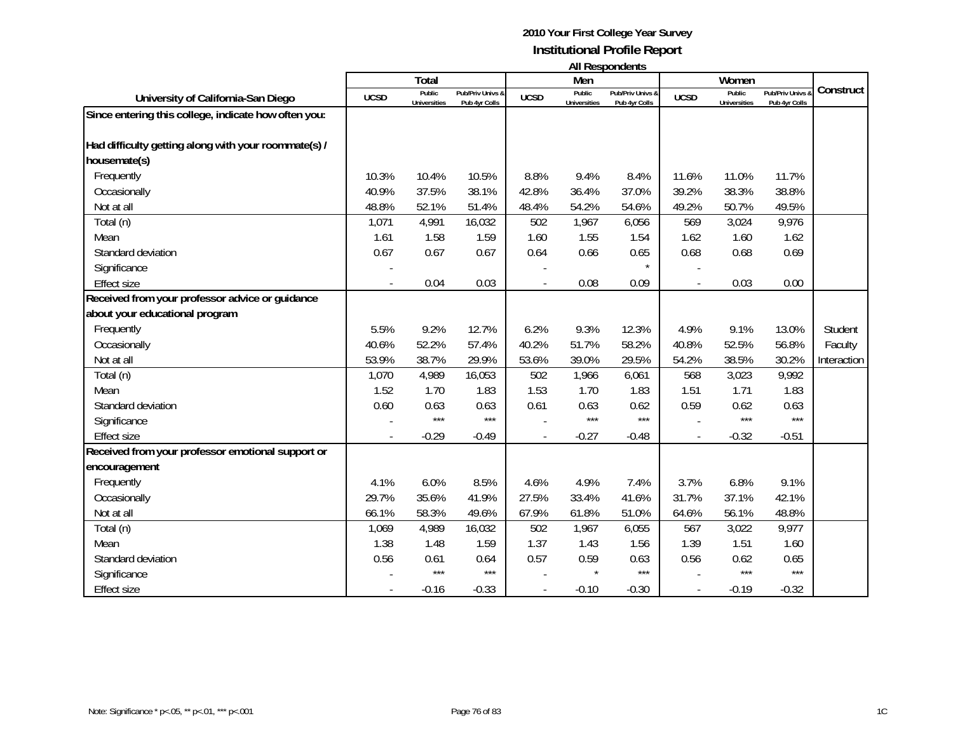**All Respondents**

|                                                      |             | Total                         |                                   |                | Men                           | .                                 |             | Women                         |                                 |             |
|------------------------------------------------------|-------------|-------------------------------|-----------------------------------|----------------|-------------------------------|-----------------------------------|-------------|-------------------------------|---------------------------------|-------------|
| University of California-San Diego                   | <b>UCSD</b> | Public<br><b>Universities</b> | Pub/Priv Univs &<br>Pub 4yr Colls | <b>UCSD</b>    | Public<br><b>Universities</b> | Pub/Priv Univs &<br>Pub 4yr Colls | <b>UCSD</b> | Public<br><b>Universities</b> | Pub/Priv Univs<br>Pub 4yr Colls | Construct   |
| Since entering this college, indicate how often you: |             |                               |                                   |                |                               |                                   |             |                               |                                 |             |
|                                                      |             |                               |                                   |                |                               |                                   |             |                               |                                 |             |
| Had difficulty getting along with your roommate(s) / |             |                               |                                   |                |                               |                                   |             |                               |                                 |             |
| housemate(s)                                         |             |                               |                                   |                |                               |                                   |             |                               |                                 |             |
| Frequently                                           | 10.3%       | 10.4%                         | 10.5%                             | 8.8%           | 9.4%                          | 8.4%                              | 11.6%       | 11.0%                         | 11.7%                           |             |
| Occasionally                                         | 40.9%       | 37.5%                         | 38.1%                             | 42.8%          | 36.4%                         | 37.0%                             | 39.2%       | 38.3%                         | 38.8%                           |             |
| Not at all                                           | 48.8%       | 52.1%                         | 51.4%                             | 48.4%          | 54.2%                         | 54.6%                             | 49.2%       | 50.7%                         | 49.5%                           |             |
| Total (n)                                            | 1,071       | 4,991                         | 16,032                            | 502            | 1,967                         | 6,056                             | 569         | 3,024                         | 9,976                           |             |
| Mean                                                 | 1.61        | 1.58                          | 1.59                              | 1.60           | 1.55                          | 1.54                              | 1.62        | 1.60                          | 1.62                            |             |
| Standard deviation                                   | 0.67        | 0.67                          | 0.67                              | 0.64           | 0.66                          | 0.65                              | 0.68        | 0.68                          | 0.69                            |             |
| Significance                                         |             |                               |                                   |                |                               | $\star$                           |             |                               |                                 |             |
| <b>Effect size</b>                                   |             | 0.04                          | 0.03                              |                | 0.08                          | 0.09                              |             | 0.03                          | 0.00                            |             |
| Received from your professor advice or guidance      |             |                               |                                   |                |                               |                                   |             |                               |                                 |             |
| about your educational program                       |             |                               |                                   |                |                               |                                   |             |                               |                                 |             |
| Frequently                                           | 5.5%        | 9.2%                          | 12.7%                             | 6.2%           | 9.3%                          | 12.3%                             | 4.9%        | 9.1%                          | 13.0%                           | Student     |
| Occasionally                                         | 40.6%       | 52.2%                         | 57.4%                             | 40.2%          | 51.7%                         | 58.2%                             | 40.8%       | 52.5%                         | 56.8%                           | Faculty     |
| Not at all                                           | 53.9%       | 38.7%                         | 29.9%                             | 53.6%          | 39.0%                         | 29.5%                             | 54.2%       | 38.5%                         | 30.2%                           | Interaction |
| Total (n)                                            | 1,070       | 4,989                         | 16,053                            | 502            | 1,966                         | 6,061                             | 568         | 3,023                         | 9,992                           |             |
| Mean                                                 | 1.52        | 1.70                          | 1.83                              | 1.53           | 1.70                          | 1.83                              | 1.51        | 1.71                          | 1.83                            |             |
| Standard deviation                                   | 0.60        | 0.63                          | 0.63                              | 0.61           | 0.63                          | 0.62                              | 0.59        | 0.62                          | 0.63                            |             |
| Significance                                         |             | $***$                         | $***$                             |                | $***$                         | $***$                             |             | ***                           | $***$                           |             |
| <b>Effect size</b>                                   |             | $-0.29$                       | $-0.49$                           | $\overline{a}$ | $-0.27$                       | $-0.48$                           |             | $-0.32$                       | $-0.51$                         |             |
| Received from your professor emotional support or    |             |                               |                                   |                |                               |                                   |             |                               |                                 |             |
| encouragement                                        |             |                               |                                   |                |                               |                                   |             |                               |                                 |             |
| Frequently                                           | 4.1%        | 6.0%                          | 8.5%                              | 4.6%           | 4.9%                          | 7.4%                              | 3.7%        | 6.8%                          | 9.1%                            |             |
| Occasionally                                         | 29.7%       | 35.6%                         | 41.9%                             | 27.5%          | 33.4%                         | 41.6%                             | 31.7%       | 37.1%                         | 42.1%                           |             |
| Not at all                                           | 66.1%       | 58.3%                         | 49.6%                             | 67.9%          | 61.8%                         | 51.0%                             | 64.6%       | 56.1%                         | 48.8%                           |             |
| Total (n)                                            | 1,069       | 4,989                         | 16,032                            | 502            | 1,967                         | 6,055                             | 567         | 3,022                         | 9,977                           |             |
| Mean                                                 | 1.38        | 1.48                          | 1.59                              | 1.37           | 1.43                          | 1.56                              | 1.39        | 1.51                          | 1.60                            |             |
| Standard deviation                                   | 0.56        | 0.61                          | 0.64                              | 0.57           | 0.59                          | 0.63                              | 0.56        | 0.62                          | 0.65                            |             |
| Significance                                         |             | $***$                         | $***$                             |                |                               | $***$                             |             | ***                           | $***$                           |             |
| <b>Effect size</b>                                   |             | $-0.16$                       | $-0.33$                           |                | $-0.10$                       | $-0.30$                           |             | $-0.19$                       | $-0.32$                         |             |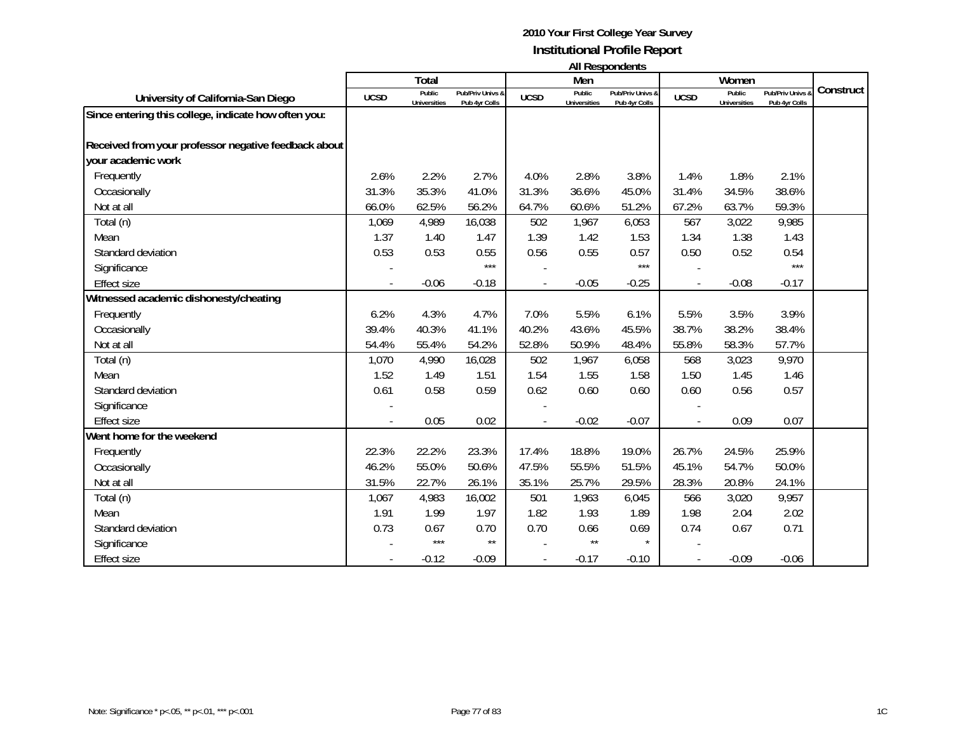**All Respondents**

|                                                      |             | Total                         |                                              |             | Men                           | בוויטאווטעכטרו וור                |             | Women                         |                                   |           |
|------------------------------------------------------|-------------|-------------------------------|----------------------------------------------|-------------|-------------------------------|-----------------------------------|-------------|-------------------------------|-----------------------------------|-----------|
| University of California-San Diego                   | <b>UCSD</b> | Public<br><b>Universities</b> | <b>Pub/Priv Univs &amp;</b><br>Pub 4yr Colls | <b>UCSD</b> | Public<br><b>Universities</b> | Pub/Priv Univs &<br>Pub 4yr Colls | <b>UCSD</b> | Public<br><b>Universities</b> | Pub/Priv Univs &<br>Pub 4yr Colls | Construct |
| Since entering this college, indicate how often you: |             |                               |                                              |             |                               |                                   |             |                               |                                   |           |
| Received from your professor negative feedback about |             |                               |                                              |             |                               |                                   |             |                               |                                   |           |
| your academic work                                   |             |                               |                                              |             |                               |                                   |             |                               |                                   |           |
|                                                      |             |                               |                                              |             |                               |                                   |             |                               |                                   |           |
| Frequently                                           | 2.6%        | 2.2%                          | 2.7%                                         | 4.0%        | 2.8%                          | 3.8%                              | 1.4%        | 1.8%                          | 2.1%                              |           |
| Occasionally                                         | 31.3%       | 35.3%                         | 41.0%                                        | 31.3%       | 36.6%                         | 45.0%                             | 31.4%       | 34.5%                         | 38.6%                             |           |
| Not at all                                           | 66.0%       | 62.5%                         | 56.2%                                        | 64.7%       | 60.6%                         | 51.2%                             | 67.2%       | 63.7%                         | 59.3%                             |           |
| Total (n)                                            | 1,069       | 4,989                         | 16,038                                       | 502         | 1,967                         | 6,053                             | 567         | 3,022                         | 9,985                             |           |
| Mean                                                 | 1.37        | 1.40                          | 1.47                                         | 1.39        | 1.42                          | 1.53                              | 1.34        | 1.38                          | 1.43                              |           |
| Standard deviation                                   | 0.53        | 0.53                          | 0.55                                         | 0.56        | 0.55                          | 0.57                              | 0.50        | 0.52                          | 0.54                              |           |
| Significance                                         |             |                               | $***$                                        |             |                               | $***$                             |             |                               | $***$                             |           |
| <b>Effect size</b>                                   |             | $-0.06$                       | $-0.18$                                      |             | $-0.05$                       | $-0.25$                           |             | $-0.08$                       | $-0.17$                           |           |
| Witnessed academic dishonesty/cheating               |             |                               |                                              |             |                               |                                   |             |                               |                                   |           |
| Frequently                                           | 6.2%        | 4.3%                          | 4.7%                                         | 7.0%        | 5.5%                          | 6.1%                              | 5.5%        | 3.5%                          | 3.9%                              |           |
| Occasionally                                         | 39.4%       | 40.3%                         | 41.1%                                        | 40.2%       | 43.6%                         | 45.5%                             | 38.7%       | 38.2%                         | 38.4%                             |           |
| Not at all                                           | 54.4%       | 55.4%                         | 54.2%                                        | 52.8%       | 50.9%                         | 48.4%                             | 55.8%       | 58.3%                         | 57.7%                             |           |
| Total (n)                                            | 1,070       | 4,990                         | 16,028                                       | 502         | 1,967                         | 6,058                             | 568         | 3,023                         | 9,970                             |           |
| Mean                                                 | 1.52        | 1.49                          | 1.51                                         | 1.54        | 1.55                          | 1.58                              | 1.50        | 1.45                          | 1.46                              |           |
| Standard deviation                                   | 0.61        | 0.58                          | 0.59                                         | 0.62        | 0.60                          | 0.60                              | 0.60        | 0.56                          | 0.57                              |           |
| Significance                                         |             |                               |                                              |             |                               |                                   |             |                               |                                   |           |
| <b>Effect size</b>                                   |             | 0.05                          | 0.02                                         |             | $-0.02$                       | $-0.07$                           |             | 0.09                          | 0.07                              |           |
| Went home for the weekend                            |             |                               |                                              |             |                               |                                   |             |                               |                                   |           |
|                                                      | 22.3%       | 22.2%                         | 23.3%                                        | 17.4%       | 18.8%                         | 19.0%                             | 26.7%       | 24.5%                         | 25.9%                             |           |
| Frequently                                           |             |                               |                                              |             |                               |                                   |             |                               |                                   |           |
| Occasionally                                         | 46.2%       | 55.0%                         | 50.6%                                        | 47.5%       | 55.5%                         | 51.5%                             | 45.1%       | 54.7%                         | 50.0%                             |           |
| Not at all                                           | 31.5%       | 22.7%                         | 26.1%                                        | 35.1%       | 25.7%                         | 29.5%                             | 28.3%       | 20.8%                         | 24.1%                             |           |
| Total (n)                                            | 1,067       | 4,983                         | 16,002                                       | 501         | 1,963                         | 6,045                             | 566         | 3,020                         | 9,957                             |           |
| Mean                                                 | 1.91        | 1.99                          | 1.97                                         | 1.82        | 1.93                          | 1.89                              | 1.98        | 2.04                          | 2.02                              |           |
| Standard deviation                                   | 0.73        | 0.67                          | 0.70                                         | 0.70        | 0.66                          | 0.69                              | 0.74        | 0.67                          | 0.71                              |           |
| Significance                                         |             | $***$                         | $\star\star$                                 |             | $\star\star$                  | $\star$                           |             |                               |                                   |           |
| <b>Effect size</b>                                   |             | $-0.12$                       | $-0.09$                                      |             | $-0.17$                       | $-0.10$                           |             | $-0.09$                       | $-0.06$                           |           |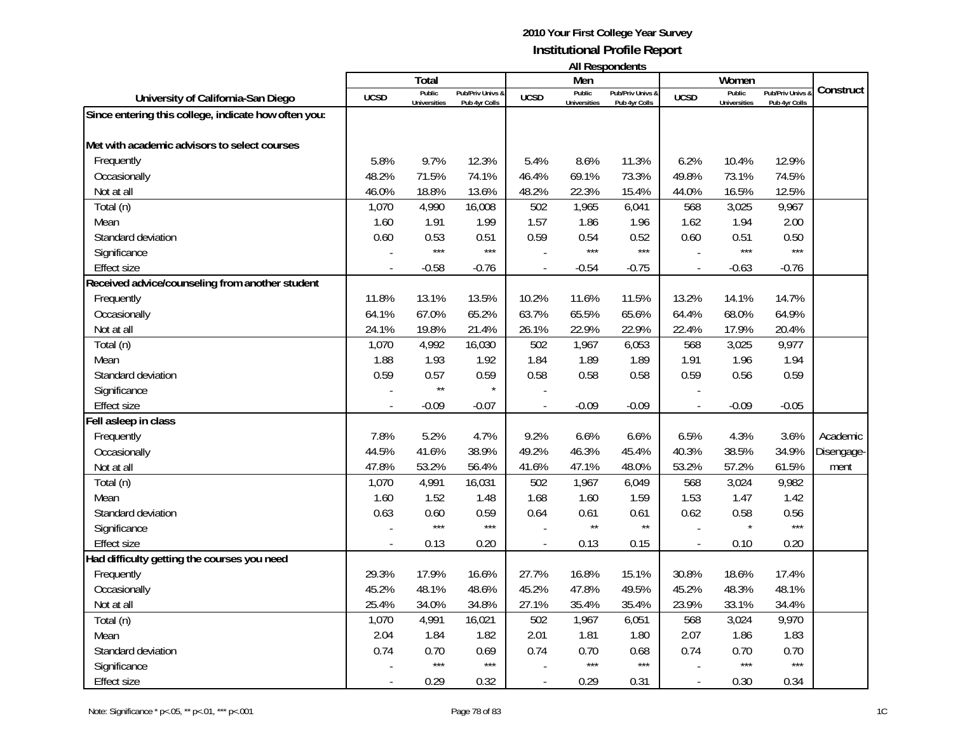| <b>All Respondents</b> |  |
|------------------------|--|
|                        |  |

|                                                      |                | Total                         |                                   |                | Men                           | בוו ולהוטעכטוו ווח                |                          | Women                         |                                   |            |
|------------------------------------------------------|----------------|-------------------------------|-----------------------------------|----------------|-------------------------------|-----------------------------------|--------------------------|-------------------------------|-----------------------------------|------------|
| University of California-San Diego                   | <b>UCSD</b>    | Public<br><b>Universities</b> | Pub/Priv Univs 8<br>Pub 4yr Colls | <b>UCSD</b>    | Public<br><b>Universities</b> | Pub/Priv Univs &<br>Pub 4yr Colls | <b>UCSD</b>              | Public<br><b>Universities</b> | Pub/Priv Univs &<br>Pub 4yr Colls | Construct  |
| Since entering this college, indicate how often you: |                |                               |                                   |                |                               |                                   |                          |                               |                                   |            |
|                                                      |                |                               |                                   |                |                               |                                   |                          |                               |                                   |            |
| Met with academic advisors to select courses         |                |                               |                                   |                |                               |                                   |                          |                               |                                   |            |
| Frequently                                           | 5.8%           | 9.7%                          | 12.3%                             | 5.4%           | 8.6%                          | 11.3%                             | 6.2%                     | 10.4%                         | 12.9%                             |            |
| Occasionally                                         | 48.2%          | 71.5%                         | 74.1%                             | 46.4%          | 69.1%                         | 73.3%                             | 49.8%                    | 73.1%                         | 74.5%                             |            |
| Not at all                                           | 46.0%          | 18.8%                         | 13.6%                             | 48.2%          | 22.3%                         | 15.4%                             | 44.0%                    | 16.5%                         | 12.5%                             |            |
| Total (n)                                            | 1,070          | 4,990                         | 16,008                            | 502            | 1,965                         | 6,041                             | 568                      | 3,025                         | 9,967                             |            |
| Mean                                                 | 1.60           | 1.91                          | 1.99                              | 1.57           | 1.86                          | 1.96                              | 1.62                     | 1.94                          | 2.00                              |            |
| Standard deviation                                   | 0.60           | 0.53                          | 0.51                              | 0.59           | 0.54                          | 0.52                              | 0.60                     | 0.51                          | 0.50                              |            |
| Significance                                         |                | $***$                         | $***$                             |                | $***$                         | $***$                             |                          | $***$                         | $***$                             |            |
| Effect size                                          | $\overline{a}$ | $-0.58$                       | $-0.76$                           | $\blacksquare$ | $-0.54$                       | $-0.75$                           | $\overline{\phantom{a}}$ | $-0.63$                       | $-0.76$                           |            |
| Received advice/counseling from another student      |                |                               |                                   |                |                               |                                   |                          |                               |                                   |            |
| Frequently                                           | 11.8%          | 13.1%                         | 13.5%                             | 10.2%          | 11.6%                         | 11.5%                             | 13.2%                    | 14.1%                         | 14.7%                             |            |
| Occasionally                                         | 64.1%          | 67.0%                         | 65.2%                             | 63.7%          | 65.5%                         | 65.6%                             | 64.4%                    | 68.0%                         | 64.9%                             |            |
| Not at all                                           | 24.1%          | 19.8%                         | 21.4%                             | 26.1%          | 22.9%                         | 22.9%                             | 22.4%                    | 17.9%                         | 20.4%                             |            |
| Total (n)                                            | 1,070          | 4,992                         | 16,030                            | 502            | 1,967                         | 6,053                             | 568                      | 3,025                         | 9,977                             |            |
| Mean                                                 | 1.88           | 1.93                          | 1.92                              | 1.84           | 1.89                          | 1.89                              | 1.91                     | 1.96                          | 1.94                              |            |
| Standard deviation                                   | 0.59           | 0.57                          | 0.59                              | 0.58           | 0.58                          | 0.58                              | 0.59                     | 0.56                          | 0.59                              |            |
| Significance                                         |                | $\star\star$                  | $\star$                           |                |                               |                                   |                          |                               |                                   |            |
| <b>Effect size</b>                                   |                | $-0.09$                       | $-0.07$                           |                | $-0.09$                       | $-0.09$                           |                          | $-0.09$                       | $-0.05$                           |            |
| Fell asleep in class                                 |                |                               |                                   |                |                               |                                   |                          |                               |                                   |            |
| Frequently                                           | 7.8%           | 5.2%                          | 4.7%                              | 9.2%           | 6.6%                          | 6.6%                              | 6.5%                     | 4.3%                          | 3.6%                              | Academic   |
| Occasionally                                         | 44.5%          | 41.6%                         | 38.9%                             | 49.2%          | 46.3%                         | 45.4%                             | 40.3%                    | 38.5%                         | 34.9%                             | Disengage- |
| Not at all                                           | 47.8%          | 53.2%                         | 56.4%                             | 41.6%          | 47.1%                         | 48.0%                             | 53.2%                    | 57.2%                         | 61.5%                             | ment       |
| Total (n)                                            | 1,070          | 4,991                         | 16,031                            | 502            | 1,967                         | 6,049                             | 568                      | 3,024                         | 9,982                             |            |
| Mean                                                 | 1.60           | 1.52                          | 1.48                              | 1.68           | 1.60                          | 1.59                              | 1.53                     | 1.47                          | 1.42                              |            |
| Standard deviation                                   | 0.63           | 0.60                          | 0.59                              | 0.64           | 0.61                          | 0.61                              | 0.62                     | 0.58                          | 0.56                              |            |
| Significance                                         |                | $***$                         | $***$                             |                | $\star\star$                  | $\star\star$                      |                          |                               | $***$                             |            |
| <b>Effect size</b>                                   |                | 0.13                          | 0.20                              |                | 0.13                          | 0.15                              |                          | 0.10                          | 0.20                              |            |
| Had difficulty getting the courses you need          |                |                               |                                   |                |                               |                                   |                          |                               |                                   |            |
| Frequently                                           | 29.3%          | 17.9%                         | 16.6%                             | 27.7%          | 16.8%                         | 15.1%                             | 30.8%                    | 18.6%                         | 17.4%                             |            |
| Occasionally                                         | 45.2%          | 48.1%                         | 48.6%                             | 45.2%          | 47.8%                         | 49.5%                             | 45.2%                    | 48.3%                         | 48.1%                             |            |
| Not at all                                           | 25.4%          | 34.0%                         | 34.8%                             | 27.1%          | 35.4%                         | 35.4%                             | 23.9%                    | 33.1%                         | 34.4%                             |            |
| Total (n)                                            | 1,070          | 4,991                         | 16,021                            | 502            | 1,967                         | 6,051                             | 568                      | 3,024                         | 9,970                             |            |
| Mean                                                 | 2.04           | 1.84                          | 1.82                              | 2.01           | 1.81                          | 1.80                              | 2.07                     | 1.86                          | 1.83                              |            |
| Standard deviation                                   | 0.74           | 0.70                          | 0.69                              | 0.74           | 0.70                          | 0.68                              | 0.74                     | 0.70                          | 0.70                              |            |
| Significance                                         |                | $***$                         | $***$                             |                | $***$                         | $***$                             |                          | $***$                         | $***$                             |            |
| <b>Effect size</b>                                   |                | 0.29                          | 0.32                              |                | 0.29                          | 0.31                              |                          | 0.30                          | 0.34                              |            |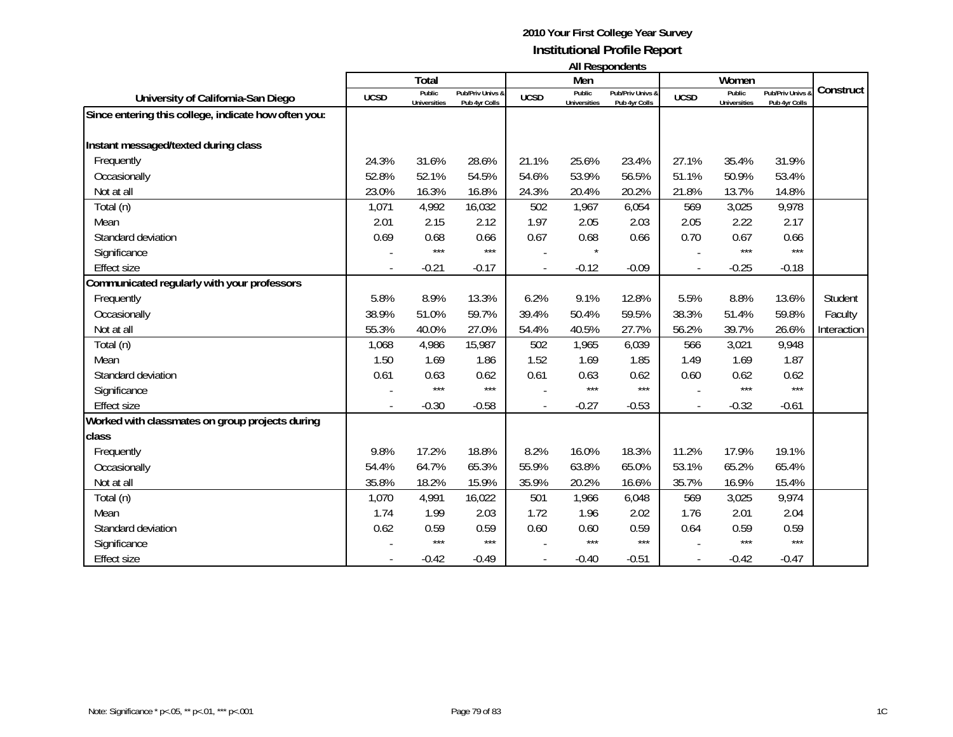|                                                      | All Respondents          |                        |                                   |             |                               |                                   |             |                               |                                 |             |  |  |
|------------------------------------------------------|--------------------------|------------------------|-----------------------------------|-------------|-------------------------------|-----------------------------------|-------------|-------------------------------|---------------------------------|-------------|--|--|
|                                                      |                          | <b>Total</b>           |                                   |             | Men                           |                                   |             | Women                         |                                 |             |  |  |
| University of California-San Diego                   | <b>UCSD</b>              | Public<br>Universities | Pub/Priv Univs &<br>Pub 4yr Colls | <b>UCSD</b> | Public<br><b>Universities</b> | Pub/Priv Univs &<br>Pub 4yr Colls | <b>UCSD</b> | Public<br><b>Universities</b> | Pub/Priv Univs<br>Pub 4yr Colls | Construct   |  |  |
| Since entering this college, indicate how often you: |                          |                        |                                   |             |                               |                                   |             |                               |                                 |             |  |  |
| Instant messaged/texted during class                 |                          |                        |                                   |             |                               |                                   |             |                               |                                 |             |  |  |
| Frequently                                           | 24.3%                    | 31.6%                  | 28.6%                             | 21.1%       | 25.6%                         | 23.4%                             | 27.1%       | 35.4%                         | 31.9%                           |             |  |  |
| Occasionally                                         | 52.8%                    | 52.1%                  | 54.5%                             | 54.6%       | 53.9%                         | 56.5%                             | 51.1%       | 50.9%                         | 53.4%                           |             |  |  |
| Not at all                                           | 23.0%                    | 16.3%                  | 16.8%                             | 24.3%       | 20.4%                         | 20.2%                             | 21.8%       | 13.7%                         | 14.8%                           |             |  |  |
| Total (n)                                            | 1,071                    | 4,992                  | 16,032                            | 502         | 1,967                         | 6,054                             | 569         | 3,025                         | 9,978                           |             |  |  |
| Mean                                                 | 2.01                     | 2.15                   | 2.12                              | 1.97        | 2.05                          | 2.03                              | 2.05        | 2.22                          | 2.17                            |             |  |  |
| Standard deviation                                   | 0.69                     | 0.68                   | 0.66                              | 0.67        | 0.68                          | 0.66                              | 0.70        | 0.67                          | 0.66                            |             |  |  |
| Significance                                         |                          | $***$                  | $***$                             |             |                               |                                   |             | ***                           | $***$                           |             |  |  |
| <b>Effect size</b>                                   |                          | $-0.21$                | $-0.17$                           |             | $-0.12$                       | $-0.09$                           |             | $-0.25$                       | $-0.18$                         |             |  |  |
| Communicated regularly with your professors          |                          |                        |                                   |             |                               |                                   |             |                               |                                 |             |  |  |
| Frequently                                           | 5.8%                     | 8.9%                   | 13.3%                             | 6.2%        | 9.1%                          | 12.8%                             | 5.5%        | 8.8%                          | 13.6%                           | Student     |  |  |
| Occasionally                                         | 38.9%                    | 51.0%                  | 59.7%                             | 39.4%       | 50.4%                         | 59.5%                             | 38.3%       | 51.4%                         | 59.8%                           | Faculty     |  |  |
| Not at all                                           | 55.3%                    | 40.0%                  | 27.0%                             | 54.4%       | 40.5%                         | 27.7%                             | 56.2%       | 39.7%                         | 26.6%                           | Interaction |  |  |
| Total (n)                                            | 1,068                    | 4,986                  | 15,987                            | 502         | 1,965                         | 6,039                             | 566         | 3,021                         | 9,948                           |             |  |  |
| Mean                                                 | 1.50                     | 1.69                   | 1.86                              | 1.52        | 1.69                          | 1.85                              | 1.49        | 1.69                          | 1.87                            |             |  |  |
| Standard deviation                                   | 0.61                     | 0.63                   | 0.62                              | 0.61        | 0.63                          | 0.62                              | 0.60        | 0.62                          | 0.62                            |             |  |  |
| Significance                                         |                          | $***$                  | $***$                             |             | $***$                         | $***$                             |             | $***$                         | $***$                           |             |  |  |
| <b>Effect size</b>                                   | $\overline{\phantom{a}}$ | $-0.30$                | $-0.58$                           |             | $-0.27$                       | $-0.53$                           |             | $-0.32$                       | $-0.61$                         |             |  |  |
| Worked with classmates on group projects during      |                          |                        |                                   |             |                               |                                   |             |                               |                                 |             |  |  |
| class                                                |                          |                        |                                   |             |                               |                                   |             |                               |                                 |             |  |  |
| Frequently                                           | 9.8%                     | 17.2%                  | 18.8%                             | 8.2%        | 16.0%                         | 18.3%                             | 11.2%       | 17.9%                         | 19.1%                           |             |  |  |
| Occasionally                                         | 54.4%                    | 64.7%                  | 65.3%                             | 55.9%       | 63.8%                         | 65.0%                             | 53.1%       | 65.2%                         | 65.4%                           |             |  |  |
| Not at all                                           | 35.8%                    | 18.2%                  | 15.9%                             | 35.9%       | 20.2%                         | 16.6%                             | 35.7%       | 16.9%                         | 15.4%                           |             |  |  |
| Total (n)                                            | 1,070                    | 4,991                  | 16,022                            | 501         | 1,966                         | 6,048                             | 569         | 3,025                         | 9,974                           |             |  |  |
| Mean                                                 | 1.74                     | 1.99                   | 2.03                              | 1.72        | 1.96                          | 2.02                              | 1.76        | 2.01                          | 2.04                            |             |  |  |
| Standard deviation                                   | 0.62                     | 0.59                   | 0.59                              | 0.60        | 0.60                          | 0.59                              | 0.64        | 0.59                          | 0.59                            |             |  |  |
| Significance                                         |                          | $***$                  | $***$                             |             | $***$                         | $***$                             |             | $***$                         | $***$                           |             |  |  |
| <b>Effect size</b>                                   |                          | $-0.42$                | $-0.49$                           |             | $-0.40$                       | $-0.51$                           |             | $-0.42$                       | $-0.47$                         |             |  |  |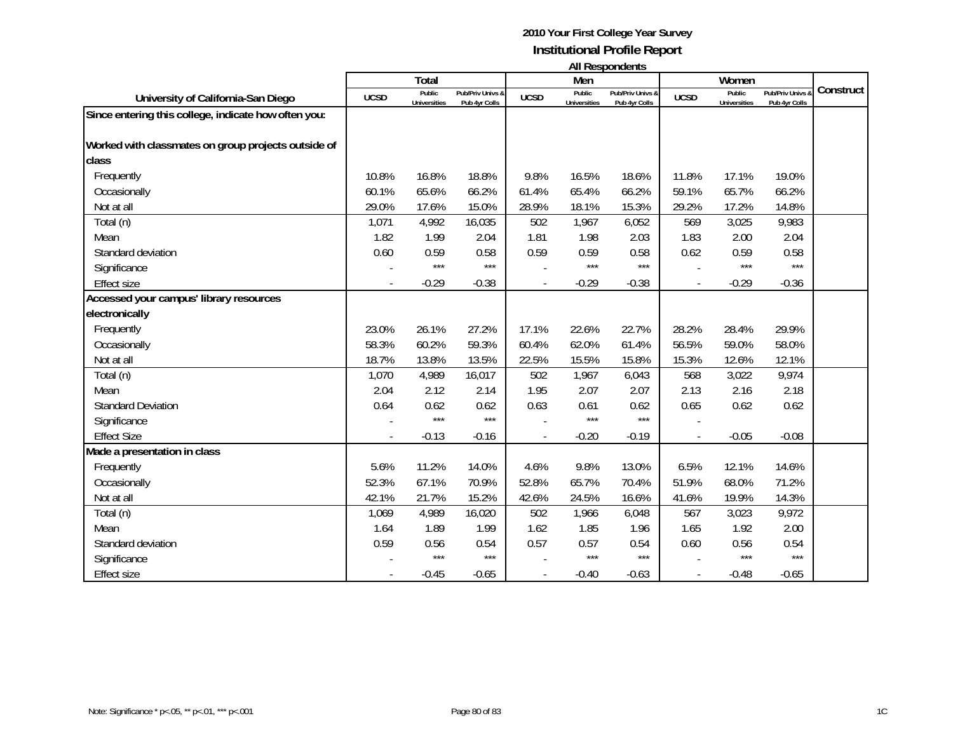**All Respondents**

|                                                      |             | Total                         |                                   |             | Men                           | טוויטשויטשטיו יווי                           |             | Women                         |                                              |           |
|------------------------------------------------------|-------------|-------------------------------|-----------------------------------|-------------|-------------------------------|----------------------------------------------|-------------|-------------------------------|----------------------------------------------|-----------|
| University of California-San Diego                   | <b>UCSD</b> | Public<br><b>Universities</b> | Pub/Priv Univs &<br>Pub 4yr Colls | <b>UCSD</b> | Public<br><b>Universities</b> | <b>Pub/Priv Univs &amp;</b><br>Pub 4yr Colls | <b>UCSD</b> | Public<br><b>Universities</b> | <b>Pub/Priv Univs &amp;</b><br>Pub 4yr Colls | Construct |
| Since entering this college, indicate how often you: |             |                               |                                   |             |                               |                                              |             |                               |                                              |           |
| Worked with classmates on group projects outside of  |             |                               |                                   |             |                               |                                              |             |                               |                                              |           |
| class                                                |             |                               |                                   |             |                               |                                              |             |                               |                                              |           |
| Frequently                                           | 10.8%       | 16.8%                         | 18.8%                             | 9.8%        | 16.5%                         | 18.6%                                        | 11.8%       | 17.1%                         | 19.0%                                        |           |
| Occasionally                                         | 60.1%       | 65.6%                         | 66.2%                             | 61.4%       | 65.4%                         | 66.2%                                        | 59.1%       | 65.7%                         | 66.2%                                        |           |
| Not at all                                           | 29.0%       | 17.6%                         | 15.0%                             | 28.9%       | 18.1%                         | 15.3%                                        | 29.2%       | 17.2%                         | 14.8%                                        |           |
| Total (n)                                            | 1,071       | 4,992                         | 16,035                            | 502         | 1,967                         | 6,052                                        | 569         | 3,025                         | 9,983                                        |           |
| Mean                                                 | 1.82        | 1.99                          | 2.04                              | 1.81        | 1.98                          | 2.03                                         | 1.83        | 2.00                          | 2.04                                         |           |
| Standard deviation                                   | 0.60        | 0.59                          | 0.58                              | 0.59        | 0.59                          | 0.58                                         | 0.62        | 0.59                          | 0.58                                         |           |
| Significance                                         |             | $***$                         | $***$                             |             | $***$                         | $***$                                        |             | $***$                         | $***$                                        |           |
| <b>Effect size</b>                                   |             | $-0.29$                       | $-0.38$                           |             | $-0.29$                       | $-0.38$                                      |             | $-0.29$                       | $-0.36$                                      |           |
| Accessed your campus' library resources              |             |                               |                                   |             |                               |                                              |             |                               |                                              |           |
| electronically                                       |             |                               |                                   |             |                               |                                              |             |                               |                                              |           |
| Frequently                                           | 23.0%       | 26.1%                         | 27.2%                             | 17.1%       | 22.6%                         | 22.7%                                        | 28.2%       | 28.4%                         | 29.9%                                        |           |
| Occasionally                                         | 58.3%       | 60.2%                         | 59.3%                             | 60.4%       | 62.0%                         | 61.4%                                        | 56.5%       | 59.0%                         | 58.0%                                        |           |
| Not at all                                           | 18.7%       | 13.8%                         | 13.5%                             | 22.5%       | 15.5%                         | 15.8%                                        | 15.3%       | 12.6%                         | 12.1%                                        |           |
| Total (n)                                            | 1,070       | 4,989                         | 16,017                            | 502         | 1,967                         | 6,043                                        | 568         | 3,022                         | 9,974                                        |           |
| Mean                                                 | 2.04        | 2.12                          | 2.14                              | 1.95        | 2.07                          | 2.07                                         | 2.13        | 2.16                          | 2.18                                         |           |
| <b>Standard Deviation</b>                            | 0.64        | 0.62                          | 0.62                              | 0.63        | 0.61                          | 0.62                                         | 0.65        | 0.62                          | 0.62                                         |           |
| Significance                                         |             | $***$                         | $***$                             |             | ***                           | $***$                                        |             |                               |                                              |           |
| <b>Effect Size</b>                                   |             | $-0.13$                       | $-0.16$                           |             | $-0.20$                       | $-0.19$                                      |             | $-0.05$                       | $-0.08$                                      |           |
| Made a presentation in class                         |             |                               |                                   |             |                               |                                              |             |                               |                                              |           |
| Frequently                                           | 5.6%        | 11.2%                         | 14.0%                             | 4.6%        | 9.8%                          | 13.0%                                        | 6.5%        | 12.1%                         | 14.6%                                        |           |
| Occasionally                                         | 52.3%       | 67.1%                         | 70.9%                             | 52.8%       | 65.7%                         | 70.4%                                        | 51.9%       | 68.0%                         | 71.2%                                        |           |
| Not at all                                           | 42.1%       | 21.7%                         | 15.2%                             | 42.6%       | 24.5%                         | 16.6%                                        | 41.6%       | 19.9%                         | 14.3%                                        |           |
| Total (n)                                            | 1,069       | 4,989                         | 16,020                            | 502         | 1,966                         | 6,048                                        | 567         | 3,023                         | 9,972                                        |           |
| Mean                                                 | 1.64        | 1.89                          | 1.99                              | 1.62        | 1.85                          | 1.96                                         | 1.65        | 1.92                          | 2.00                                         |           |
| Standard deviation                                   | 0.59        | 0.56                          | 0.54                              | 0.57        | 0.57                          | 0.54                                         | 0.60        | 0.56                          | 0.54                                         |           |
| Significance                                         |             | $***$                         | $***$                             |             | $***$                         | $***$                                        |             | $***$                         | $***$                                        |           |
| <b>Effect size</b>                                   |             | $-0.45$                       | $-0.65$                           |             | $-0.40$                       | $-0.63$                                      |             | $-0.48$                       | $-0.65$                                      |           |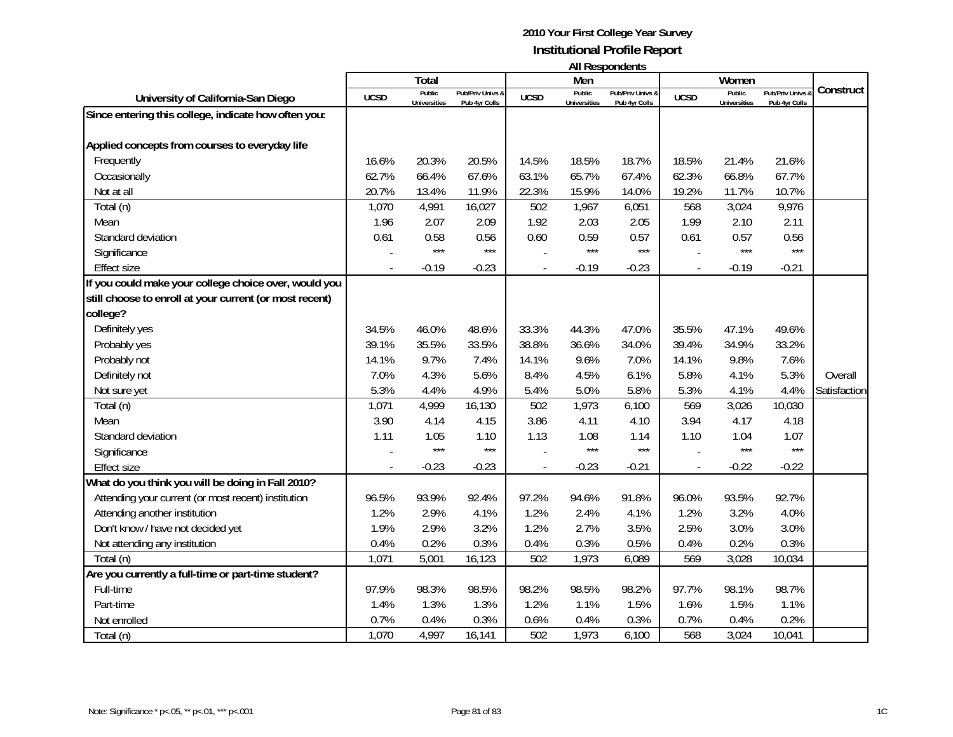|                                                         | All Respondents |                               |                                   |             |                               |                                   |                |                               |                                   |              |
|---------------------------------------------------------|-----------------|-------------------------------|-----------------------------------|-------------|-------------------------------|-----------------------------------|----------------|-------------------------------|-----------------------------------|--------------|
|                                                         |                 | <b>Total</b>                  |                                   |             | Men                           |                                   |                | Women                         |                                   |              |
| University of California-San Diego                      | <b>UCSD</b>     | Public<br><b>Universities</b> | Pub/Priv Univs &<br>Pub 4yr Colls | <b>UCSD</b> | Public<br><b>Universities</b> | Pub/Priv Univs &<br>Pub 4yr Colls | <b>UCSD</b>    | Public<br><b>Universities</b> | Pub/Priv Univs &<br>Pub 4yr Colls | Construct    |
| Since entering this college, indicate how often you:    |                 |                               |                                   |             |                               |                                   |                |                               |                                   |              |
|                                                         |                 |                               |                                   |             |                               |                                   |                |                               |                                   |              |
| Applied concepts from courses to everyday life          |                 |                               |                                   |             |                               |                                   |                |                               |                                   |              |
| Frequently                                              | 16.6%           | 20.3%                         | 20.5%                             | 14.5%       | 18.5%                         | 18.7%                             | 18.5%          | 21.4%                         | 21.6%                             |              |
| Occasionally                                            | 62.7%           | 66.4%                         | 67.6%                             | 63.1%       | 65.7%                         | 67.4%                             | 62.3%          | 66.8%                         | 67.7%                             |              |
| Not at all                                              | 20.7%           | 13.4%                         | 11.9%                             | 22.3%       | 15.9%                         | 14.0%                             | 19.2%          | 11.7%                         | 10.7%                             |              |
| Total (n)                                               | 1,070           | 4,991                         | 16,027                            | 502         | 1,967                         | 6,051                             | 568            | 3,024                         | 9,976                             |              |
| Mean                                                    | 1.96            | 2.07                          | 2.09                              | 1.92        | 2.03                          | 2.05                              | 1.99           | 2.10                          | 2.11                              |              |
| Standard deviation                                      | 0.61            | 0.58                          | 0.56                              | 0.60        | 0.59                          | 0.57                              | 0.61           | 0.57                          | 0.56                              |              |
| Significance                                            |                 | $***$                         | $***$                             |             | $***$                         | $***$                             |                | $***$                         | $***$                             |              |
| <b>Effect size</b>                                      |                 | $-0.19$                       | $-0.23$                           |             | $-0.19$                       | $-0.23$                           | $\blacksquare$ | $-0.19$                       | $-0.21$                           |              |
| If you could make your college choice over, would you   |                 |                               |                                   |             |                               |                                   |                |                               |                                   |              |
| still choose to enroll at your current (or most recent) |                 |                               |                                   |             |                               |                                   |                |                               |                                   |              |
| college?                                                |                 |                               |                                   |             |                               |                                   |                |                               |                                   |              |
| Definitely yes                                          | 34.5%           | 46.0%                         | 48.6%                             | 33.3%       | 44.3%                         | 47.0%                             | 35.5%          | 47.1%                         | 49.6%                             |              |
| Probably yes                                            | 39.1%           | 35.5%                         | 33.5%                             | 38.8%       | 36.6%                         | 34.0%                             | 39.4%          | 34.9%                         | 33.2%                             |              |
| Probably not                                            | 14.1%           | 9.7%                          | 7.4%                              | 14.1%       | 9.6%                          | 7.0%                              | 14.1%          | 9.8%                          | 7.6%                              |              |
| Definitely not                                          | 7.0%            | 4.3%                          | 5.6%                              | 8.4%        | 4.5%                          | 6.1%                              | 5.8%           | 4.1%                          | 5.3%                              | Overall      |
| Not sure yet                                            | 5.3%            | 4.4%                          | 4.9%                              | 5.4%        | 5.0%                          | 5.8%                              | 5.3%           | 4.1%                          | 4.4%                              | Satisfaction |
| Total (n)                                               | 1,071           | 4,999                         | 16,130                            | 502         | 1,973                         | 6,100                             | 569            | 3,026                         | 10,030                            |              |
| Mean                                                    | 3.90            | 4.14                          | 4.15                              | 3.86        | 4.11                          | 4.10                              | 3.94           | 4.17                          | 4.18                              |              |
| Standard deviation                                      | 1.11            | 1.05                          | 1.10                              | 1.13        | 1.08                          | 1.14                              | 1.10           | 1.04                          | 1.07                              |              |
| Significance                                            |                 | $***$                         | $***$                             |             | $***$                         | $***$                             |                | $***$                         | $***$                             |              |
| <b>Effect size</b>                                      |                 | $-0.23$                       | $-0.23$                           |             | $-0.23$                       | $-0.21$                           | $\blacksquare$ | $-0.22$                       | $-0.22$                           |              |
| What do you think you will be doing in Fall 2010?       |                 |                               |                                   |             |                               |                                   |                |                               |                                   |              |
| Attending your current (or most recent) institution     | 96.5%           | 93.9%                         | 92.4%                             | 97.2%       | 94.6%                         | 91.8%                             | 96.0%          | 93.5%                         | 92.7%                             |              |
| Attending another institution                           | 1.2%            | 2.9%                          | 4.1%                              | 1.2%        | 2.4%                          | 4.1%                              | 1.2%           | 3.2%                          | 4.0%                              |              |
| Don't know / have not decided yet                       | 1.9%            | 2.9%                          | 3.2%                              | 1.2%        | 2.7%                          | 3.5%                              | 2.5%           | 3.0%                          | 3.0%                              |              |
| Not attending any institution                           | 0.4%            | 0.2%                          | 0.3%                              | 0.4%        | 0.3%                          | 0.5%                              | 0.4%           | 0.2%                          | 0.3%                              |              |
| Total (n)                                               | 1,071           | 5,001                         | 16,123                            | 502         | 1,973                         | 6,089                             | 569            | 3,028                         | 10,034                            |              |
| Are you currently a full-time or part-time student?     |                 |                               |                                   |             |                               |                                   |                |                               |                                   |              |
| Full-time                                               | 97.9%           | 98.3%                         | 98.5%                             | 98.2%       | 98.5%                         | 98.2%                             | 97.7%          | 98.1%                         | 98.7%                             |              |
| Part-time                                               | 1.4%            | 1.3%                          | 1.3%                              | 1.2%        | 1.1%                          | 1.5%                              | 1.6%           | 1.5%                          | 1.1%                              |              |
| Not enrolled                                            | 0.7%            | 0.4%                          | 0.3%                              | 0.6%        | 0.4%                          | 0.3%                              | 0.7%           | 0.4%                          | 0.2%                              |              |

Total (n) 1,070 4,997 16,141 502 1,973 6,100 568 3,024 10,041

10,041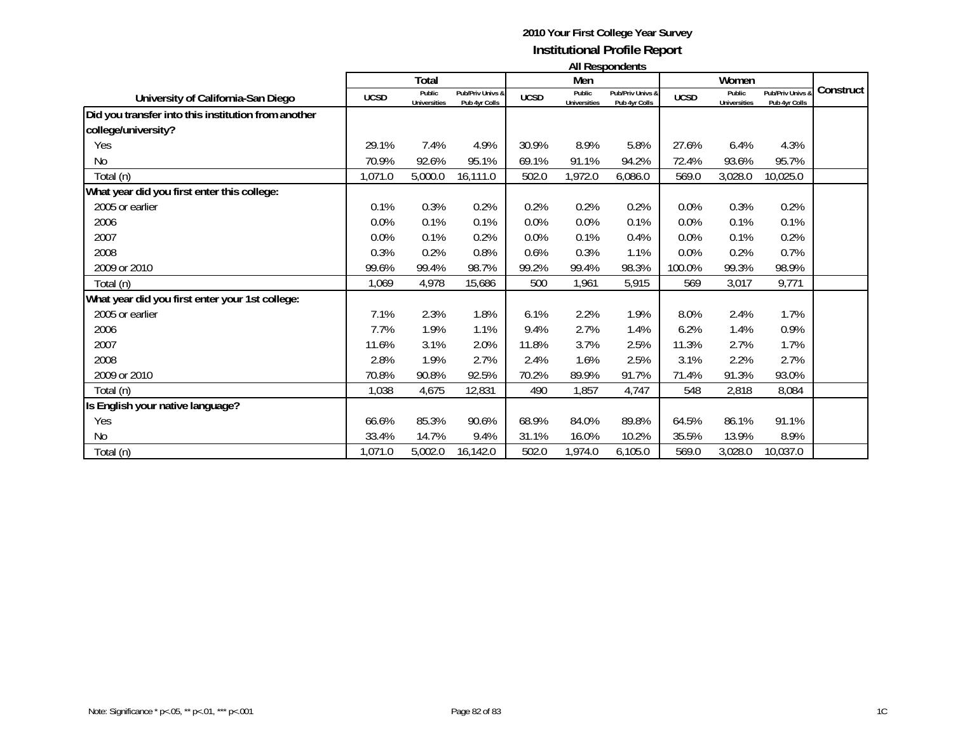|                                                     | All Respondents |                               |                                   |             |                               |                                   |             |                               |                                   |           |
|-----------------------------------------------------|-----------------|-------------------------------|-----------------------------------|-------------|-------------------------------|-----------------------------------|-------------|-------------------------------|-----------------------------------|-----------|
|                                                     | Total           |                               | Men                               |             |                               | Women                             |             |                               |                                   |           |
| University of California-San Diego                  | <b>UCSD</b>     | Public<br><b>Universities</b> | Pub/Priv Univs &<br>Pub 4yr Colls | <b>UCSD</b> | Public<br><b>Universities</b> | Pub/Priv Univs &<br>Pub 4yr Colls | <b>UCSD</b> | Public<br><b>Universities</b> | Pub/Priv Univs &<br>Pub 4yr Colls | Construct |
| Did you transfer into this institution from another |                 |                               |                                   |             |                               |                                   |             |                               |                                   |           |
| college/university?                                 |                 |                               |                                   |             |                               |                                   |             |                               |                                   |           |
| Yes                                                 | 29.1%           | 7.4%                          | 4.9%                              | 30.9%       | 8.9%                          | 5.8%                              | 27.6%       | 6.4%                          | 4.3%                              |           |
| No                                                  | 70.9%           | 92.6%                         | 95.1%                             | 69.1%       | 91.1%                         | 94.2%                             | 72.4%       | 93.6%                         | 95.7%                             |           |
| Total (n)                                           | 1,071.0         | 5,000.0                       | 16,111.0                          | 502.0       | 1,972.0                       | 6,086.0                           | 569.0       | 3,028.0                       | 10,025.0                          |           |
| What year did you first enter this college:         |                 |                               |                                   |             |                               |                                   |             |                               |                                   |           |
| 2005 or earlier                                     | 0.1%            | 0.3%                          | 0.2%                              | 0.2%        | 0.2%                          | 0.2%                              | 0.0%        | 0.3%                          | 0.2%                              |           |
| 2006                                                | 0.0%            | 0.1%                          | 0.1%                              | 0.0%        | 0.0%                          | 0.1%                              | 0.0%        | 0.1%                          | 0.1%                              |           |
| 2007                                                | 0.0%            | 0.1%                          | 0.2%                              | 0.0%        | 0.1%                          | 0.4%                              | 0.0%        | 0.1%                          | 0.2%                              |           |
| 2008                                                | 0.3%            | 0.2%                          | 0.8%                              | 0.6%        | 0.3%                          | 1.1%                              | 0.0%        | 0.2%                          | 0.7%                              |           |
| 2009 or 2010                                        | 99.6%           | 99.4%                         | 98.7%                             | 99.2%       | 99.4%                         | 98.3%                             | 100.0%      | 99.3%                         | 98.9%                             |           |
| Total (n)                                           | 1.069           | 4,978                         | 15,686                            | 500         | 1,961                         | 5,915                             | 569         | 3,017                         | 9,771                             |           |
| What year did you first enter your 1st college:     |                 |                               |                                   |             |                               |                                   |             |                               |                                   |           |
| 2005 or earlier                                     | 7.1%            | 2.3%                          | 1.8%                              | 6.1%        | 2.2%                          | 1.9%                              | 8.0%        | 2.4%                          | 1.7%                              |           |
| 2006                                                | 7.7%            | 1.9%                          | 1.1%                              | 9.4%        | 2.7%                          | 1.4%                              | 6.2%        | 1.4%                          | 0.9%                              |           |
| 2007                                                | 11.6%           | 3.1%                          | 2.0%                              | 11.8%       | 3.7%                          | 2.5%                              | 11.3%       | 2.7%                          | 1.7%                              |           |
| 2008                                                | 2.8%            | 1.9%                          | 2.7%                              | 2.4%        | 1.6%                          | 2.5%                              | 3.1%        | 2.2%                          | 2.7%                              |           |
| 2009 or 2010                                        | 70.8%           | 90.8%                         | 92.5%                             | 70.2%       | 89.9%                         | 91.7%                             | 71.4%       | 91.3%                         | 93.0%                             |           |
| Total (n)                                           | 1,038           | 4,675                         | 12,831                            | 490         | 1,857                         | 4,747                             | 548         | 2,818                         | 8,084                             |           |
| Is English your native language?                    |                 |                               |                                   |             |                               |                                   |             |                               |                                   |           |
| Yes                                                 | 66.6%           | 85.3%                         | 90.6%                             | 68.9%       | 84.0%                         | 89.8%                             | 64.5%       | 86.1%                         | 91.1%                             |           |
| No                                                  | 33.4%           | 14.7%                         | 9.4%                              | 31.1%       | 16.0%                         | 10.2%                             | 35.5%       | 13.9%                         | 8.9%                              |           |
| Total (n)                                           | 1,071.0         | 5,002.0                       | 16,142.0                          | 502.0       | 1,974.0                       | 6,105.0                           | 569.0       | 3,028.0                       | 10,037.0                          |           |